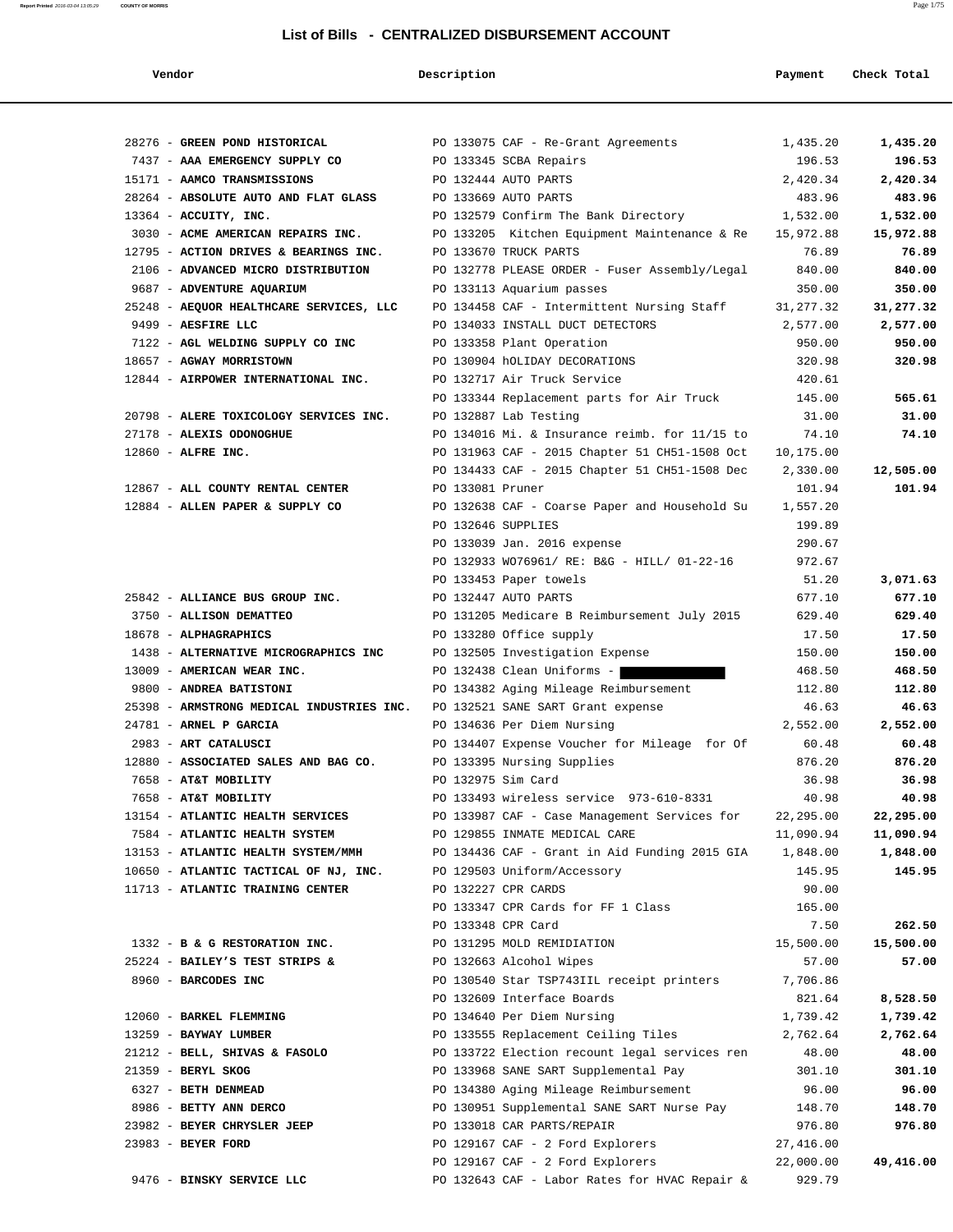| Vendor                                                 | Description         |                                                                                      | Payment           | Check Total       |
|--------------------------------------------------------|---------------------|--------------------------------------------------------------------------------------|-------------------|-------------------|
|                                                        |                     |                                                                                      |                   |                   |
| 28276 - GREEN POND HISTORICAL                          |                     | PO 133075 CAF - Re-Grant Agreements                                                  | 1,435.20          | 1,435.20          |
| 7437 - AAA EMERGENCY SUPPLY CO                         |                     | PO 133345 SCBA Repairs                                                               | 196.53            | 196.53            |
| 15171 - AAMCO TRANSMISSIONS                            |                     | PO 132444 AUTO PARTS                                                                 | 2,420.34          | 2,420.34          |
| 28264 - ABSOLUTE AUTO AND FLAT GLASS                   |                     | PO 133669 AUTO PARTS                                                                 | 483.96            | 483.96            |
| 13364 - ACCUITY, INC.                                  |                     | PO 132579 Confirm The Bank Directory                                                 | 1,532.00          | 1,532.00          |
| 3030 - ACME AMERICAN REPAIRS INC.                      |                     | PO 133205 Kitchen Equipment Maintenance & Re                                         | 15,972.88         | 15,972.88         |
| 12795 - ACTION DRIVES & BEARINGS INC.                  |                     | PO 133670 TRUCK PARTS                                                                | 76.89             | 76.89             |
| 2106 - ADVANCED MICRO DISTRIBUTION                     |                     | PO 132778 PLEASE ORDER - Fuser Assembly/Legal                                        | 840.00            | 840.00            |
| 9687 - ADVENTURE AQUARIUM                              |                     | PO 133113 Aquarium passes                                                            | 350.00            | 350.00            |
| 25248 - AEQUOR HEALTHCARE SERVICES, LLC                |                     | PO 134458 CAF - Intermittent Nursing Staff                                           | 31, 277.32        | 31,277.32         |
| 9499 - AESFIRE LLC                                     |                     | PO 134033 INSTALL DUCT DETECTORS                                                     | 2,577.00          | 2,577.00          |
| 7122 - AGL WELDING SUPPLY CO INC                       |                     | PO 133358 Plant Operation                                                            | 950.00            | 950.00            |
| 18657 - AGWAY MORRISTOWN                               |                     | PO 130904 hOLIDAY DECORATIONS                                                        | 320.98            | 320.98            |
| 12844 - AIRPOWER INTERNATIONAL INC.                    |                     | PO 132717 Air Truck Service                                                          | 420.61            |                   |
|                                                        |                     | PO 133344 Replacement parts for Air Truck                                            | 145.00            | 565.61            |
| 20798 - ALERE TOXICOLOGY SERVICES INC.                 |                     | PO 132887 Lab Testing                                                                | 31.00             | 31.00             |
| 27178 - ALEXIS ODONOGHUE                               |                     | PO 134016 Mi. & Insurance reimb. for 11/15 to                                        | 74.10             | 74.10             |
| 12860 - ALFRE INC.                                     |                     | PO 131963 CAF - 2015 Chapter 51 CH51-1508 Oct                                        | 10,175.00         |                   |
|                                                        |                     | PO 134433 CAF - 2015 Chapter 51 CH51-1508 Dec                                        | 2,330.00          | 12,505.00         |
| 12867 - ALL COUNTY RENTAL CENTER                       | PO 133081 Pruner    |                                                                                      | 101.94            | 101.94            |
| 12884 - ALLEN PAPER & SUPPLY CO                        |                     | PO 132638 CAF - Coarse Paper and Household Su                                        | 1,557.20          |                   |
|                                                        | PO 132646 SUPPLIES  |                                                                                      | 199.89            |                   |
|                                                        |                     | PO 133039 Jan. 2016 expense                                                          | 290.67            |                   |
|                                                        |                     | PO 132933 WO76961/ RE: B&G - HILL/ 01-22-16                                          | 972.67            |                   |
|                                                        |                     | PO 133453 Paper towels                                                               | 51.20             | 3,071.63          |
| 25842 - ALLIANCE BUS GROUP INC.                        |                     | PO 132447 AUTO PARTS                                                                 | 677.10            | 677.10            |
| 3750 - ALLISON DEMATTEO                                |                     | PO 131205 Medicare B Reimbursement July 2015                                         | 629.40            | 629.40            |
| 18678 - ALPHAGRAPHICS                                  |                     | PO 133280 Office supply                                                              | 17.50             | 17.50             |
| 1438 - ALTERNATIVE MICROGRAPHICS INC                   |                     | PO 132505 Investigation Expense                                                      | 150.00            | 150.00            |
| 13009 - AMERICAN WEAR INC.                             |                     | PO 132438 Clean Uniforms -                                                           | 468.50            | 468.50            |
| 9800 - ANDREA BATISTONI                                |                     | PO 134382 Aging Mileage Reimbursement                                                | 112.80            | 112.80            |
| 25398 - ARMSTRONG MEDICAL INDUSTRIES INC.              |                     | PO 132521 SANE SART Grant expense                                                    | 46.63             | 46.63             |
| 24781 - ARNEL P GARCIA                                 |                     | PO 134636 Per Diem Nursing                                                           | 2,552.00          | 2,552.00          |
| 2983 - ART CATALUSCI                                   |                     | PO 134407 Expense Voucher for Mileage for Of                                         | 60.48             | 60.48             |
| 12880 - ASSOCIATED SALES AND BAG CO.                   |                     | PO 133395 Nursing Supplies                                                           | 876.20            | 876.20            |
| 7658 - AT&T MOBILITY                                   | PO 132975 Sim Card  |                                                                                      | 36.98             | 36.98             |
| 7658 - AT&T MOBILITY                                   |                     | PO 133493 wireless service 973-610-8331                                              | 40.98             | 40.98             |
| 13154 - ATLANTIC HEALTH SERVICES                       |                     | PO 133987 CAF - Case Management Services for                                         | 22,295.00         | 22,295.00         |
| 7584 - ATLANTIC HEALTH SYSTEM                          |                     | PO 129855 INMATE MEDICAL CARE                                                        | 11,090.94         | 11,090.94         |
| 13153 - ATLANTIC HEALTH SYSTEM/MMH                     |                     | PO 134436 CAF - Grant in Aid Funding 2015 GIA                                        | 1,848.00          | 1,848.00          |
| 10650 - ATLANTIC TACTICAL OF NJ, INC.                  |                     | PO 129503 Uniform/Accessory                                                          | 145.95            | 145.95            |
| 11713 - ATLANTIC TRAINING CENTER                       | PO 132227 CPR CARDS |                                                                                      | 90.00             |                   |
|                                                        |                     | PO 133347 CPR Cards for FF 1 Class                                                   | 165.00            |                   |
|                                                        | PO 133348 CPR Card  |                                                                                      | 7.50              | 262.50            |
| 1332 - B & G RESTORATION INC.                          |                     | PO 131295 MOLD REMIDIATION                                                           | 15,500.00         | 15,500.00         |
| 25224 - BAILEY'S TEST STRIPS &                         |                     | PO 132663 Alcohol Wipes                                                              | 57.00             | 57.00             |
| 8960 - BARCODES INC                                    |                     | PO 130540 Star TSP743IIL receipt printers                                            | 7,706.86          |                   |
|                                                        |                     | PO 132609 Interface Boards                                                           | 821.64            | 8,528.50          |
|                                                        |                     |                                                                                      |                   |                   |
| 12060 - BARKEL FLEMMING                                |                     | PO 134640 Per Diem Nursing                                                           | 1,739.42          | 1,739.42          |
| 13259 - BAYWAY LUMBER<br>21212 - BELL, SHIVAS & FASOLO |                     | PO 133555 Replacement Ceiling Tiles<br>PO 133722 Election recount legal services ren | 2,762.64<br>48.00 | 2,762.64<br>48.00 |
|                                                        |                     |                                                                                      |                   |                   |
| 21359 - BERYL SKOG                                     |                     | PO 133968 SANE SART Supplemental Pay                                                 | 301.10            | 301.10<br>96.00   |
| 6327 - BETH DENMEAD<br>8986 - BETTY ANN DERCO          |                     | PO 134380 Aging Mileage Reimbursement                                                | 96.00<br>148.70   |                   |
|                                                        |                     | PO 130951 Supplemental SANE SART Nurse Pay                                           |                   | 148.70            |
| 23982 - BEYER CHRYSLER JEEP                            |                     | PO 133018 CAR PARTS/REPAIR                                                           | 976.80            | 976.80            |
| 23983 - BEYER FORD                                     |                     | PO 129167 CAF - 2 Ford Explorers                                                     | 27,416.00         |                   |
|                                                        |                     | PO 129167 CAF - 2 Ford Explorers                                                     | 22,000.00         | 49,416.00         |
| 9476 - BINSKY SERVICE LLC                              |                     | PO 132643 CAF - Labor Rates for HVAC Repair &                                        | 929.79            |                   |

**Report Printed** 2016-03-04 13:05:29 **COUNTY OF MORRIS** Page 1/75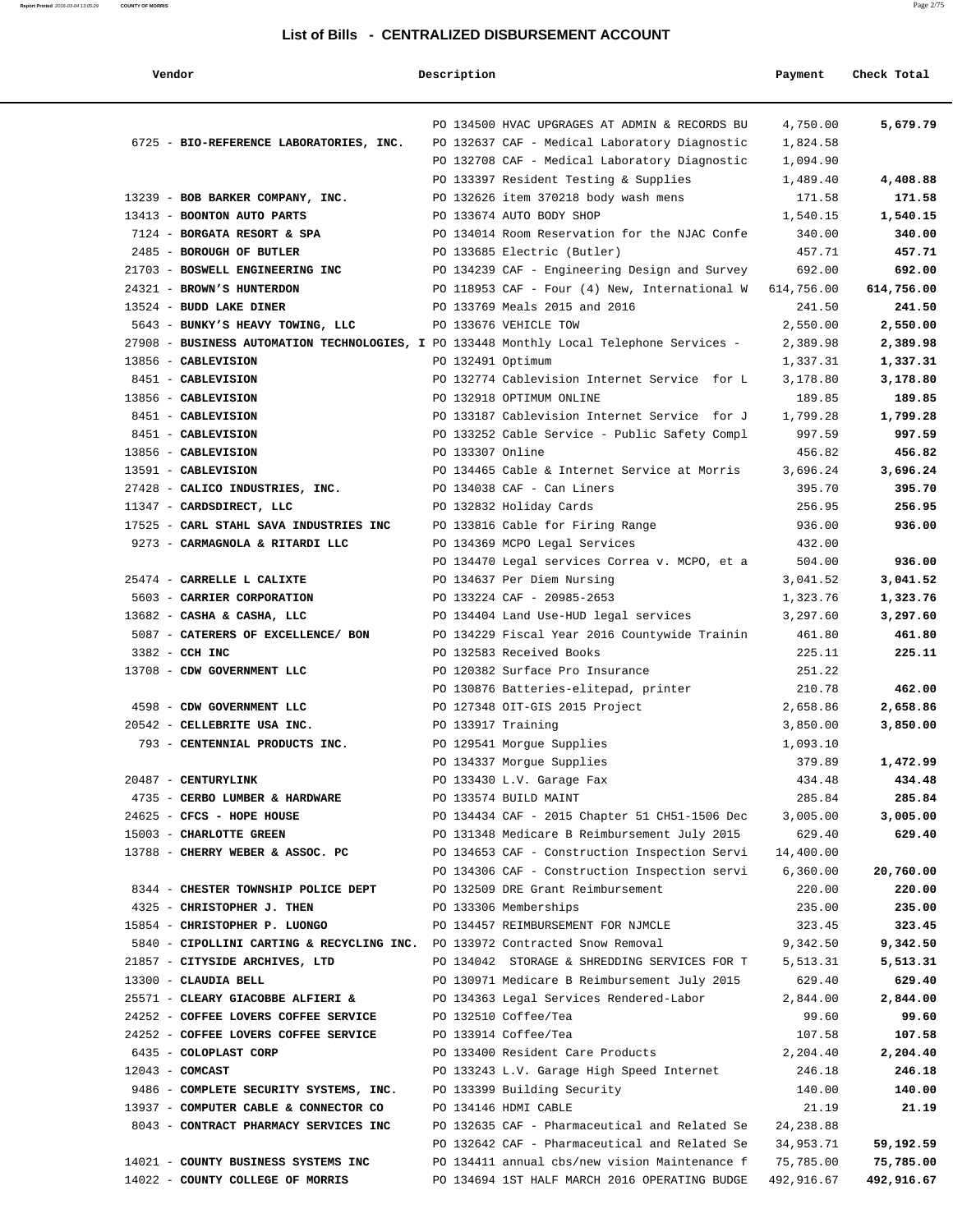#### **Report Printed** 2016-03-04 13:05:29 **COUNTY OF MORRIS** Page 2/75

#### **List of Bills - CENTRALIZED DISBURSEMENT ACCOUNT**

| Vendor                                                                                   | Description        |                                                                             | Payment            | Check Total        |
|------------------------------------------------------------------------------------------|--------------------|-----------------------------------------------------------------------------|--------------------|--------------------|
|                                                                                          |                    | PO 134500 HVAC UPGRAGES AT ADMIN & RECORDS BU                               | 4,750.00           | 5,679.79           |
| 6725 - BIO-REFERENCE LABORATORIES, INC.                                                  |                    | PO 132637 CAF - Medical Laboratory Diagnostic                               | 1,824.58           |                    |
|                                                                                          |                    | PO 132708 CAF - Medical Laboratory Diagnostic                               | 1,094.90           |                    |
|                                                                                          |                    | PO 133397 Resident Testing & Supplies                                       | 1,489.40           | 4,408.88           |
| 13239 - BOB BARKER COMPANY, INC.                                                         |                    | PO 132626 item 370218 body wash mens                                        | 171.58             | 171.58             |
| 13413 - BOONTON AUTO PARTS                                                               |                    | PO 133674 AUTO BODY SHOP                                                    | 1,540.15           | 1,540.15           |
| 7124 - BORGATA RESORT & SPA                                                              |                    | PO 134014 Room Reservation for the NJAC Confe                               | 340.00             | 340.00             |
| 2485 - BOROUGH OF BUTLER                                                                 |                    | PO 133685 Electric (Butler)                                                 | 457.71             | 457.71             |
| 21703 - BOSWELL ENGINEERING INC                                                          |                    | PO 134239 CAF - Engineering Design and Survey                               | 692.00             | 692.00             |
| 24321 - BROWN'S HUNTERDON                                                                |                    | PO 118953 CAF - Four (4) New, International W                               | 614,756.00         | 614,756.00         |
| 13524 - BUDD LAKE DINER                                                                  |                    | PO 133769 Meals 2015 and 2016                                               | 241.50             | 241.50             |
| 5643 - BUNKY'S HEAVY TOWING, LLC                                                         |                    | PO 133676 VEHICLE TOW                                                       | 2,550.00           | 2,550.00           |
| 27908 - BUSINESS AUTOMATION TECHNOLOGIES, I PO 133448 Monthly Local Telephone Services - |                    |                                                                             | 2,389.98           | 2,389.98           |
| 13856 - CABLEVISION                                                                      | PO 132491 Optimum  |                                                                             | 1,337.31           | 1,337.31           |
| 8451 - CABLEVISION                                                                       |                    | PO 132774 Cablevision Internet Service for L                                | 3,178.80           | 3,178.80           |
| 13856 - CABLEVISION                                                                      |                    | PO 132918 OPTIMUM ONLINE                                                    | 189.85             | 189.85             |
| 8451 - CABLEVISION                                                                       |                    | PO 133187 Cablevision Internet Service for J                                | 1,799.28           | 1,799.28           |
| 8451 - CABLEVISION                                                                       |                    | PO 133252 Cable Service - Public Safety Compl                               | 997.59             | 997.59             |
| 13856 - CABLEVISION                                                                      | PO 133307 Online   |                                                                             | 456.82             | 456.82             |
| 13591 - CABLEVISION                                                                      |                    | PO 134465 Cable & Internet Service at Morris                                | 3,696.24           | 3,696.24           |
| 27428 - CALICO INDUSTRIES, INC.                                                          |                    | PO 134038 CAF - Can Liners                                                  | 395.70             | 395.70             |
| 11347 - CARDSDIRECT, LLC                                                                 |                    | PO 132832 Holiday Cards                                                     | 256.95             | 256.95             |
| 17525 - CARL STAHL SAVA INDUSTRIES INC                                                   |                    | PO 133816 Cable for Firing Range                                            | 936.00             | 936.00             |
| 9273 - CARMAGNOLA & RITARDI LLC                                                          |                    | PO 134369 MCPO Legal Services                                               | 432.00<br>504.00   | 936.00             |
| 25474 - CARRELLE L CALIXTE                                                               |                    | PO 134470 Legal services Correa v. MCPO, et a<br>PO 134637 Per Diem Nursing | 3,041.52           | 3,041.52           |
| 5603 - CARRIER CORPORATION                                                               |                    | PO 133224 CAF - 20985-2653                                                  | 1,323.76           | 1,323.76           |
| 13682 - CASHA & CASHA, LLC                                                               |                    | PO 134404 Land Use-HUD legal services                                       | 3,297.60           | 3,297.60           |
| 5087 - CATERERS OF EXCELLENCE/ BON                                                       |                    | PO 134229 Fiscal Year 2016 Countywide Trainin                               | 461.80             | 461.80             |
| 3382 - CCH INC                                                                           |                    | PO 132583 Received Books                                                    | 225.11             | 225.11             |
| 13708 - CDW GOVERNMENT LLC                                                               |                    | PO 120382 Surface Pro Insurance                                             | 251.22             |                    |
|                                                                                          |                    | PO 130876 Batteries-elitepad, printer                                       | 210.78             | 462.00             |
| 4598 - CDW GOVERNMENT LLC                                                                |                    | PO 127348 OIT-GIS 2015 Project                                              | 2,658.86           | 2,658.86           |
| 20542 - CELLEBRITE USA INC.                                                              | PO 133917 Training |                                                                             | 3,850.00           | 3,850.00           |
| 793 - CENTENNIAL PRODUCTS INC.                                                           |                    | PO 129541 Morgue Supplies                                                   | 1,093.10           |                    |
|                                                                                          |                    | PO 134337 Morgue Supplies                                                   | 379.89             | 1,472.99           |
| 20487 - CENTURYLINK                                                                      |                    | PO 133430 L.V. Garage Fax                                                   | 434.48             | 434.48             |
| 4735 - CERBO LUMBER & HARDWARE                                                           |                    | PO 133574 BUILD MAINT                                                       | 285.84             | 285.84             |
| 24625 - CFCS - HOPE HOUSE                                                                |                    | PO 134434 CAF - 2015 Chapter 51 CH51-1506 Dec                               | 3,005.00           | 3,005.00           |
| 15003 - CHARLOTTE GREEN                                                                  |                    | PO 131348 Medicare B Reimbursement July 2015                                | 629.40             | 629.40             |
| 13788 - CHERRY WEBER & ASSOC. PC                                                         |                    | PO 134653 CAF - Construction Inspection Servi                               | 14,400.00          |                    |
|                                                                                          |                    | PO 134306 CAF - Construction Inspection servi                               | 6,360.00           | 20,760.00          |
| 8344 - CHESTER TOWNSHIP POLICE DEPT                                                      |                    | PO 132509 DRE Grant Reimbursement                                           | 220.00             | 220.00             |
| 4325 - CHRISTOPHER J. THEN                                                               |                    | PO 133306 Memberships                                                       | 235.00             | 235.00             |
| 15854 - CHRISTOPHER P. LUONGO                                                            |                    | PO 134457 REIMBURSEMENT FOR NJMCLE                                          | 323.45             | 323.45             |
| 5840 - CIPOLLINI CARTING & RECYCLING INC. PO 133972 Contracted Snow Removal              |                    |                                                                             | 9,342.50           | 9,342.50           |
| 21857 - CITYSIDE ARCHIVES, LTD                                                           |                    | PO 134042 STORAGE & SHREDDING SERVICES FOR T                                | 5,513.31           | 5,513.31           |
| 13300 - CLAUDIA BELL                                                                     |                    | PO 130971 Medicare B Reimbursement July 2015                                | 629.40             | 629.40             |
| 25571 - CLEARY GIACOBBE ALFIERI &                                                        |                    | PO 134363 Legal Services Rendered-Labor                                     | 2,844.00           | 2,844.00           |
| 24252 - COFFEE LOVERS COFFEE SERVICE                                                     |                    | PO 132510 Coffee/Tea                                                        | 99.60              | 99.60              |
| 24252 - COFFEE LOVERS COFFEE SERVICE                                                     |                    | PO 133914 Coffee/Tea                                                        | 107.58             | 107.58             |
| 6435 - COLOPLAST CORP                                                                    |                    | PO 133400 Resident Care Products                                            | 2,204.40<br>246.18 | 2,204.40<br>246.18 |
| $12043$ - COMCAST<br>9486 - COMPLETE SECURITY SYSTEMS, INC.                              |                    | PO 133243 L.V. Garage High Speed Internet<br>PO 133399 Building Security    | 140.00             | 140.00             |
| 13937 - COMPUTER CABLE & CONNECTOR CO                                                    |                    | PO 134146 HDMI CABLE                                                        | 21.19              | 21.19              |
| 8043 - CONTRACT PHARMACY SERVICES INC                                                    |                    | PO 132635 CAF - Pharmaceutical and Related Se                               | 24, 238.88         |                    |
|                                                                                          |                    | PO 132642 CAF - Pharmaceutical and Related Se                               | 34,953.71          | 59,192.59          |
| 14021 - COUNTY BUSINESS SYSTEMS INC                                                      |                    | PO 134411 annual cbs/new vision Maintenance f                               | 75,785.00          | 75,785.00          |
| 14022 - COUNTY COLLEGE OF MORRIS                                                         |                    | PO 134694 1ST HALF MARCH 2016 OPERATING BUDGE                               | 492,916.67         | 492,916.67         |
|                                                                                          |                    |                                                                             |                    |                    |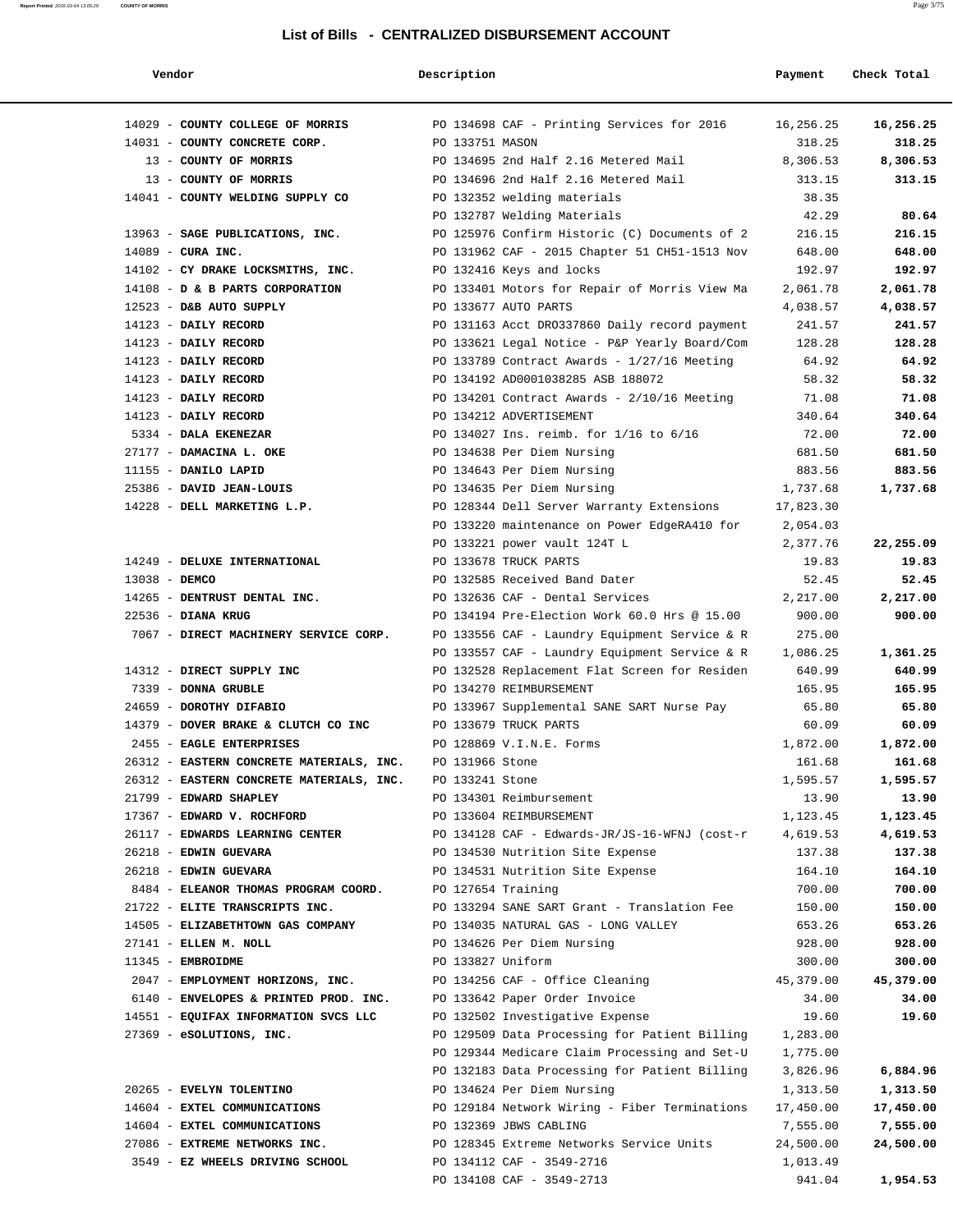#### **Report Printed** 2016-03-04 13:05:29 **COUNTY OF MORRIS** Page 3/75

| Vendor                                   | Description        |                                               | Payment   | Check Total |
|------------------------------------------|--------------------|-----------------------------------------------|-----------|-------------|
| 14029 - COUNTY COLLEGE OF MORRIS         |                    | PO 134698 CAF - Printing Services for 2016    | 16,256.25 | 16,256.25   |
| 14031 - COUNTY CONCRETE CORP.            | PO 133751 MASON    |                                               | 318.25    | 318.25      |
| 13 - COUNTY OF MORRIS                    |                    | PO 134695 2nd Half 2.16 Metered Mail          | 8,306.53  | 8,306.53    |
| 13 - COUNTY OF MORRIS                    |                    | PO 134696 2nd Half 2.16 Metered Mail          | 313.15    | 313.15      |
| 14041 - COUNTY WELDING SUPPLY CO         |                    | PO 132352 welding materials                   | 38.35     |             |
|                                          |                    | PO 132787 Welding Materials                   | 42.29     | 80.64       |
| 13963 - SAGE PUBLICATIONS, INC.          |                    | PO 125976 Confirm Historic (C) Documents of 2 | 216.15    | 216.15      |
| $14089$ - CURA INC.                      |                    | PO 131962 CAF - 2015 Chapter 51 CH51-1513 Nov | 648.00    | 648.00      |
| 14102 - CY DRAKE LOCKSMITHS, INC.        |                    | PO 132416 Keys and locks                      | 192.97    | 192.97      |
| 14108 - D & B PARTS CORPORATION          |                    | PO 133401 Motors for Repair of Morris View Ma | 2,061.78  | 2,061.78    |
| 12523 - D&B AUTO SUPPLY                  |                    | PO 133677 AUTO PARTS                          | 4,038.57  | 4,038.57    |
| 14123 - DAILY RECORD                     |                    | PO 131163 Acct DR0337860 Daily record payment | 241.57    | 241.57      |
| 14123 - DAILY RECORD                     |                    | PO 133621 Legal Notice - P&P Yearly Board/Com | 128.28    | 128.28      |
| 14123 - DAILY RECORD                     |                    | PO 133789 Contract Awards - 1/27/16 Meeting   | 64.92     | 64.92       |
| 14123 - DAILY RECORD                     |                    | PO 134192 AD0001038285 ASB 188072             | 58.32     | 58.32       |
| 14123 - DAILY RECORD                     |                    | PO 134201 Contract Awards - $2/10/16$ Meeting | 71.08     | 71.08       |
| 14123 - DAILY RECORD                     |                    | PO 134212 ADVERTISEMENT                       | 340.64    | 340.64      |
| 5334 - DALA EKENEZAR                     |                    | PO 134027 Ins. reimb. for 1/16 to 6/16        | 72.00     | 72.00       |
| 27177 - DAMACINA L. OKE                  |                    | PO 134638 Per Diem Nursing                    | 681.50    | 681.50      |
| 11155 - DANILO LAPID                     |                    | PO 134643 Per Diem Nursing                    | 883.56    | 883.56      |
| 25386 - DAVID JEAN-LOUIS                 |                    | PO 134635 Per Diem Nursing                    | 1,737.68  | 1,737.68    |
| 14228 - DELL MARKETING L.P.              |                    | PO 128344 Dell Server Warranty Extensions     | 17,823.30 |             |
|                                          |                    | PO 133220 maintenance on Power EdgeRA410 for  | 2,054.03  |             |
|                                          |                    | PO 133221 power vault 124T L                  | 2,377.76  | 22,255.09   |
| 14249 - DELUXE INTERNATIONAL             |                    | PO 133678 TRUCK PARTS                         | 19.83     | 19.83       |
| 13038 - DEMCO                            |                    | PO 132585 Received Band Dater                 | 52.45     | 52.45       |
| 14265 - DENTRUST DENTAL INC.             |                    | PO 132636 CAF - Dental Services               | 2,217.00  | 2,217.00    |
| 22536 - DIANA KRUG                       |                    | PO 134194 Pre-Election Work 60.0 Hrs @ 15.00  | 900.00    | 900.00      |
| 7067 - DIRECT MACHINERY SERVICE CORP.    |                    | PO 133556 CAF - Laundry Equipment Service & R | 275.00    |             |
|                                          |                    | PO 133557 CAF - Laundry Equipment Service & R | 1,086.25  | 1,361.25    |
| 14312 - DIRECT SUPPLY INC                |                    | PO 132528 Replacement Flat Screen for Residen | 640.99    | 640.99      |
| 7339 - DONNA GRUBLE                      |                    | PO 134270 REIMBURSEMENT                       | 165.95    | 165.95      |
| 24659 - DOROTHY DIFABIO                  |                    | PO 133967 Supplemental SANE SART Nurse Pay    | 65.80     | 65.80       |
| 14379 - DOVER BRAKE & CLUTCH CO INC      |                    | PO 133679 TRUCK PARTS                         | 60.09     | 60.09       |
| 2455 - EAGLE ENTERPRISES                 |                    | PO 128869 V.I.N.E. Forms                      | 1,872.00  | 1,872.00    |
| 26312 - EASTERN CONCRETE MATERIALS, INC. | PO 131966 Stone    |                                               | 161.68    | 161.68      |
| 26312 - EASTERN CONCRETE MATERIALS, INC. | PO 133241 Stone    |                                               | 1,595.57  | 1,595.57    |
| 21799 - EDWARD SHAPLEY                   |                    | PO 134301 Reimbursement                       | 13.90     | 13.90       |
| 17367 - EDWARD V. ROCHFORD               |                    | PO 133604 REIMBURSEMENT                       | 1,123.45  | 1,123.45    |
| 26117 - EDWARDS LEARNING CENTER          |                    | PO 134128 CAF - Edwards-JR/JS-16-WFNJ (cost-r | 4,619.53  | 4,619.53    |
| 26218 - EDWIN GUEVARA                    |                    | PO 134530 Nutrition Site Expense              | 137.38    | 137.38      |
| 26218 - EDWIN GUEVARA                    |                    | PO 134531 Nutrition Site Expense              | 164.10    | 164.10      |
| 8484 - ELEANOR THOMAS PROGRAM COORD.     | PO 127654 Training |                                               | 700.00    | 700.00      |
| 21722 - ELITE TRANSCRIPTS INC.           |                    | PO 133294 SANE SART Grant - Translation Fee   | 150.00    | 150.00      |
| 14505 - ELIZABETHTOWN GAS COMPANY        |                    | PO 134035 NATURAL GAS - LONG VALLEY           | 653.26    | 653.26      |
| 27141 - ELLEN M. NOLL                    |                    | PO 134626 Per Diem Nursing                    | 928.00    | 928.00      |
| 11345 - EMBROIDME                        | PO 133827 Uniform  |                                               | 300.00    | 300.00      |
| 2047 - EMPLOYMENT HORIZONS, INC.         |                    | PO 134256 CAF - Office Cleaning               | 45,379.00 | 45,379.00   |
| 6140 - ENVELOPES & PRINTED PROD. INC.    |                    | PO 133642 Paper Order Invoice                 | 34.00     | 34.00       |
| 14551 - EQUIFAX INFORMATION SVCS LLC     |                    | PO 132502 Investigative Expense               | 19.60     | 19.60       |
| 27369 - eSOLUTIONS, INC.                 |                    | PO 129509 Data Processing for Patient Billing | 1,283.00  |             |
|                                          |                    | PO 129344 Medicare Claim Processing and Set-U | 1,775.00  |             |
|                                          |                    | PO 132183 Data Processing for Patient Billing | 3,826.96  | 6,884.96    |
| 20265 - EVELYN TOLENTINO                 |                    | PO 134624 Per Diem Nursing                    | 1,313.50  | 1,313.50    |
| 14604 - EXTEL COMMUNICATIONS             |                    | PO 129184 Network Wiring - Fiber Terminations | 17,450.00 | 17,450.00   |
| 14604 - EXTEL COMMUNICATIONS             |                    | PO 132369 JBWS CABLING                        | 7,555.00  | 7,555.00    |
| 27086 - EXTREME NETWORKS INC.            |                    | PO 128345 Extreme Networks Service Units      | 24,500.00 | 24,500.00   |
| 3549 - EZ WHEELS DRIVING SCHOOL          |                    | PO 134112 CAF - 3549-2716                     | 1,013.49  |             |
|                                          |                    | PO 134108 CAF - 3549-2713                     | 941.04    | 1,954.53    |
|                                          |                    |                                               |           |             |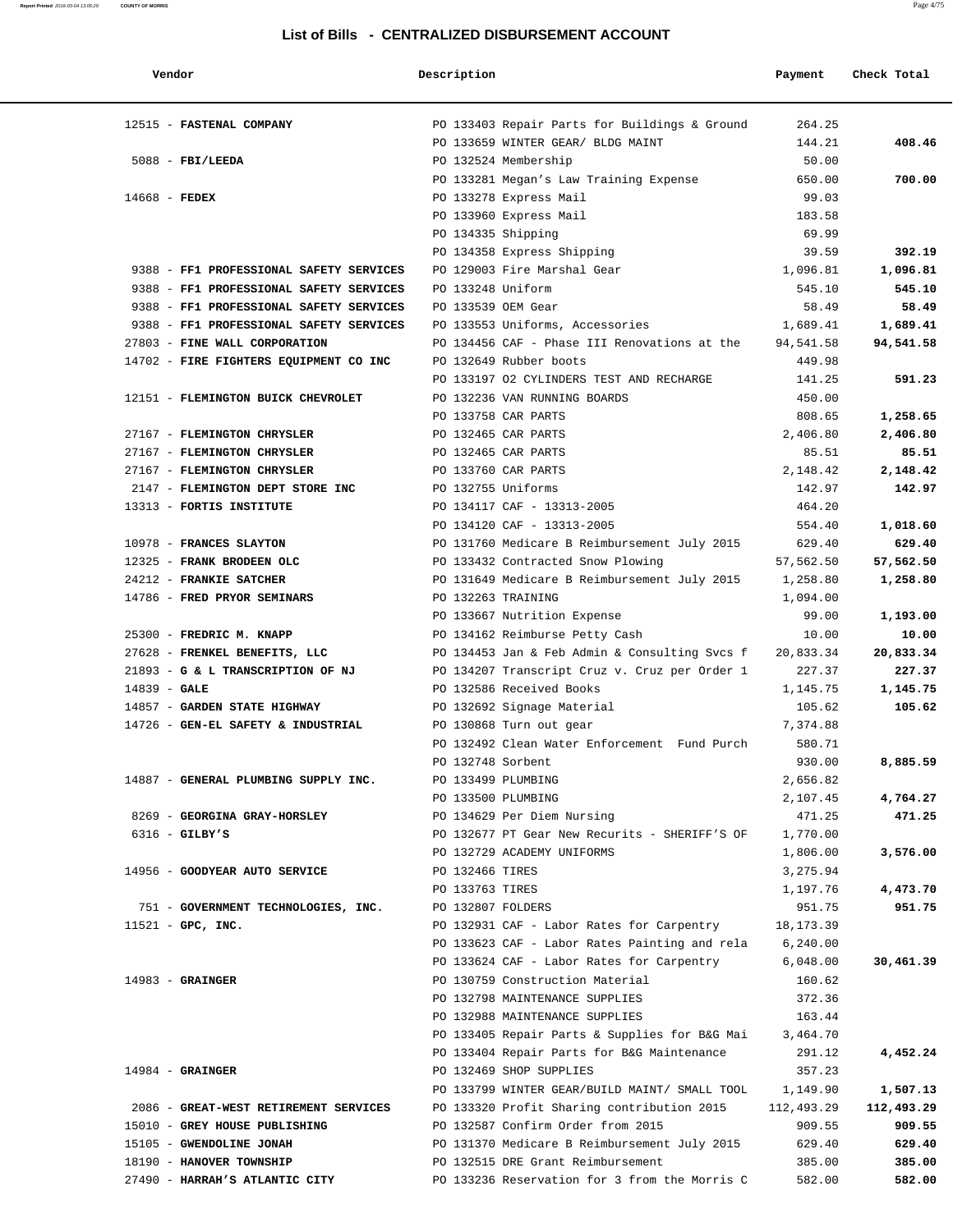| Vendor                                  | Description       |                                               | Payment     | Check Total |
|-----------------------------------------|-------------------|-----------------------------------------------|-------------|-------------|
| 12515 - FASTENAL COMPANY                |                   | PO 133403 Repair Parts for Buildings & Ground | 264.25      |             |
|                                         |                   | PO 133659 WINTER GEAR/ BLDG MAINT             | 144.21      | 408.46      |
| $5088$ - FBI/LEEDA                      |                   | PO 132524 Membership                          | 50.00       |             |
|                                         |                   | PO 133281 Megan's Law Training Expense        | 650.00      | 700.00      |
| $14668$ - FEDEX                         |                   | PO 133278 Express Mail                        | 99.03       |             |
|                                         |                   | PO 133960 Express Mail                        | 183.58      |             |
|                                         |                   | PO 134335 Shipping                            | 69.99       |             |
|                                         |                   | PO 134358 Express Shipping                    | 39.59       | 392.19      |
| 9388 - FF1 PROFESSIONAL SAFETY SERVICES |                   | PO 129003 Fire Marshal Gear                   | 1,096.81    | 1,096.81    |
| 9388 - FF1 PROFESSIONAL SAFETY SERVICES | PO 133248 Uniform |                                               | 545.10      | 545.10      |
| 9388 - FF1 PROFESSIONAL SAFETY SERVICES |                   | PO 133539 OEM Gear                            | 58.49       | 58.49       |
| 9388 - FF1 PROFESSIONAL SAFETY SERVICES |                   | PO 133553 Uniforms, Accessories               | 1,689.41    | 1,689.41    |
| 27803 - FINE WALL CORPORATION           |                   | PO 134456 CAF - Phase III Renovations at the  | 94,541.58   | 94,541.58   |
| 14702 - FIRE FIGHTERS EQUIPMENT CO INC  |                   | PO 132649 Rubber boots                        | 449.98      |             |
|                                         |                   | PO 133197 O2 CYLINDERS TEST AND RECHARGE      | 141.25      | 591.23      |
| 12151 - FLEMINGTON BUICK CHEVROLET      |                   | PO 132236 VAN RUNNING BOARDS                  | 450.00      |             |
|                                         |                   | PO 133758 CAR PARTS                           | 808.65      | 1,258.65    |
| 27167 - FLEMINGTON CHRYSLER             |                   | PO 132465 CAR PARTS                           | 2,406.80    | 2,406.80    |
| 27167 - FLEMINGTON CHRYSLER             |                   | PO 132465 CAR PARTS                           | 85.51       | 85.51       |
| 27167 - FLEMINGTON CHRYSLER             |                   | PO 133760 CAR PARTS                           | 2,148.42    | 2,148.42    |
| 2147 - FLEMINGTON DEPT STORE INC        |                   | PO 132755 Uniforms                            | 142.97      | 142.97      |
| 13313 - FORTIS INSTITUTE                |                   | PO 134117 CAF - 13313-2005                    | 464.20      |             |
|                                         |                   | PO 134120 CAF - 13313-2005                    | 554.40      | 1,018.60    |
| 10978 - FRANCES SLAYTON                 |                   | PO 131760 Medicare B Reimbursement July 2015  | 629.40      | 629.40      |
| 12325 - FRANK BRODEEN OLC               |                   |                                               |             |             |
|                                         |                   | PO 133432 Contracted Snow Plowing             | 57,562.50   | 57,562.50   |
| 24212 - FRANKIE SATCHER                 |                   | PO 131649 Medicare B Reimbursement July 2015  | 1,258.80    | 1,258.80    |
| 14786 - FRED PRYOR SEMINARS             |                   | PO 132263 TRAINING                            | 1,094.00    |             |
|                                         |                   | PO 133667 Nutrition Expense                   | 99.00       | 1,193.00    |
| 25300 - FREDRIC M. KNAPP                |                   | PO 134162 Reimburse Petty Cash                | 10.00       | 10.00       |
| 27628 - FRENKEL BENEFITS, LLC           |                   | PO 134453 Jan & Feb Admin & Consulting Svcs f | 20,833.34   | 20,833.34   |
| 21893 - G & L TRANSCRIPTION OF NJ       |                   | PO 134207 Transcript Cruz v. Cruz per Order 1 | 227.37      | 227.37      |
| $14839 - GALE$                          |                   | PO 132586 Received Books                      | 1,145.75    | 1,145.75    |
| 14857 - GARDEN STATE HIGHWAY            |                   | PO 132692 Signage Material                    | 105.62      | 105.62      |
| 14726 - GEN-EL SAFETY & INDUSTRIAL      |                   | PO 130868 Turn out gear                       | 7,374.88    |             |
|                                         |                   | PO 132492 Clean Water Enforcement Fund Purch  | 580.71      |             |
|                                         | PO 132748 Sorbent |                                               | 930.00      | 8,885.59    |
| 14887 - GENERAL PLUMBING SUPPLY INC.    |                   | PO 133499 PLUMBING                            | 2,656.82    |             |
|                                         |                   | PO 133500 PLUMBING                            | 2,107.45    | 4,764.27    |
| 8269 - GEORGINA GRAY-HORSLEY            |                   | PO 134629 Per Diem Nursing                    | 471.25      | 471.25      |
| $6316$ - GILBY'S                        |                   | PO 132677 PT Gear New Recurits - SHERIFF'S OF | 1,770.00    |             |
|                                         |                   | PO 132729 ACADEMY UNIFORMS                    | 1,806.00    | 3,576.00    |
| 14956 - GOODYEAR AUTO SERVICE           | PO 132466 TIRES   |                                               | 3,275.94    |             |
|                                         | PO 133763 TIRES   |                                               | 1,197.76    | 4,473.70    |
| 751 - GOVERNMENT TECHNOLOGIES, INC.     | PO 132807 FOLDERS |                                               | 951.75      | 951.75      |
| $11521$ - GPC, INC.                     |                   | PO 132931 CAF - Labor Rates for Carpentry     | 18, 173. 39 |             |
|                                         |                   | PO 133623 CAF - Labor Rates Painting and rela | 6, 240.00   |             |
|                                         |                   | PO 133624 CAF - Labor Rates for Carpentry     | 6,048.00    | 30,461.39   |
| $14983$ - GRAINGER                      |                   | PO 130759 Construction Material               | 160.62      |             |
|                                         |                   | PO 132798 MAINTENANCE SUPPLIES                | 372.36      |             |
|                                         |                   | PO 132988 MAINTENANCE SUPPLIES                | 163.44      |             |
|                                         |                   | PO 133405 Repair Parts & Supplies for B&G Mai | 3,464.70    |             |
|                                         |                   | PO 133404 Repair Parts for B&G Maintenance    | 291.12      | 4,452.24    |
| $14984$ - GRAINGER                      |                   | PO 132469 SHOP SUPPLIES                       | 357.23      |             |
|                                         |                   | PO 133799 WINTER GEAR/BUILD MAINT/ SMALL TOOL | 1,149.90    | 1,507.13    |
| 2086 - GREAT-WEST RETIREMENT SERVICES   |                   | PO 133320 Profit Sharing contribution 2015    | 112,493.29  | 112,493.29  |
| 15010 - GREY HOUSE PUBLISHING           |                   | PO 132587 Confirm Order from 2015             | 909.55      | 909.55      |
| 15105 - GWENDOLINE JONAH                |                   | PO 131370 Medicare B Reimbursement July 2015  | 629.40      | 629.40      |
| 18190 - HANOVER TOWNSHIP                |                   | PO 132515 DRE Grant Reimbursement             | 385.00      | 385.00      |
| 27490 - HARRAH'S ATLANTIC CITY          |                   | PO 133236 Reservation for 3 from the Morris C | 582.00      | 582.00      |
|                                         |                   |                                               |             |             |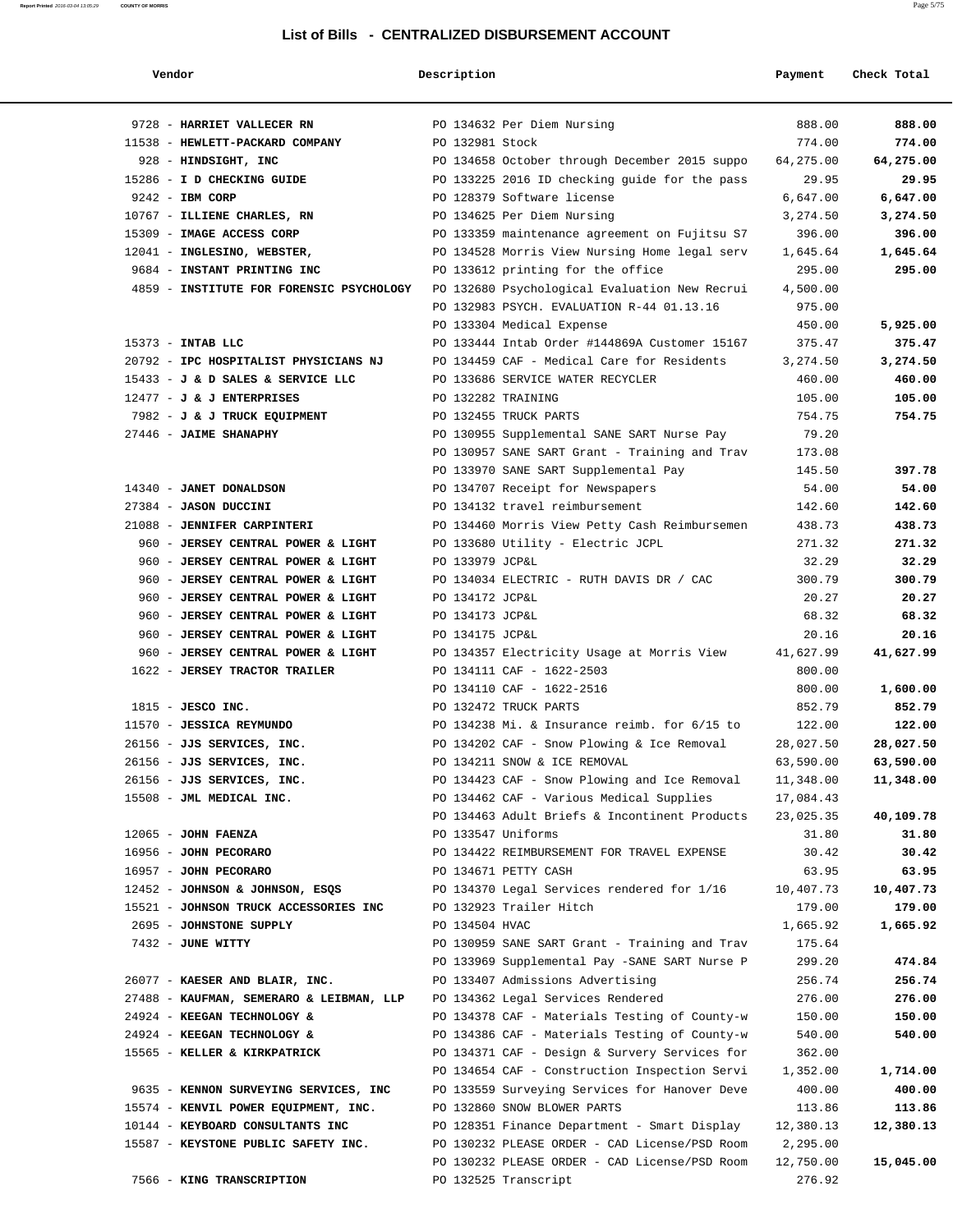| Vendor                                   | Description        |                                               | Payment   | Check Total |
|------------------------------------------|--------------------|-----------------------------------------------|-----------|-------------|
| 9728 - HARRIET VALLECER RN               |                    | PO 134632 Per Diem Nursing                    | 888.00    | 888.00      |
| 11538 - HEWLETT-PACKARD COMPANY          | PO 132981 Stock    |                                               | 774.00    | 774.00      |
| 928 - HINDSIGHT, INC                     |                    | PO 134658 October through December 2015 suppo | 64,275.00 | 64,275.00   |
| 15286 - I D CHECKING GUIDE               |                    | PO 133225 2016 ID checking guide for the pass | 29.95     | 29.95       |
| $9242$ - IBM CORP                        |                    | PO 128379 Software license                    | 6,647.00  | 6,647.00    |
| 10767 - ILLIENE CHARLES, RN              |                    | PO 134625 Per Diem Nursing                    | 3,274.50  | 3,274.50    |
| 15309 - IMAGE ACCESS CORP                |                    | PO 133359 maintenance agreement on Fujitsu S7 | 396.00    | 396.00      |
| 12041 - INGLESINO, WEBSTER,              |                    | PO 134528 Morris View Nursing Home legal serv | 1,645.64  | 1,645.64    |
| 9684 - INSTANT PRINTING INC              |                    | PO 133612 printing for the office             | 295.00    | 295.00      |
| 4859 - INSTITUTE FOR FORENSIC PSYCHOLOGY |                    | PO 132680 Psychological Evaluation New Recrui | 4,500.00  |             |
|                                          |                    | PO 132983 PSYCH. EVALUATION R-44 01.13.16     | 975.00    |             |
|                                          |                    | PO 133304 Medical Expense                     | 450.00    | 5,925.00    |
| 15373 - INTAB LLC                        |                    | PO 133444 Intab Order #144869A Customer 15167 | 375.47    | 375.47      |
| 20792 - IPC HOSPITALIST PHYSICIANS NJ    |                    | PO 134459 CAF - Medical Care for Residents    | 3,274.50  | 3,274.50    |
| 15433 - J & D SALES & SERVICE LLC        |                    | PO 133686 SERVICE WATER RECYCLER              | 460.00    | 460.00      |
| $12477 - J$ & J ENTERPRISES              | PO 132282 TRAINING |                                               | 105.00    | 105.00      |
| 7982 - J & J TRUCK EQUIPMENT             |                    | PO 132455 TRUCK PARTS                         | 754.75    | 754.75      |
| 27446 - JAIME SHANAPHY                   |                    | PO 130955 Supplemental SANE SART Nurse Pay    | 79.20     |             |
|                                          |                    | PO 130957 SANE SART Grant - Training and Trav | 173.08    |             |
|                                          |                    | PO 133970 SANE SART Supplemental Pay          | 145.50    | 397.78      |
| 14340 - JANET DONALDSON                  |                    | PO 134707 Receipt for Newspapers              | 54.00     | 54.00       |
| 27384 - JASON DUCCINI                    |                    | PO 134132 travel reimbursement                | 142.60    | 142.60      |
| 21088 - JENNIFER CARPINTERI              |                    | PO 134460 Morris View Petty Cash Reimbursemen | 438.73    | 438.73      |
| 960 - JERSEY CENTRAL POWER & LIGHT       |                    | PO 133680 Utility - Electric JCPL             | 271.32    | 271.32      |
| 960 - JERSEY CENTRAL POWER & LIGHT       | PO 133979 JCP&L    |                                               | 32.29     | 32.29       |
| 960 - JERSEY CENTRAL POWER & LIGHT       |                    | PO 134034 ELECTRIC - RUTH DAVIS DR / CAC      | 300.79    | 300.79      |
| 960 - JERSEY CENTRAL POWER & LIGHT       | PO 134172 JCP&L    |                                               | 20.27     | 20.27       |
| 960 - JERSEY CENTRAL POWER & LIGHT       | PO 134173 JCP&L    |                                               | 68.32     | 68.32       |
| 960 - JERSEY CENTRAL POWER & LIGHT       | PO 134175 JCP&L    |                                               | 20.16     | 20.16       |
| 960 - JERSEY CENTRAL POWER & LIGHT       |                    | PO 134357 Electricity Usage at Morris View    | 41,627.99 | 41,627.99   |
| 1622 - JERSEY TRACTOR TRAILER            |                    | PO 134111 CAF - 1622-2503                     | 800.00    |             |
|                                          |                    | PO 134110 CAF - 1622-2516                     | 800.00    | 1,600.00    |
| $1815$ - JESCO INC.                      |                    | PO 132472 TRUCK PARTS                         | 852.79    | 852.79      |
| 11570 - JESSICA REYMUNDO                 |                    | PO 134238 Mi. & Insurance reimb. for 6/15 to  | 122.00    | 122.00      |
| 26156 - JJS SERVICES, INC.               |                    | PO 134202 CAF - Snow Plowing & Ice Removal    | 28,027.50 | 28,027.50   |
| 26156 - JJS SERVICES, INC.               |                    | PO 134211 SNOW & ICE REMOVAL                  | 63,590.00 | 63,590.00   |
| 26156 - JJS SERVICES, INC.               |                    | PO 134423 CAF - Snow Plowing and Ice Removal  | 11,348.00 | 11,348.00   |
| 15508 - JML MEDICAL INC.                 |                    | PO 134462 CAF - Various Medical Supplies      | 17,084.43 |             |
|                                          |                    | PO 134463 Adult Briefs & Incontinent Products | 23,025.35 | 40,109.78   |
| $12065$ - JOHN FAENZA                    | PO 133547 Uniforms |                                               | 31.80     | 31.80       |
| 16956 - JOHN PECORARO                    |                    | PO 134422 REIMBURSEMENT FOR TRAVEL EXPENSE    | 30.42     | 30.42       |
| 16957 - JOHN PECORARO                    |                    | PO 134671 PETTY CASH                          | 63.95     | 63.95       |
| 12452 - JOHNSON & JOHNSON, ESQS          |                    | PO 134370 Legal Services rendered for 1/16    | 10,407.73 | 10,407.73   |
| 15521 - JOHNSON TRUCK ACCESSORIES INC    |                    | PO 132923 Trailer Hitch                       | 179.00    | 179.00      |
| 2695 - JOHNSTONE SUPPLY                  | PO 134504 HVAC     |                                               | 1,665.92  | 1,665.92    |
| 7432 - JUNE WITTY                        |                    | PO 130959 SANE SART Grant - Training and Trav | 175.64    |             |
|                                          |                    | PO 133969 Supplemental Pay -SANE SART Nurse P | 299.20    | 474.84      |
| 26077 - KAESER AND BLAIR, INC.           |                    | PO 133407 Admissions Advertising              | 256.74    | 256.74      |
| 27488 - KAUFMAN, SEMERARO & LEIBMAN, LLP |                    | PO 134362 Legal Services Rendered             | 276.00    | 276.00      |
| 24924 - KEEGAN TECHNOLOGY &              |                    | PO 134378 CAF - Materials Testing of County-w | 150.00    | 150.00      |
| 24924 - KEEGAN TECHNOLOGY &              |                    | PO 134386 CAF - Materials Testing of County-w | 540.00    | 540.00      |
| 15565 - KELLER & KIRKPATRICK             |                    | PO 134371 CAF - Design & Survery Services for | 362.00    |             |
|                                          |                    | PO 134654 CAF - Construction Inspection Servi | 1,352.00  | 1,714.00    |
| 9635 - KENNON SURVEYING SERVICES, INC    |                    | PO 133559 Surveying Services for Hanover Deve | 400.00    | 400.00      |
| 15574 - KENVIL POWER EQUIPMENT, INC.     |                    | PO 132860 SNOW BLOWER PARTS                   | 113.86    | 113.86      |
| 10144 - KEYBOARD CONSULTANTS INC         |                    | PO 128351 Finance Department - Smart Display  | 12,380.13 | 12,380.13   |
| 15587 - KEYSTONE PUBLIC SAFETY INC.      |                    | PO 130232 PLEASE ORDER - CAD License/PSD Room | 2,295.00  |             |
|                                          |                    | PO 130232 PLEASE ORDER - CAD License/PSD Room | 12,750.00 | 15,045.00   |
| 7566 - KING TRANSCRIPTION                |                    | PO 132525 Transcript                          | 276.92    |             |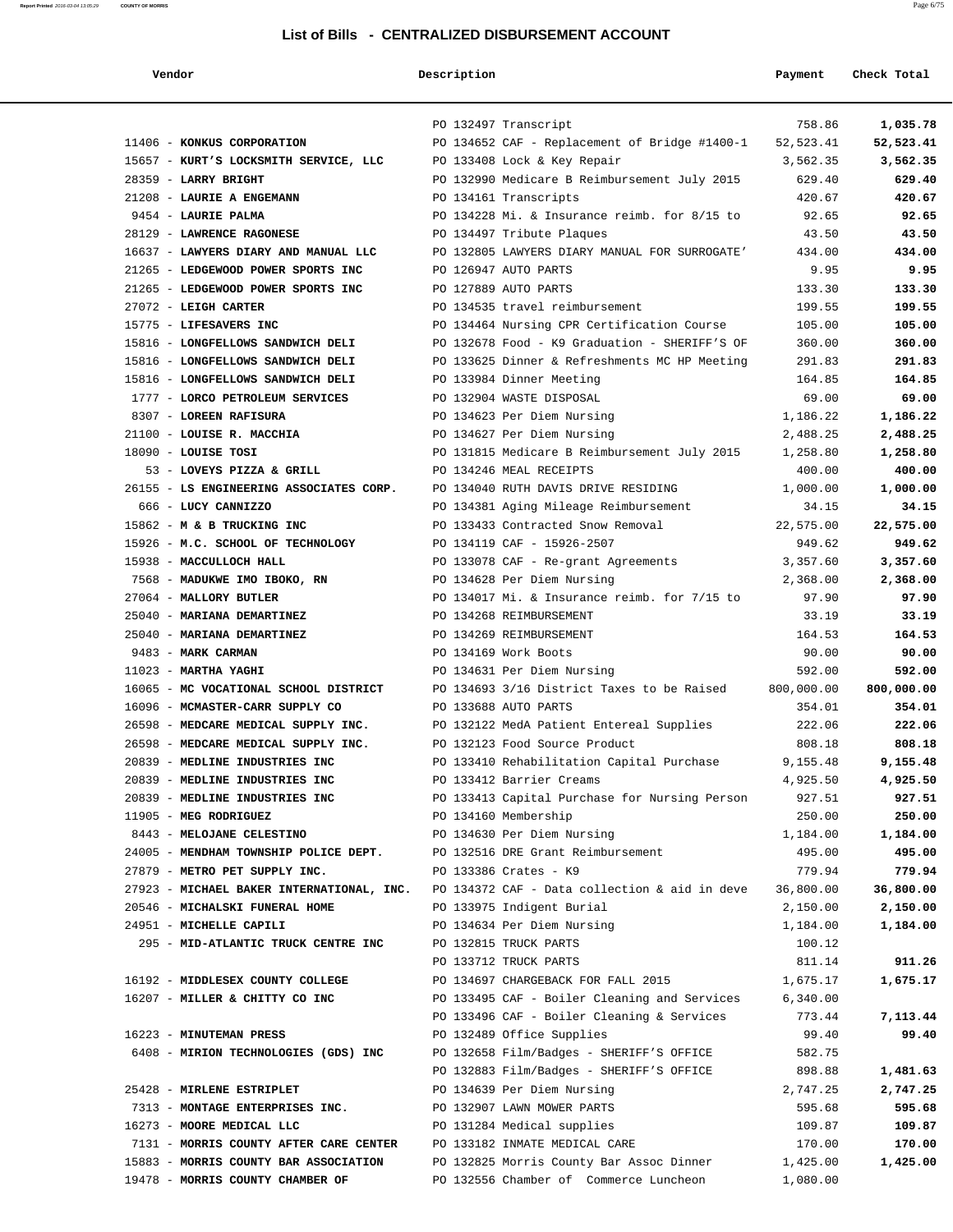| Vendor                                                               | Description |                                                                                    | Payment              | Check Total        |
|----------------------------------------------------------------------|-------------|------------------------------------------------------------------------------------|----------------------|--------------------|
|                                                                      |             | PO 132497 Transcript                                                               | 758.86               | 1,035.78           |
| 11406 - KONKUS CORPORATION                                           |             | PO 134652 CAF - Replacement of Bridge #1400-1                                      | 52,523.41            | 52,523.41          |
| 15657 - KURT'S LOCKSMITH SERVICE, LLC                                |             | PO 133408 Lock & Key Repair                                                        | 3,562.35             | 3,562.35           |
| 28359 - LARRY BRIGHT                                                 |             | PO 132990 Medicare B Reimbursement July 2015                                       | 629.40               | 629.40             |
| 21208 - LAURIE A ENGEMANN                                            |             | PO 134161 Transcripts                                                              | 420.67               | 420.67             |
| 9454 - LAURIE PALMA                                                  |             | PO 134228 Mi. & Insurance reimb. for 8/15 to                                       | 92.65                | 92.65              |
| 28129 - LAWRENCE RAGONESE                                            |             | PO 134497 Tribute Plaques                                                          | 43.50                | 43.50              |
| 16637 - LAWYERS DIARY AND MANUAL LLC                                 |             | PO 132805 LAWYERS DIARY MANUAL FOR SURROGATE'                                      | 434.00               | 434.00             |
| 21265 - LEDGEWOOD POWER SPORTS INC                                   |             | PO 126947 AUTO PARTS                                                               | 9.95                 | 9.95               |
| 21265 - LEDGEWOOD POWER SPORTS INC                                   |             | PO 127889 AUTO PARTS                                                               | 133.30               | 133.30             |
| 27072 - LEIGH CARTER                                                 |             | PO 134535 travel reimbursement                                                     | 199.55               | 199.55             |
| 15775 - LIFESAVERS INC                                               |             | PO 134464 Nursing CPR Certification Course                                         | 105.00               | 105.00             |
| 15816 - LONGFELLOWS SANDWICH DELI                                    |             | PO 132678 Food - K9 Graduation - SHERIFF'S OF                                      | 360.00               | 360.00             |
| 15816 - LONGFELLOWS SANDWICH DELI                                    |             | PO 133625 Dinner & Refreshments MC HP Meeting                                      | 291.83               | 291.83             |
| 15816 - LONGFELLOWS SANDWICH DELI                                    |             | PO 133984 Dinner Meeting                                                           | 164.85               | 164.85             |
| 1777 - LORCO PETROLEUM SERVICES                                      |             | PO 132904 WASTE DISPOSAL                                                           | 69.00                | 69.00              |
| 8307 - LOREEN RAFISURA                                               |             | PO 134623 Per Diem Nursing                                                         | 1,186.22             | 1,186.22           |
| 21100 - LOUISE R. MACCHIA                                            |             | PO 134627 Per Diem Nursing                                                         | 2,488.25             | 2,488.25           |
| $18090$ - LOUISE TOSI                                                |             | PO 131815 Medicare B Reimbursement July 2015<br>PO 134246 MEAL RECEIPTS            | 1,258.80             | 1,258.80           |
| 53 - LOVEYS PIZZA & GRILL<br>26155 - LS ENGINEERING ASSOCIATES CORP. |             | PO 134040 RUTH DAVIS DRIVE RESIDING                                                | 400.00               | 400.00<br>1,000.00 |
| 666 - LUCY CANNIZZO                                                  |             | PO 134381 Aging Mileage Reimbursement                                              | 1,000.00<br>34.15    | 34.15              |
| 15862 - M & B TRUCKING INC                                           |             | PO 133433 Contracted Snow Removal                                                  | 22,575.00            | 22,575.00          |
| 15926 - M.C. SCHOOL OF TECHNOLOGY                                    |             | PO 134119 CAF - 15926-2507                                                         | 949.62               | 949.62             |
| 15938 - MACCULLOCH HALL                                              |             | PO 133078 CAF - Re-grant Agreements                                                | 3,357.60             | 3,357.60           |
| 7568 - MADUKWE IMO IBOKO, RN                                         |             | PO 134628 Per Diem Nursing                                                         | 2,368.00             | 2,368.00           |
| 27064 - MALLORY BUTLER                                               |             | PO 134017 Mi. & Insurance reimb. for 7/15 to                                       | 97.90                | 97.90              |
| 25040 - MARIANA DEMARTINEZ                                           |             | PO 134268 REIMBURSEMENT                                                            | 33.19                | 33.19              |
| 25040 - MARIANA DEMARTINEZ                                           |             | PO 134269 REIMBURSEMENT                                                            | 164.53               | 164.53             |
| 9483 - MARK CARMAN                                                   |             | PO 134169 Work Boots                                                               | 90.00                | 90.00              |
| $11023$ - MARTHA YAGHI                                               |             | PO 134631 Per Diem Nursing                                                         | 592.00               | 592.00             |
| 16065 - MC VOCATIONAL SCHOOL DISTRICT                                |             | PO 134693 3/16 District Taxes to be Raised                                         | 800,000.00           | 800,000.00         |
| 16096 - MCMASTER-CARR SUPPLY CO                                      |             | PO 133688 AUTO PARTS                                                               | 354.01               | 354.01             |
| 26598 - MEDCARE MEDICAL SUPPLY INC.                                  |             | PO 132122 MedA Patient Entereal Supplies                                           | 222.06               | 222.06             |
| 26598 - MEDCARE MEDICAL SUPPLY INC.                                  |             | PO 132123 Food Source Product                                                      | 808.18               | 808.18             |
| 20839 - MEDLINE INDUSTRIES INC                                       |             | PO 133410 Rehabilitation Capital Purchase                                          | 9,155.48             | 9,155.48           |
| 20839 - MEDLINE INDUSTRIES INC                                       |             | PO 133412 Barrier Creams                                                           | 4,925.50             | 4,925.50           |
| 20839 - MEDLINE INDUSTRIES INC                                       |             | PO 133413 Capital Purchase for Nursing Person                                      | 927.51               | 927.51             |
| 11905 - MEG RODRIGUEZ                                                |             | PO 134160 Membership                                                               | 250.00               | 250.00             |
| 8443 - MELOJANE CELESTINO                                            |             | PO 134630 Per Diem Nursing                                                         | 1,184.00             | 1,184.00           |
| 24005 - MENDHAM TOWNSHIP POLICE DEPT.                                |             | PO 132516 DRE Grant Reimbursement                                                  | 495.00               | 495.00             |
| 27879 - METRO PET SUPPLY INC.                                        |             | PO 133386 Crates - K9                                                              | 779.94               | 779.94             |
| 27923 - MICHAEL BAKER INTERNATIONAL, INC.                            |             | PO 134372 CAF - Data collection & aid in deve                                      | 36,800.00            | 36,800.00          |
| 20546 - MICHALSKI FUNERAL HOME                                       |             | PO 133975 Indigent Burial                                                          | 2,150.00             | 2,150.00           |
| 24951 - MICHELLE CAPILI                                              |             | PO 134634 Per Diem Nursing                                                         | 1,184.00             | 1,184.00           |
| 295 - MID-ATLANTIC TRUCK CENTRE INC                                  |             | PO 132815 TRUCK PARTS                                                              | 100.12               |                    |
|                                                                      |             | PO 133712 TRUCK PARTS                                                              | 811.14               | 911.26             |
| 16192 - MIDDLESEX COUNTY COLLEGE<br>16207 - MILLER & CHITTY CO INC   |             | PO 134697 CHARGEBACK FOR FALL 2015<br>PO 133495 CAF - Boiler Cleaning and Services | 1,675.17<br>6,340.00 | 1,675.17           |
|                                                                      |             | PO 133496 CAF - Boiler Cleaning & Services                                         | 773.44               | 7,113.44           |
| 16223 - MINUTEMAN PRESS                                              |             | PO 132489 Office Supplies                                                          | 99.40                | 99.40              |
| 6408 - MIRION TECHNOLOGIES (GDS) INC                                 |             | PO 132658 Film/Badges - SHERIFF'S OFFICE                                           | 582.75               |                    |
|                                                                      |             | PO 132883 Film/Badges - SHERIFF'S OFFICE                                           | 898.88               | 1,481.63           |
| 25428 - MIRLENE ESTRIPLET                                            |             | PO 134639 Per Diem Nursing                                                         | 2,747.25             | 2,747.25           |
| 7313 - MONTAGE ENTERPRISES INC.                                      |             | PO 132907 LAWN MOWER PARTS                                                         | 595.68               | 595.68             |
| 16273 - MOORE MEDICAL LLC                                            |             | PO 131284 Medical supplies                                                         | 109.87               | 109.87             |
| 7131 - MORRIS COUNTY AFTER CARE CENTER                               |             | PO 133182 INMATE MEDICAL CARE                                                      | 170.00               | 170.00             |
| 15883 - MORRIS COUNTY BAR ASSOCIATION                                |             | PO 132825 Morris County Bar Assoc Dinner                                           | 1,425.00             | 1,425.00           |
| 19478 - MORRIS COUNTY CHAMBER OF                                     |             | PO 132556 Chamber of Commerce Luncheon                                             | 1,080.00             |                    |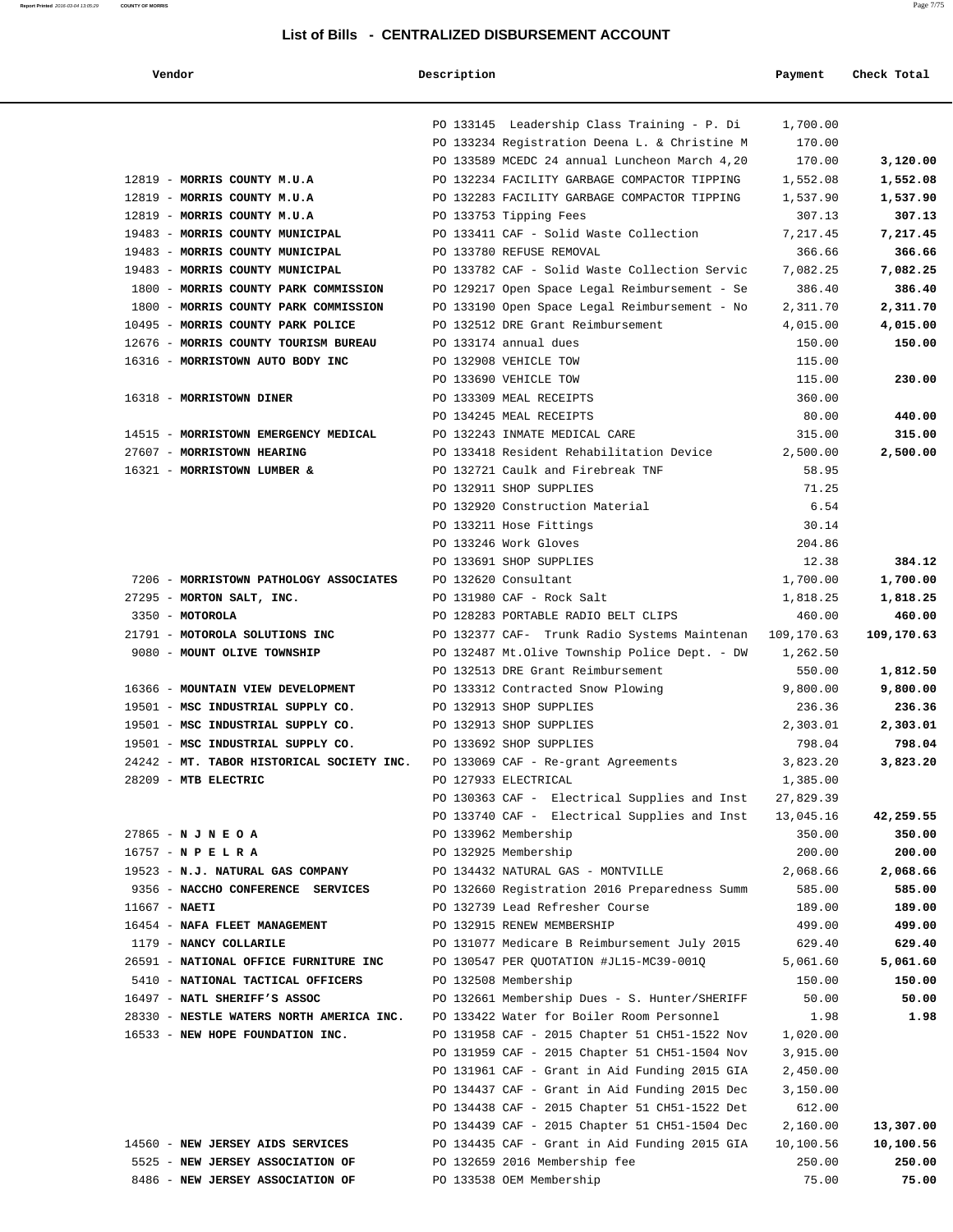| ma<br>e | ıг |
|---------|----|

| Vendor                                    | Description |                                               | Payment    | Check Total |
|-------------------------------------------|-------------|-----------------------------------------------|------------|-------------|
|                                           |             |                                               |            |             |
|                                           |             | PO 133145 Leadership Class Training - P. Di   | 1,700.00   |             |
|                                           |             | PO 133234 Registration Deena L. & Christine M | 170.00     |             |
|                                           |             | PO 133589 MCEDC 24 annual Luncheon March 4,20 | 170.00     | 3,120.00    |
| 12819 - MORRIS COUNTY M.U.A               |             | PO 132234 FACILITY GARBAGE COMPACTOR TIPPING  | 1,552.08   | 1,552.08    |
| 12819 - MORRIS COUNTY M.U.A               |             | PO 132283 FACILITY GARBAGE COMPACTOR TIPPING  | 1,537.90   | 1,537.90    |
| 12819 - MORRIS COUNTY M.U.A               |             | PO 133753 Tipping Fees                        | 307.13     | 307.13      |
| 19483 - MORRIS COUNTY MUNICIPAL           |             | PO 133411 CAF - Solid Waste Collection        | 7,217.45   | 7,217.45    |
| 19483 - MORRIS COUNTY MUNICIPAL           |             | PO 133780 REFUSE REMOVAL                      | 366.66     | 366.66      |
| 19483 - MORRIS COUNTY MUNICIPAL           |             | PO 133782 CAF - Solid Waste Collection Servic | 7,082.25   | 7,082.25    |
| 1800 - MORRIS COUNTY PARK COMMISSION      |             | PO 129217 Open Space Legal Reimbursement - Se | 386.40     | 386.40      |
| 1800 - MORRIS COUNTY PARK COMMISSION      |             | PO 133190 Open Space Legal Reimbursement - No | 2,311.70   | 2,311.70    |
| 10495 - MORRIS COUNTY PARK POLICE         |             | PO 132512 DRE Grant Reimbursement             | 4,015.00   | 4,015.00    |
| 12676 - MORRIS COUNTY TOURISM BUREAU      |             | PO 133174 annual dues                         | 150.00     | 150.00      |
| 16316 - MORRISTOWN AUTO BODY INC          |             | PO 132908 VEHICLE TOW                         | 115.00     |             |
|                                           |             | PO 133690 VEHICLE TOW                         | 115.00     | 230.00      |
| 16318 - MORRISTOWN DINER                  |             | PO 133309 MEAL RECEIPTS                       | 360.00     |             |
|                                           |             | PO 134245 MEAL RECEIPTS                       | 80.00      | 440.00      |
| 14515 - MORRISTOWN EMERGENCY MEDICAL      |             | PO 132243 INMATE MEDICAL CARE                 | 315.00     | 315.00      |
| 27607 - MORRISTOWN HEARING                |             | PO 133418 Resident Rehabilitation Device      | 2,500.00   | 2,500.00    |
| 16321 - MORRISTOWN LUMBER &               |             | PO 132721 Caulk and Firebreak TNF             | 58.95      |             |
|                                           |             | PO 132911 SHOP SUPPLIES                       | 71.25      |             |
|                                           |             | PO 132920 Construction Material               | 6.54       |             |
|                                           |             | PO 133211 Hose Fittings                       | 30.14      |             |
|                                           |             | PO 133246 Work Gloves                         | 204.86     |             |
|                                           |             | PO 133691 SHOP SUPPLIES                       | 12.38      | 384.12      |
| 7206 - MORRISTOWN PATHOLOGY ASSOCIATES    |             | PO 132620 Consultant                          | 1,700.00   | 1,700.00    |
| 27295 - MORTON SALT, INC.                 |             | PO 131980 CAF - Rock Salt                     | 1,818.25   | 1,818.25    |
| 3350 - MOTOROLA                           |             | PO 128283 PORTABLE RADIO BELT CLIPS           | 460.00     | 460.00      |
| 21791 - MOTOROLA SOLUTIONS INC            |             | PO 132377 CAF- Trunk Radio Systems Maintenan  | 109,170.63 | 109,170.63  |
| 9080 - MOUNT OLIVE TOWNSHIP               |             | PO 132487 Mt.Olive Township Police Dept. - DW | 1,262.50   |             |
|                                           |             | PO 132513 DRE Grant Reimbursement             | 550.00     | 1,812.50    |
| 16366 - MOUNTAIN VIEW DEVELOPMENT         |             | PO 133312 Contracted Snow Plowing             | 9,800.00   | 9,800.00    |
| 19501 - MSC INDUSTRIAL SUPPLY CO.         |             | PO 132913 SHOP SUPPLIES                       | 236.36     | 236.36      |
| 19501 - MSC INDUSTRIAL SUPPLY CO.         |             | PO 132913 SHOP SUPPLIES                       | 2,303.01   | 2,303.01    |
| 19501 - MSC INDUSTRIAL SUPPLY CO.         |             | PO 133692 SHOP SUPPLIES                       | 798.04     | 798.04      |
| 24242 - MT. TABOR HISTORICAL SOCIETY INC. |             | PO 133069 CAF - Re-grant Agreements           | 3,823.20   | 3,823.20    |
| 28209 - MTB ELECTRIC                      |             | PO 127933 ELECTRICAL                          | 1,385.00   |             |
|                                           |             | PO 130363 CAF - Electrical Supplies and Inst  | 27,829.39  |             |
|                                           |             | PO 133740 CAF - Electrical Supplies and Inst  | 13,045.16  | 42,259.55   |
| 27865 - N J N E O A                       |             | PO 133962 Membership                          | 350.00     | 350.00      |
| $16757 - N$ P E L R A                     |             | PO 132925 Membership                          | 200.00     | 200.00      |
| 19523 - N.J. NATURAL GAS COMPANY          |             | PO 134432 NATURAL GAS - MONTVILLE             | 2,068.66   | 2,068.66    |
| 9356 - NACCHO CONFERENCE SERVICES         |             | PO 132660 Registration 2016 Preparedness Summ | 585.00     | 585.00      |
| $11667 - NARTI$                           |             | PO 132739 Lead Refresher Course               | 189.00     | 189.00      |
| 16454 - NAFA FLEET MANAGEMENT             |             | PO 132915 RENEW MEMBERSHIP                    | 499.00     | 499.00      |
| 1179 - NANCY COLLARILE                    |             | PO 131077 Medicare B Reimbursement July 2015  | 629.40     | 629.40      |
| 26591 - NATIONAL OFFICE FURNITURE INC     |             | PO 130547 PER QUOTATION #JL15-MC39-001Q       | 5,061.60   | 5,061.60    |
| 5410 - NATIONAL TACTICAL OFFICERS         |             | PO 132508 Membership                          | 150.00     | 150.00      |
| 16497 - NATL SHERIFF'S ASSOC              |             | PO 132661 Membership Dues - S. Hunter/SHERIFF | 50.00      | 50.00       |
| 28330 - NESTLE WATERS NORTH AMERICA INC.  |             | PO 133422 Water for Boiler Room Personnel     | 1.98       | 1.98        |
| 16533 - NEW HOPE FOUNDATION INC.          |             | PO 131958 CAF - 2015 Chapter 51 CH51-1522 Nov | 1,020.00   |             |
|                                           |             | PO 131959 CAF - 2015 Chapter 51 CH51-1504 Nov | 3,915.00   |             |
|                                           |             | PO 131961 CAF - Grant in Aid Funding 2015 GIA | 2,450.00   |             |
|                                           |             | PO 134437 CAF - Grant in Aid Funding 2015 Dec | 3,150.00   |             |
|                                           |             | PO 134438 CAF - 2015 Chapter 51 CH51-1522 Det | 612.00     |             |
|                                           |             | PO 134439 CAF - 2015 Chapter 51 CH51-1504 Dec | 2,160.00   | 13,307.00   |
| 14560 - NEW JERSEY AIDS SERVICES          |             | PO 134435 CAF - Grant in Aid Funding 2015 GIA | 10,100.56  | 10,100.56   |
| 5525 - NEW JERSEY ASSOCIATION OF          |             | PO 132659 2016 Membership fee                 | 250.00     | 250.00      |
| 8486 - NEW JERSEY ASSOCIATION OF          |             | PO 133538 OEM Membership                      | 75.00      | 75.00       |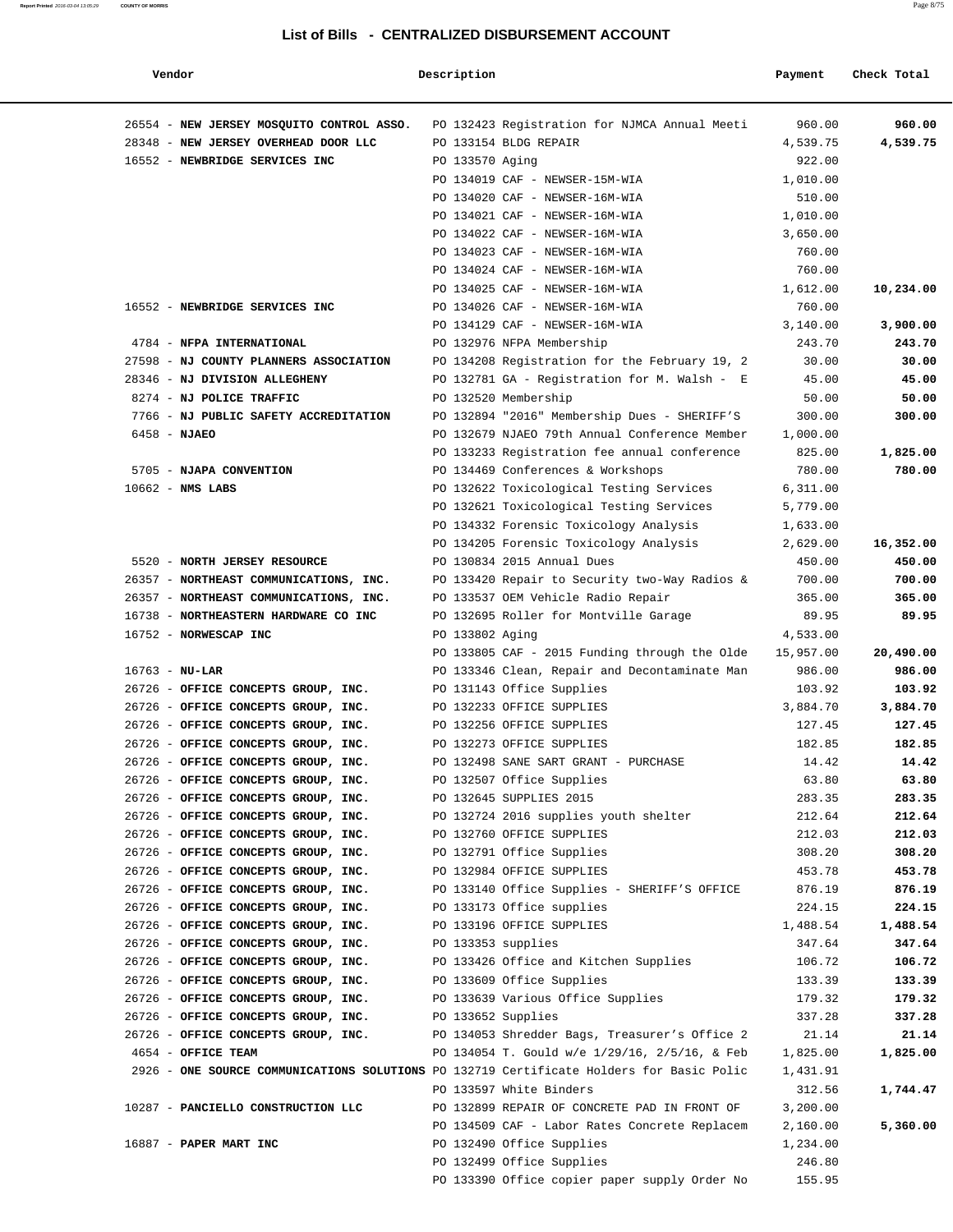| Vendor                                                                                   | Description        |                                                                      | Payment            | Check Total     |
|------------------------------------------------------------------------------------------|--------------------|----------------------------------------------------------------------|--------------------|-----------------|
| 26554 - NEW JERSEY MOSQUITO CONTROL ASSO.                                                |                    | PO 132423 Registration for NJMCA Annual Meeti                        | 960.00             | 960.00          |
| 28348 - NEW JERSEY OVERHEAD DOOR LLC                                                     |                    | PO 133154 BLDG REPAIR                                                | 4,539.75           | 4,539.75        |
| 16552 - NEWBRIDGE SERVICES INC                                                           | PO 133570 Aging    |                                                                      | 922.00             |                 |
|                                                                                          |                    | PO 134019 CAF - NEWSER-15M-WIA                                       | 1,010.00           |                 |
|                                                                                          |                    | PO 134020 CAF - NEWSER-16M-WIA                                       | 510.00             |                 |
|                                                                                          |                    | PO 134021 CAF - NEWSER-16M-WIA                                       | 1,010.00           |                 |
|                                                                                          |                    | PO 134022 CAF - NEWSER-16M-WIA                                       | 3,650.00           |                 |
|                                                                                          |                    | PO 134023 CAF - NEWSER-16M-WIA                                       | 760.00             |                 |
|                                                                                          |                    | PO 134024 CAF - NEWSER-16M-WIA                                       | 760.00             |                 |
|                                                                                          |                    | PO 134025 CAF - NEWSER-16M-WIA                                       | 1,612.00           | 10,234.00       |
| 16552 - NEWBRIDGE SERVICES INC                                                           |                    | PO 134026 CAF - NEWSER-16M-WIA                                       | 760.00             |                 |
|                                                                                          |                    | PO 134129 CAF - NEWSER-16M-WIA                                       | 3,140.00           | 3,900.00        |
| 4784 - NFPA INTERNATIONAL                                                                |                    | PO 132976 NFPA Membership                                            | 243.70             | 243.70          |
| 27598 - NJ COUNTY PLANNERS ASSOCIATION<br>28346 - NJ DIVISION ALLEGHENY                  |                    | PO 134208 Registration for the February 19, 2                        | 30.00              | 30.00           |
|                                                                                          |                    | PO 132781 GA - Registration for M. Walsh - E                         | 45.00              | 45.00           |
| 8274 - NJ POLICE TRAFFIC<br>7766 - NJ PUBLIC SAFETY ACCREDITATION                        |                    | PO 132520 Membership<br>PO 132894 "2016" Membership Dues - SHERIFF'S | 50.00              | 50.00<br>300.00 |
| $6458 - NJAEO$                                                                           |                    | PO 132679 NJAEO 79th Annual Conference Member                        | 300.00<br>1,000.00 |                 |
|                                                                                          |                    | PO 133233 Registration fee annual conference                         | 825.00             | 1,825.00        |
| 5705 - NJAPA CONVENTION                                                                  |                    | PO 134469 Conferences & Workshops                                    | 780.00             | 780.00          |
| $10662$ - NMS LABS                                                                       |                    | PO 132622 Toxicological Testing Services                             | 6,311.00           |                 |
|                                                                                          |                    | PO 132621 Toxicological Testing Services                             | 5,779.00           |                 |
|                                                                                          |                    | PO 134332 Forensic Toxicology Analysis                               | 1,633.00           |                 |
|                                                                                          |                    | PO 134205 Forensic Toxicology Analysis                               | 2,629.00           | 16,352.00       |
| 5520 - NORTH JERSEY RESOURCE                                                             |                    | PO 130834 2015 Annual Dues                                           | 450.00             | 450.00          |
| 26357 - NORTHEAST COMMUNICATIONS, INC.                                                   |                    | PO 133420 Repair to Security two-Way Radios &                        | 700.00             | 700.00          |
| 26357 - NORTHEAST COMMUNICATIONS, INC.                                                   |                    | PO 133537 OEM Vehicle Radio Repair                                   | 365.00             | 365.00          |
| 16738 - NORTHEASTERN HARDWARE CO INC                                                     |                    | PO 132695 Roller for Montville Garage                                | 89.95              | 89.95           |
| 16752 - NORWESCAP INC                                                                    | PO 133802 Aging    |                                                                      | 4,533.00           |                 |
|                                                                                          |                    | PO 133805 CAF - 2015 Funding through the Olde                        | 15,957.00          | 20,490.00       |
| $16763 - NU-LAR$                                                                         |                    | PO 133346 Clean, Repair and Decontaminate Man                        | 986.00             | 986.00          |
| 26726 - OFFICE CONCEPTS GROUP, INC.                                                      |                    | PO 131143 Office Supplies                                            | 103.92             | 103.92          |
| 26726 - OFFICE CONCEPTS GROUP, INC.                                                      |                    | PO 132233 OFFICE SUPPLIES                                            | 3,884.70           | 3,884.70        |
| 26726 - OFFICE CONCEPTS GROUP, INC.                                                      |                    | PO 132256 OFFICE SUPPLIES                                            | 127.45             | 127.45          |
| 26726 - OFFICE CONCEPTS GROUP, INC.                                                      |                    | PO 132273 OFFICE SUPPLIES                                            | 182.85             | 182.85          |
| 26726 - OFFICE CONCEPTS GROUP, INC.                                                      |                    | PO 132498 SANE SART GRANT - PURCHASE                                 | 14.42              | 14.42           |
| 26726 - OFFICE CONCEPTS GROUP, INC.                                                      |                    | PO 132507 Office Supplies                                            | 63.80              | 63.80           |
| 26726 - OFFICE CONCEPTS GROUP, INC.                                                      |                    | PO 132645 SUPPLIES 2015                                              | 283.35             | 283.35          |
| 26726 - OFFICE CONCEPTS GROUP, INC.                                                      |                    | PO 132724 2016 supplies youth shelter                                | 212.64             | 212.64          |
| 26726 - OFFICE CONCEPTS GROUP, INC.                                                      |                    | PO 132760 OFFICE SUPPLIES                                            | 212.03             | 212.03          |
| 26726 - OFFICE CONCEPTS GROUP, INC.                                                      |                    | PO 132791 Office Supplies                                            | 308.20             | 308.20          |
| 26726 - OFFICE CONCEPTS GROUP, INC.                                                      |                    | PO 132984 OFFICE SUPPLIES                                            | 453.78             | 453.78          |
| 26726 - OFFICE CONCEPTS GROUP, INC.                                                      |                    | PO 133140 Office Supplies - SHERIFF'S OFFICE                         | 876.19             | 876.19          |
| 26726 - OFFICE CONCEPTS GROUP, INC.                                                      |                    | PO 133173 Office supplies                                            | 224.15             | 224.15          |
| 26726 - OFFICE CONCEPTS GROUP, INC.                                                      |                    | PO 133196 OFFICE SUPPLIES                                            | 1,488.54           | 1,488.54        |
| 26726 - OFFICE CONCEPTS GROUP, INC.                                                      | PO 133353 supplies |                                                                      | 347.64             | 347.64          |
| 26726 - OFFICE CONCEPTS GROUP, INC.                                                      |                    | PO 133426 Office and Kitchen Supplies                                | 106.72             | 106.72          |
| 26726 - OFFICE CONCEPTS GROUP, INC.                                                      |                    | PO 133609 Office Supplies                                            | 133.39             | 133.39          |
| 26726 - OFFICE CONCEPTS GROUP, INC.                                                      |                    | PO 133639 Various Office Supplies                                    | 179.32             | 179.32          |
| 26726 - OFFICE CONCEPTS GROUP, INC.                                                      | PO 133652 Supplies |                                                                      | 337.28             | 337.28          |
| 26726 - OFFICE CONCEPTS GROUP, INC.                                                      |                    | PO 134053 Shredder Bags, Treasurer's Office 2                        | 21.14              | 21.14           |
| 4654 - OFFICE TEAM                                                                       |                    | PO 134054 T. Gould w/e 1/29/16, 2/5/16, & Feb                        | 1,825.00           | 1,825.00        |
| 2926 - ONE SOURCE COMMUNICATIONS SOLUTIONS PO 132719 Certificate Holders for Basic Polic |                    |                                                                      | 1,431.91           |                 |
|                                                                                          |                    | PO 133597 White Binders                                              | 312.56             | 1,744.47        |
| 10287 - PANCIELLO CONSTRUCTION LLC                                                       |                    | PO 132899 REPAIR OF CONCRETE PAD IN FRONT OF                         | 3,200.00           |                 |
|                                                                                          |                    | PO 134509 CAF - Labor Rates Concrete Replacem                        | 2,160.00           | 5,360.00        |
| 16887 - PAPER MART INC                                                                   |                    | PO 132490 Office Supplies                                            | 1,234.00           |                 |
|                                                                                          |                    | PO 132499 Office Supplies                                            | 246.80             |                 |
|                                                                                          |                    | PO 133390 Office copier paper supply Order No                        | 155.95             |                 |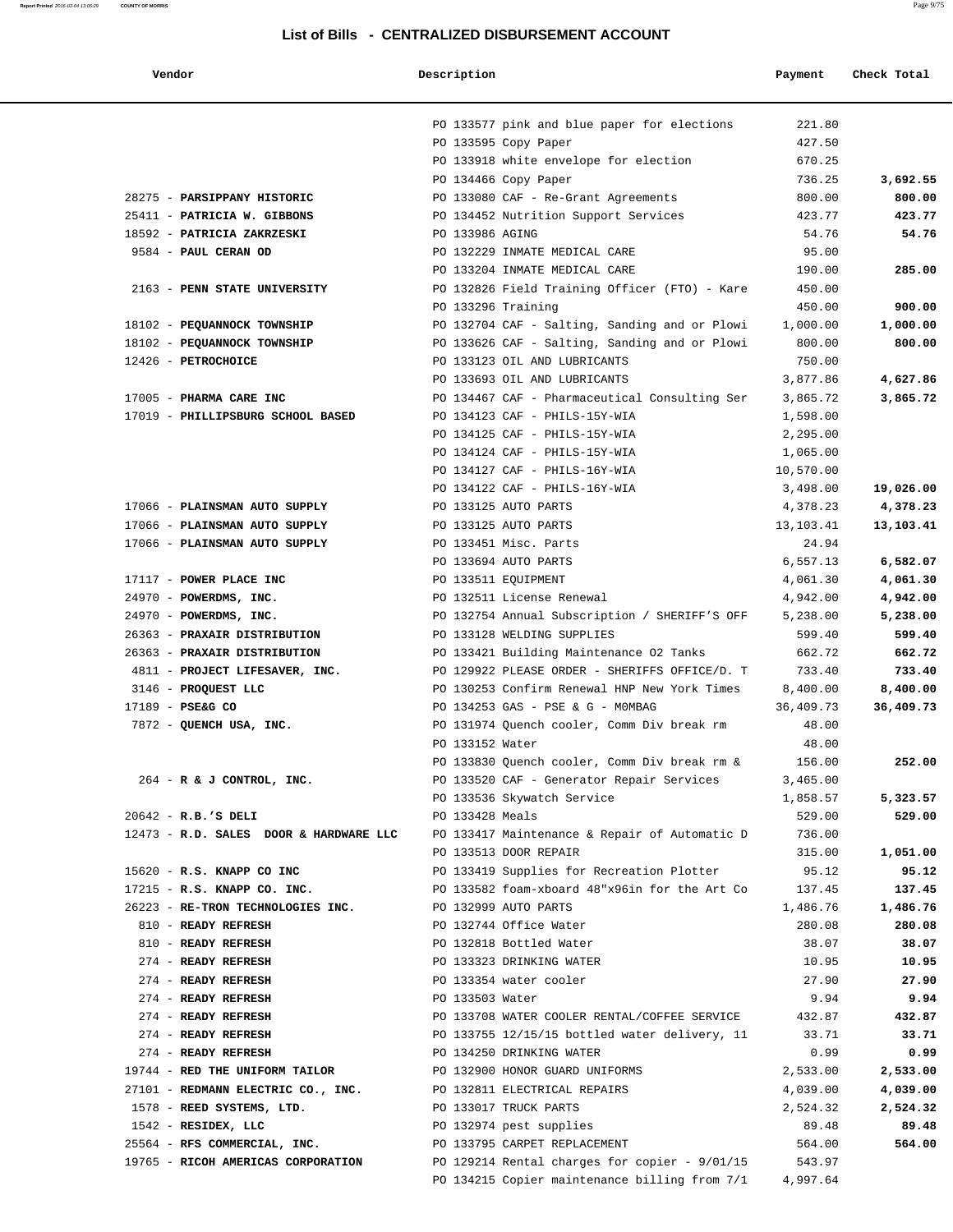| Vendor                                 | Description          |                                                 | Payment   | Check Total |
|----------------------------------------|----------------------|-------------------------------------------------|-----------|-------------|
|                                        |                      | PO 133577 pink and blue paper for elections     | 221.80    |             |
|                                        | PO 133595 Copy Paper |                                                 | 427.50    |             |
|                                        |                      | PO 133918 white envelope for election           | 670.25    |             |
|                                        | PO 134466 Copy Paper |                                                 | 736.25    | 3,692.55    |
| 28275 - PARSIPPANY HISTORIC            |                      | PO 133080 CAF - Re-Grant Agreements             | 800.00    | 800.00      |
| 25411 - PATRICIA W. GIBBONS            |                      | PO 134452 Nutrition Support Services            | 423.77    | 423.77      |
| 18592 - PATRICIA ZAKRZESKI             | PO 133986 AGING      |                                                 | 54.76     | 54.76       |
| 9584 - PAUL CERAN OD                   |                      | PO 132229 INMATE MEDICAL CARE                   | 95.00     |             |
|                                        |                      | PO 133204 INMATE MEDICAL CARE                   | 190.00    | 285.00      |
| 2163 - PENN STATE UNIVERSITY           |                      | PO 132826 Field Training Officer (FTO) - Kare   | 450.00    |             |
|                                        | PO 133296 Training   |                                                 | 450.00    | 900.00      |
| 18102 - PEQUANNOCK TOWNSHIP            |                      | PO 132704 CAF - Salting, Sanding and or Plowi   | 1,000.00  | 1,000.00    |
| 18102 - PEQUANNOCK TOWNSHIP            |                      | PO 133626 CAF - Salting, Sanding and or Plowi   | 800.00    | 800.00      |
| 12426 - PETROCHOICE                    |                      | PO 133123 OIL AND LUBRICANTS                    | 750.00    |             |
|                                        |                      | PO 133693 OIL AND LUBRICANTS                    | 3,877.86  | 4,627.86    |
| 17005 - PHARMA CARE INC                |                      | PO 134467 CAF - Pharmaceutical Consulting Ser   | 3,865.72  | 3,865.72    |
| 17019 - PHILLIPSBURG SCHOOL BASED      |                      | PO 134123 CAF - PHILS-15Y-WIA                   | 1,598.00  |             |
|                                        |                      | PO 134125 CAF - PHILS-15Y-WIA                   | 2,295.00  |             |
|                                        |                      | PO 134124 CAF - PHILS-15Y-WIA                   | 1,065.00  |             |
|                                        |                      | PO 134127 CAF - PHILS-16Y-WIA                   | 10,570.00 |             |
|                                        |                      | PO 134122 CAF - PHILS-16Y-WIA                   | 3,498.00  | 19,026.00   |
| 17066 - PLAINSMAN AUTO SUPPLY          | PO 133125 AUTO PARTS |                                                 | 4,378.23  | 4,378.23    |
| 17066 - PLAINSMAN AUTO SUPPLY          | PO 133125 AUTO PARTS |                                                 | 13,103.41 | 13,103.41   |
| 17066 - PLAINSMAN AUTO SUPPLY          |                      | PO 133451 Misc. Parts                           | 24.94     |             |
|                                        | PO 133694 AUTO PARTS |                                                 | 6,557.13  | 6,582.07    |
| 17117 - POWER PLACE INC                | PO 133511 EQUIPMENT  |                                                 | 4,061.30  | 4,061.30    |
| 24970 - POWERDMS, INC.                 |                      | PO 132511 License Renewal                       | 4,942.00  | 4,942.00    |
| 24970 - POWERDMS, INC.                 |                      | PO 132754 Annual Subscription / SHERIFF'S OFF   | 5,238.00  | 5,238.00    |
| 26363 - PRAXAIR DISTRIBUTION           |                      | PO 133128 WELDING SUPPLIES                      | 599.40    | 599.40      |
| 26363 - PRAXAIR DISTRIBUTION           |                      | PO 133421 Building Maintenance 02 Tanks         | 662.72    | 662.72      |
| 4811 - PROJECT LIFESAVER, INC.         |                      | PO 129922 PLEASE ORDER - SHERIFFS OFFICE/D. T   | 733.40    | 733.40      |
| 3146 - PROQUEST LLC                    |                      | PO 130253 Confirm Renewal HNP New York Times    | 8,400.00  | 8,400.00    |
| 17189 - PSE&G CO                       |                      | PO 134253 GAS - PSE & G - MOMBAG                | 36,409.73 | 36,409.73   |
| 7872 - QUENCH USA, INC.                |                      | PO 131974 Quench cooler, Comm Div break rm      | 48.00     |             |
|                                        | PO 133152 Water      |                                                 | 48.00     |             |
|                                        |                      | PO 133830 Quench cooler, Comm Div break rm &    | 156.00    | 252.00      |
| 264 - R & J CONTROL, INC.              |                      | PO 133520 CAF - Generator Repair Services       | 3,465.00  |             |
|                                        |                      | PO 133536 Skywatch Service                      | 1,858.57  | 5,323.57    |
| 20642 - R.B.'S DELI                    | PO 133428 Meals      |                                                 | 529.00    | 529.00      |
| 12473 - R.D. SALES DOOR & HARDWARE LLC |                      | PO 133417 Maintenance & Repair of Automatic D   | 736.00    |             |
|                                        |                      | PO 133513 DOOR REPAIR                           | 315.00    | 1,051.00    |
| 15620 - R.S. KNAPP CO INC              |                      | PO 133419 Supplies for Recreation Plotter       | 95.12     | 95.12       |
| 17215 - R.S. KNAPP CO. INC.            |                      | PO 133582 foam-xboard 48"x96in for the Art Co   | 137.45    | 137.45      |
| 26223 - RE-TRON TECHNOLOGIES INC.      | PO 132999 AUTO PARTS |                                                 | 1,486.76  | 1,486.76    |
| 810 - READY REFRESH                    |                      | PO 132744 Office Water                          | 280.08    | 280.08      |
| 810 - READY REFRESH                    |                      | PO 132818 Bottled Water                         | 38.07     | 38.07       |
| 274 - READY REFRESH                    |                      | PO 133323 DRINKING WATER                        | 10.95     | 10.95       |
| 274 - READY REFRESH                    |                      | PO 133354 water cooler                          | 27.90     | 27.90       |
| 274 - READY REFRESH                    | PO 133503 Water      |                                                 | 9.94      | 9.94        |
| 274 - READY REFRESH                    |                      | PO 133708 WATER COOLER RENTAL/COFFEE SERVICE    | 432.87    | 432.87      |
| 274 - READY REFRESH                    |                      | PO 133755 12/15/15 bottled water delivery, 11   | 33.71     | 33.71       |
| 274 - READY REFRESH                    |                      | PO 134250 DRINKING WATER                        | 0.99      | 0.99        |
| 19744 - RED THE UNIFORM TAILOR         |                      | PO 132900 HONOR GUARD UNIFORMS                  | 2,533.00  | 2,533.00    |
| 27101 - REDMANN ELECTRIC CO., INC.     |                      | PO 132811 ELECTRICAL REPAIRS                    | 4,039.00  | 4,039.00    |
| 1578 - REED SYSTEMS, LTD.              |                      | PO 133017 TRUCK PARTS                           | 2,524.32  | 2,524.32    |
| 1542 - RESIDEX, LLC                    |                      | PO 132974 pest supplies                         | 89.48     | 89.48       |
| 25564 - RFS COMMERCIAL, INC.           |                      | PO 133795 CARPET REPLACEMENT                    | 564.00    | 564.00      |
| 19765 - RICOH AMERICAS CORPORATION     |                      | PO 129214 Rental charges for copier - $9/01/15$ | 543.97    |             |
|                                        |                      | PO 134215 Copier maintenance billing from 7/1   | 4,997.64  |             |
|                                        |                      |                                                 |           |             |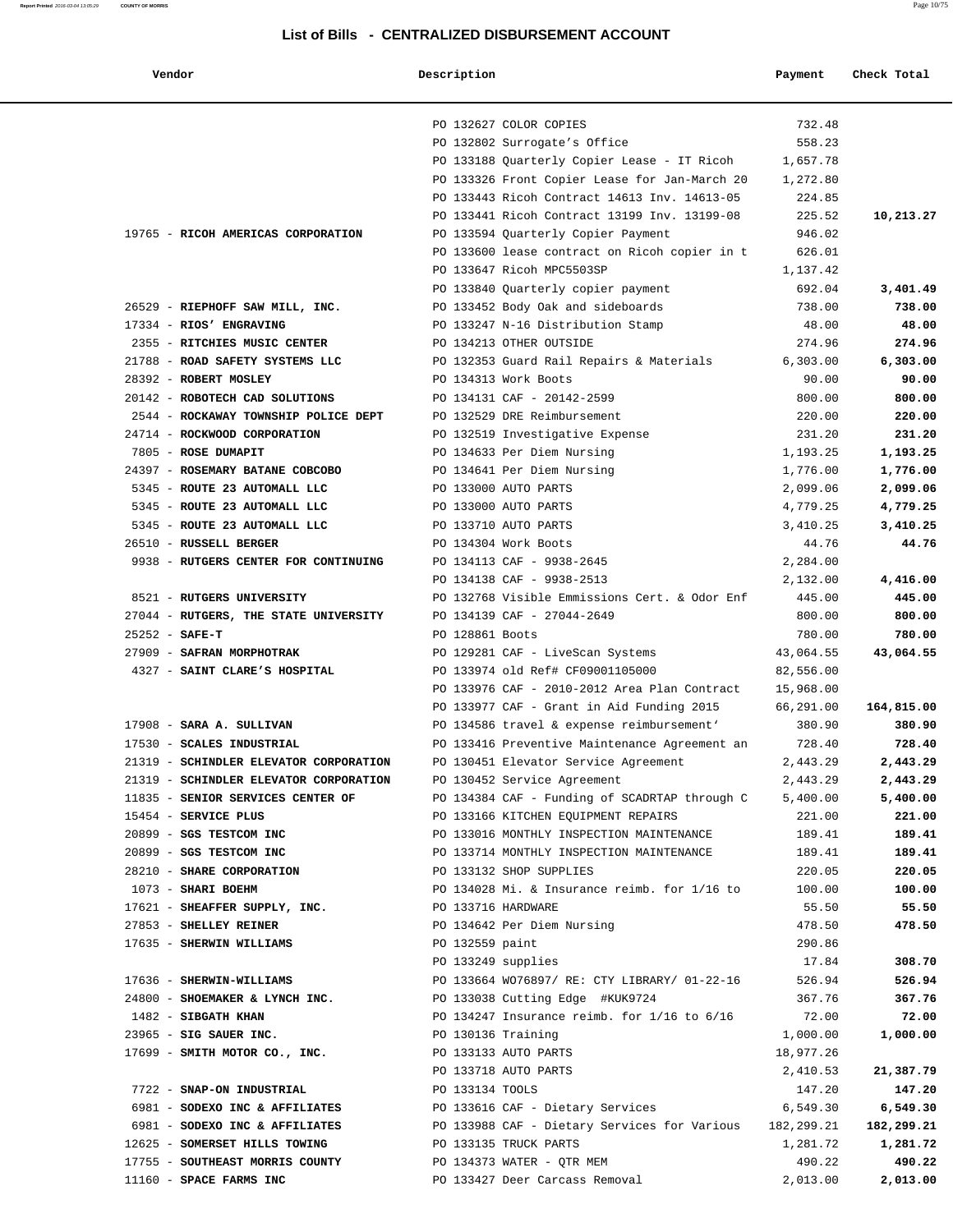| Vendor                                                                                   | Description        |                                                           | Payment            | Check Total         |
|------------------------------------------------------------------------------------------|--------------------|-----------------------------------------------------------|--------------------|---------------------|
|                                                                                          |                    |                                                           |                    |                     |
|                                                                                          |                    | PO 132627 COLOR COPIES                                    | 732.48             |                     |
|                                                                                          |                    | PO 132802 Surrogate's Office                              | 558.23             |                     |
|                                                                                          |                    | PO 133188 Quarterly Copier Lease - IT Ricoh               | 1,657.78           |                     |
|                                                                                          |                    | PO 133326 Front Copier Lease for Jan-March 20             | 1,272.80           |                     |
|                                                                                          |                    | PO 133443 Ricoh Contract 14613 Inv. 14613-05              | 224.85             |                     |
|                                                                                          |                    | PO 133441 Ricoh Contract 13199 Inv. 13199-08              | 225.52             | 10,213.27           |
| 19765 - RICOH AMERICAS CORPORATION                                                       |                    | PO 133594 Quarterly Copier Payment                        | 946.02             |                     |
|                                                                                          |                    | PO 133600 lease contract on Ricoh copier in t             | 626.01             |                     |
|                                                                                          |                    | PO 133647 Ricoh MPC5503SP                                 | 1,137.42           |                     |
|                                                                                          |                    | PO 133840 Quarterly copier payment                        | 692.04             | 3,401.49            |
| 26529 - RIEPHOFF SAW MILL, INC.                                                          |                    | PO 133452 Body Oak and sideboards                         | 738.00             | 738.00              |
| 17334 - RIOS' ENGRAVING                                                                  |                    | PO 133247 N-16 Distribution Stamp                         | 48.00              | 48.00               |
| 2355 - RITCHIES MUSIC CENTER                                                             |                    | PO 134213 OTHER OUTSIDE                                   | 274.96             | 274.96              |
| 21788 - ROAD SAFETY SYSTEMS LLC                                                          |                    | PO 132353 Guard Rail Repairs & Materials                  | 6,303.00           | 6,303.00            |
| 28392 - ROBERT MOSLEY                                                                    |                    | PO 134313 Work Boots                                      | 90.00              | 90.00               |
| 20142 - ROBOTECH CAD SOLUTIONS                                                           |                    | PO 134131 CAF - 20142-2599                                | 800.00             | 800.00              |
| 2544 - ROCKAWAY TOWNSHIP POLICE DEPT                                                     |                    | PO 132529 DRE Reimbursement                               | 220.00             | 220.00              |
| 24714 - ROCKWOOD CORPORATION                                                             |                    | PO 132519 Investigative Expense                           | 231.20             | 231.20              |
| 7805 - ROSE DUMAPIT                                                                      |                    | PO 134633 Per Diem Nursing                                | 1,193.25           | 1,193.25            |
| 24397 - ROSEMARY BATANE COBCOBO                                                          |                    | PO 134641 Per Diem Nursing                                | 1,776.00           | 1,776.00            |
| 5345 - ROUTE 23 AUTOMALL LLC                                                             |                    | PO 133000 AUTO PARTS                                      | 2,099.06           | 2,099.06            |
| 5345 - ROUTE 23 AUTOMALL LLC                                                             |                    | PO 133000 AUTO PARTS                                      | 4,779.25           | 4,779.25            |
| 5345 - ROUTE 23 AUTOMALL LLC                                                             |                    | PO 133710 AUTO PARTS                                      | 3,410.25           | 3,410.25            |
| 26510 - RUSSELL BERGER                                                                   |                    | PO 134304 Work Boots                                      | 44.76              | 44.76               |
| 9938 - RUTGERS CENTER FOR CONTINUING                                                     |                    | PO 134113 CAF - 9938-2645<br>PO 134138 CAF - 9938-2513    | 2,284.00           |                     |
| 8521 - RUTGERS UNIVERSITY                                                                |                    | PO 132768 Visible Emmissions Cert. & Odor Enf             | 2,132.00<br>445.00 | 4,416.00<br>445.00  |
| 27044 - RUTGERS, THE STATE UNIVERSITY                                                    |                    | PO 134139 CAF - 27044-2649                                | 800.00             | 800.00              |
| $25252 - SAFE-T$                                                                         | PO 128861 Boots    |                                                           | 780.00             | 780.00              |
| 27909 - SAFRAN MORPHOTRAK                                                                |                    | PO 129281 CAF - LiveScan Systems                          | 43,064.55          | 43,064.55           |
| 4327 - SAINT CLARE'S HOSPITAL                                                            |                    | PO 133974 old Ref# CF09001105000                          | 82,556.00          |                     |
|                                                                                          |                    | PO 133976 CAF - 2010-2012 Area Plan Contract              | 15,968.00          |                     |
|                                                                                          |                    | PO 133977 CAF - Grant in Aid Funding 2015                 | 66,291.00          | 164,815.00          |
| 17908 - SARA A. SULLIVAN                                                                 |                    | PO 134586 travel & expense reimbursement'                 | 380.90             | 380.90              |
| 17530 - SCALES INDUSTRIAL                                                                |                    | PO 133416 Preventive Maintenance Agreement an             | 728.40             | 728.40              |
| 21319 - SCHINDLER ELEVATOR CORPORATION                                                   |                    | PO 130451 Elevator Service Agreement                      | 2,443.29           | 2,443.29            |
| 21319 - SCHINDLER ELEVATOR CORPORATION PO 130452 Service Agreement                       |                    |                                                           | 2,443.29           | 2,443.29            |
| 11835 - SENIOR SERVICES CENTER OF PO 134384 CAF - Funding of SCADRTAP through C 5,400.00 |                    |                                                           |                    | 5,400.00            |
| 15454 - SERVICE PLUS                                                                     |                    | PO 133166 KITCHEN EQUIPMENT REPAIRS                       | 221.00             | 221.00              |
| 20899 - SGS TESTCOM INC                                                                  |                    | PO 133016 MONTHLY INSPECTION MAINTENANCE 189.41           |                    | 189.41              |
| 20899 - SGS TESTCOM INC                                                                  |                    | PO 133714 MONTHLY INSPECTION MAINTENANCE 189.41           |                    | 189.41              |
| 28210 - SHARE CORPORATION PO 133132 SHOP SUPPLIES                                        |                    |                                                           | 220.05             | 220.05              |
| 1073 - SHARI BOEHM                                                                       |                    | PO $134028$ Mi. & Insurance reimb. for $1/16$ to $100.00$ |                    | 100.00              |
| 17621 - SHEAFFER SUPPLY, INC. 620 PO 133716 HARDWARE                                     |                    |                                                           | 55.50              | 55.50               |
| 27853 - SHELLEY REINER                                                                   |                    | PO 134642 Per Diem Nursing                                | 478.50             | 478.50              |
| 17635 - SHERWIN WILLIAMS                                                                 | PO 132559 paint    |                                                           | 290.86             |                     |
|                                                                                          | PO 133249 supplies |                                                           | 17.84              | 308.70              |
| 17636 - SHERWIN-WILLIAMS                                                                 |                    | PO 133664 WO76897/ RE: CTY LIBRARY/ 01-22-16              | 526.94             | 526.94              |
| 24800 - SHOEMAKER & LYNCH INC.                                                           |                    | PO 133038 Cutting Edge #KUK9724                           | 367.76             | 367.76              |
| 1482 - SIBGATH KHAN                                                                      |                    | PO 134247 Insurance reimb. for 1/16 to 6/16               | 72.00              | 72.00               |
| 23965 - SIG SAUER INC.                                                                   | PO 130136 Training |                                                           | 1,000.00           | 1,000.00            |
| 17699 - SMITH MOTOR CO., INC.                                                            |                    | PO 133133 AUTO PARTS                                      | 18,977.26          |                     |
| 7722 - SNAP-ON INDUSTRIAL                                                                | PO 133134 TOOLS    | PO 133718 AUTO PARTS                                      | 2,410.53<br>147.20 | 21,387.79<br>147.20 |
| 6981 - SODEXO INC & AFFILIATES PO 133616 CAF - Dietary Services                          |                    |                                                           | 6,549.30           | 6,549.30            |
| 6981 - SODEXO INC & AFFILIATES PO 133988 CAF - Dietary Services for Various 182,299.21   |                    |                                                           |                    | 182,299.21          |
| 12625 - SOMERSET HILLS TOWING TO PO 133135 TRUCK PARTS                                   |                    |                                                           | 1,281.72           | 1,281.72            |
| 17755 - SOUTHEAST MORRIS COUNTY THE PO 134373 WATER - QTR MEM                            |                    |                                                           | 490.22             | 490.22              |
| 11160 - SPACE FARMS INC                                                                  |                    | PO 133427 Deer Carcass Removal                            | 2,013.00           | 2,013.00            |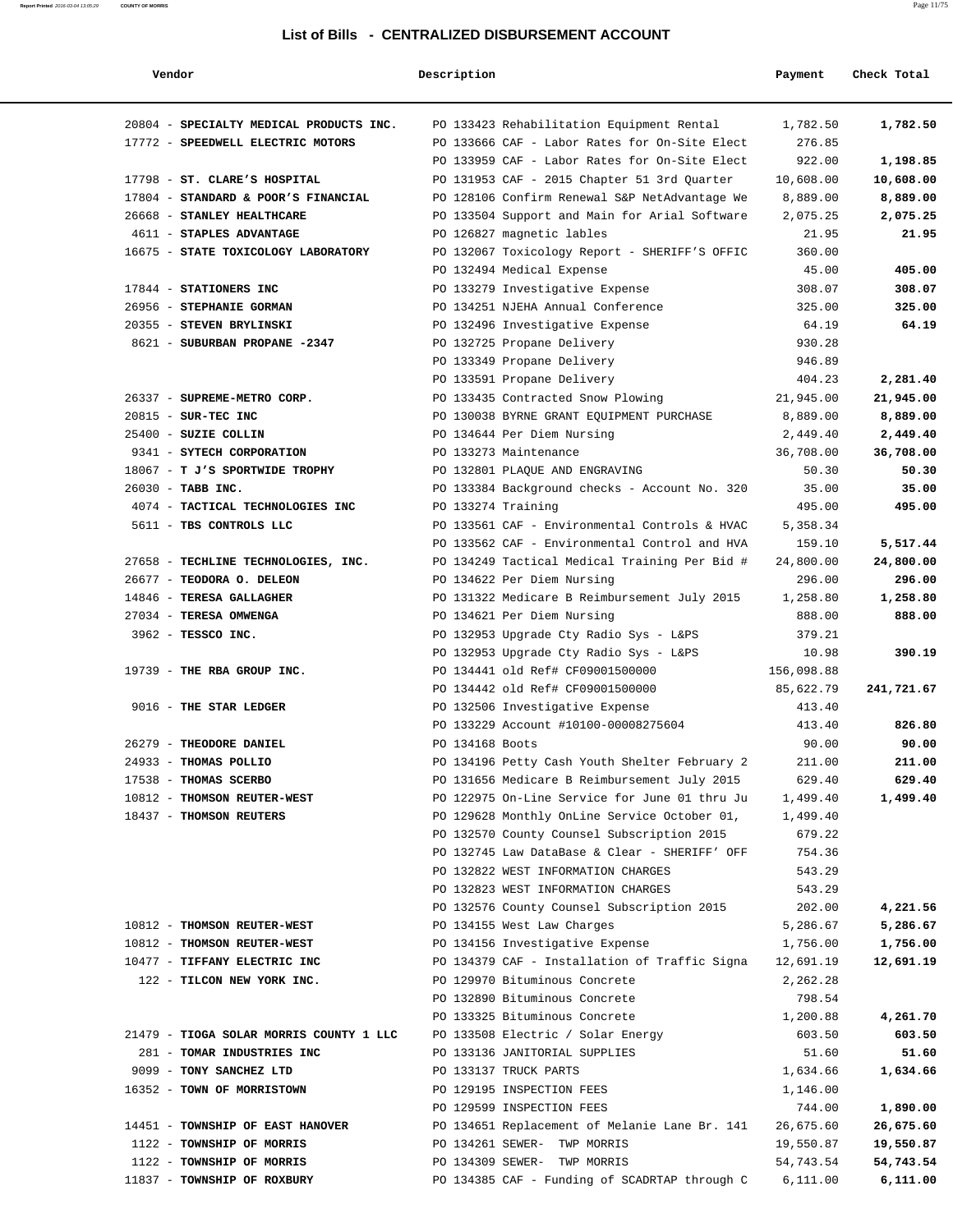#### **Report Printed** 2016-03-04 13:05:29 **COUNTY OF MORRIS** Page 11/75

#### **List of Bills - CENTRALIZED DISBURSEMENT ACCOUNT**

| Vendor                                                                       | Description        |                                               | Payment            | Check Total       |
|------------------------------------------------------------------------------|--------------------|-----------------------------------------------|--------------------|-------------------|
|                                                                              |                    | PO 133423 Rehabilitation Equipment Rental     |                    |                   |
| 20804 - SPECIALTY MEDICAL PRODUCTS INC.<br>17772 - SPEEDWELL ELECTRIC MOTORS |                    | PO 133666 CAF - Labor Rates for On-Site Elect | 1,782.50<br>276.85 | 1,782.50          |
|                                                                              |                    | PO 133959 CAF - Labor Rates for On-Site Elect | 922.00             | 1,198.85          |
| 17798 - ST. CLARE'S HOSPITAL                                                 |                    | PO 131953 CAF - 2015 Chapter 51 3rd Quarter   | 10,608.00          | 10,608.00         |
| 17804 - STANDARD & POOR'S FINANCIAL                                          |                    | PO 128106 Confirm Renewal S&P NetAdvantage We | 8,889.00           | 8,889.00          |
| 26668 - STANLEY HEALTHCARE                                                   |                    |                                               |                    |                   |
| 4611 - STAPLES ADVANTAGE                                                     |                    | PO 133504 Support and Main for Arial Software | 2,075.25<br>21.95  | 2,075.25<br>21.95 |
| 16675 - STATE TOXICOLOGY LABORATORY                                          |                    | PO 126827 magnetic lables                     | 360.00             |                   |
|                                                                              |                    | PO 132067 Toxicology Report - SHERIFF'S OFFIC | 45.00              | 405.00            |
|                                                                              |                    | PO 132494 Medical Expense                     |                    |                   |
| 17844 - STATIONERS INC                                                       |                    | PO 133279 Investigative Expense               | 308.07             | 308.07            |
| 26956 - STEPHANIE GORMAN                                                     |                    | PO 134251 NJEHA Annual Conference             | 325.00<br>64.19    | 325.00<br>64.19   |
| 20355 - STEVEN BRYLINSKI                                                     |                    | PO 132496 Investigative Expense               | 930.28             |                   |
| 8621 - SUBURBAN PROPANE -2347                                                |                    | PO 132725 Propane Delivery                    | 946.89             |                   |
|                                                                              |                    | PO 133349 Propane Delivery                    |                    |                   |
| 26337 - SUPREME-METRO CORP.                                                  |                    | PO 133591 Propane Delivery                    | 404.23             | 2,281.40          |
|                                                                              |                    | PO 133435 Contracted Snow Plowing             | 21,945.00          | 21,945.00         |
| 20815 - SUR-TEC INC                                                          |                    | PO 130038 BYRNE GRANT EQUIPMENT PURCHASE      | 8,889.00           | 8,889.00          |
| 25400 - SUZIE COLLIN                                                         |                    | PO 134644 Per Diem Nursing                    | 2,449.40           | 2,449.40          |
| 9341 - SYTECH CORPORATION                                                    |                    | PO 133273 Maintenance                         | 36,708.00          | 36,708.00         |
| 18067 - T J'S SPORTWIDE TROPHY                                               |                    | PO 132801 PLAQUE AND ENGRAVING                | 50.30              | 50.30             |
| 26030 - TABB INC.                                                            |                    | PO 133384 Background checks - Account No. 320 | 35.00              | 35.00             |
| 4074 - TACTICAL TECHNOLOGIES INC                                             | PO 133274 Training |                                               | 495.00             | 495.00            |
| 5611 - TBS CONTROLS LLC                                                      |                    | PO 133561 CAF - Environmental Controls & HVAC | 5,358.34           |                   |
|                                                                              |                    | PO 133562 CAF - Environmental Control and HVA | 159.10             | 5,517.44          |
| 27658 - TECHLINE TECHNOLOGIES, INC.                                          |                    | PO 134249 Tactical Medical Training Per Bid # | 24,800.00          | 24,800.00         |
| 26677 - TEODORA O. DELEON                                                    |                    | PO 134622 Per Diem Nursing                    | 296.00             | 296.00            |
| 14846 - TERESA GALLAGHER                                                     |                    | PO 131322 Medicare B Reimbursement July 2015  | 1,258.80           | 1,258.80          |
| 27034 - TERESA OMWENGA                                                       |                    | PO 134621 Per Diem Nursing                    | 888.00             | 888.00            |
| 3962 - TESSCO INC.                                                           |                    | PO 132953 Upgrade Cty Radio Sys - L&PS        | 379.21             |                   |
|                                                                              |                    | PO 132953 Upgrade Cty Radio Sys - L&PS        | 10.98              | 390.19            |
| 19739 - THE RBA GROUP INC.                                                   |                    | PO 134441 old Ref# CF09001500000              | 156,098.88         |                   |
|                                                                              |                    | PO 134442 old Ref# CF09001500000              | 85,622.79          | 241,721.67        |
| 9016 - THE STAR LEDGER                                                       |                    | PO 132506 Investigative Expense               | 413.40             |                   |
|                                                                              |                    | PO 133229 Account #10100-00008275604          | 413.40             | 826.80            |
| 26279 - THEODORE DANIEL                                                      | PO 134168 Boots    |                                               | 90.00              | 90.00             |
| 24933 - THOMAS POLLIO                                                        |                    | PO 134196 Petty Cash Youth Shelter February 2 | 211.00             | 211.00            |
| 17538 - THOMAS SCERBO                                                        |                    | PO 131656 Medicare B Reimbursement July 2015  | 629.40             | 629.40            |
| 10812 - THOMSON REUTER-WEST                                                  |                    | PO 122975 On-Line Service for June 01 thru Ju | 1,499.40           | 1,499.40          |
| 18437 - THOMSON REUTERS                                                      |                    | PO 129628 Monthly OnLine Service October 01,  | 1,499.40           |                   |
|                                                                              |                    | PO 132570 County Counsel Subscription 2015    | 679.22             |                   |
|                                                                              |                    | PO 132745 Law DataBase & Clear - SHERIFF' OFF | 754.36             |                   |
|                                                                              |                    | PO 132822 WEST INFORMATION CHARGES            | 543.29             |                   |
|                                                                              |                    | PO 132823 WEST INFORMATION CHARGES            | 543.29             |                   |
|                                                                              |                    | PO 132576 County Counsel Subscription 2015    | 202.00             | 4,221.56          |
| 10812 - THOMSON REUTER-WEST                                                  |                    | PO 134155 West Law Charges                    | 5,286.67           | 5,286.67          |
| 10812 - THOMSON REUTER-WEST                                                  |                    | PO 134156 Investigative Expense               | 1,756.00           | 1,756.00          |
| 10477 - TIFFANY ELECTRIC INC                                                 |                    | PO 134379 CAF - Installation of Traffic Signa | 12,691.19          | 12,691.19         |
| 122 - TILCON NEW YORK INC.                                                   |                    | PO 129970 Bituminous Concrete                 | 2,262.28           |                   |
|                                                                              |                    | PO 132890 Bituminous Concrete                 | 798.54             |                   |
|                                                                              |                    | PO 133325 Bituminous Concrete                 | 1,200.88           | 4,261.70          |
| 21479 - TIOGA SOLAR MORRIS COUNTY 1 LLC                                      |                    | PO 133508 Electric / Solar Energy             | 603.50             | 603.50            |
| 281 - TOMAR INDUSTRIES INC                                                   |                    | PO 133136 JANITORIAL SUPPLIES                 | 51.60              | 51.60             |
| 9099 - TONY SANCHEZ LTD                                                      |                    | PO 133137 TRUCK PARTS                         | 1,634.66           | 1,634.66          |
| 16352 - TOWN OF MORRISTOWN                                                   |                    | PO 129195 INSPECTION FEES                     | 1,146.00           |                   |
|                                                                              |                    | PO 129599 INSPECTION FEES                     | 744.00             | 1,890.00          |
| 14451 - TOWNSHIP OF EAST HANOVER                                             |                    | PO 134651 Replacement of Melanie Lane Br. 141 | 26,675.60          | 26,675.60         |
| 1122 - TOWNSHIP OF MORRIS                                                    |                    | PO 134261 SEWER- TWP MORRIS                   | 19,550.87          | 19,550.87         |
| 1122 - TOWNSHIP OF MORRIS                                                    |                    | PO 134309 SEWER- TWP MORRIS                   | 54,743.54          | 54,743.54         |
| 11837 - TOWNSHIP OF ROXBURY                                                  |                    | PO 134385 CAF - Funding of SCADRTAP through C | 6,111.00           | 6,111.00          |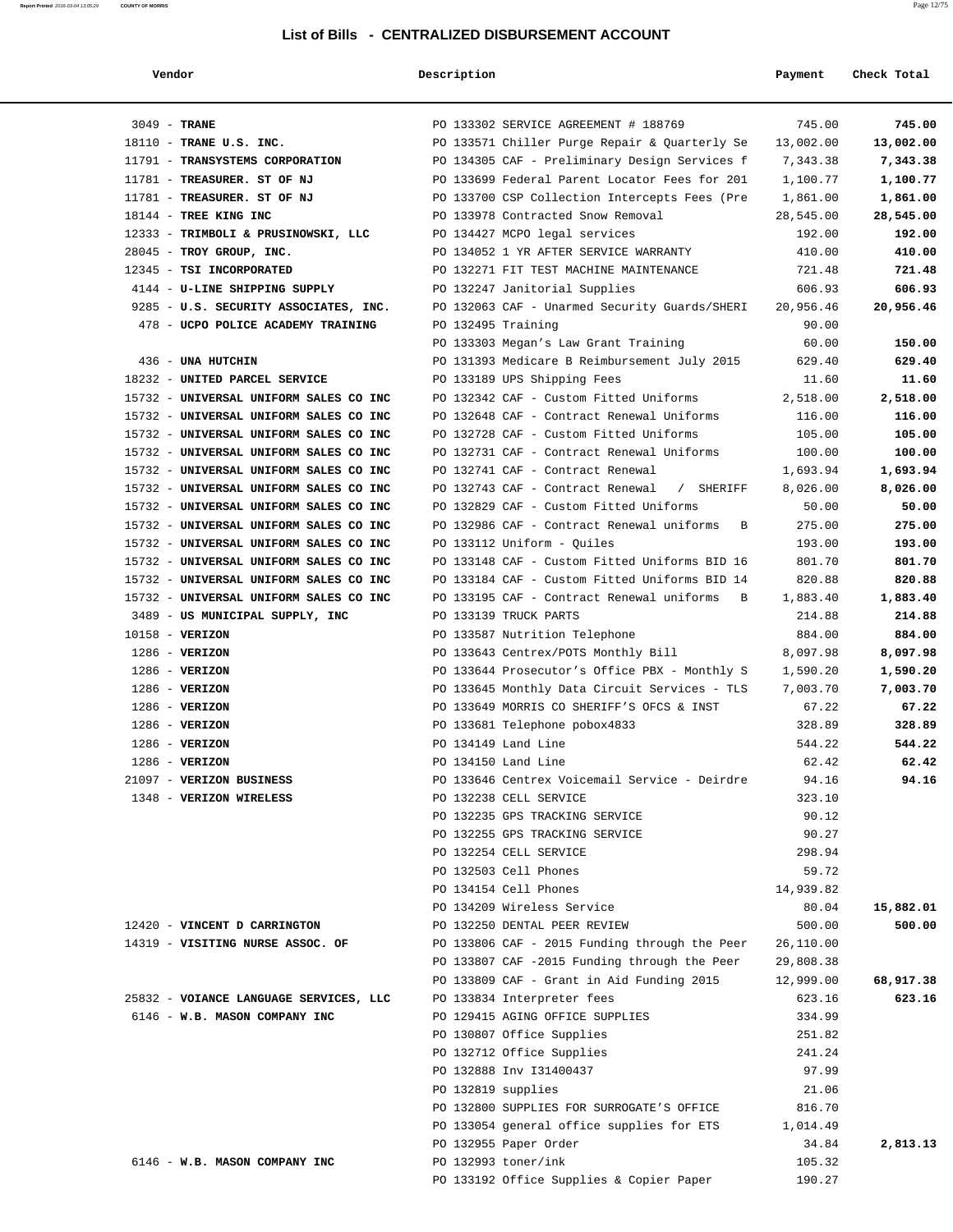|--|

#### **Vendor Description Payment Check Total**

| $3049$ - TRANE                         | PO 133302 SERVICE AGREEMENT # 188769          | 745.00    | 745.00    |
|----------------------------------------|-----------------------------------------------|-----------|-----------|
| 18110 - TRANE U.S. INC.                | PO 133571 Chiller Purge Repair & Quarterly Se | 13,002.00 | 13,002.00 |
| 11791 - TRANSYSTEMS CORPORATION        | PO 134305 CAF - Preliminary Design Services f | 7,343.38  | 7,343.38  |
| 11781 - TREASURER. ST OF NJ            | PO 133699 Federal Parent Locator Fees for 201 | 1,100.77  | 1,100.77  |
| 11781 - TREASURER. ST OF NJ            | PO 133700 CSP Collection Intercepts Fees (Pre | 1,861.00  | 1,861.00  |
| 18144 - TREE KING INC                  | PO 133978 Contracted Snow Removal             | 28,545.00 | 28,545.00 |
| 12333 - TRIMBOLI & PRUSINOWSKI, LLC    | PO 134427 MCPO legal services                 | 192.00    | 192.00    |
| $28045$ - TROY GROUP, INC.             | PO 134052 1 YR AFTER SERVICE WARRANTY         | 410.00    | 410.00    |
| 12345 - TSI INCORPORATED               | PO 132271 FIT TEST MACHINE MAINTENANCE        | 721.48    | 721.48    |
| 4144 - U-LINE SHIPPING SUPPLY          | PO 132247 Janitorial Supplies                 | 606.93    | 606.93    |
| 9285 - U.S. SECURITY ASSOCIATES, INC.  | PO 132063 CAF - Unarmed Security Guards/SHERI | 20,956.46 | 20,956.46 |
| 478 - UCPO POLICE ACADEMY TRAINING     | PO 132495 Training                            | 90.00     |           |
|                                        | PO 133303 Megan's Law Grant Training          | 60.00     | 150.00    |
| 436 - UNA HUTCHIN                      | PO 131393 Medicare B Reimbursement July 2015  | 629.40    | 629.40    |
| 18232 - UNITED PARCEL SERVICE          | PO 133189 UPS Shipping Fees                   | 11.60     | 11.60     |
| 15732 - UNIVERSAL UNIFORM SALES CO INC | PO 132342 CAF - Custom Fitted Uniforms        | 2,518.00  | 2,518.00  |
| 15732 - UNIVERSAL UNIFORM SALES CO INC | PO 132648 CAF - Contract Renewal Uniforms     | 116.00    | 116.00    |
| 15732 - UNIVERSAL UNIFORM SALES CO INC | PO 132728 CAF - Custom Fitted Uniforms        | 105.00    | 105.00    |
| 15732 - UNIVERSAL UNIFORM SALES CO INC | PO 132731 CAF - Contract Renewal Uniforms     | 100.00    | 100.00    |
| 15732 - UNIVERSAL UNIFORM SALES CO INC | PO 132741 CAF - Contract Renewal              | 1,693.94  | 1,693.94  |
| 15732 - UNIVERSAL UNIFORM SALES CO INC | PO 132743 CAF - Contract Renewal / SHERIFF    | 8,026.00  | 8,026.00  |
| 15732 - UNIVERSAL UNIFORM SALES CO INC | PO 132829 CAF - Custom Fitted Uniforms        | 50.00     | 50.00     |
| 15732 - UNIVERSAL UNIFORM SALES CO INC | PO 132986 CAF - Contract Renewal uniforms B   | 275.00    | 275.00    |
| 15732 - UNIVERSAL UNIFORM SALES CO INC | PO 133112 Uniform - Quiles                    | 193.00    | 193.00    |
| 15732 - UNIVERSAL UNIFORM SALES CO INC | PO 133148 CAF - Custom Fitted Uniforms BID 16 | 801.70    | 801.70    |
| 15732 - UNIVERSAL UNIFORM SALES CO INC | PO 133184 CAF - Custom Fitted Uniforms BID 14 | 820.88    | 820.88    |
| 15732 - UNIVERSAL UNIFORM SALES CO INC | PO 133195 CAF - Contract Renewal uniforms B   | 1,883.40  | 1,883.40  |
| 3489 - US MUNICIPAL SUPPLY, INC        | PO 133139 TRUCK PARTS                         | 214.88    | 214.88    |
| 10158 - VERIZON                        | PO 133587 Nutrition Telephone                 | 884.00    | 884.00    |
| $1286$ - VERIZON                       | PO 133643 Centrex/POTS Monthly Bill           | 8,097.98  | 8,097.98  |
| $1286$ - VERIZON                       | PO 133644 Prosecutor's Office PBX - Monthly S | 1,590.20  | 1,590.20  |
| 1286 - VERIZON                         | PO 133645 Monthly Data Circuit Services - TLS | 7,003.70  | 7,003.70  |
| $1286$ - VERIZON                       | PO 133649 MORRIS CO SHERIFF'S OFCS & INST     | 67.22     | 67.22     |
| $1286 - VERIZON$                       | PO 133681 Telephone pobox4833                 | 328.89    | 328.89    |
| $1286 - VERIZON$                       | PO 134149 Land Line                           | 544.22    | 544.22    |
| $1286 - VERIZON$                       | PO 134150 Land Line                           | 62.42     | 62.42     |
| 21097 - VERIZON BUSINESS               | PO 133646 Centrex Voicemail Service - Deirdre | 94.16     | 94.16     |
| 1348 - VERIZON WIRELESS                | PO 132238 CELL SERVICE                        | 323.10    |           |
|                                        | PO 132235 GPS TRACKING SERVICE                | 90.12     |           |
|                                        | PO 132255 GPS TRACKING SERVICE                | 90.27     |           |
|                                        | PO 132254 CELL SERVICE                        | 298.94    |           |
|                                        | PO 132503 Cell Phones                         | 59.72     |           |
|                                        | PO 134154 Cell Phones                         | 14,939.82 |           |
|                                        | PO 134209 Wireless Service                    | 80.04     | 15,882.01 |
| 12420 - VINCENT D CARRINGTON           | PO 132250 DENTAL PEER REVIEW                  | 500.00    | 500.00    |
| 14319 - VISITING NURSE ASSOC. OF       | PO 133806 CAF - 2015 Funding through the Peer | 26,110.00 |           |
|                                        | PO 133807 CAF -2015 Funding through the Peer  | 29,808.38 |           |
|                                        | PO 133809 CAF - Grant in Aid Funding 2015     | 12,999.00 | 68,917.38 |
| 25832 - VOIANCE LANGUAGE SERVICES, LLC | PO 133834 Interpreter fees                    | 623.16    | 623.16    |
| 6146 - W.B. MASON COMPANY INC          | PO 129415 AGING OFFICE SUPPLIES               | 334.99    |           |
|                                        | PO 130807 Office Supplies                     | 251.82    |           |
|                                        | PO 132712 Office Supplies                     | 241.24    |           |
|                                        | PO 132888 Inv I31400437                       | 97.99     |           |
|                                        | PO 132819 supplies                            | 21.06     |           |
|                                        | PO 132800 SUPPLIES FOR SURROGATE'S OFFICE     | 816.70    |           |
|                                        | PO 133054 general office supplies for ETS     | 1,014.49  |           |
|                                        | PO 132955 Paper Order                         | 34.84     | 2,813.13  |
| 6146 - W.B. MASON COMPANY INC          | PO 132993 toner/ink                           | 105.32    |           |
|                                        | PO 133192 Office Supplies & Copier Paper      | 190.27    |           |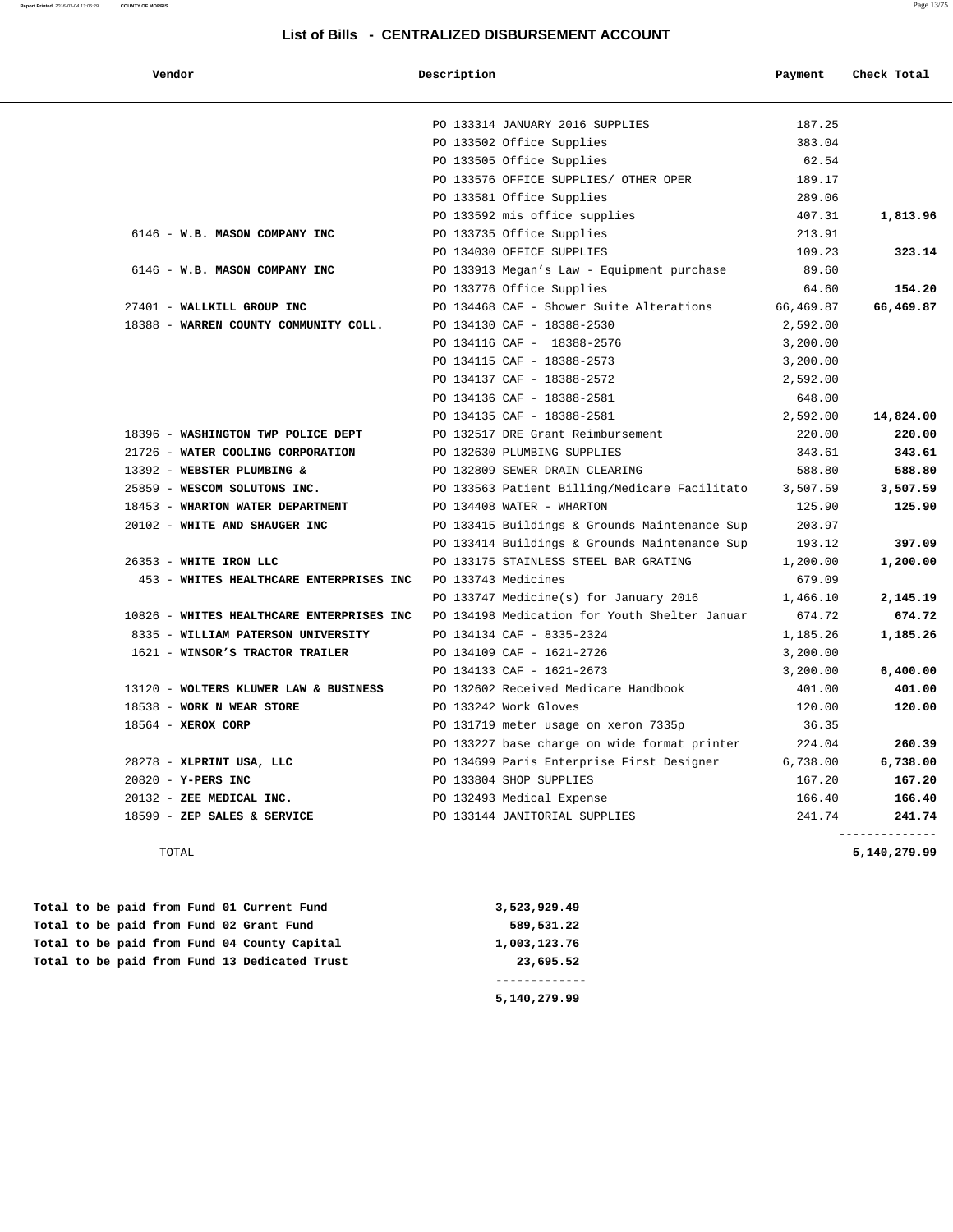| Vendor                                    | Description                                   | Payment   | Check Total |
|-------------------------------------------|-----------------------------------------------|-----------|-------------|
|                                           | PO 133314 JANUARY 2016 SUPPLIES               | 187.25    |             |
|                                           | PO 133502 Office Supplies                     | 383.04    |             |
|                                           | PO 133505 Office Supplies                     | 62.54     |             |
|                                           | PO 133576 OFFICE SUPPLIES/ OTHER OPER         | 189.17    |             |
|                                           | PO 133581 Office Supplies                     | 289.06    |             |
|                                           | PO 133592 mis office supplies                 | 407.31    | 1,813.96    |
| 6146 - W.B. MASON COMPANY INC             | PO 133735 Office Supplies                     | 213.91    |             |
|                                           | PO 134030 OFFICE SUPPLIES                     | 109.23    | 323.14      |
| 6146 - W.B. MASON COMPANY INC             | PO 133913 Megan's Law - Equipment purchase    | 89.60     |             |
|                                           | PO 133776 Office Supplies                     | 64.60     | 154.20      |
| 27401 - WALLKILL GROUP INC                | PO 134468 CAF - Shower Suite Alterations      | 66,469.87 | 66,469.87   |
| 18388 - WARREN COUNTY COMMUNITY COLL.     | PO 134130 CAF - 18388-2530                    | 2,592.00  |             |
|                                           | PO 134116 CAF - 18388-2576                    | 3,200.00  |             |
|                                           | PO 134115 CAF - 18388-2573                    | 3,200.00  |             |
|                                           | PO 134137 CAF - 18388-2572                    | 2,592.00  |             |
|                                           | PO 134136 CAF - 18388-2581                    | 648.00    |             |
|                                           | PO 134135 CAF - 18388-2581                    | 2,592.00  | 14,824.00   |
| 18396 - WASHINGTON TWP POLICE DEPT        | PO 132517 DRE Grant Reimbursement             | 220.00    | 220.00      |
| 21726 - WATER COOLING CORPORATION         | PO 132630 PLUMBING SUPPLIES                   | 343.61    | 343.61      |
| 13392 - WEBSTER PLUMBING &                | PO 132809 SEWER DRAIN CLEARING                | 588.80    | 588.80      |
| 25859 - WESCOM SOLUTONS INC.              | PO 133563 Patient Billing/Medicare Facilitato | 3,507.59  | 3,507.59    |
| 18453 - WHARTON WATER DEPARTMENT          | PO 134408 WATER - WHARTON                     | 125.90    | 125.90      |
| 20102 - WHITE AND SHAUGER INC             | PO 133415 Buildings & Grounds Maintenance Sup | 203.97    |             |
|                                           | PO 133414 Buildings & Grounds Maintenance Sup | 193.12    | 397.09      |
| 26353 - WHITE IRON LLC                    | PO 133175 STAINLESS STEEL BAR GRATING         | 1,200.00  | 1,200.00    |
| 453 - WHITES HEALTHCARE ENTERPRISES INC   | PO 133743 Medicines                           | 679.09    |             |
|                                           | PO 133747 Medicine(s) for January 2016        | 1,466.10  | 2,145.19    |
| 10826 - WHITES HEALTHCARE ENTERPRISES INC | PO 134198 Medication for Youth Shelter Januar | 674.72    | 674.72      |
| 8335 - WILLIAM PATERSON UNIVERSITY        | PO 134134 CAF - 8335-2324                     | 1,185.26  | 1,185.26    |
| 1621 - WINSOR'S TRACTOR TRAILER           | PO 134109 CAF - 1621-2726                     | 3,200.00  |             |
|                                           | PO 134133 CAF - 1621-2673                     | 3,200.00  | 6,400.00    |
| 13120 - WOLTERS KLUWER LAW & BUSINESS     | PO 132602 Received Medicare Handbook          | 401.00    | 401.00      |
| 18538 - WORK N WEAR STORE                 | PO 133242 Work Gloves                         | 120.00    | 120.00      |
| 18564 - XEROX CORP                        | PO 131719 meter usage on xeron 7335p          | 36.35     |             |
|                                           | PO 133227 base charge on wide format printer  | 224.04    | 260.39      |
| 28278 - XLPRINT USA, LLC                  | PO 134699 Paris Enterprise First Designer     | 6,738.00  | 6,738.00    |
| 20820 - Y-PERS INC                        | PO 133804 SHOP SUPPLIES                       | 167.20    | 167.20      |
| 20132 - ZEE MEDICAL INC.                  | PO 132493 Medical Expense                     | 166.40    | 166.40      |
| 18599 - ZEP SALES & SERVICE               | PO 133144 JANITORIAL SUPPLIES                 | 241.74    | 241.74      |

TOTAL **5,140,279.99**

|  |  |  |  |                                               | 5,140,279.99 |
|--|--|--|--|-----------------------------------------------|--------------|
|  |  |  |  | Total to be paid from Fund 13 Dedicated Trust | 23,695.52    |
|  |  |  |  | Total to be paid from Fund 04 County Capital  | 1,003,123.76 |
|  |  |  |  | Total to be paid from Fund 02 Grant Fund      | 589,531.22   |
|  |  |  |  | Total to be paid from Fund 01 Current Fund    | 3,523,929.49 |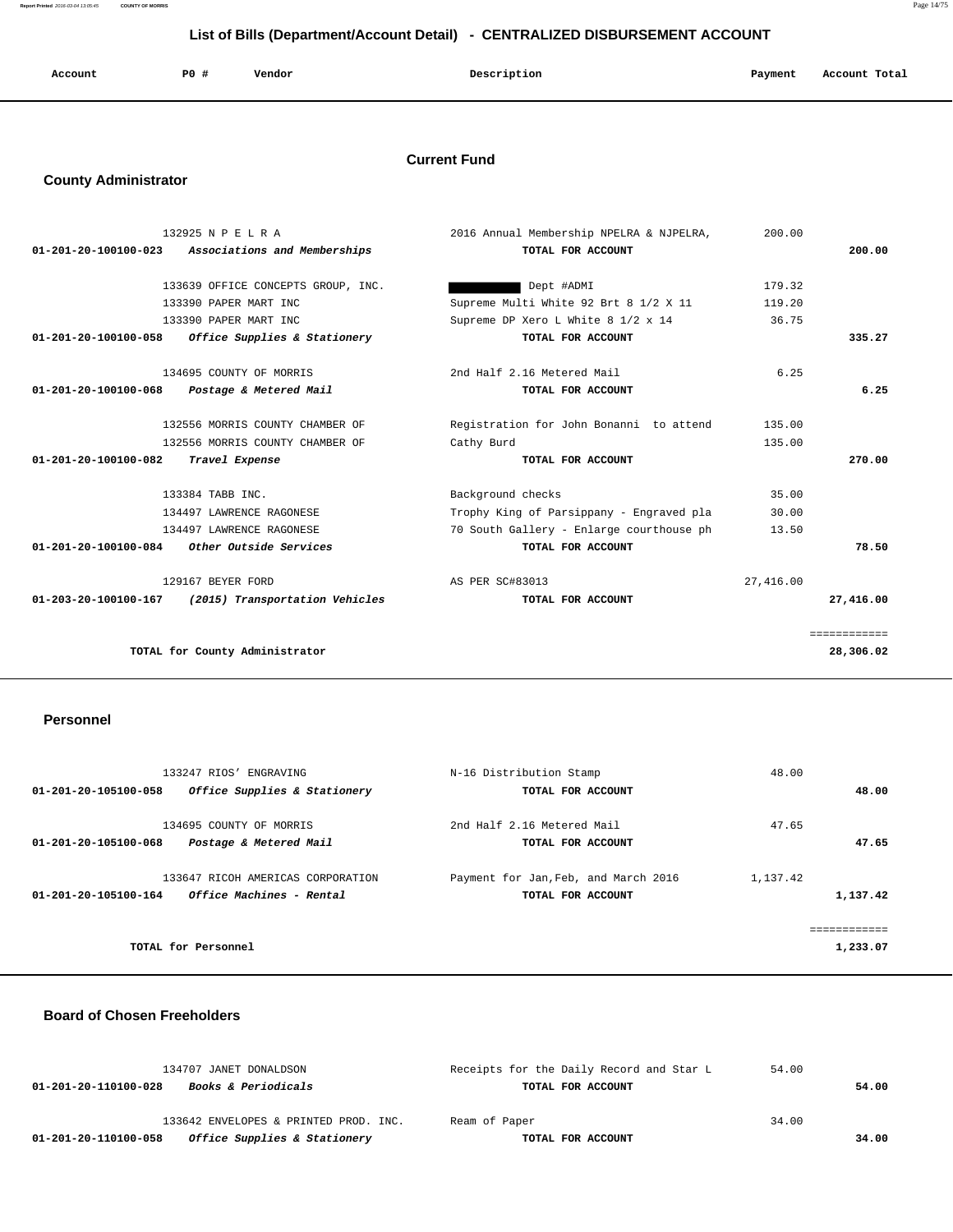| Account<br>. | P <sub>0</sub> | Vendor<br>. | Description | Payment | Account Total |
|--------------|----------------|-------------|-------------|---------|---------------|
|              |                |             |             |         |               |

## **Current Fund**

## **County Administrator**

|                                                                                                                                                                                                                                                                                                                                                                                                                                              | 200.00                                                                                                                                                                                                                                                                                                                                         |              |
|----------------------------------------------------------------------------------------------------------------------------------------------------------------------------------------------------------------------------------------------------------------------------------------------------------------------------------------------------------------------------------------------------------------------------------------------|------------------------------------------------------------------------------------------------------------------------------------------------------------------------------------------------------------------------------------------------------------------------------------------------------------------------------------------------|--------------|
| TOTAL FOR ACCOUNT                                                                                                                                                                                                                                                                                                                                                                                                                            |                                                                                                                                                                                                                                                                                                                                                | 200.00       |
|                                                                                                                                                                                                                                                                                                                                                                                                                                              |                                                                                                                                                                                                                                                                                                                                                |              |
| Dept #ADMI                                                                                                                                                                                                                                                                                                                                                                                                                                   | 179.32                                                                                                                                                                                                                                                                                                                                         |              |
|                                                                                                                                                                                                                                                                                                                                                                                                                                              | 119.20                                                                                                                                                                                                                                                                                                                                         |              |
|                                                                                                                                                                                                                                                                                                                                                                                                                                              | 36.75                                                                                                                                                                                                                                                                                                                                          |              |
| TOTAL FOR ACCOUNT                                                                                                                                                                                                                                                                                                                                                                                                                            |                                                                                                                                                                                                                                                                                                                                                | 335.27       |
|                                                                                                                                                                                                                                                                                                                                                                                                                                              | 6.25                                                                                                                                                                                                                                                                                                                                           |              |
| TOTAL FOR ACCOUNT                                                                                                                                                                                                                                                                                                                                                                                                                            |                                                                                                                                                                                                                                                                                                                                                | 6.25         |
|                                                                                                                                                                                                                                                                                                                                                                                                                                              | 135.00                                                                                                                                                                                                                                                                                                                                         |              |
|                                                                                                                                                                                                                                                                                                                                                                                                                                              | 135.00                                                                                                                                                                                                                                                                                                                                         |              |
| TOTAL FOR ACCOUNT                                                                                                                                                                                                                                                                                                                                                                                                                            |                                                                                                                                                                                                                                                                                                                                                | 270.00       |
|                                                                                                                                                                                                                                                                                                                                                                                                                                              | 35.00                                                                                                                                                                                                                                                                                                                                          |              |
|                                                                                                                                                                                                                                                                                                                                                                                                                                              | 30.00                                                                                                                                                                                                                                                                                                                                          |              |
|                                                                                                                                                                                                                                                                                                                                                                                                                                              | 13.50                                                                                                                                                                                                                                                                                                                                          |              |
| TOTAL FOR ACCOUNT                                                                                                                                                                                                                                                                                                                                                                                                                            |                                                                                                                                                                                                                                                                                                                                                | 78.50        |
|                                                                                                                                                                                                                                                                                                                                                                                                                                              | 27,416.00                                                                                                                                                                                                                                                                                                                                      |              |
| TOTAL FOR ACCOUNT                                                                                                                                                                                                                                                                                                                                                                                                                            |                                                                                                                                                                                                                                                                                                                                                | 27,416.00    |
|                                                                                                                                                                                                                                                                                                                                                                                                                                              |                                                                                                                                                                                                                                                                                                                                                | ============ |
|                                                                                                                                                                                                                                                                                                                                                                                                                                              |                                                                                                                                                                                                                                                                                                                                                | 28,306.02    |
| Associations and Memberships<br>133639 OFFICE CONCEPTS GROUP, INC.<br>133390 PAPER MART INC<br>133390 PAPER MART INC<br>Office Supplies & Stationery<br>134695 COUNTY OF MORRIS<br>Postage & Metered Mail<br>132556 MORRIS COUNTY CHAMBER OF<br>132556 MORRIS COUNTY CHAMBER OF<br>134497 LAWRENCE RAGONESE<br>134497 LAWRENCE RAGONESE<br><i>Other Outside Services</i><br>(2015) Transportation Vehicles<br>TOTAL for County Administrator | 2016 Annual Membership NPELRA & NJPELRA,<br>Supreme Multi White 92 Brt 8 1/2 X 11<br>Supreme DP Xero L White 8 1/2 x 14<br>2nd Half 2.16 Metered Mail<br>Registration for John Bonanni to attend<br>Cathy Burd<br>Background checks<br>Trophy King of Parsippany - Engraved pla<br>70 South Gallery - Enlarge courthouse ph<br>AS PER SC#83013 |              |

#### **Personnel**

|                      | 133247 RIOS' ENGRAVING            | N-16 Distribution Stamp              | 48.00    |             |
|----------------------|-----------------------------------|--------------------------------------|----------|-------------|
| 01-201-20-105100-058 | Office Supplies & Stationery      | TOTAL FOR ACCOUNT                    |          | 48.00       |
|                      | 134695 COUNTY OF MORRIS           | 2nd Half 2.16 Metered Mail           | 47.65    |             |
| 01-201-20-105100-068 | Postage & Metered Mail            | TOTAL FOR ACCOUNT                    |          | 47.65       |
|                      | 133647 RICOH AMERICAS CORPORATION | Payment for Jan, Feb, and March 2016 | 1,137.42 |             |
| 01-201-20-105100-164 | Office Machines - Rental          | TOTAL FOR ACCOUNT                    |          | 1,137.42    |
|                      |                                   |                                      |          | ----------- |
| TOTAL for Personnel  |                                   |                                      |          | 1,233.07    |

#### **Board of Chosen Freeholders**

| 134707 JANET DONALDSON                                 | Receipts for the Daily Record and Star L | 54.00 |       |
|--------------------------------------------------------|------------------------------------------|-------|-------|
| <i>Books &amp; Periodicals</i><br>01-201-20-110100-028 | TOTAL FOR ACCOUNT                        |       | 54.00 |
| 133642 ENVELOPES & PRINTED PROD. INC.                  | Ream of Paper                            | 34.00 |       |
| Office Supplies & Stationery<br>01-201-20-110100-058   | TOTAL FOR ACCOUNT                        |       | 34.00 |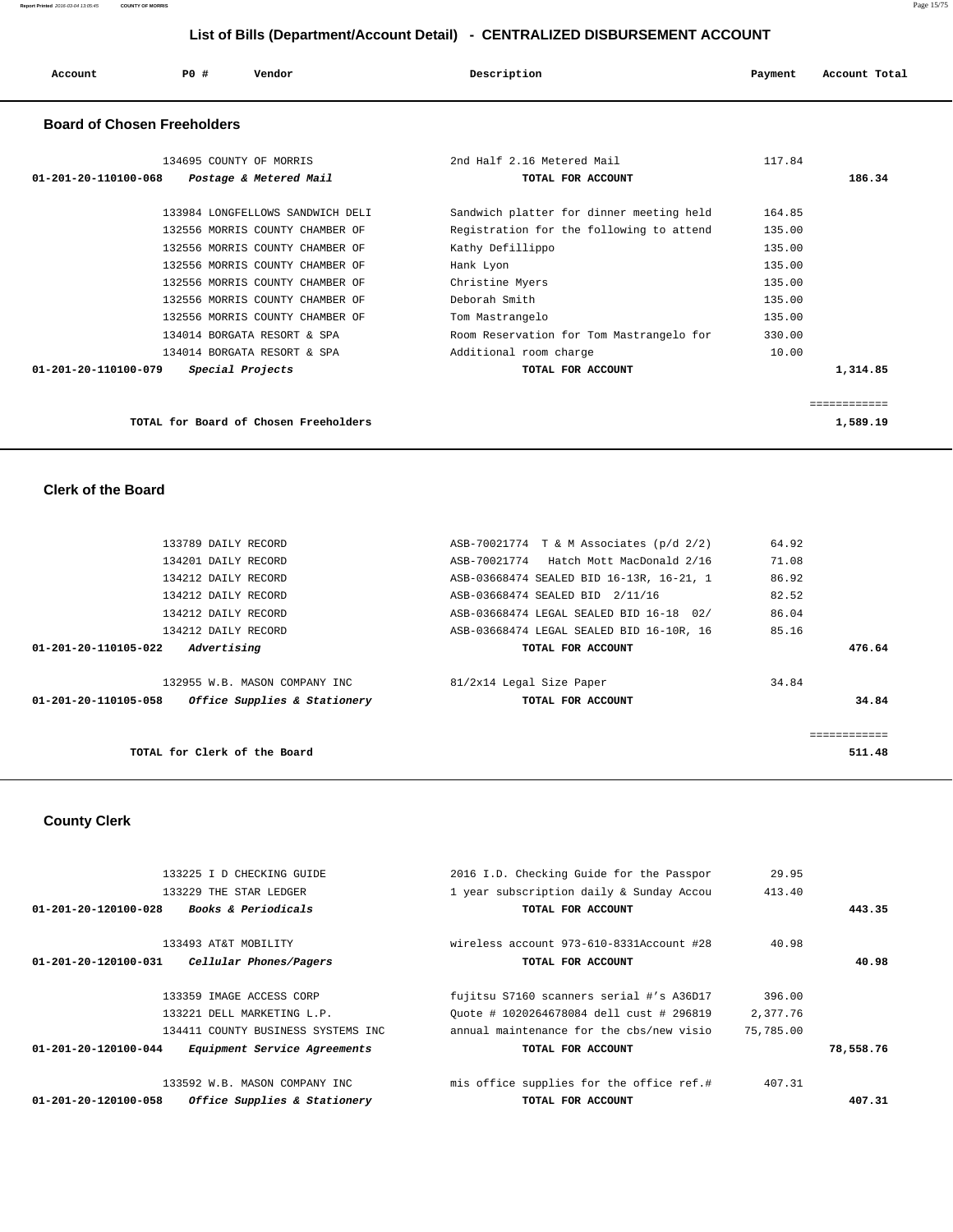| Account                            | PO# | Vendor                                            | Description                                     | Payment | Account Total |
|------------------------------------|-----|---------------------------------------------------|-------------------------------------------------|---------|---------------|
| <b>Board of Chosen Freeholders</b> |     |                                                   |                                                 |         |               |
| 01-201-20-110100-068               |     | 134695 COUNTY OF MORRIS<br>Postage & Metered Mail | 2nd Half 2.16 Metered Mail<br>TOTAL FOR ACCOUNT | 117.84  | 186.34        |
|                                    |     | 133984 LONGFELLOWS SANDWICH DELI                  | Sandwich platter for dinner meeting held        | 164.85  |               |

 132556 MORRIS COUNTY CHAMBER OF Registration for the following to attend 135.00 132556 MORRIS COUNTY CHAMBER OF Kathy Defillippo 135.00 132556 MORRIS COUNTY CHAMBER OF Hank Lyon 135.00 132556 MORRIS COUNTY CHAMBER OF Christine Myers 135.00 132556 MORRIS COUNTY CHAMBER OF Deborah Smith 135.00 132556 MORRIS COUNTY CHAMBER OF Tom Mastrangelo 135.00 134014 BORGATA RESORT & SPA Room Reservation for Tom Mastrangelo for 330.00 134014 BORGATA RESORT & SPA **Additional** room charge 10.00

| 01-201-20-110100-079 | Special Projects                      | TOTAL FOR ACCOUNT | 1,314.85 |
|----------------------|---------------------------------------|-------------------|----------|
|                      |                                       |                   |          |
|                      |                                       |                   |          |
|                      | TOTAL for Board of Chosen Freeholders |                   | 1,589.19 |

 **Clerk of the Board** 

| 133789 DAILY RECORD                                  | ASB-70021774 T & M Associates (p/d 2/2)  | 64.92  |
|------------------------------------------------------|------------------------------------------|--------|
| 134201 DAILY RECORD                                  | ASB-70021774 Hatch Mott MacDonald 2/16   | 71.08  |
| 134212 DAILY RECORD                                  | ASB-03668474 SEALED BID 16-13R, 16-21, 1 | 86.92  |
| 134212 DAILY RECORD                                  | ASB-03668474 SEALED BID 2/11/16          | 82.52  |
| 134212 DAILY RECORD                                  | ASB-03668474 LEGAL SEALED BID 16-18 02/  | 86.04  |
| 134212 DAILY RECORD                                  | ASB-03668474 LEGAL SEALED BID 16-10R, 16 | 85.16  |
| Advertising<br>01-201-20-110105-022                  | TOTAL FOR ACCOUNT                        | 476.64 |
| 132955 W.B. MASON COMPANY INC                        | 81/2x14 Legal Size Paper                 | 34.84  |
| Office Supplies & Stationery<br>01-201-20-110105-058 | TOTAL FOR ACCOUNT                        | 34.84  |
|                                                      |                                          |        |
| TOTAL for Clerk of the Board                         |                                          | 511.48 |

 **County Clerk** 

| 407.31    |           | TOTAL FOR ACCOUNT                           | Office Supplies & Stationery<br>01-201-20-120100-058             |
|-----------|-----------|---------------------------------------------|------------------------------------------------------------------|
|           | 407.31    | mis office supplies for the office ref.#    | 133592 W.B. MASON COMPANY INC                                    |
| 78,558.76 |           | TOTAL FOR ACCOUNT                           | Equipment Service Agreements<br>$01 - 201 - 20 - 120100 - 044$   |
|           | 75,785,00 | annual maintenance for the cbs/new visio    | 134411 COUNTY BUSINESS SYSTEMS INC                               |
|           | 2,377.76  | Ouote # 1020264678084 dell cust # 296819    | 133221 DELL MARKETING L.P.                                       |
|           | 396.00    | fujitsu S7160 scanners serial #'s A36D17    | 133359 IMAGE ACCESS CORP                                         |
| 40.98     |           | TOTAL FOR ACCOUNT                           | $01 - 201 - 20 - 120100 - 031$<br>Cellular Phones/Pagers         |
|           | 40.98     | wireless account $973-610-8331$ Account #28 | 133493 AT&T MOBILITY                                             |
| 443.35    |           | TOTAL FOR ACCOUNT                           | <b>Books &amp; Periodicals</b><br>$01 - 201 - 20 - 120100 - 028$ |
|           | 413.40    | 1 year subscription daily & Sunday Accou    | 133229 THE STAR LEDGER                                           |
|           | 29.95     | 2016 I.D. Checking Guide for the Passpor    | 133225 I D CHECKING GUIDE                                        |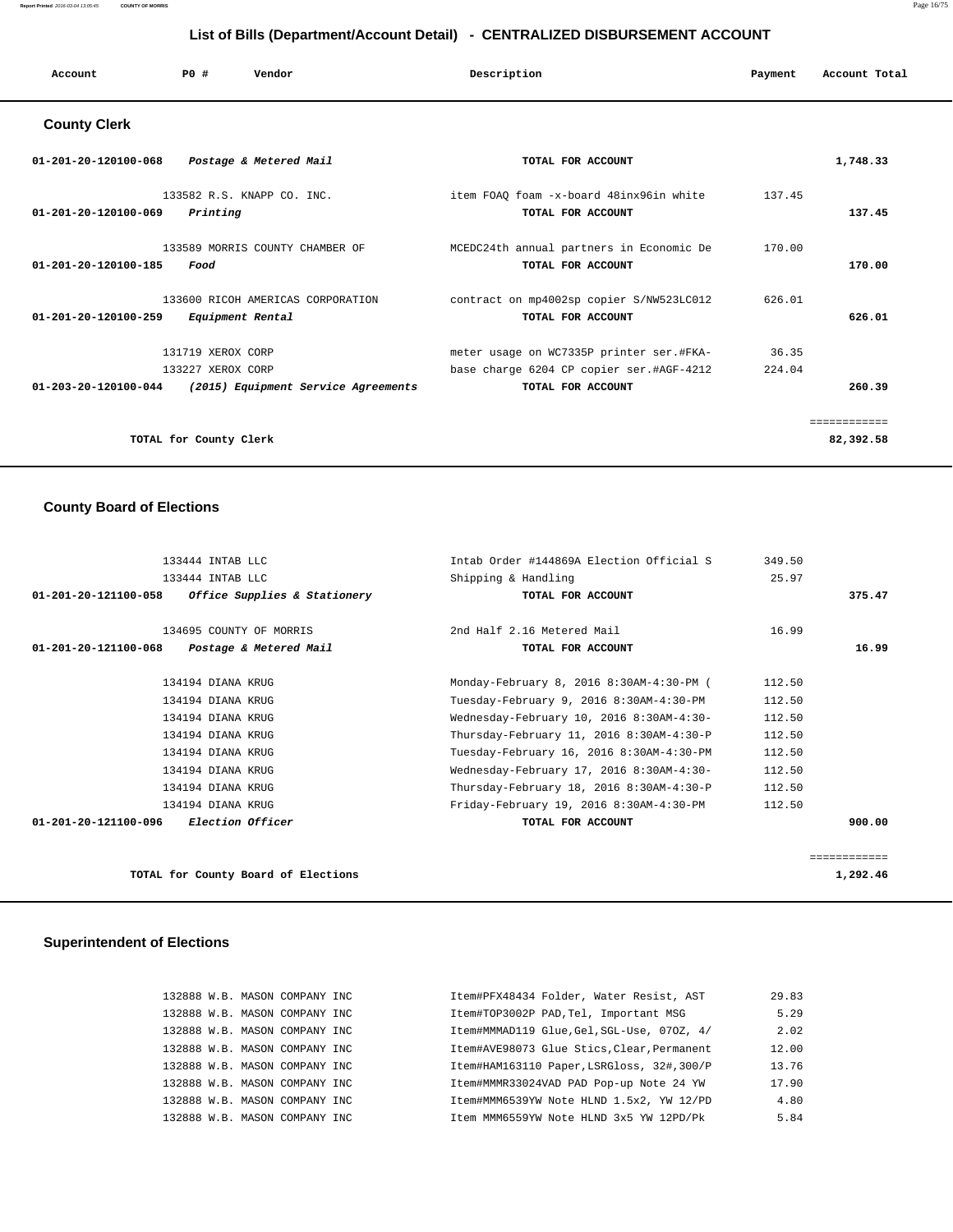#### **Report Printed** 2016-03-04 13:05:45 **COUNTY OF MORRIS** Page 16/75

## **List of Bills (Department/Account Detail) - CENTRALIZED DISBURSEMENT ACCOUNT**

| Account              | PO# | Vendor                     | Description                             | Payment | Account Total |
|----------------------|-----|----------------------------|-----------------------------------------|---------|---------------|
| <b>County Clerk</b>  |     |                            |                                         |         |               |
| 01-201-20-120100-068 |     | Postage & Metered Mail     | TOTAL FOR ACCOUNT                       |         | 1,748.33      |
|                      |     | 133582 R.S. KNAPP CO. INC. | item FOAQ foam -x-board 48inx96in white | 137.45  |               |

| Printing<br>01-201-20-120100-069                                                        | TOTAL FOR ACCOUNT                                             |        | 137.45    |
|-----------------------------------------------------------------------------------------|---------------------------------------------------------------|--------|-----------|
| 133589 MORRIS COUNTY CHAMBER OF<br>01-201-20-120100-185<br>Food                         | MCEDC24th annual partners in Economic De<br>TOTAL FOR ACCOUNT | 170.00 | 170.00    |
| 133600 RICOH AMERICAS CORPORATION<br>$01 - 201 - 20 - 120100 - 259$<br>Equipment Rental | contract on mp4002sp copier S/NW523LC012<br>TOTAL FOR ACCOUNT | 626.01 | 626.01    |
| 131719 XEROX CORP                                                                       | meter usage on WC7335P printer ser.#FKA-                      | 36.35  |           |
| 133227 XEROX CORP                                                                       | base charge 6204 CP copier ser.#AGF-4212                      | 224.04 |           |
| (2015) Equipment Service Agreements<br>01-203-20-120100-044                             | TOTAL FOR ACCOUNT                                             |        | 260.39    |
|                                                                                         |                                                               |        |           |
| TOTAL for County Clerk                                                                  |                                                               |        | 82,392.58 |

## **County Board of Elections**

| 133444 INTAB LLC                                     |                            | Intab Order #144869A Election Official S<br>349.50 |              |
|------------------------------------------------------|----------------------------|----------------------------------------------------|--------------|
| 133444 INTAB LLC                                     | Shipping & Handling        | 25.97                                              |              |
| 01-201-20-121100-058<br>Office Supplies & Stationery |                            | TOTAL FOR ACCOUNT                                  | 375.47       |
| 134695 COUNTY OF MORRIS                              | 2nd Half 2.16 Metered Mail | 16.99                                              |              |
| 01-201-20-121100-068<br>Postage & Metered Mail       |                            | TOTAL FOR ACCOUNT                                  | 16.99        |
| 134194 DIANA KRUG                                    |                            | Monday-February 8, 2016 8:30AM-4:30-PM (<br>112.50 |              |
| 134194 DIANA KRUG                                    |                            | 112.50<br>Tuesday-February 9, 2016 8:30AM-4:30-PM  |              |
| 134194 DIANA KRUG                                    |                            | 112.50<br>Wednesday-February 10, 2016 8:30AM-4:30- |              |
| 134194 DIANA KRUG                                    |                            | 112.50<br>Thursday-February 11, 2016 8:30AM-4:30-P |              |
| 134194 DIANA KRUG                                    |                            | Tuesday-February 16, 2016 8:30AM-4:30-PM<br>112.50 |              |
| 134194 DIANA KRUG                                    |                            | Wednesday-February 17, 2016 8:30AM-4:30-<br>112.50 |              |
| 134194 DIANA KRUG                                    |                            | Thursday-February 18, 2016 8:30AM-4:30-P<br>112.50 |              |
| 134194 DIANA KRUG                                    |                            | Friday-February 19, 2016 8:30AM-4:30-PM<br>112.50  |              |
| 01-201-20-121100-096 Election Officer                |                            | TOTAL FOR ACCOUNT                                  | 900.00       |
|                                                      |                            |                                                    | ============ |
| TOTAL for County Board of Elections                  |                            |                                                    | 1,292.46     |

## **Superintendent of Elections**

| 132888 W.B. MASON COMPANY INC | Item#PFX48434 Folder, Water Resist, AST    | 29.83 |
|-------------------------------|--------------------------------------------|-------|
| 132888 W.B. MASON COMPANY INC | Item#TOP3002P PAD, Tel, Important MSG      | 5.29  |
| 132888 W.B. MASON COMPANY INC | Item#MMMAD119 Glue, Gel, SGL-Use, 070Z, 4/ | 2.02  |
| 132888 W.B. MASON COMPANY INC | Item#AVE98073 Glue Stics, Clear, Permanent | 12.00 |
| 132888 W.B. MASON COMPANY INC | Item#HAM163110 Paper, LSRGloss, 32#, 300/P | 13.76 |
| 132888 W.B. MASON COMPANY INC | Item#MMMR33024VAD PAD Pop-up Note 24 YW    | 17.90 |
| 132888 W.B. MASON COMPANY INC | Item#MMM6539YW Note HLND 1.5x2, YW 12/PD   | 4.80  |
| 132888 W.B. MASON COMPANY INC | Item MMM6559YW Note HLND 3x5 YW 12PD/Pk    | 5.84  |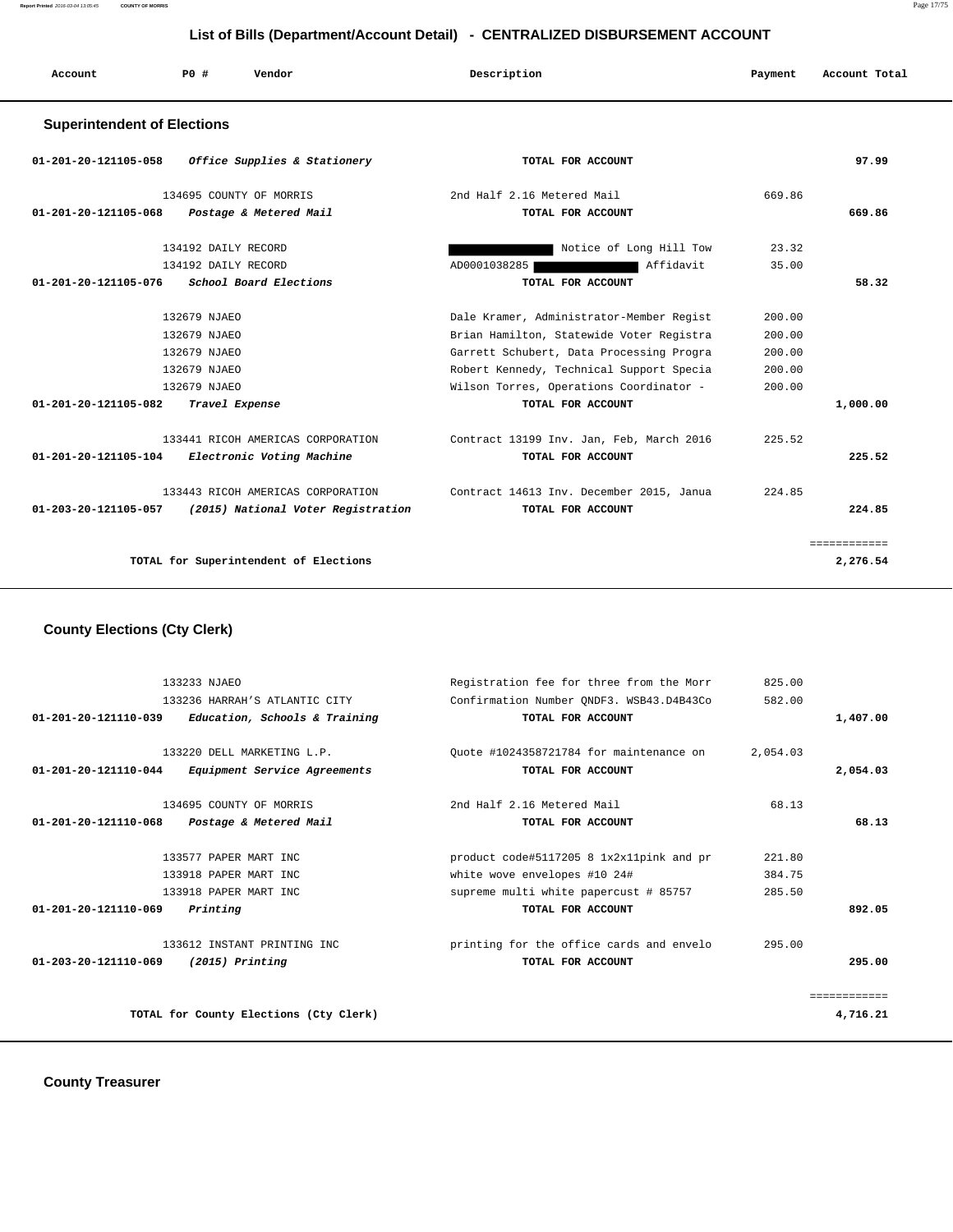**Report Printed** 2016-03-04 13:05:45 **COUNTY OF MORRIS** Page 17/75

#### **List of Bills (Department/Account Detail) - CENTRALIZED DISBURSEMENT ACCOUNT**

| Account                            | PO#<br>Vendor                         | Description                              | Payment | Account Total |
|------------------------------------|---------------------------------------|------------------------------------------|---------|---------------|
| <b>Superintendent of Elections</b> |                                       |                                          |         |               |
| 01-201-20-121105-058               | Office Supplies & Stationery          | TOTAL FOR ACCOUNT                        |         | 97.99         |
|                                    | 134695 COUNTY OF MORRIS               | 2nd Half 2.16 Metered Mail               | 669.86  |               |
| 01-201-20-121105-068               | Postage & Metered Mail                | TOTAL FOR ACCOUNT                        |         | 669.86        |
|                                    | 134192 DAILY RECORD                   | Notice of Long Hill Tow                  | 23.32   |               |
|                                    | 134192 DAILY RECORD                   | Affidavit<br>AD0001038285                | 35.00   |               |
| 01-201-20-121105-076               | School Board Elections                | TOTAL FOR ACCOUNT                        |         | 58.32         |
|                                    | 132679 NJAEO                          | Dale Kramer, Administrator-Member Regist | 200.00  |               |
|                                    | 132679 NJAEO                          | Brian Hamilton, Statewide Voter Registra | 200.00  |               |
|                                    | 132679 NJAEO                          | Garrett Schubert, Data Processing Progra | 200.00  |               |
|                                    | 132679 NJAEO                          | Robert Kennedy, Technical Support Specia | 200.00  |               |
|                                    | 132679 NJAEO                          | Wilson Torres, Operations Coordinator -  | 200.00  |               |
| 01-201-20-121105-082               | Travel Expense                        | TOTAL FOR ACCOUNT                        |         | 1,000.00      |
|                                    | 133441 RICOH AMERICAS CORPORATION     | Contract 13199 Inv. Jan, Feb, March 2016 | 225.52  |               |
| 01-201-20-121105-104               | Electronic Voting Machine             | TOTAL FOR ACCOUNT                        |         | 225.52        |
|                                    | 133443 RICOH AMERICAS CORPORATION     | Contract 14613 Inv. December 2015, Janua | 224.85  |               |
| 01-203-20-121105-057               | (2015) National Voter Registration    | TOTAL FOR ACCOUNT                        |         | 224.85        |
|                                    |                                       |                                          |         | ============  |
|                                    | TOTAL for Superintendent of Elections |                                          |         | 2,276.54      |

# **County Elections (Cty Clerk)**

|                                | 133233 NJAEO                           | Registration fee for three from the Morr | 825.00   |              |
|--------------------------------|----------------------------------------|------------------------------------------|----------|--------------|
|                                | 133236 HARRAH'S ATLANTIC CITY          | Confirmation Number ONDF3. WSB43.D4B43Co | 582.00   |              |
| 01-201-20-121110-039           | Education, Schools & Training          | TOTAL FOR ACCOUNT                        |          | 1,407.00     |
|                                | 133220 DELL MARKETING L.P.             | Ouote #1024358721784 for maintenance on  | 2,054.03 |              |
| 01-201-20-121110-044           | Equipment Service Agreements           | TOTAL FOR ACCOUNT                        |          | 2,054.03     |
|                                | 134695 COUNTY OF MORRIS                | 2nd Half 2.16 Metered Mail               | 68.13    |              |
| 01-201-20-121110-068           | Postage & Metered Mail                 | TOTAL FOR ACCOUNT                        |          | 68.13        |
|                                | 133577 PAPER MART INC                  | product code#5117205 8 1x2x11pink and pr | 221.80   |              |
|                                | 133918 PAPER MART INC                  | white wove envelopes #10 24#             | 384.75   |              |
|                                | 133918 PAPER MART INC                  | supreme multi white papercust # 85757    | 285.50   |              |
| $01 - 201 - 20 - 121110 - 069$ | Printing                               | TOTAL FOR ACCOUNT                        |          | 892.05       |
|                                | 133612 INSTANT PRINTING INC            | printing for the office cards and envelo | 295.00   |              |
| $01 - 203 - 20 - 121110 - 069$ | $(2015)$ Printing                      | TOTAL FOR ACCOUNT                        |          | 295.00       |
|                                |                                        |                                          |          | ============ |
|                                | TOTAL for County Elections (Cty Clerk) |                                          |          | 4,716.21     |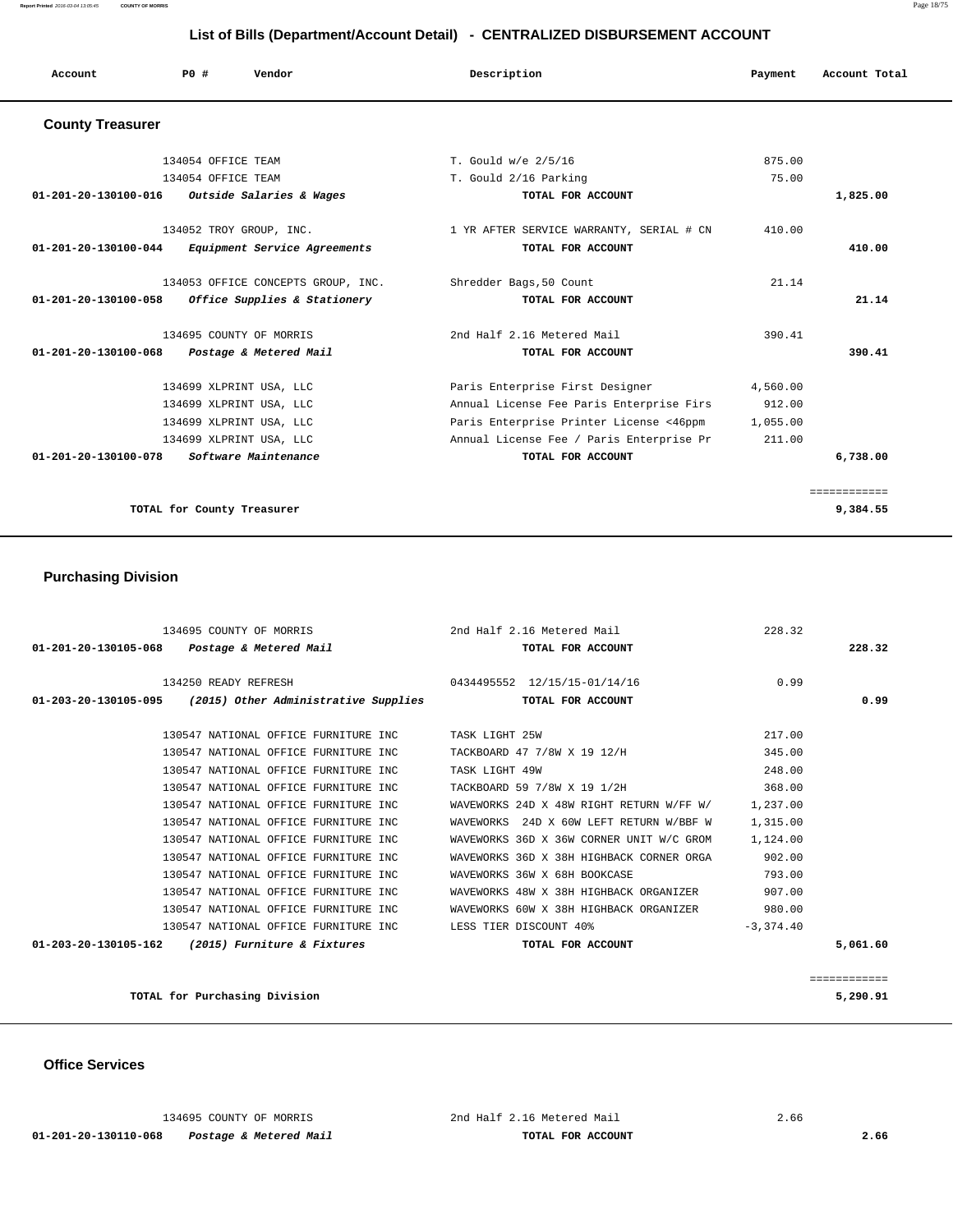| Account                        | PO#                | Vendor                             | Description                              | Payment  | Account Total            |
|--------------------------------|--------------------|------------------------------------|------------------------------------------|----------|--------------------------|
| <b>County Treasurer</b>        |                    |                                    |                                          |          |                          |
|                                | 134054 OFFICE TEAM |                                    | T. Gould w/e 2/5/16                      | 875.00   |                          |
|                                | 134054 OFFICE TEAM |                                    | T. Gould 2/16 Parking                    | 75.00    |                          |
| 01-201-20-130100-016           |                    | Outside Salaries & Wages           | TOTAL FOR ACCOUNT                        |          | 1,825.00                 |
|                                |                    | 134052 TROY GROUP, INC.            | 1 YR AFTER SERVICE WARRANTY, SERIAL # CN | 410.00   |                          |
| $01 - 201 - 20 - 130100 - 044$ |                    | Equipment Service Agreements       | TOTAL FOR ACCOUNT                        |          | 410.00                   |
|                                |                    | 134053 OFFICE CONCEPTS GROUP, INC. | Shredder Bags, 50 Count                  | 21.14    |                          |
| 01-201-20-130100-058           |                    | Office Supplies & Stationery       | TOTAL FOR ACCOUNT                        |          | 21.14                    |
|                                |                    | 134695 COUNTY OF MORRIS            | 2nd Half 2.16 Metered Mail               | 390.41   |                          |
| 01-201-20-130100-068           |                    | Postage & Metered Mail             | TOTAL FOR ACCOUNT                        |          | 390.41                   |
|                                |                    | 134699 XLPRINT USA, LLC            | Paris Enterprise First Designer          | 4,560.00 |                          |
|                                |                    | 134699 XLPRINT USA, LLC            | Annual License Fee Paris Enterprise Firs | 912.00   |                          |
|                                |                    | 134699 XLPRINT USA, LLC            | Paris Enterprise Printer License <46ppm  | 1,055.00 |                          |
|                                |                    | 134699 XLPRINT USA, LLC            | Annual License Fee / Paris Enterprise Pr | 211.00   |                          |
| $01 - 201 - 20 - 130100 - 078$ |                    | Software Maintenance               | TOTAL FOR ACCOUNT                        |          | 6,738.00                 |
|                                |                    | TOTAL for County Treasurer         |                                          |          | ============<br>9,384.55 |

## **Purchasing Division**

| 134695 COUNTY OF MORRIS 2nd Half 2.16 Metered Mail          |                                          | 228.32      |              |
|-------------------------------------------------------------|------------------------------------------|-------------|--------------|
| 01-201-20-130105-068  Postage & Metered Mail                | TOTAL FOR ACCOUNT                        |             | 228.32       |
| 134250 READY REFRESH 0434495552 12/15/15-01/14/16           |                                          | 0.99        |              |
| $01-203-20-130105-095$ (2015) Other Administrative Supplies | TOTAL FOR ACCOUNT                        |             | 0.99         |
| 130547 NATIONAL OFFICE FURNITURE INC                        | TASK LIGHT 25W                           | 217.00      |              |
| 130547 NATIONAL OFFICE FURNITURE INC                        | TACKBOARD 47 7/8W X 19 12/H              | 345.00      |              |
| 130547 NATIONAL OFFICE FURNITURE INC                        | TASK LIGHT 49W                           | 248.00      |              |
| 130547 NATIONAL OFFICE FURNITURE INC                        | TACKBOARD 59 7/8W X 19 1/2H              | 368.00      |              |
| 130547 NATIONAL OFFICE FURNITURE INC                        | WAVEWORKS 24D X 48W RIGHT RETURN W/FF W/ | 1,237.00    |              |
| 130547 NATIONAL OFFICE FURNITURE INC                        | WAVEWORKS 24D X 60W LEFT RETURN W/BBF W  | 1,315.00    |              |
| 130547 NATIONAL OFFICE FURNITURE INC                        | WAVEWORKS 36D X 36W CORNER UNIT W/C GROM | 1,124.00    |              |
| 130547 NATIONAL OFFICE FURNITURE INC                        | WAVEWORKS 36D X 38H HIGHBACK CORNER ORGA | 902.00      |              |
| 130547 NATIONAL OFFICE FURNITURE INC.                       | WAVEWORKS 36W X 68H BOOKCASE             | 793.00      |              |
| 130547 NATIONAL OFFICE FURNITURE INC                        | WAVEWORKS 48W X 38H HIGHBACK ORGANIZER   | 907.00      |              |
| 130547 NATIONAL OFFICE FURNITURE INC                        | WAVEWORKS 60W X 38H HIGHBACK ORGANIZER   | 980.00      |              |
| 130547 NATIONAL OFFICE FURNITURE INC                        | LESS TIER DISCOUNT 40%                   | $-3.374.40$ |              |
| $01-203-20-130105-162$ (2015) Furniture & Fixtures          | TOTAL FOR ACCOUNT                        |             | 5,061.60     |
|                                                             |                                          |             |              |
|                                                             |                                          |             | ============ |
| TOTAL for Purchasing Division                               |                                          |             | 5,290.91     |

 **Office Services**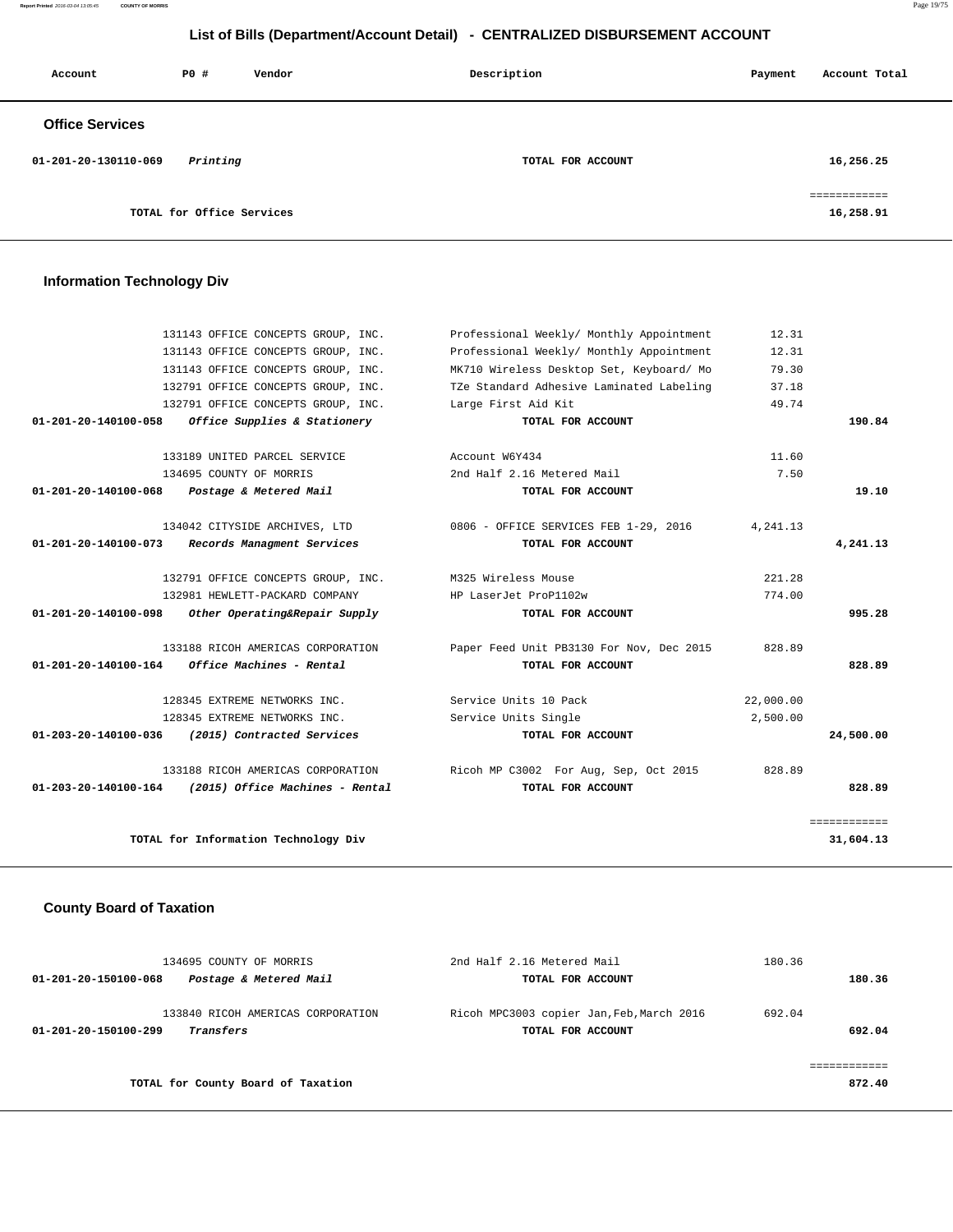#### **Report Printed** 2016-03-04 13:05:45 **COUNTY OF MORRIS** Page 19/75

## **List of Bills (Department/Account Detail) - CENTRALIZED DISBURSEMENT ACCOUNT**

| Account                | P0#                       | Vendor | Description       | Payment | Account Total |
|------------------------|---------------------------|--------|-------------------|---------|---------------|
| <b>Office Services</b> |                           |        |                   |         |               |
| 01-201-20-130110-069   | Printing                  |        | TOTAL FOR ACCOUNT |         | 16,256.25     |
|                        |                           |        |                   |         | ------------- |
|                        | TOTAL for Office Services |        |                   |         | 16,258.91     |

# **Information Technology Div**

|                                | 131143 OFFICE CONCEPTS GROUP, INC.   | Professional Weekly/ Monthly Appointment | 12.31     |              |
|--------------------------------|--------------------------------------|------------------------------------------|-----------|--------------|
|                                | 131143 OFFICE CONCEPTS GROUP, INC.   | Professional Weekly/ Monthly Appointment | 12.31     |              |
|                                | 131143 OFFICE CONCEPTS GROUP, INC.   | MK710 Wireless Desktop Set, Keyboard/ Mo | 79.30     |              |
|                                | 132791 OFFICE CONCEPTS GROUP, INC.   | TZe Standard Adhesive Laminated Labeling | 37.18     |              |
|                                | 132791 OFFICE CONCEPTS GROUP, INC.   | Large First Aid Kit                      | 49.74     |              |
| $01 - 201 - 20 - 140100 - 058$ | Office Supplies & Stationery         | TOTAL FOR ACCOUNT                        |           | 190.84       |
|                                | 133189 UNITED PARCEL SERVICE         | Account W6Y434                           | 11.60     |              |
|                                | 134695 COUNTY OF MORRIS              | 2nd Half 2.16 Metered Mail               | 7.50      |              |
| $01 - 201 - 20 - 140100 - 068$ | Postage & Metered Mail               | TOTAL FOR ACCOUNT                        |           | 19.10        |
|                                | 134042 CITYSIDE ARCHIVES, LTD        | 0806 - OFFICE SERVICES FEB 1-29, 2016    | 4, 241.13 |              |
| $01 - 201 - 20 - 140100 - 073$ | Records Managment Services           | TOTAL FOR ACCOUNT                        |           | 4,241.13     |
|                                | 132791 OFFICE CONCEPTS GROUP, INC.   | M325 Wireless Mouse                      | 221.28    |              |
|                                | 132981 HEWLETT-PACKARD COMPANY       | HP LaserJet ProP1102w                    | 774.00    |              |
| 01-201-20-140100-098           | Other Operating&Repair Supply        | TOTAL FOR ACCOUNT                        |           | 995.28       |
|                                | 133188 RICOH AMERICAS CORPORATION    | Paper Feed Unit PB3130 For Nov, Dec 2015 | 828.89    |              |
| 01-201-20-140100-164           | Office Machines - Rental             | TOTAL FOR ACCOUNT                        |           | 828.89       |
|                                | 128345 EXTREME NETWORKS INC.         | Service Units 10 Pack                    | 22,000.00 |              |
|                                | 128345 EXTREME NETWORKS INC.         | Service Units Single                     | 2,500.00  |              |
| 01-203-20-140100-036           | (2015) Contracted Services           | TOTAL FOR ACCOUNT                        |           | 24,500.00    |
|                                | 133188 RICOH AMERICAS CORPORATION    | Ricoh MP C3002 For Aug, Sep, Oct 2015    | 828.89    |              |
| 01-203-20-140100-164           | (2015) Office Machines - Rental      | TOTAL FOR ACCOUNT                        |           | 828.89       |
|                                |                                      |                                          |           | ============ |
|                                | TOTAL for Information Technology Div |                                          |           | 31,604.13    |
|                                |                                      |                                          |           |              |

## **County Board of Taxation**

|                      | 134695 COUNTY OF MORRIS                        | 2nd Half 2.16 Metered Mail                                     | 180.36 |        |
|----------------------|------------------------------------------------|----------------------------------------------------------------|--------|--------|
| 01-201-20-150100-068 | Postage & Metered Mail                         | TOTAL FOR ACCOUNT                                              |        | 180.36 |
| 01-201-20-150100-299 | 133840 RICOH AMERICAS CORPORATION<br>Transfers | Ricoh MPC3003 copier Jan, Feb, March 2016<br>TOTAL FOR ACCOUNT | 692.04 | 692.04 |
|                      | TOTAL for County Board of Taxation             |                                                                |        | 872.40 |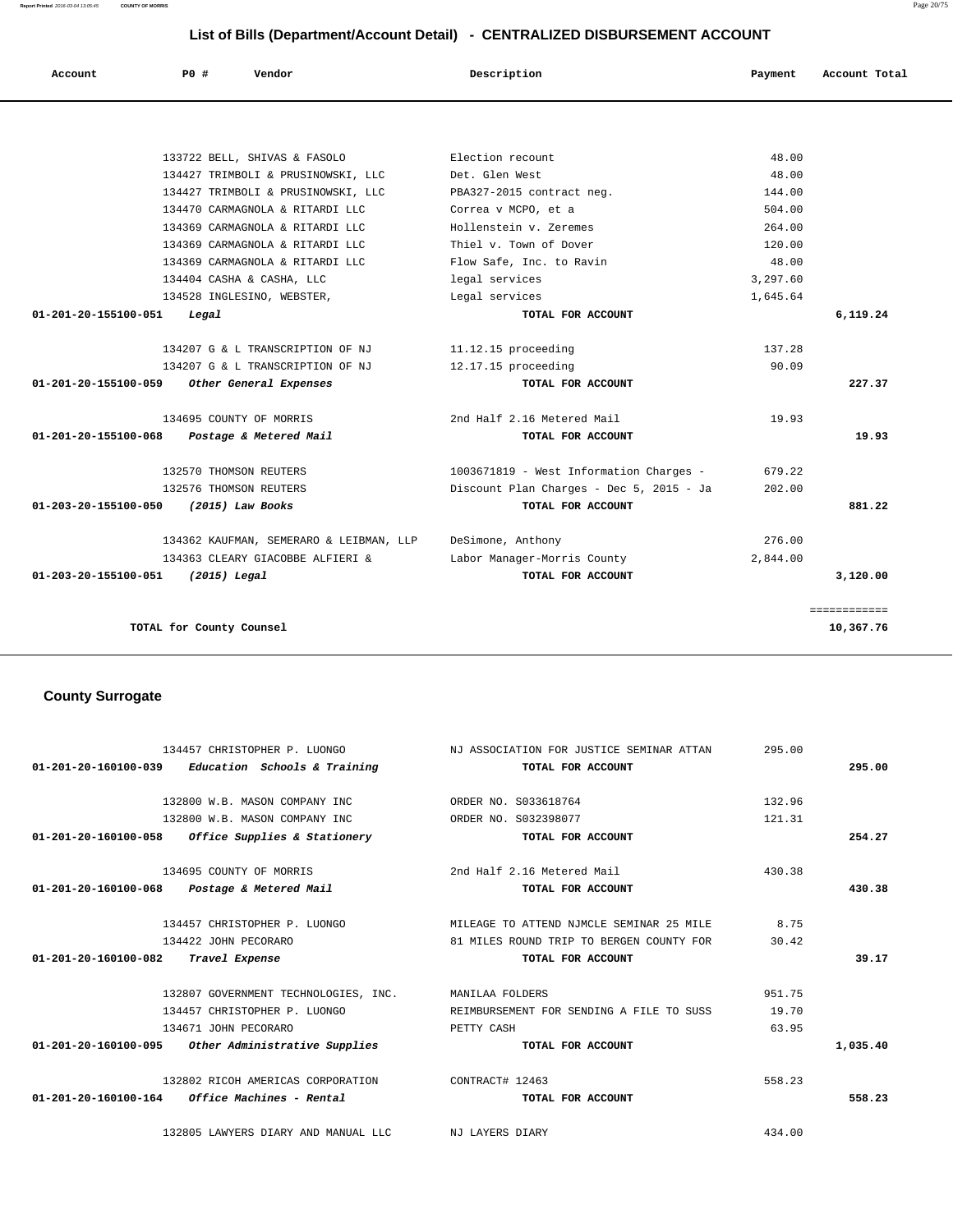132800 W.B. MASON COMPANY INC ORDER NO. S033618764 132.96 132800 W.B. MASON COMPANY INC ORDER NO. S032398077 121.31  **01-201-20-160100-058 Office Supplies & Stationery TOTAL FOR ACCOUNT 254.27** 134695 COUNTY OF MORRIS 2nd Half 2.16 Metered Mail 430.38  **01-201-20-160100-068 Postage & Metered Mail TOTAL FOR ACCOUNT 430.38** 134457 CHRISTOPHER P. LUONGO MILEAGE TO ATTEND NJMCLE SEMINAR 25 MILE 8.75 134422 JOHN PECORARO 81 MILES ROUND TRIP TO BERGEN COUNTY FOR 30.42  **01-201-20-160100-082 Travel Expense TOTAL FOR ACCOUNT 39.17** 132807 GOVERNMENT TECHNOLOGIES, INC. MANILAA FOLDERS 951.75 134457 CHRISTOPHER P. LUONGO REIMBURSEMENT FOR SENDING A FILE TO SUSS 19.70 134671 JOHN PECORARO PETTY CASH 63.95  **01-201-20-160100-095 Other Administrative Supplies TOTAL FOR ACCOUNT 1,035.40** 132802 RICOH AMERICAS CORPORATION CONTRACT# 12463 558.23  **01-201-20-160100-164 Office Machines - Rental TOTAL FOR ACCOUNT 558.23** 132805 LAWYERS DIARY AND MANUAL LLC NJ LAYERS DIARY 434.00

 134457 CHRISTOPHER P. LUONGO NJ ASSOCIATION FOR JUSTICE SEMINAR ATTAN 295.00  **01-201-20-160100-039 Education Schools & Training TOTAL FOR ACCOUNT 295.00**

#### **County Surrogate**

|                                   | TOTAL for County Counsel                    |                                          |          | 10,367.76    |
|-----------------------------------|---------------------------------------------|------------------------------------------|----------|--------------|
|                                   |                                             |                                          |          | ============ |
| 01-203-20-155100-051 (2015) Legal |                                             | TOTAL FOR ACCOUNT                        |          | 3,120.00     |
|                                   | 134363 CLEARY GIACOBBE ALFIERI &            | Labor Manager-Morris County              | 2,844.00 |              |
|                                   | 134362 KAUFMAN, SEMERARO & LEIBMAN, LLP     | DeSimone, Anthony                        | 276.00   |              |
| 01-203-20-155100-050              | (2015) Law Books                            | TOTAL FOR ACCOUNT                        |          | 881.22       |
|                                   | 132576 THOMSON REUTERS                      | Discount Plan Charges - Dec 5, 2015 - Ja | 202.00   |              |
|                                   | 132570 THOMSON REUTERS                      | 1003671819 - West Information Charges -  | 679.22   |              |
|                                   | 01-201-20-155100-068 Postage & Metered Mail | TOTAL FOR ACCOUNT                        |          | 19.93        |
|                                   | 134695 COUNTY OF MORRIS                     | 2nd Half 2.16 Metered Mail               | 19.93    |              |
|                                   | 01-201-20-155100-059 Other General Expenses | TOTAL FOR ACCOUNT                        |          | 227.37       |
|                                   | 134207 G & L TRANSCRIPTION OF NJ            | 12.17.15 proceeding                      | 90.09    |              |
|                                   | 134207 G & L TRANSCRIPTION OF NJ            | 11.12.15 proceeding                      | 137.28   |              |
| 01-201-20-155100-051              | Legal                                       | TOTAL FOR ACCOUNT                        |          | 6,119.24     |
|                                   | 134528 INGLESINO, WEBSTER,                  | Legal services                           | 1,645.64 |              |
|                                   | 134404 CASHA & CASHA, LLC                   | legal services                           | 3,297.60 |              |
|                                   | 134369 CARMAGNOLA & RITARDI LLC             | Flow Safe, Inc. to Ravin                 | 48.00    |              |
|                                   | 134369 CARMAGNOLA & RITARDI LLC             | Thiel v. Town of Dover                   | 120.00   |              |
|                                   | 134369 CARMAGNOLA & RITARDI LLC             | Hollenstein v. Zeremes                   | 264.00   |              |
|                                   | 134470 CARMAGNOLA & RITARDI LLC             | Correa v MCPO, et a                      | 504.00   |              |
|                                   | 134427 TRIMBOLI & PRUSINOWSKI, LLC          | PBA327-2015 contract neg.                | 144.00   |              |
|                                   | 134427 TRIMBOLI & PRUSINOWSKI, LLC          | Det. Glen West                           | 48.00    |              |
|                                   | 133722 BELL, SHIVAS & FASOLO                | Election recount                         | 48.00    |              |

 **Account P0 # Vendor Description Payment Account Total**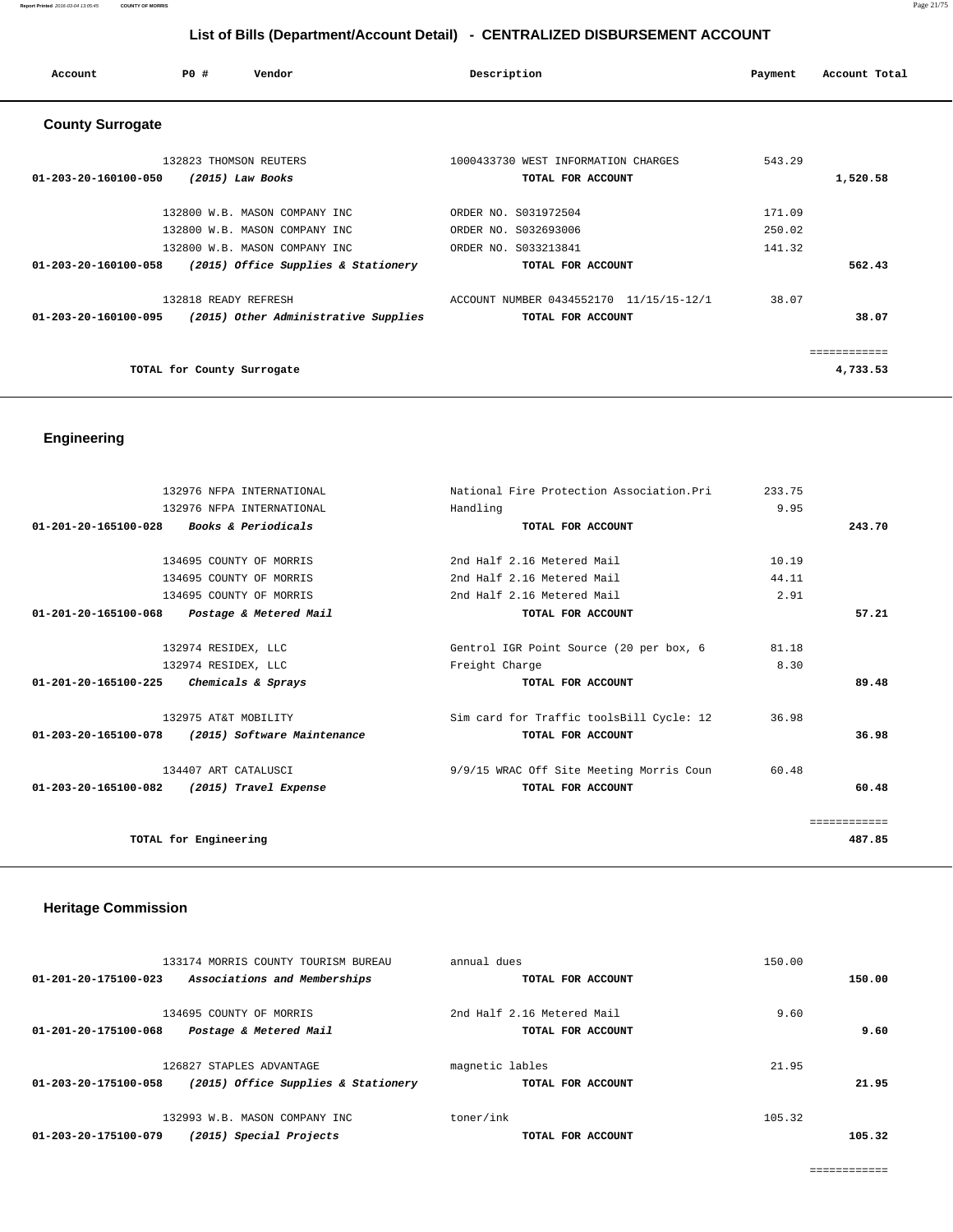| Account                 | PO#                        | Vendor                               | Description                             | Payment | Account Total |
|-------------------------|----------------------------|--------------------------------------|-----------------------------------------|---------|---------------|
| <b>County Surrogate</b> |                            |                                      |                                         |         |               |
|                         |                            | 132823 THOMSON REUTERS               | 1000433730 WEST INFORMATION CHARGES     | 543.29  |               |
| 01-203-20-160100-050    |                            | $(2015)$ Law Books                   | TOTAL FOR ACCOUNT                       |         | 1,520.58      |
|                         |                            | 132800 W.B. MASON COMPANY INC        | ORDER NO. S031972504                    | 171.09  |               |
|                         |                            | 132800 W.B. MASON COMPANY INC        | ORDER NO. S032693006                    | 250.02  |               |
|                         |                            | 132800 W.B. MASON COMPANY INC        | ORDER NO. S033213841                    | 141.32  |               |
| 01-203-20-160100-058    |                            | (2015) Office Supplies & Stationery  | TOTAL FOR ACCOUNT                       |         | 562.43        |
|                         |                            | 132818 READY REFRESH                 | ACCOUNT NUMBER 0434552170 11/15/15-12/1 | 38.07   |               |
| 01-203-20-160100-095    |                            | (2015) Other Administrative Supplies | TOTAL FOR ACCOUNT                       |         | 38.07         |
|                         |                            |                                      |                                         |         | ============  |
|                         | TOTAL for County Surrogate |                                      |                                         |         | 4,733.53      |
|                         |                            |                                      |                                         |         |               |

## **Engineering**

| Handling<br>9.95<br>132976 NFPA INTERNATIONAL                             |              |
|---------------------------------------------------------------------------|--------------|
| 01-201-20-165100-028 Books & Periodicals<br>TOTAL FOR ACCOUNT             | 243.70       |
|                                                                           |              |
| 2nd Half 2.16 Metered Mail<br>134695 COUNTY OF MORRIS<br>10.19            |              |
| 2nd Half 2.16 Metered Mail<br>44.11<br>134695 COUNTY OF MORRIS            |              |
| 2nd Half 2.16 Metered Mail<br>2.91<br>134695 COUNTY OF MORRIS             |              |
| 01-201-20-165100-068<br>Postage & Metered Mail<br>TOTAL FOR ACCOUNT       | 57.21        |
|                                                                           |              |
| Gentrol IGR Point Source (20 per box, 6<br>81.18<br>132974 RESIDEX, LLC   |              |
| 8.30<br>Freight Charge<br>132974 RESIDEX, LLC                             |              |
| 01-201-20-165100-225 Chemicals & Sprays<br>TOTAL FOR ACCOUNT              | 89.48        |
|                                                                           |              |
| Sim card for Traffic toolsBill Cycle: 12<br>132975 AT&T MOBILITY<br>36.98 |              |
| 01-203-20-165100-078<br>(2015) Software Maintenance<br>TOTAL FOR ACCOUNT  | 36.98        |
|                                                                           |              |
| 134407 ART CATALUSCI<br>9/9/15 WRAC Off Site Meeting Morris Coun<br>60.48 |              |
| 01-203-20-165100-082<br>(2015) Travel Expense<br>TOTAL FOR ACCOUNT        | 60.48        |
|                                                                           |              |
|                                                                           | ============ |
| TOTAL for Engineering                                                     | 487.85       |

## **Heritage Commission**

|                      | 133174 MORRIS COUNTY TOURISM BUREAU | annual dues                | 150.00 |        |
|----------------------|-------------------------------------|----------------------------|--------|--------|
| 01-201-20-175100-023 | Associations and Memberships        | TOTAL FOR ACCOUNT          |        | 150.00 |
|                      | 134695 COUNTY OF MORRIS             | 2nd Half 2.16 Metered Mail | 9.60   |        |
| 01-201-20-175100-068 | Postage & Metered Mail              | TOTAL FOR ACCOUNT          |        | 9.60   |
|                      | 126827 STAPLES ADVANTAGE            | magnetic lables            | 21.95  |        |
| 01-203-20-175100-058 | (2015) Office Supplies & Stationery | TOTAL FOR ACCOUNT          |        | 21.95  |
|                      | 132993 W.B. MASON COMPANY INC       | toner/ink                  | 105.32 |        |
| 01-203-20-175100-079 | (2015) Special Projects             | TOTAL FOR ACCOUNT          |        | 105.32 |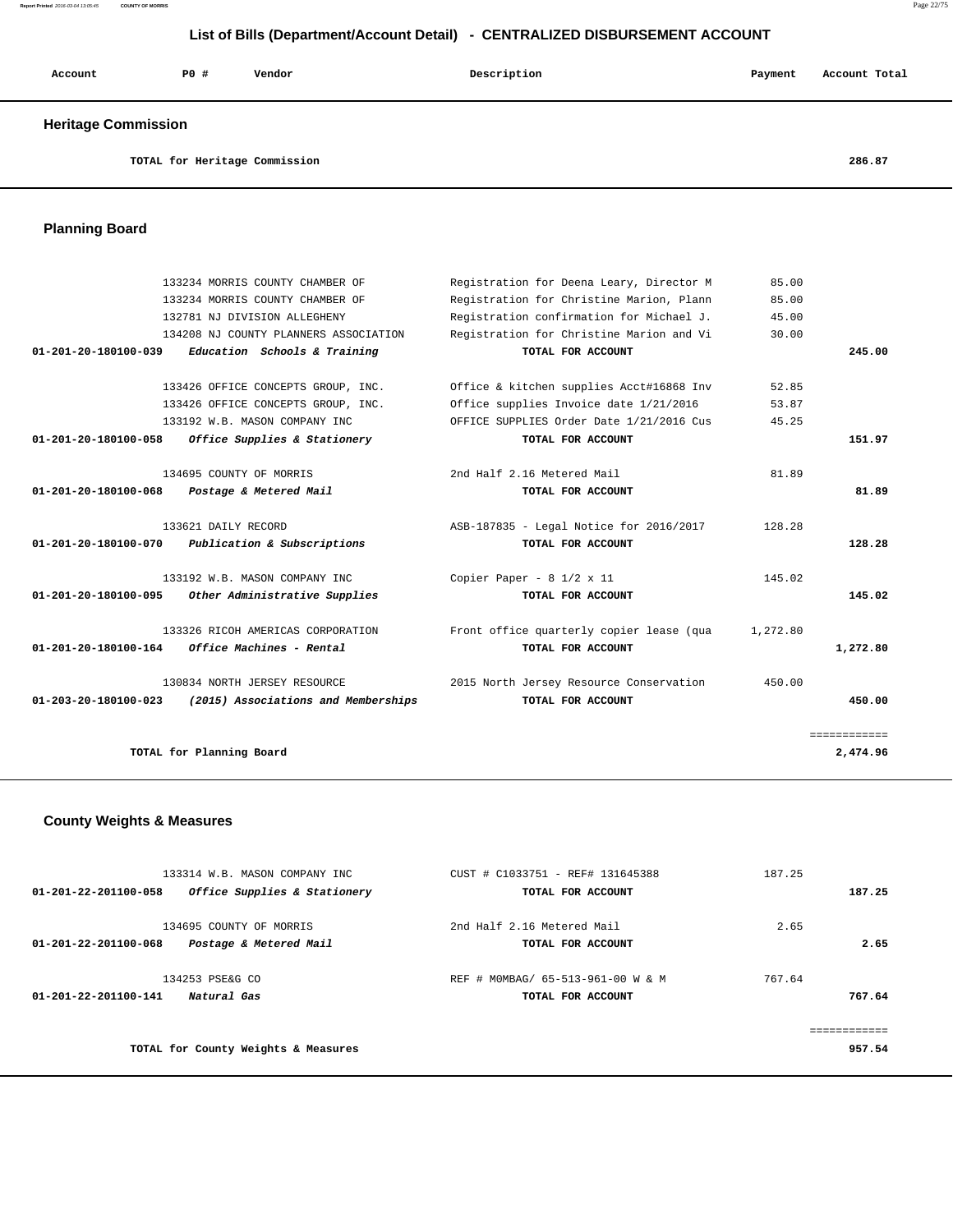#### **Report Printed** 2016-03-04 13:05:45 **COUNTY OF MORRIS** Page 22/75

## **List of Bills (Department/Account Detail) - CENTRALIZED DISBURSEMENT ACCOUNT**

| Account                    | PO# | Vendor | Description | Payment | Account Total |
|----------------------------|-----|--------|-------------|---------|---------------|
| <b>Heritage Commission</b> |     |        |             |         |               |

**TOTAL for Heritage Commission 286.87**

## **Planning Board**

|                                | 133234 MORRIS COUNTY CHAMBER OF                 | Registration for Deena Leary, Director M | 85.00    |              |
|--------------------------------|-------------------------------------------------|------------------------------------------|----------|--------------|
|                                | 133234 MORRIS COUNTY CHAMBER OF                 | Registration for Christine Marion, Plann | 85.00    |              |
|                                | 132781 NJ DIVISION ALLEGHENY                    | Registration confirmation for Michael J. | 45.00    |              |
|                                | 134208 NJ COUNTY PLANNERS ASSOCIATION           | Registration for Christine Marion and Vi | 30.00    |              |
| $01 - 201 - 20 - 180100 - 039$ | Education Schools & Training                    | TOTAL FOR ACCOUNT                        |          | 245.00       |
|                                |                                                 |                                          |          |              |
|                                | 133426 OFFICE CONCEPTS GROUP, INC.              | Office & kitchen supplies Acct#16868 Inv | 52.85    |              |
|                                | 133426 OFFICE CONCEPTS GROUP, INC.              | Office supplies Invoice date 1/21/2016   | 53.87    |              |
|                                | 133192 W.B. MASON COMPANY INC                   | OFFICE SUPPLIES Order Date 1/21/2016 Cus | 45.25    |              |
| 01-201-20-180100-058           | Office Supplies & Stationery                    | TOTAL FOR ACCOUNT                        |          | 151.97       |
|                                |                                                 |                                          |          |              |
|                                | 134695 COUNTY OF MORRIS                         | 2nd Half 2.16 Metered Mail               | 81.89    |              |
| 01-201-20-180100-068           | Postage & Metered Mail                          | TOTAL FOR ACCOUNT                        |          | 81.89        |
|                                |                                                 |                                          |          |              |
|                                | 133621 DAILY RECORD                             | ASB-187835 - Legal Notice for 2016/2017  | 128.28   |              |
| 01-201-20-180100-070           | Publication & Subscriptions                     | TOTAL FOR ACCOUNT                        |          | 128.28       |
|                                |                                                 |                                          |          |              |
|                                | 133192 W.B. MASON COMPANY INC                   | Copier Paper - $8 \frac{1}{2} \times 11$ | 145.02   |              |
| 01-201-20-180100-095           | Other Administrative Supplies                   | TOTAL FOR ACCOUNT                        |          | 145.02       |
|                                |                                                 |                                          |          |              |
|                                | 133326 RICOH AMERICAS CORPORATION               | Front office quarterly copier lease (qua | 1,272.80 |              |
|                                | $01-201-20-180100-164$ Office Machines - Rental | TOTAL FOR ACCOUNT                        |          | 1,272.80     |
|                                |                                                 |                                          |          |              |
|                                | 130834 NORTH JERSEY RESOURCE                    | 2015 North Jersey Resource Conservation  | 450.00   |              |
| $01 - 203 - 20 - 180100 - 023$ | (2015) Associations and Memberships             | TOTAL FOR ACCOUNT                        |          | 450.00       |
|                                |                                                 |                                          |          |              |
|                                |                                                 |                                          |          | ============ |
|                                | TOTAL for Planning Board                        |                                          |          | 2,474.96     |

## **County Weights & Measures**

| 133314 W.B. MASON COMPANY INC                        | CUST # C1033751 - REF# 131645388  | 187.25    |
|------------------------------------------------------|-----------------------------------|-----------|
| Office Supplies & Stationery<br>01-201-22-201100-058 | TOTAL FOR ACCOUNT                 | 187.25    |
| 134695 COUNTY OF MORRIS                              | 2nd Half 2.16 Metered Mail        | 2.65      |
| Postage & Metered Mail<br>01-201-22-201100-068       | TOTAL FOR ACCOUNT                 | 2.65      |
| 134253 PSE&G CO                                      | REF # MOMBAG/ 65-513-961-00 W & M | 767.64    |
| 01-201-22-201100-141<br>Natural Gas                  | TOTAL FOR ACCOUNT                 | 767.64    |
|                                                      |                                   | --------- |
| TOTAL for County Weights & Measures                  |                                   | 957.54    |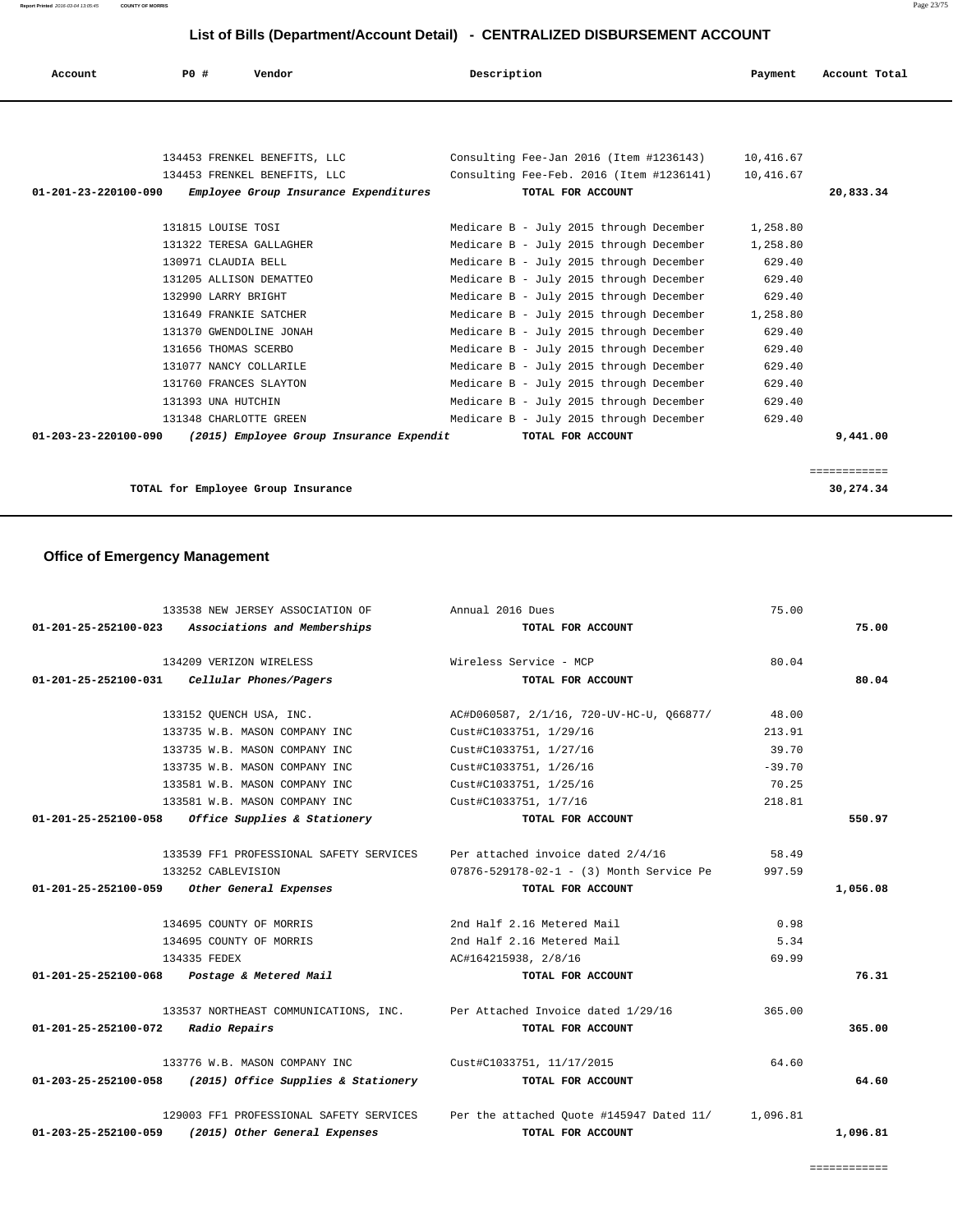| Account              | PO#                                                                                                                                                                                                                                                                                                     | Vendor                                   | Description |                   |                                                                                                                                                                                                                                                                                                                                                                                                                                                                                                                                  | Payment                                                                                                                    | Account Total |
|----------------------|---------------------------------------------------------------------------------------------------------------------------------------------------------------------------------------------------------------------------------------------------------------------------------------------------------|------------------------------------------|-------------|-------------------|----------------------------------------------------------------------------------------------------------------------------------------------------------------------------------------------------------------------------------------------------------------------------------------------------------------------------------------------------------------------------------------------------------------------------------------------------------------------------------------------------------------------------------|----------------------------------------------------------------------------------------------------------------------------|---------------|
|                      |                                                                                                                                                                                                                                                                                                         |                                          |             |                   |                                                                                                                                                                                                                                                                                                                                                                                                                                                                                                                                  |                                                                                                                            |               |
|                      |                                                                                                                                                                                                                                                                                                         | 134453 FRENKEL BENEFITS, LLC             |             |                   | Consulting Fee-Jan 2016 (Item #1236143) 10,416.67                                                                                                                                                                                                                                                                                                                                                                                                                                                                                |                                                                                                                            |               |
|                      |                                                                                                                                                                                                                                                                                                         | 134453 FRENKEL BENEFITS, LLC             |             |                   | Consulting Fee-Feb. 2016 (Item #1236141) 10,416.67                                                                                                                                                                                                                                                                                                                                                                                                                                                                               |                                                                                                                            |               |
| 01-201-23-220100-090 |                                                                                                                                                                                                                                                                                                         | Employee Group Insurance Expenditures    |             | TOTAL FOR ACCOUNT |                                                                                                                                                                                                                                                                                                                                                                                                                                                                                                                                  |                                                                                                                            | 20,833.34     |
|                      | 131815 LOUISE TOSI<br>131322 TERESA GALLAGHER<br>130971 CLAUDIA BELL<br>131205 ALLISON DEMATTEO<br>132990 LARRY BRIGHT<br>131649 FRANKIE SATCHER<br>131370 GWENDOLINE JONAH<br>131656 THOMAS SCERBO<br>131077 NANCY COLLARILE<br>131760 FRANCES SLAYTON<br>131393 UNA HUTCHIN<br>131348 CHARLOTTE GREEN |                                          |             |                   | Medicare B - July 2015 through December<br>Medicare B - July 2015 through December<br>Medicare B - July 2015 through December<br>Medicare B - July 2015 through December<br>Medicare B - July 2015 through December<br>Medicare B - July 2015 through December<br>Medicare B - July 2015 through December<br>Medicare B - July 2015 through December<br>Medicare B - July 2015 through December<br>Medicare B - July 2015 through December<br>Medicare B - July 2015 through December<br>Medicare B - July 2015 through December | 1,258.80<br>1,258.80<br>629.40<br>629.40<br>629.40<br>1,258.80<br>629.40<br>629.40<br>629.40<br>629.40<br>629.40<br>629.40 |               |
| 01-203-23-220100-090 |                                                                                                                                                                                                                                                                                                         | (2015) Employee Group Insurance Expendit |             | TOTAL FOR ACCOUNT |                                                                                                                                                                                                                                                                                                                                                                                                                                                                                                                                  |                                                                                                                            | 9,441.00      |

============

**TOTAL for Employee Group Insurance 30,274.34**

## **Office of Emergency Management**

|                                    | 133538 NEW JERSEY ASSOCIATION OF                                         | Annual 2016 Dues                                                                          | 75.00    |          |
|------------------------------------|--------------------------------------------------------------------------|-------------------------------------------------------------------------------------------|----------|----------|
|                                    | 01-201-25-252100-023 Associations and Memberships                        | TOTAL FOR ACCOUNT                                                                         |          | 75.00    |
|                                    | 134209 VERIZON WIRELESS                                                  | Wireless Service - MCP                                                                    | 80.04    |          |
|                                    | $01-201-25-252100-031$ Cellular Phones/Pagers                            | TOTAL FOR ACCOUNT                                                                         |          | 80.04    |
|                                    | 133152 QUENCH USA, INC.                                                  | AC#D060587, 2/1/16, 720-UV-HC-U, Q66877/                                                  | 48.00    |          |
|                                    | 133735 W.B. MASON COMPANY INC                                            | Cust#C1033751, 1/29/16                                                                    | 213.91   |          |
|                                    | 133735 W.B. MASON COMPANY INC                                            | Cust#C1033751, 1/27/16                                                                    | 39.70    |          |
|                                    | 133735 W.B. MASON COMPANY INC                                            | Cust#C1033751, 1/26/16                                                                    | $-39.70$ |          |
|                                    | 133581 W.B. MASON COMPANY INC                                            | Cust#C1033751, 1/25/16                                                                    | 70.25    |          |
|                                    | 133581 W.B. MASON COMPANY INC                                            | Cust#C1033751, 1/7/16                                                                     | 218.81   |          |
|                                    | 01-201-25-252100-058 Office Supplies & Stationery                        | TOTAL FOR ACCOUNT                                                                         |          | 550.97   |
|                                    | 133539 FF1 PROFESSIONAL SAFETY SERVICES                                  | Per attached invoice dated 2/4/16                                                         | 58.49    |          |
|                                    | 133252 CABLEVISION                                                       | 07876-529178-02-1 - (3) Month Service Pe                                                  | 997.59   |          |
|                                    | 01-201-25-252100-059 Other General Expenses                              | TOTAL FOR ACCOUNT                                                                         |          | 1,056.08 |
|                                    | 134695 COUNTY OF MORRIS                                                  | 2nd Half 2.16 Metered Mail                                                                | 0.98     |          |
|                                    | 134695 COUNTY OF MORRIS                                                  | 2nd Half 2.16 Metered Mail                                                                | 5.34     |          |
|                                    | 134335 FEDEX                                                             | AC#164215938, 2/8/16                                                                      | 69.99    |          |
|                                    | 01-201-25-252100-068 Postage & Metered Mail                              | TOTAL FOR ACCOUNT                                                                         |          | 76.31    |
|                                    | 133537 NORTHEAST COMMUNICATIONS, INC. Per Attached Invoice dated 1/29/16 |                                                                                           | 365.00   |          |
| 01-201-25-252100-072 Radio Repairs |                                                                          | TOTAL FOR ACCOUNT                                                                         |          | 365.00   |
|                                    | 133776 W.B. MASON COMPANY INC <a> Cust#C1033751, 11/17/2015</a>          |                                                                                           | 64.60    |          |
|                                    | 01-203-25-252100-058 (2015) Office Supplies & Stationery                 | TOTAL FOR ACCOUNT                                                                         |          | 64.60    |
|                                    |                                                                          | 129003 FF1 PROFESSIONAL SAFETY SERVICES Per the attached Ouote #145947 Dated 11/ 1,096.81 |          |          |
| $01 - 203 - 25 - 252100 - 059$     | (2015) Other General Expenses                                            | TOTAL FOR ACCOUNT                                                                         |          | 1,096.81 |

============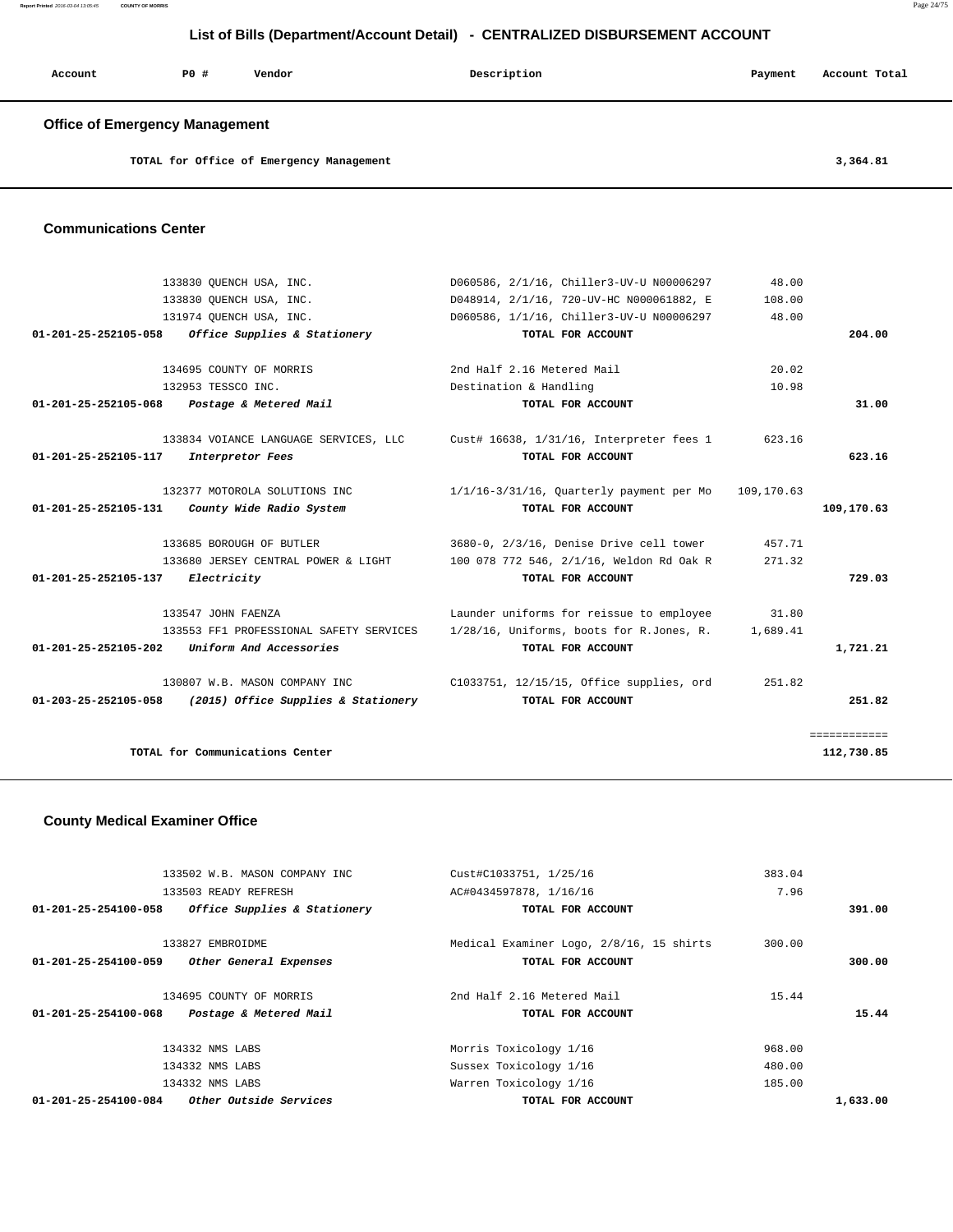| Account | P0 # | Vendor | Description | Payment | Account Total |
|---------|------|--------|-------------|---------|---------------|
|         |      |        |             |         |               |

## **Office of Emergency Management**

| TOTAL for Office of Emergency Management | 3,364.81 |
|------------------------------------------|----------|

#### **Communications Center**

|              | 48.00      | D060586, 2/1/16, Chiller3-UV-U N00006297    | 133830 OUENCH USA, INC.                 |                                |
|--------------|------------|---------------------------------------------|-----------------------------------------|--------------------------------|
|              | 108.00     | D048914, 2/1/16, 720-UV-HC N000061882, E    | 133830 OUENCH USA, INC.                 |                                |
|              | 48.00      | D060586, 1/1/16, Chiller3-UV-U N00006297    | 131974 OUENCH USA, INC.                 |                                |
| 204.00       |            | TOTAL FOR ACCOUNT                           | Office Supplies & Stationery            | 01-201-25-252105-058           |
|              |            |                                             |                                         |                                |
|              | 20.02      | 2nd Half 2.16 Metered Mail                  | 134695 COUNTY OF MORRIS                 |                                |
|              | 10.98      | Destination & Handling                      | 132953 TESSCO INC.                      |                                |
| 31.00        |            | TOTAL FOR ACCOUNT                           | Postage & Metered Mail                  | 01-201-25-252105-068           |
|              | 623.16     | Cust# 16638, 1/31/16, Interpreter fees 1    | 133834 VOIANCE LANGUAGE SERVICES, LLC   |                                |
| 623.16       |            | TOTAL FOR ACCOUNT                           | Interpretor Fees                        | $01 - 201 - 25 - 252105 - 117$ |
|              |            |                                             |                                         |                                |
|              | 109,170.63 | $1/1/16-3/31/16$ , Quarterly payment per Mo | 132377 MOTOROLA SOLUTIONS INC           |                                |
| 109,170.63   |            | TOTAL FOR ACCOUNT                           | County Wide Radio System                | $01 - 201 - 25 - 252105 - 131$ |
|              |            |                                             |                                         |                                |
|              | 457.71     | 3680-0, 2/3/16, Denise Drive cell tower     | 133685 BOROUGH OF BUTLER                |                                |
|              | 271.32     | 100 078 772 546, 2/1/16, Weldon Rd Oak R    | 133680 JERSEY CENTRAL POWER & LIGHT     |                                |
| 729.03       |            | TOTAL FOR ACCOUNT                           | Electricity                             | $01 - 201 - 25 - 252105 - 137$ |
|              | 31.80      | Launder uniforms for reissue to employee    | 133547 JOHN FAENZA                      |                                |
|              | 1,689.41   | 1/28/16, Uniforms, boots for R.Jones, R.    | 133553 FF1 PROFESSIONAL SAFETY SERVICES |                                |
| 1,721.21     |            | TOTAL FOR ACCOUNT                           | Uniform And Accessories                 | $01 - 201 - 25 - 252105 - 202$ |
|              | 251.82     | C1033751, 12/15/15, Office supplies, ord    | 130807 W.B. MASON COMPANY INC           |                                |
| 251.82       |            | TOTAL FOR ACCOUNT                           | (2015) Office Supplies & Stationery     | 01-203-25-252105-058           |
|              |            |                                             |                                         |                                |
| ============ |            |                                             |                                         |                                |
| 112,730.85   |            |                                             | TOTAL for Communications Center         |                                |
|              |            |                                             |                                         |                                |

## **County Medical Examiner Office**

| 133502 W.B. MASON COMPANY INC                            | Cust#C1033751, 1/25/16                   | 383.04   |
|----------------------------------------------------------|------------------------------------------|----------|
| 133503 READY REFRESH                                     | AC#0434597878, 1/16/16                   | 7.96     |
| Office Supplies & Stationery<br>01-201-25-254100-058     | TOTAL FOR ACCOUNT                        | 391.00   |
| 133827 EMBROIDME                                         | Medical Examiner Logo, 2/8/16, 15 shirts | 300.00   |
| $01 - 201 - 25 - 254100 - 059$<br>Other General Expenses | TOTAL FOR ACCOUNT                        | 300.00   |
| 134695 COUNTY OF MORRIS                                  | 2nd Half 2.16 Metered Mail               | 15.44    |
| 01-201-25-254100-068<br>Postage & Metered Mail           | TOTAL FOR ACCOUNT                        | 15.44    |
| 134332 NMS LABS                                          | Morris Toxicology 1/16                   | 968.00   |
| 134332 NMS LABS                                          | Sussex Toxicology 1/16                   | 480.00   |
| 134332 NMS LABS                                          | Warren Toxicology 1/16                   | 185.00   |
| Other Outside Services<br>01-201-25-254100-084           | TOTAL FOR ACCOUNT                        | 1,633.00 |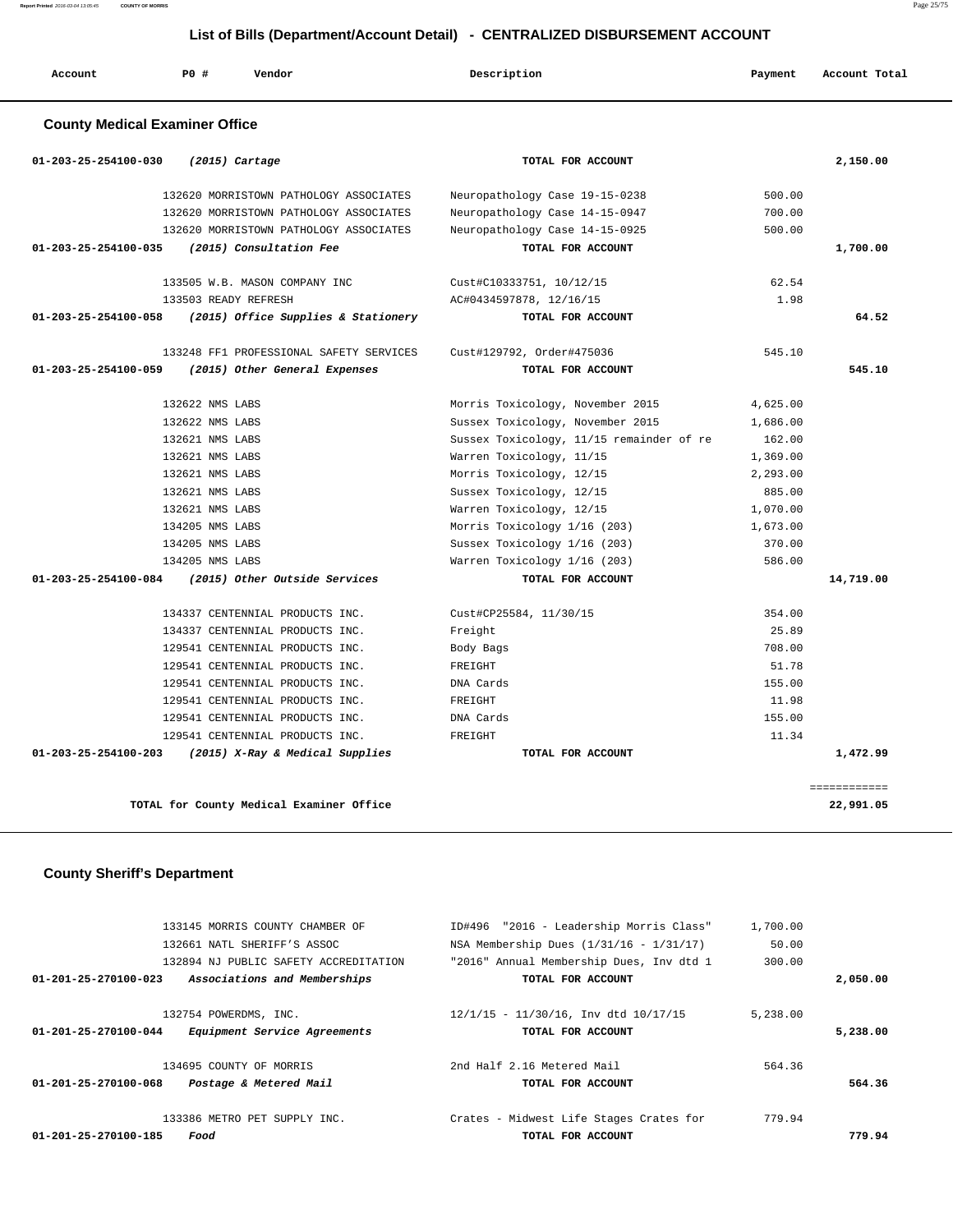| Account                               | P0 #            | Vendor                                   | Description                              | Payment  | Account Total |
|---------------------------------------|-----------------|------------------------------------------|------------------------------------------|----------|---------------|
| <b>County Medical Examiner Office</b> |                 |                                          |                                          |          |               |
| 01-203-25-254100-030                  |                 | $(2015)$ Cartage                         | TOTAL FOR ACCOUNT                        |          | 2,150.00      |
|                                       |                 | 132620 MORRISTOWN PATHOLOGY ASSOCIATES   | Neuropathology Case 19-15-0238           | 500.00   |               |
|                                       |                 | 132620 MORRISTOWN PATHOLOGY ASSOCIATES   | Neuropathology Case 14-15-0947           | 700.00   |               |
|                                       |                 | 132620 MORRISTOWN PATHOLOGY ASSOCIATES   | Neuropathology Case 14-15-0925           | 500.00   |               |
| 01-203-25-254100-035                  |                 | (2015) Consultation Fee                  | TOTAL FOR ACCOUNT                        |          | 1,700.00      |
|                                       |                 | 133505 W.B. MASON COMPANY INC            | Cust#C10333751, 10/12/15                 | 62.54    |               |
|                                       |                 | 133503 READY REFRESH                     | AC#0434597878, 12/16/15                  | 1.98     |               |
| 01-203-25-254100-058                  |                 | (2015) Office Supplies & Stationery      | TOTAL FOR ACCOUNT                        |          | 64.52         |
|                                       |                 | 133248 FF1 PROFESSIONAL SAFETY SERVICES  | Cust#129792, Order#475036                | 545.10   |               |
| 01-203-25-254100-059                  |                 | (2015) Other General Expenses            | TOTAL FOR ACCOUNT                        |          | 545.10        |
|                                       | 132622 NMS LABS |                                          | Morris Toxicology, November 2015         | 4,625.00 |               |
|                                       | 132622 NMS LABS |                                          | Sussex Toxicology, November 2015         | 1,686.00 |               |
|                                       | 132621 NMS LABS |                                          | Sussex Toxicology, 11/15 remainder of re | 162.00   |               |
|                                       | 132621 NMS LABS |                                          | Warren Toxicology, 11/15                 | 1,369.00 |               |
|                                       | 132621 NMS LABS |                                          | Morris Toxicology, 12/15                 | 2,293.00 |               |
|                                       | 132621 NMS LABS |                                          | Sussex Toxicology, 12/15                 | 885.00   |               |
|                                       | 132621 NMS LABS |                                          | Warren Toxicology, 12/15                 | 1,070.00 |               |
|                                       | 134205 NMS LABS |                                          | Morris Toxicology 1/16 (203)             | 1,673.00 |               |
|                                       | 134205 NMS LABS |                                          | Sussex Toxicology 1/16 (203)             | 370.00   |               |
|                                       | 134205 NMS LABS |                                          | Warren Toxicology 1/16 (203)             | 586.00   |               |
| 01-203-25-254100-084                  |                 | (2015) Other Outside Services            | TOTAL FOR ACCOUNT                        |          | 14,719.00     |
|                                       |                 | 134337 CENTENNIAL PRODUCTS INC.          | Cust#CP25584, 11/30/15                   | 354.00   |               |
|                                       |                 | 134337 CENTENNIAL PRODUCTS INC.          | Freight                                  | 25.89    |               |
|                                       |                 | 129541 CENTENNIAL PRODUCTS INC.          | Body Bags                                | 708.00   |               |
|                                       |                 | 129541 CENTENNIAL PRODUCTS INC.          | FREIGHT                                  | 51.78    |               |
|                                       |                 | 129541 CENTENNIAL PRODUCTS INC.          | DNA Cards                                | 155.00   |               |
|                                       |                 | 129541 CENTENNIAL PRODUCTS INC.          | FREIGHT                                  | 11.98    |               |
|                                       |                 | 129541 CENTENNIAL PRODUCTS INC.          | DNA Cards                                | 155.00   |               |
|                                       |                 | 129541 CENTENNIAL PRODUCTS INC.          | FREIGHT                                  | 11.34    |               |
| 01-203-25-254100-203                  |                 | (2015) X-Ray & Medical Supplies          | TOTAL FOR ACCOUNT                        |          | 1,472.99      |
|                                       |                 |                                          |                                          |          | ------------  |
|                                       |                 | TOTAL for County Medical Examiner Office |                                          |          | 22,991.05     |

## **County Sheriff's Department**

|                      | 133145 MORRIS COUNTY CHAMBER OF<br>132661 NATL SHERIFF'S ASSOC        | ID#496 "2016 - Leadership Morris Class"<br>NSA Membership Dues $(1/31/16 - 1/31/17)$ | 1,700.00<br>50.00 |          |
|----------------------|-----------------------------------------------------------------------|--------------------------------------------------------------------------------------|-------------------|----------|
| 01-201-25-270100-023 | 132894 NJ PUBLIC SAFETY ACCREDITATION<br>Associations and Memberships | "2016" Annual Membership Dues, Inv dtd 1<br>TOTAL FOR ACCOUNT                        | 300.00            | 2,050.00 |
|                      |                                                                       |                                                                                      |                   |          |
| 01-201-25-270100-044 | 132754 POWERDMS, INC.<br>Equipment Service Agreements                 | $12/1/15 - 11/30/16$ , Inv dtd $10/17/15$<br>TOTAL FOR ACCOUNT                       | 5,238.00          | 5,238.00 |
|                      | 134695 COUNTY OF MORRIS                                               | 2nd Half 2.16 Metered Mail                                                           | 564.36            |          |
| 01-201-25-270100-068 | Postage & Metered Mail                                                | TOTAL FOR ACCOUNT                                                                    |                   | 564.36   |
|                      | 133386 METRO PET SUPPLY INC.                                          | Crates - Midwest Life Stages Crates for                                              | 779.94            |          |
| 01-201-25-270100-185 | Food                                                                  | TOTAL FOR ACCOUNT                                                                    |                   | 779.94   |

**Report Printed** 2016-03-04 13:05:45 **COUNTY OF MORRIS** Page 25/75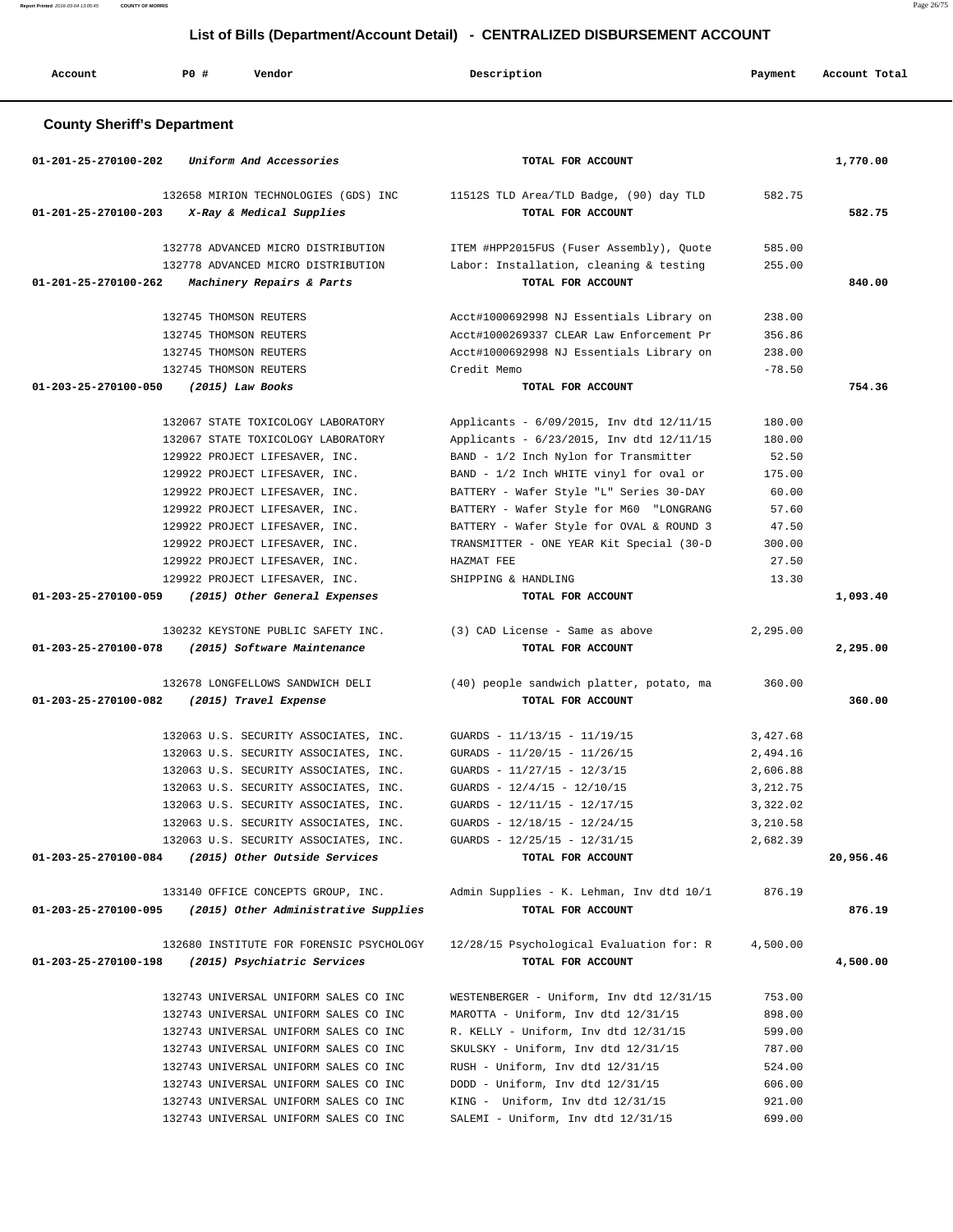**Report Printed** 2016-03-04 13:05:45 **COUNTY OF MORRIS** Page 26/75

# **List of Bills (Department/Account Detail) - CENTRALIZED DISBURSEMENT ACCOUNT**

| Account                            | PO# | Vendor                                                                                                     | Description                                                                                                                   | Payment                   | Account Total |
|------------------------------------|-----|------------------------------------------------------------------------------------------------------------|-------------------------------------------------------------------------------------------------------------------------------|---------------------------|---------------|
| <b>County Sheriff's Department</b> |     |                                                                                                            |                                                                                                                               |                           |               |
| $01 - 201 - 25 - 270100 - 202$     |     | Uniform And Accessories                                                                                    | TOTAL FOR ACCOUNT                                                                                                             |                           | 1,770.00      |
| 01-201-25-270100-203               |     | 132658 MIRION TECHNOLOGIES (GDS) INC<br>X-Ray & Medical Supplies                                           | 11512S TLD Area/TLD Badge, (90) day TLD<br>TOTAL FOR ACCOUNT                                                                  | 582.75                    | 582.75        |
|                                    |     | 132778 ADVANCED MICRO DISTRIBUTION                                                                         | ITEM #HPP2015FUS (Fuser Assembly), Quote                                                                                      | 585.00                    |               |
|                                    |     | 132778 ADVANCED MICRO DISTRIBUTION                                                                         | Labor: Installation, cleaning & testing                                                                                       | 255.00                    |               |
| 01-201-25-270100-262               |     | Machinery Repairs & Parts                                                                                  | TOTAL FOR ACCOUNT                                                                                                             |                           | 840.00        |
|                                    |     | 132745 THOMSON REUTERS                                                                                     | Acct#1000692998 NJ Essentials Library on                                                                                      | 238.00                    |               |
|                                    |     | 132745 THOMSON REUTERS                                                                                     | Acct#1000269337 CLEAR Law Enforcement Pr                                                                                      | 356.86                    |               |
|                                    |     | 132745 THOMSON REUTERS                                                                                     | Acct#1000692998 NJ Essentials Library on                                                                                      | 238.00                    |               |
|                                    |     | 132745 THOMSON REUTERS                                                                                     | Credit Memo                                                                                                                   | $-78.50$                  |               |
| 01-203-25-270100-050               |     | $(2015)$ Law Books                                                                                         | TOTAL FOR ACCOUNT                                                                                                             |                           | 754.36        |
|                                    |     | 132067 STATE TOXICOLOGY LABORATORY<br>132067 STATE TOXICOLOGY LABORATORY<br>129922 PROJECT LIFESAVER, INC. | Applicants - 6/09/2015, Inv dtd 12/11/15<br>Applicants - 6/23/2015, Inv dtd 12/11/15<br>BAND - 1/2 Inch Nylon for Transmitter | 180.00<br>180.00<br>52.50 |               |
|                                    |     | 129922 PROJECT LIFESAVER, INC.                                                                             | BAND - 1/2 Inch WHITE vinyl for oval or                                                                                       | 175.00                    |               |
|                                    |     | 129922 PROJECT LIFESAVER, INC.                                                                             | BATTERY - Wafer Style "L" Series 30-DAY                                                                                       | 60.00                     |               |
|                                    |     | 129922 PROJECT LIFESAVER, INC.                                                                             | BATTERY - Wafer Style for M60 "LONGRANG                                                                                       | 57.60                     |               |
|                                    |     | 129922 PROJECT LIFESAVER, INC.                                                                             | BATTERY - Wafer Style for OVAL & ROUND 3                                                                                      | 47.50                     |               |
|                                    |     | 129922 PROJECT LIFESAVER, INC.                                                                             | TRANSMITTER - ONE YEAR Kit Special (30-D                                                                                      | 300.00                    |               |
|                                    |     | 129922 PROJECT LIFESAVER, INC.                                                                             | HAZMAT FEE                                                                                                                    | 27.50                     |               |
|                                    |     | 129922 PROJECT LIFESAVER, INC.                                                                             | SHIPPING & HANDLING                                                                                                           | 13.30                     |               |
| 01-203-25-270100-059               |     | (2015) Other General Expenses                                                                              | TOTAL FOR ACCOUNT                                                                                                             |                           | 1,093.40      |
|                                    |     | 130232 KEYSTONE PUBLIC SAFETY INC.                                                                         | (3) CAD License - Same as above                                                                                               | 2,295.00                  |               |
| 01-203-25-270100-078               |     | (2015) Software Maintenance                                                                                | TOTAL FOR ACCOUNT                                                                                                             |                           | 2,295.00      |
|                                    |     |                                                                                                            |                                                                                                                               |                           |               |
|                                    |     | 132678 LONGFELLOWS SANDWICH DELI                                                                           | (40) people sandwich platter, potato, ma                                                                                      | 360.00                    |               |
| 01-203-25-270100-082               |     | (2015) Travel Expense                                                                                      | TOTAL FOR ACCOUNT                                                                                                             |                           | 360.00        |
|                                    |     | 132063 U.S. SECURITY ASSOCIATES, INC.                                                                      | GUARDS - 11/13/15 - 11/19/15                                                                                                  | 3,427.68                  |               |
|                                    |     | 132063 U.S. SECURITY ASSOCIATES, INC.                                                                      | GURADS - 11/20/15 - 11/26/15                                                                                                  | 2,494.16                  |               |
|                                    |     | 132063 U.S. SECURITY ASSOCIATES, INC.                                                                      | GUARDS - $11/27/15$ - $12/3/15$                                                                                               | 2,606.88                  |               |
|                                    |     | 132063 U.S. SECURITY ASSOCIATES, INC.                                                                      | GUARDS - $12/4/15$ - $12/10/15$                                                                                               | 3,212.75                  |               |
|                                    |     | 132063 U.S. SECURITY ASSOCIATES, INC.                                                                      | GUARDS - $12/11/15$ - $12/17/15$                                                                                              | 3,322.02                  |               |
|                                    |     | 132063 U.S. SECURITY ASSOCIATES, INC.                                                                      | GUARDS - $12/18/15$ - $12/24/15$                                                                                              | 3,210.58                  |               |
|                                    |     | 132063 U.S. SECURITY ASSOCIATES, INC.                                                                      | GUARDS - $12/25/15$ - $12/31/15$                                                                                              | 2,682.39                  |               |
|                                    |     | 01-203-25-270100-084 (2015) Other Outside Services                                                         | TOTAL FOR ACCOUNT                                                                                                             |                           | 20,956.46     |
|                                    |     | 133140 OFFICE CONCEPTS GROUP, INC.                                                                         | Admin Supplies - K. Lehman, Inv dtd 10/1                                                                                      | 876.19                    |               |
|                                    |     | 01-203-25-270100-095 (2015) Other Administrative Supplies                                                  | TOTAL FOR ACCOUNT                                                                                                             |                           | 876.19        |
|                                    |     |                                                                                                            |                                                                                                                               |                           |               |
| 01-203-25-270100-198               |     | 132680 INSTITUTE FOR FORENSIC PSYCHOLOGY<br>(2015) Psychiatric Services                                    | 12/28/15 Psychological Evaluation for: R<br>TOTAL FOR ACCOUNT                                                                 | 4,500.00                  | 4,500.00      |
|                                    |     | 132743 UNIVERSAL UNIFORM SALES CO INC                                                                      | WESTENBERGER - Uniform, Inv dtd 12/31/15                                                                                      | 753.00                    |               |
|                                    |     | 132743 UNIVERSAL UNIFORM SALES CO INC                                                                      | MAROTTA - Uniform, Inv dtd 12/31/15                                                                                           | 898.00                    |               |
|                                    |     | 132743 UNIVERSAL UNIFORM SALES CO INC                                                                      | R. KELLY - Uniform, Inv dtd 12/31/15                                                                                          | 599.00                    |               |
|                                    |     | 132743 UNIVERSAL UNIFORM SALES CO INC                                                                      | SKULSKY - Uniform, Inv dtd 12/31/15                                                                                           | 787.00                    |               |
|                                    |     | 132743 UNIVERSAL UNIFORM SALES CO INC                                                                      | RUSH - Uniform, Inv dtd 12/31/15                                                                                              | 524.00                    |               |
|                                    |     | 132743 UNIVERSAL UNIFORM SALES CO INC                                                                      | DODD - Uniform, Inv dtd 12/31/15                                                                                              | 606.00                    |               |
|                                    |     | 132743 UNIVERSAL UNIFORM SALES CO INC                                                                      | KING - Uniform, Inv dtd 12/31/15                                                                                              | 921.00                    |               |
|                                    |     | 132743 UNIVERSAL UNIFORM SALES CO INC                                                                      | SALEMI - Uniform, Inv dtd 12/31/15                                                                                            | 699.00                    |               |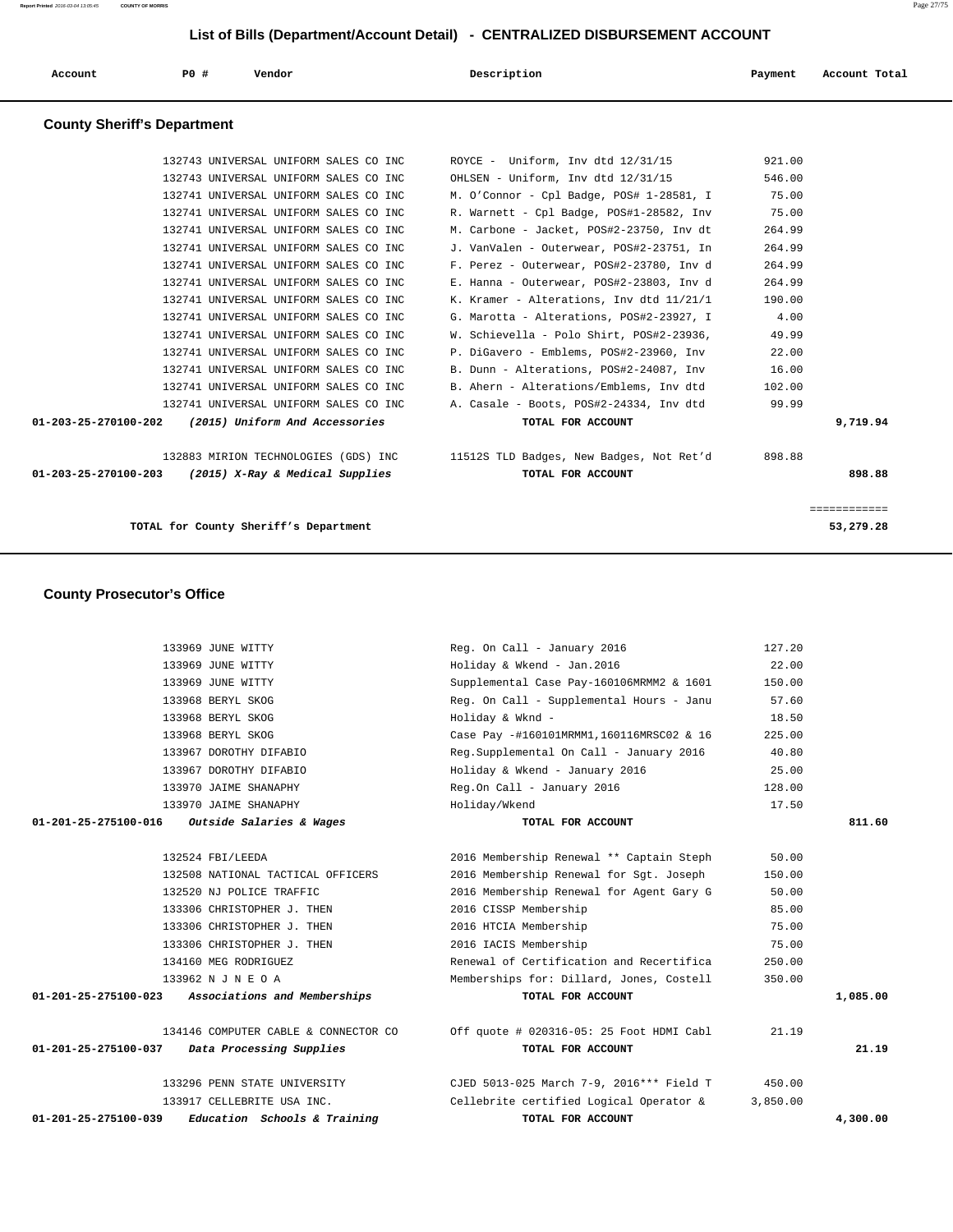| Account              | PO#                                | Vendor                                               | Description                              | Payment | Account Total |
|----------------------|------------------------------------|------------------------------------------------------|------------------------------------------|---------|---------------|
|                      | <b>County Sheriff's Department</b> |                                                      |                                          |         |               |
|                      |                                    | 132743 UNIVERSAL UNIFORM SALES CO INC                | $ROYCE$ - Uniform, Inv dtd $12/31/15$    | 921.00  |               |
|                      |                                    | 132743 UNIVERSAL UNIFORM SALES CO INC                | OHLSEN - Uniform, Inv dtd 12/31/15       | 546.00  |               |
|                      |                                    | 132741 UNIVERSAL UNIFORM SALES CO INC                | M. O'Connor - Cpl Badge, POS# 1-28581, I | 75.00   |               |
|                      |                                    | 132741 UNIVERSAL UNIFORM SALES CO INC                | R. Warnett - Cpl Badge, POS#1-28582, Inv | 75.00   |               |
|                      |                                    | 132741 UNIVERSAL UNIFORM SALES CO INC                | M. Carbone - Jacket, POS#2-23750, Inv dt | 264.99  |               |
|                      |                                    | 132741 UNIVERSAL UNIFORM SALES CO INC                | J. VanValen - Outerwear, POS#2-23751, In | 264.99  |               |
|                      |                                    | 132741 UNIVERSAL UNIFORM SALES CO INC                | F. Perez - Outerwear, POS#2-23780, Inv d | 264.99  |               |
|                      |                                    | 132741 UNIVERSAL UNIFORM SALES CO INC                | E. Hanna - Outerwear, POS#2-23803, Inv d | 264.99  |               |
|                      |                                    | 132741 UNIVERSAL UNIFORM SALES CO INC                | K. Kramer - Alterations, Inv dtd 11/21/1 | 190.00  |               |
|                      |                                    | 132741 UNIVERSAL UNIFORM SALES CO INC                | G. Marotta - Alterations, POS#2-23927, I | 4.00    |               |
|                      |                                    | 132741 UNIVERSAL UNIFORM SALES CO INC                | W. Schievella - Polo Shirt, POS#2-23936, | 49.99   |               |
|                      |                                    | 132741 UNIVERSAL UNIFORM SALES CO INC                | P. DiGavero - Emblems, POS#2-23960, Inv  | 22.00   |               |
|                      |                                    | 132741 UNIVERSAL UNIFORM SALES CO INC                | B. Dunn - Alterations, POS#2-24087, Inv  | 16.00   |               |
|                      |                                    | 132741 UNIVERSAL UNIFORM SALES CO INC                | B. Ahern - Alterations/Emblems, Inv dtd  | 102.00  |               |
|                      |                                    | 132741 UNIVERSAL UNIFORM SALES CO INC                | A. Casale - Boots, POS#2-24334, Inv dtd  | 99.99   |               |
| 01-203-25-270100-202 |                                    | (2015) Uniform And Accessories                       | TOTAL FOR ACCOUNT                        |         | 9,719.94      |
|                      |                                    | 132883 MIRION TECHNOLOGIES (GDS) INC                 | 11512S TLD Badges, New Badges, Not Ret'd | 898.88  |               |
|                      |                                    | 01-203-25-270100-203 (2015) X-Ray & Medical Supplies | TOTAL FOR ACCOUNT                        |         | 898.88        |
|                      |                                    |                                                      |                                          |         | ============  |
|                      |                                    | TOTAL for County Sheriff's Department                |                                          |         | 53,279.28     |

## **County Prosecutor's Office**

| 01-201-25-275100-039 | Education Schools & Training         |               | TOTAL FOR ACCOUNT                        |          | 4,300.00 |
|----------------------|--------------------------------------|---------------|------------------------------------------|----------|----------|
|                      | 133917 CELLEBRITE USA INC.           |               | Cellebrite certified Logical Operator &  | 3,850.00 |          |
|                      | 133296 PENN STATE UNIVERSITY         |               | CJED 5013-025 March 7-9, 2016*** Field T | 450.00   |          |
| 01-201-25-275100-037 | Data Processing Supplies             |               | TOTAL FOR ACCOUNT                        |          | 21.19    |
|                      |                                      |               |                                          |          |          |
|                      | 134146 COMPUTER CABLE & CONNECTOR CO |               | Off quote # 020316-05: 25 Foot HDMI Cabl | 21.19    |          |
| 01-201-25-275100-023 | Associations and Memberships         |               | TOTAL FOR ACCOUNT                        |          | 1,085.00 |
|                      | 133962 N J N E O A                   |               | Memberships for: Dillard, Jones, Costell | 350.00   |          |
|                      | 134160 MEG RODRIGUEZ                 |               | Renewal of Certification and Recertifica | 250.00   |          |
|                      | 133306 CHRISTOPHER J. THEN           |               | 2016 IACIS Membership                    | 75.00    |          |
|                      | 133306 CHRISTOPHER J. THEN           |               | 2016 HTCIA Membership                    | 75.00    |          |
|                      | 133306 CHRISTOPHER J. THEN           |               | 2016 CISSP Membership                    | 85.00    |          |
|                      | 132520 NJ POLICE TRAFFIC             |               | 2016 Membership Renewal for Agent Gary G | 50.00    |          |
|                      | 132508 NATIONAL TACTICAL OFFICERS    |               | 2016 Membership Renewal for Sqt. Joseph  | 150.00   |          |
|                      | 132524 FBI/LEEDA                     |               | 2016 Membership Renewal ** Captain Steph | 50.00    |          |
| 01-201-25-275100-016 | Outside Salaries & Wages             |               | TOTAL FOR ACCOUNT                        |          | 811.60   |
|                      | 133970 JAIME SHANAPHY                | Holiday/Wkend |                                          | 17.50    |          |
|                      | 133970 JAIME SHANAPHY                |               | Reg.On Call - January 2016               | 128.00   |          |
|                      | 133967 DOROTHY DIFABIO               |               | Holiday & Wkend - January 2016           | 25.00    |          |
|                      | 133967 DOROTHY DIFABIO               |               | Reg.Supplemental On Call - January 2016  | 40.80    |          |
|                      | 133968 BERYL SKOG                    |               | Case Pay -#160101MRMM1,160116MRSC02 & 16 | 225.00   |          |
|                      | 133968 BERYL SKOG                    |               | Holiday & Wknd -                         | 18.50    |          |
|                      | 133968 BERYL SKOG                    |               | Req. On Call - Supplemental Hours - Janu | 57.60    |          |
|                      | 133969 JUNE WITTY                    |               | Supplemental Case Pay-160106MRMM2 & 1601 | 150.00   |          |
|                      | 133969 JUNE WITTY                    |               | Holiday & Wkend - Jan. 2016              | 22.00    |          |
|                      | 133969 JUNE WITTY                    |               | Req. On Call - January 2016              | 127.20   |          |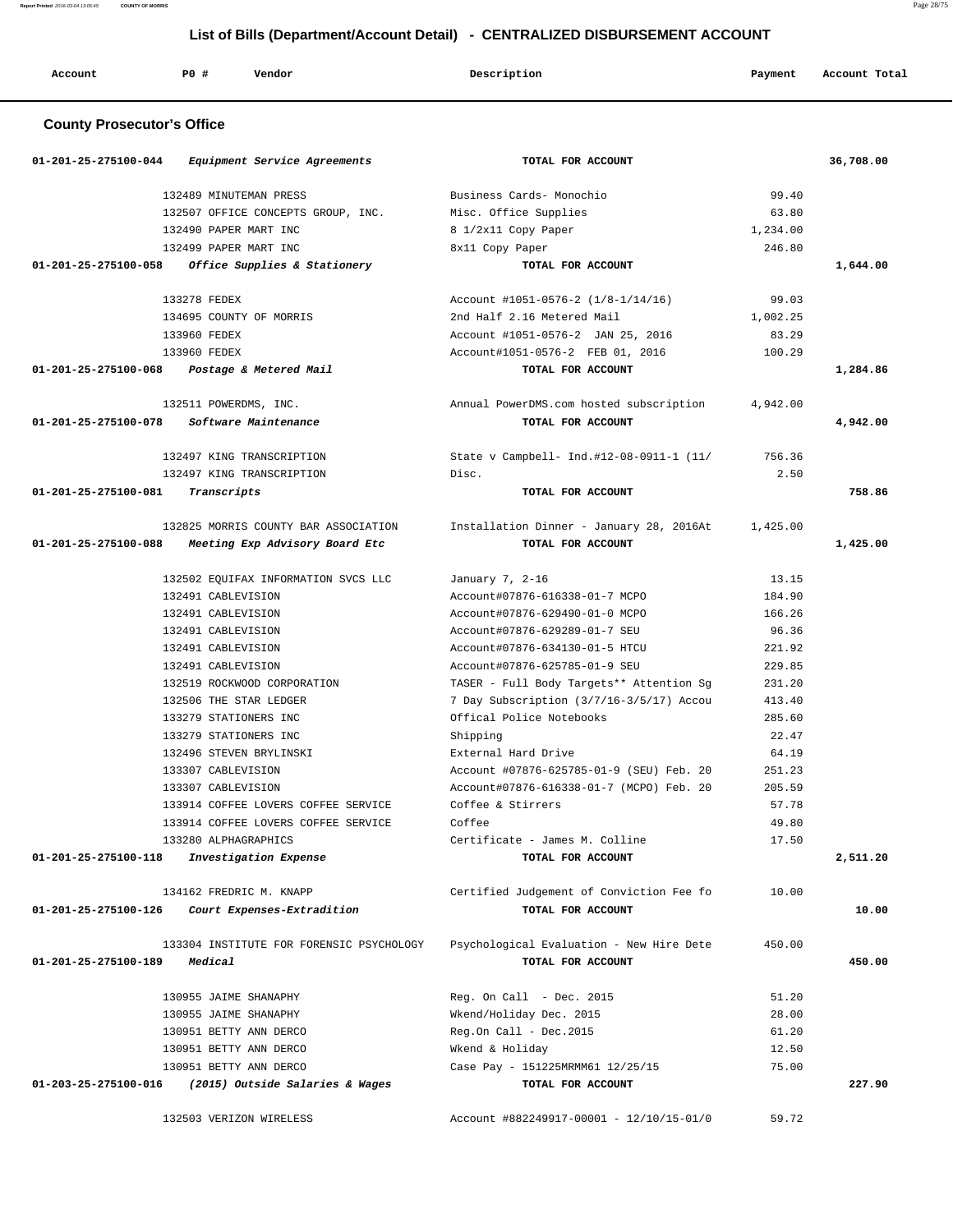| Account<br>. | <b>PO #</b> | Vendor<br>. | Description | Payment<br>$\sim$ $\sim$ | Account Total<br>.<br>. |
|--------------|-------------|-------------|-------------|--------------------------|-------------------------|
|--------------|-------------|-------------|-------------|--------------------------|-------------------------|

# **County Prosecutor's Office**

|                      | 01-201-25-275100-044 Equipment Service Agreements | TOTAL FOR ACCOUNT                                |          | 36,708.00 |
|----------------------|---------------------------------------------------|--------------------------------------------------|----------|-----------|
|                      | 132489 MINUTEMAN PRESS                            | Business Cards- Monochio                         | 99.40    |           |
|                      | 132507 OFFICE CONCEPTS GROUP, INC.                | Misc. Office Supplies                            | 63.80    |           |
|                      | 132490 PAPER MART INC                             | 8 1/2x11 Copy Paper                              | 1,234.00 |           |
|                      | 132499 PAPER MART INC                             | 8x11 Copy Paper                                  | 246.80   |           |
|                      | 01-201-25-275100-058 Office Supplies & Stationery | TOTAL FOR ACCOUNT                                |          | 1,644.00  |
|                      | 133278 FEDEX                                      | Account #1051-0576-2 (1/8-1/14/16)               | 99.03    |           |
|                      | 134695 COUNTY OF MORRIS                           | 2nd Half 2.16 Metered Mail                       | 1,002.25 |           |
|                      | 133960 FEDEX                                      | Account #1051-0576-2 JAN 25, 2016                | 83.29    |           |
|                      | 133960 FEDEX                                      | Account#1051-0576-2 FEB 01, 2016                 | 100.29   |           |
|                      | 01-201-25-275100-068 Postage & Metered Mail       | TOTAL FOR ACCOUNT                                |          | 1,284.86  |
|                      | 132511 POWERDMS, INC.                             | Annual PowerDMS.com hosted subscription          | 4,942.00 |           |
| 01-201-25-275100-078 | Software Maintenance                              | TOTAL FOR ACCOUNT                                |          | 4,942.00  |
|                      | 132497 KING TRANSCRIPTION                         | State v Campbell- Ind.#12-08-0911-1 (11/ 756.36) |          |           |
|                      | 132497 KING TRANSCRIPTION                         | Disc.                                            | 2.50     |           |
| 01-201-25-275100-081 | Transcripts                                       | TOTAL FOR ACCOUNT                                |          | 758.86    |
|                      | 132825 MORRIS COUNTY BAR ASSOCIATION              | Installation Dinner - January 28, 2016At         | 1,425.00 |           |
| 01-201-25-275100-088 | Meeting Exp Advisory Board Etc                    | TOTAL FOR ACCOUNT                                |          | 1,425.00  |
|                      | 132502 EQUIFAX INFORMATION SVCS LLC               | January 7, 2-16                                  | 13.15    |           |
|                      | 132491 CABLEVISION                                | Account#07876-616338-01-7 MCPO                   | 184.90   |           |
|                      | 132491 CABLEVISION                                | Account#07876-629490-01-0 MCPO                   | 166.26   |           |
|                      | 132491 CABLEVISION                                | Account#07876-629289-01-7 SEU                    | 96.36    |           |
|                      | 132491 CABLEVISION                                | Account#07876-634130-01-5 HTCU                   | 221.92   |           |
|                      | 132491 CABLEVISION                                | Account#07876-625785-01-9 SEU                    | 229.85   |           |
|                      | 132519 ROCKWOOD CORPORATION                       | TASER - Full Body Targets** Attention Sg         | 231.20   |           |
|                      | 132506 THE STAR LEDGER                            | 7 Day Subscription (3/7/16-3/5/17) Accou         | 413.40   |           |
|                      | 133279 STATIONERS INC                             | Offical Police Notebooks                         | 285.60   |           |
|                      | 133279 STATIONERS INC                             | Shipping                                         | 22.47    |           |
|                      | 132496 STEVEN BRYLINSKI                           | External Hard Drive                              | 64.19    |           |
|                      | 133307 CABLEVISION                                | Account #07876-625785-01-9 (SEU) Feb. 20         | 251.23   |           |
|                      | 133307 CABLEVISION                                | Account#07876-616338-01-7 (MCPO) Feb. 20         | 205.59   |           |
|                      | 133914 COFFEE LOVERS COFFEE SERVICE               | Coffee & Stirrers                                | 57.78    |           |
|                      | 133914 COFFEE LOVERS COFFEE SERVICE               | Coffee                                           | 49.80    |           |
|                      | 133280 ALPHAGRAPHICS                              | Certificate - James M. Colline                   | 17.50    |           |
| 01-201-25-275100-118 | Investigation Expense                             | TOTAL FOR ACCOUNT                                |          | 2,511.20  |
|                      | 134162 FREDRIC M. KNAPP                           | Certified Judgement of Conviction Fee fo         | 10.00    |           |
| 01-201-25-275100-126 | Court Expenses-Extradition                        | TOTAL FOR ACCOUNT                                |          | 10.00     |
|                      | 133304 INSTITUTE FOR FORENSIC PSYCHOLOGY          | Psychological Evaluation - New Hire Dete         | 450.00   |           |
| 01-201-25-275100-189 | Medical                                           | TOTAL FOR ACCOUNT                                |          | 450.00    |
|                      | 130955 JAIME SHANAPHY                             | Reg. On Call - Dec. 2015                         | 51.20    |           |
|                      | 130955 JAIME SHANAPHY                             | Wkend/Holiday Dec. 2015                          | 28.00    |           |
|                      | 130951 BETTY ANN DERCO                            | Reg.On Call - Dec.2015                           | 61.20    |           |
|                      | 130951 BETTY ANN DERCO                            | Wkend & Holiday                                  | 12.50    |           |
|                      | 130951 BETTY ANN DERCO                            | Case Pay - 151225MRMM61 12/25/15                 | 75.00    |           |
| 01-203-25-275100-016 | (2015) Outside Salaries & Wages                   | TOTAL FOR ACCOUNT                                |          | 227.90    |
|                      | 132503 VERIZON WIRELESS                           | Account #882249917-00001 - 12/10/15-01/0         | 59.72    |           |

**Report Printed** 2016-03-04 13:05:45 **COUNTY OF MORRIS** Page 28/75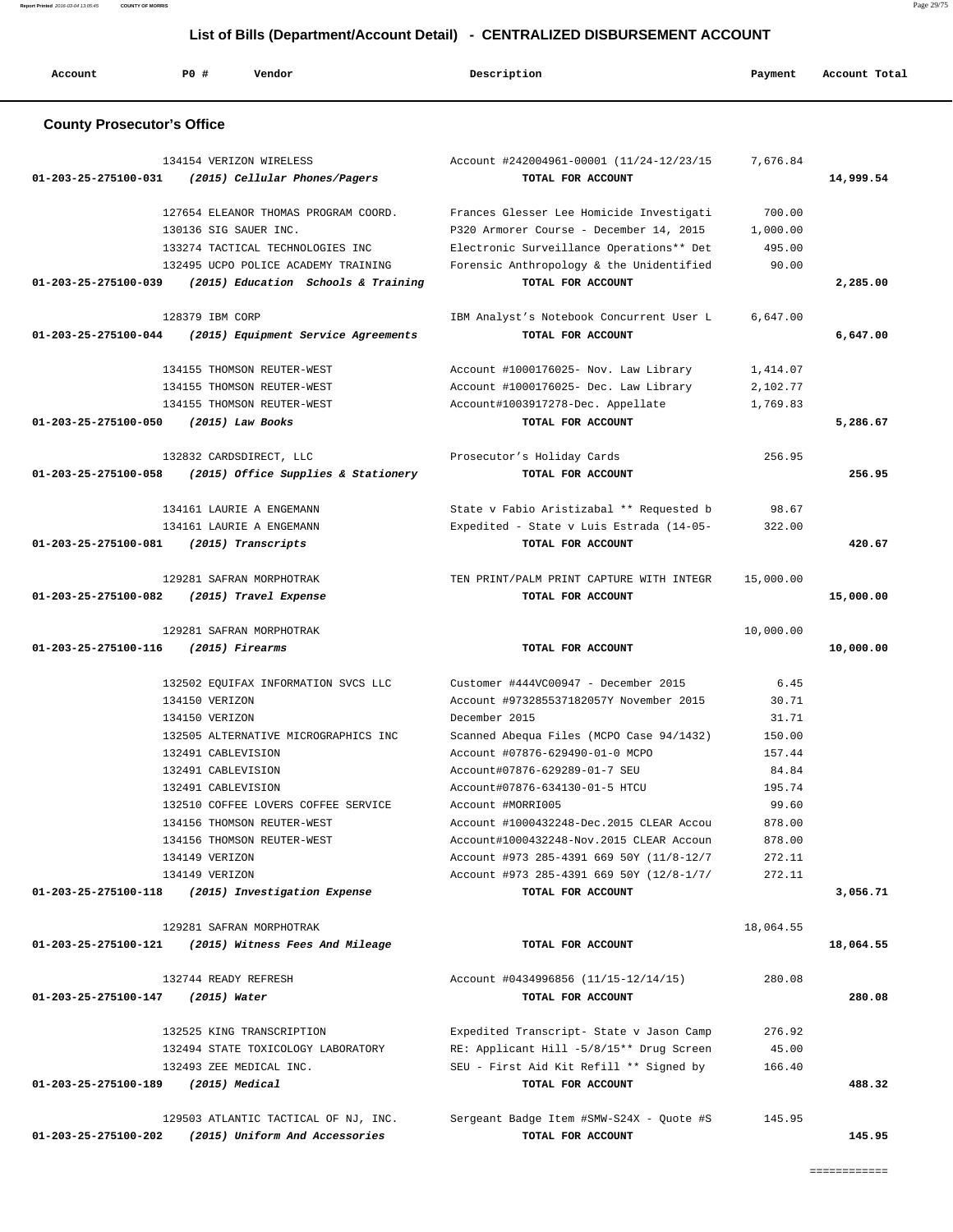| Account                             | PO#                | Vendor                                                                                      | Description                                                                 | Payment          | Account Total |
|-------------------------------------|--------------------|---------------------------------------------------------------------------------------------|-----------------------------------------------------------------------------|------------------|---------------|
| <b>County Prosecutor's Office</b>   |                    |                                                                                             |                                                                             |                  |               |
| 01-203-25-275100-031                |                    | 134154 VERIZON WIRELESS<br>(2015) Cellular Phones/Pagers                                    | Account #242004961-00001 (11/24-12/23/15<br>TOTAL FOR ACCOUNT               | 7,676.84         | 14,999.54     |
|                                     |                    | 127654 ELEANOR THOMAS PROGRAM COORD.                                                        | Frances Glesser Lee Homicide Investigati                                    | 700.00           |               |
|                                     |                    | 130136 SIG SAUER INC.                                                                       | P320 Armorer Course - December 14, 2015                                     | 1,000.00         |               |
|                                     |                    | 133274 TACTICAL TECHNOLOGIES INC<br>132495 UCPO POLICE ACADEMY TRAINING                     | Electronic Surveillance Operations** Det                                    | 495.00<br>90.00  |               |
|                                     |                    | 01-203-25-275100-039 (2015) Education Schools & Training                                    | Forensic Anthropology & the Unidentified<br>TOTAL FOR ACCOUNT               |                  | 2,285.00      |
|                                     | 128379 IBM CORP    |                                                                                             | IBM Analyst's Notebook Concurrent User L                                    | 6,647.00         |               |
| 01-203-25-275100-044                |                    | (2015) Equipment Service Agreements                                                         | TOTAL FOR ACCOUNT                                                           |                  | 6,647.00      |
|                                     |                    | 134155 THOMSON REUTER-WEST                                                                  | Account #1000176025- Nov. Law Library                                       | 1,414.07         |               |
|                                     |                    | 134155 THOMSON REUTER-WEST                                                                  | Account #1000176025- Dec. Law Library                                       | 2,102.77         |               |
| 01-203-25-275100-050                |                    | 134155 THOMSON REUTER-WEST<br>$(2015)$ Law Books                                            | Account#1003917278-Dec. Appellate<br>TOTAL FOR ACCOUNT                      | 1,769.83         | 5,286.67      |
|                                     |                    | 132832 CARDSDIRECT, LLC                                                                     | Prosecutor's Holiday Cards                                                  | 256.95           |               |
| 01-203-25-275100-058                |                    | (2015) Office Supplies & Stationery                                                         | TOTAL FOR ACCOUNT                                                           |                  | 256.95        |
|                                     |                    | 134161 LAURIE A ENGEMANN                                                                    | State v Fabio Aristizabal ** Requested b                                    | 98.67            |               |
|                                     |                    | 134161 LAURIE A ENGEMANN                                                                    | Expedited - State v Luis Estrada (14-05-                                    | 322.00           |               |
| 01-203-25-275100-081                |                    | (2015) Transcripts                                                                          | TOTAL FOR ACCOUNT                                                           |                  | 420.67        |
|                                     |                    | 129281 SAFRAN MORPHOTRAK                                                                    | TEN PRINT/PALM PRINT CAPTURE WITH INTEGR                                    | 15,000.00        |               |
| 01-203-25-275100-082                |                    | (2015) Travel Expense                                                                       | TOTAL FOR ACCOUNT                                                           |                  | 15,000.00     |
|                                     |                    | 129281 SAFRAN MORPHOTRAK                                                                    |                                                                             | 10,000.00        |               |
| 01-203-25-275100-116                |                    | (2015) Firearms                                                                             | TOTAL FOR ACCOUNT                                                           |                  | 10,000.00     |
|                                     |                    | 132502 EQUIFAX INFORMATION SVCS LLC                                                         | Customer #444VC00947 - December 2015                                        | 6.45             |               |
|                                     | 134150 VERIZON     |                                                                                             | Account #973285537182057Y November 2015                                     | 30.71            |               |
|                                     | 134150 VERIZON     |                                                                                             | December 2015                                                               | 31.71            |               |
|                                     | 132491 CABLEVISION | 132505 ALTERNATIVE MICROGRAPHICS INC                                                        | Scanned Abequa Files (MCPO Case 94/1432)<br>Account #07876-629490-01-0 MCPO | 150.00<br>157.44 |               |
|                                     | 132491 CABLEVISION |                                                                                             | Account#07876-629289-01-7 SEU                                               | 84.84            |               |
|                                     | 132491 CABLEVISION |                                                                                             | Account#07876-634130-01-5 HTCU                                              | 195.74           |               |
|                                     |                    | 132510 COFFEE LOVERS COFFEE SERVICE                                                         | Account #MORRI005                                                           | 99.60            |               |
|                                     |                    | 134156 THOMSON REUTER-WEST                                                                  | Account #1000432248-Dec.2015 CLEAR Accou                                    | 878.00           |               |
|                                     |                    | 134156 THOMSON REUTER-WEST                                                                  | Account#1000432248-Nov.2015 CLEAR Accoun                                    | 878.00           |               |
|                                     | 134149 VERIZON     |                                                                                             | Account #973 285-4391 669 50Y (11/8-12/7                                    | 272.11           |               |
|                                     | 134149 VERIZON     | 01-203-25-275100-118 (2015) Investigation Expense                                           | Account #973 285-4391 669 50Y (12/8-1/7/<br>TOTAL FOR ACCOUNT               | 272.11           | 3,056.71      |
|                                     |                    | 129281 SAFRAN MORPHOTRAK                                                                    |                                                                             |                  |               |
|                                     |                    | 01-203-25-275100-121 (2015) Witness Fees And Mileage                                        | TOTAL FOR ACCOUNT                                                           | 18,064.55        | 18,064.55     |
|                                     |                    |                                                                                             |                                                                             |                  |               |
|                                     |                    | 132744 READY REFRESH                                                                        | Account #0434996856 (11/15-12/14/15)                                        | 280.08           |               |
| 01-203-25-275100-147 (2015) Water   |                    |                                                                                             | TOTAL FOR ACCOUNT                                                           |                  | 280.08        |
|                                     |                    | 132525 KING TRANSCRIPTION                                                                   | Expedited Transcript- State v Jason Camp                                    | 276.92           |               |
|                                     |                    | 132494 STATE TOXICOLOGY LABORATORY                                                          | RE: Applicant Hill -5/8/15** Drug Screen                                    | 45.00            |               |
|                                     |                    | 132493 ZEE MEDICAL INC.                                                                     | SEU - First Aid Kit Refill ** Signed by                                     | 166.40           |               |
| 01-203-25-275100-189 (2015) Medical |                    |                                                                                             | TOTAL FOR ACCOUNT                                                           |                  | 488.32        |
|                                     |                    | 129503 ATLANTIC TACTICAL OF NJ, INC.<br>01-203-25-275100-202 (2015) Uniform And Accessories | Sergeant Badge Item #SMW-S24X - Quote #S<br>TOTAL FOR ACCOUNT               | 145.95           | 145.95        |
|                                     |                    |                                                                                             |                                                                             |                  |               |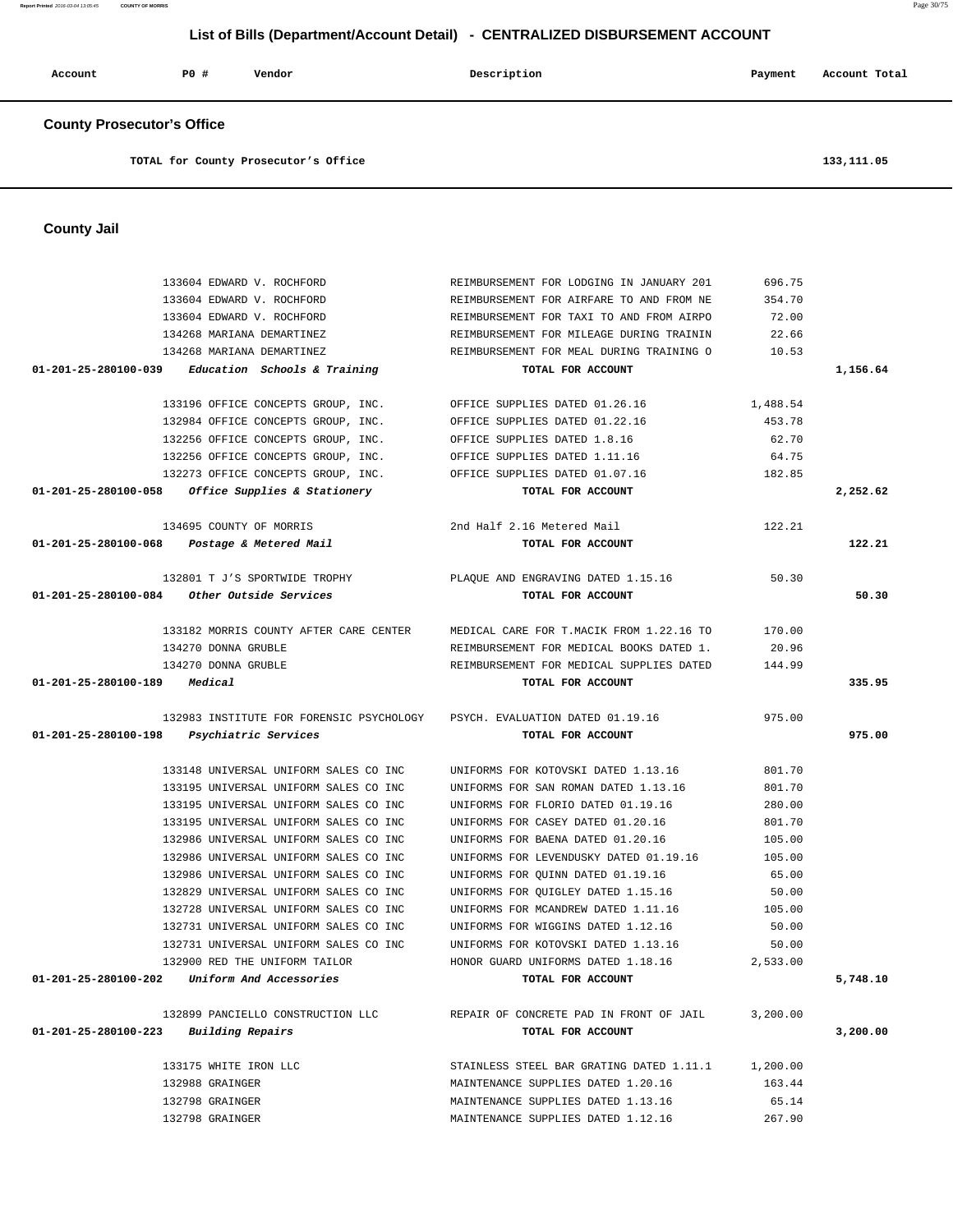| <b>County Prosecutor's Office</b>                                                    |                                                                             |                  |             |
|--------------------------------------------------------------------------------------|-----------------------------------------------------------------------------|------------------|-------------|
| TOTAL for County Prosecutor's Office                                                 |                                                                             |                  | 133, 111.05 |
| <b>County Jail</b>                                                                   |                                                                             |                  |             |
|                                                                                      |                                                                             |                  |             |
| 133604 EDWARD V. ROCHFORD                                                            | REIMBURSEMENT FOR LODGING IN JANUARY 201                                    | 696.75           |             |
| 133604 EDWARD V. ROCHFORD                                                            | REIMBURSEMENT FOR AIRFARE TO AND FROM NE                                    | 354.70           |             |
| 133604 EDWARD V. ROCHFORD                                                            | REIMBURSEMENT FOR TAXI TO AND FROM AIRPO                                    | 72.00            |             |
| 134268 MARIANA DEMARTINEZ                                                            | REIMBURSEMENT FOR MILEAGE DURING TRAININ                                    | 22.66            |             |
| 134268 MARIANA DEMARTINEZ                                                            | REIMBURSEMENT FOR MEAL DURING TRAINING O                                    | 10.53            |             |
| 01-201-25-280100-039<br>Education Schools & Training                                 | TOTAL FOR ACCOUNT                                                           |                  | 1,156.64    |
| 133196 OFFICE CONCEPTS GROUP, INC.                                                   | OFFICE SUPPLIES DATED 01.26.16                                              | 1,488.54         |             |
| 132984 OFFICE CONCEPTS GROUP, INC.                                                   | OFFICE SUPPLIES DATED 01.22.16                                              | 453.78           |             |
| 132256 OFFICE CONCEPTS GROUP, INC.                                                   | OFFICE SUPPLIES DATED 1.8.16                                                | 62.70            |             |
| 132256 OFFICE CONCEPTS GROUP, INC.                                                   | OFFICE SUPPLIES DATED 1.11.16                                               | 64.75            |             |
| 132273 OFFICE CONCEPTS GROUP, INC.                                                   | OFFICE SUPPLIES DATED 01.07.16                                              | 182.85           |             |
| $01 - 201 - 25 - 280100 - 058$<br>Office Supplies & Stationery                       | TOTAL FOR ACCOUNT                                                           |                  | 2,252.62    |
| 134695 COUNTY OF MORRIS                                                              | 2nd Half 2.16 Metered Mail                                                  | 122.21           |             |
| 01-201-25-280100-068<br>Postage & Metered Mail                                       | TOTAL FOR ACCOUNT                                                           |                  | 122.21      |
| 132801 T J'S SPORTWIDE TROPHY                                                        | PLAQUE AND ENGRAVING DATED 1.15.16                                          | 50.30            |             |
| 01-201-25-280100-084<br>Other Outside Services                                       | TOTAL FOR ACCOUNT                                                           |                  | 50.30       |
|                                                                                      |                                                                             |                  |             |
| 133182 MORRIS COUNTY AFTER CARE CENTER                                               | MEDICAL CARE FOR T.MACIK FROM 1.22.16 TO                                    | 170.00           |             |
| 134270 DONNA GRUBLE                                                                  | REIMBURSEMENT FOR MEDICAL BOOKS DATED 1.                                    | 20.96            |             |
| 134270 DONNA GRUBLE                                                                  | REIMBURSEMENT FOR MEDICAL SUPPLIES DATED                                    | 144.99           |             |
| 01-201-25-280100-189<br>Medical                                                      | TOTAL FOR ACCOUNT                                                           |                  | 335.95      |
| 132983 INSTITUTE FOR FORENSIC PSYCHOLOGY                                             | PSYCH. EVALUATION DATED 01.19.16                                            | 975.00           |             |
| 01-201-25-280100-198<br>Psychiatric Services                                         | TOTAL FOR ACCOUNT                                                           |                  | 975.00      |
|                                                                                      |                                                                             |                  |             |
| 133148 UNIVERSAL UNIFORM SALES CO INC                                                | UNIFORMS FOR KOTOVSKI DATED 1.13.16                                         | 801.70           |             |
| 133195 UNIVERSAL UNIFORM SALES CO INC                                                | UNIFORMS FOR SAN ROMAN DATED 1.13.16                                        | 801.70           |             |
| 133195 UNIVERSAL UNIFORM SALES CO INC                                                | UNIFORMS FOR FLORIO DATED 01.19.16                                          | 280.00           |             |
| 133195 UNIVERSAL UNIFORM SALES CO INC                                                | UNIFORMS FOR CASEY DATED 01.20.16                                           | 801.70           |             |
| 132986 UNIVERSAL UNIFORM SALES CO INC                                                | UNIFORMS FOR BAENA DATED 01.20.16<br>UNIFORMS FOR LEVENDUSKY DATED 01.19.16 | 105.00<br>105.00 |             |
| 132986 UNIVERSAL UNIFORM SALES CO INC<br>132986 UNIVERSAL UNIFORM SALES CO INC       | UNIFORMS FOR QUINN DATED 01.19.16                                           | 65.00            |             |
| 132829 UNIVERSAL UNIFORM SALES CO INC                                                | UNIFORMS FOR QUIGLEY DATED 1.15.16                                          | 50.00            |             |
| 132728 UNIVERSAL UNIFORM SALES CO INC                                                | UNIFORMS FOR MCANDREW DATED 1.11.16                                         | 105.00           |             |
| 132731 UNIVERSAL UNIFORM SALES CO INC                                                | UNIFORMS FOR WIGGINS DATED 1.12.16                                          | 50.00            |             |
| 132731 UNIVERSAL UNIFORM SALES CO INC                                                | UNIFORMS FOR KOTOVSKI DATED 1.13.16                                         | 50.00            |             |
| 132900 RED THE UNIFORM TAILOR                                                        | HONOR GUARD UNIFORMS DATED 1.18.16                                          | 2,533.00         |             |
| $01-201-25-280100-202$ Uniform And Accessories                                       | TOTAL FOR ACCOUNT                                                           |                  | 5,748.10    |
|                                                                                      |                                                                             |                  |             |
| 132899 PANCIELLO CONSTRUCTION LLC<br>$01 - 201 - 25 - 280100 - 223$ Building Repairs | REPAIR OF CONCRETE PAD IN FRONT OF JAIL<br>TOTAL FOR ACCOUNT                | 3,200.00         | 3,200.00    |
|                                                                                      |                                                                             |                  |             |
| 133175 WHITE IRON LLC                                                                | STAINLESS STEEL BAR GRATING DATED 1.11.1 1,200.00                           |                  |             |
| 132988 GRAINGER                                                                      | MAINTENANCE SUPPLIES DATED 1.20.16                                          | 163.44           |             |
| 132798 GRAINGER                                                                      | MAINTENANCE SUPPLIES DATED 1.13.16                                          | 65.14            |             |
| 132798 GRAINGER                                                                      | MAINTENANCE SUPPLIES DATED 1.12.16                                          | 267.90           |             |

 **Account P0 # Vendor Description Payment Account Total**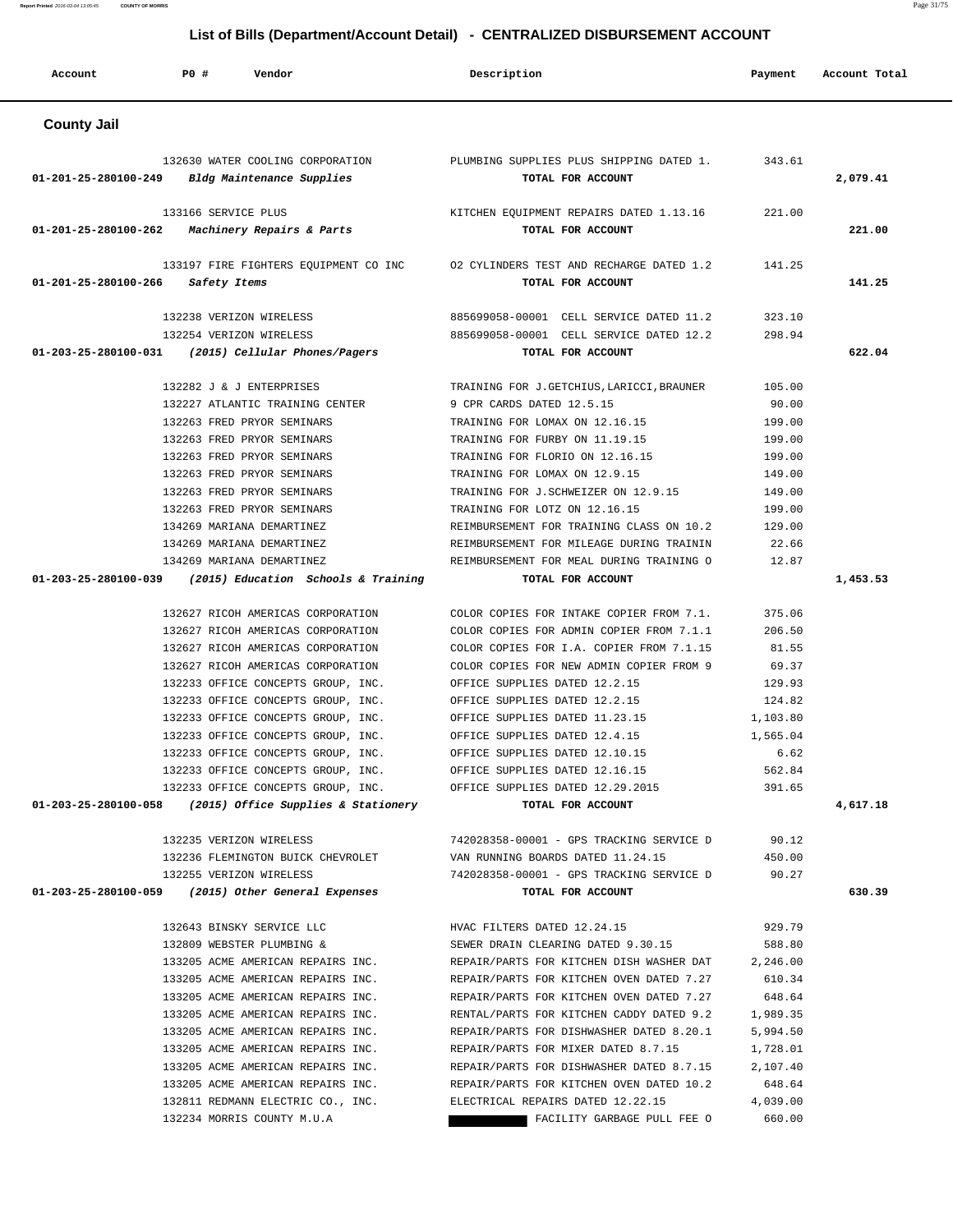**Account P0 # Vendor Description Payment Account Total County Jail**  132630 WATER COOLING CORPORATION PLUMBING SUPPLIES PLUS SHIPPING DATED 1. 343.61  **01-201-25-280100-249 Bldg Maintenance Supplies TOTAL FOR ACCOUNT 2,079.41** 133166 SERVICE PLUS KITCHEN EQUIPMENT REPAIRS DATED 1.13.16 221.00  **01-201-25-280100-262 Machinery Repairs & Parts TOTAL FOR ACCOUNT 221.00** 133197 FIRE FIGHTERS EQUIPMENT CO INC O2 CYLINDERS TEST AND RECHARGE DATED 1.2 141.25  **01-201-25-280100-266 Safety Items TOTAL FOR ACCOUNT 141.25** 132238 VERIZON WIRELESS 885699058-00001 CELL SERVICE DATED 11.2 323.10 132254 VERIZON WIRELESS 885699058-00001 CELL SERVICE DATED 12.2 298.94  **01-203-25-280100-031 (2015) Cellular Phones/Pagers TOTAL FOR ACCOUNT 622.04** 132282 J & J ENTERPRISES TRAINING FOR J.GETCHIUS,LARICCI,BRAUNER 105.00 132227 ATLANTIC TRAINING CENTER 9 CPR CARDS DATED 12.5.15 90.00 132263 FRED PRYOR SEMINARS TRAINING FOR LOMAX ON 12.16.15 199.00 132263 FRED PRYOR SEMINARS TRAINING FOR FURBY ON 11.19.15 199.00 132263 FRED PRYOR SEMINARS TRAINING FOR FLORIO ON 12.16.15 199.00 132263 FRED PRYOR SEMINARS TRAINING FOR LOMAX ON 12.9.15 149.00 132263 FRED PRYOR SEMINARS TRAINING FOR J.SCHWEIZER ON 12.9.15 149.00 132263 FRED PRYOR SEMINARS TRAINING FOR LOTZ ON 12.16.15 199.00 134269 MARIANA DEMARTINEZ REIMBURSEMENT FOR TRAINING CLASS ON 10.2 129.00 134269 MARIANA DEMARTINEZ REIMBURSEMENT FOR MILEAGE DURING TRAININ 22.66 134269 MARIANA DEMARTINEZ REIMBURSEMENT FOR MEAL DURING TRAINING O 12.87  **01-203-25-280100-039 (2015) Education Schools & Training TOTAL FOR ACCOUNT 1,453.53** 132627 RICOH AMERICAS CORPORATION COLOR COPIES FOR INTAKE COPIER FROM 7.1. 375.06 132627 RICOH AMERICAS CORPORATION COLOR COPIES FOR ADMIN COPIER FROM 7.1.1 206.50 132627 RICOH AMERICAS CORPORATION COLOR COPIES FOR I.A. COPIER FROM 7.1.15 81.55 132627 RICOH AMERICAS CORPORATION COLOR COPIES FOR NEW ADMIN COPIER FROM 9 69.37 132233 OFFICE CONCEPTS GROUP, INC. OFFICE SUPPLIES DATED 12.2.15 129.93 132233 OFFICE CONCEPTS GROUP, INC. OFFICE SUPPLIES DATED 12.2.15 124.82 132233 OFFICE CONCEPTS GROUP, INC. OFFICE SUPPLIES DATED 11.23.15 1,103.80 132233 OFFICE CONCEPTS GROUP, INC. OFFICE SUPPLIES DATED 12.4.15 1,565.04 132233 OFFICE CONCEPTS GROUP, INC. OFFICE SUPPLIES DATED 12.10.15 6.62 132233 OFFICE CONCEPTS GROUP, INC. OFFICE SUPPLIES DATED 12.16.15 562.84 132233 OFFICE CONCEPTS GROUP, INC. OFFICE SUPPLIES DATED 12.29.2015 391.65

 **01-203-25-280100-058 (2015) Office Supplies & Stationery TOTAL FOR ACCOUNT 4,617.18**

 132235 VERIZON WIRELESS 742028358-00001 - GPS TRACKING SERVICE D 90.12 132236 FLEMINGTON BUICK CHEVROLET VAN RUNNING BOARDS DATED 11.24.15 450.00 132255 VERIZON WIRELESS 742028358-00001 - GPS TRACKING SERVICE D 90.27  **01-203-25-280100-059 (2015) Other General Expenses TOTAL FOR ACCOUNT 630.39**

> 132643 BINSKY SERVICE LLC HVAC FILTERS DATED 12.24.15 929.79 132809 WEBSTER PLUMBING & SEWER DRAIN CLEARING DATED 9.30.15 588.80 133205 ACME AMERICAN REPAIRS INC. REPAIR/PARTS FOR KITCHEN DISH WASHER DAT 2,246.00 133205 ACME AMERICAN REPAIRS INC. REPAIR/PARTS FOR KITCHEN OVEN DATED 7.27 610.34 133205 ACME AMERICAN REPAIRS INC. REPAIR/PARTS FOR KITCHEN OVEN DATED 7.27 648.64 133205 ACME AMERICAN REPAIRS INC. RENTAL/PARTS FOR KITCHEN CADDY DATED 9.2 1,989.35 133205 ACME AMERICAN REPAIRS INC. REPAIR/PARTS FOR DISHWASHER DATED 8.20.1 5,994.50 133205 ACME AMERICAN REPAIRS INC. REPAIR/PARTS FOR MIXER DATED 8.7.15 1.728.01 133205 ACME AMERICAN REPAIRS INC. REPAIR/PARTS FOR DISHWASHER DATED 8.7.15 2,107.40 133205 ACME AMERICAN REPAIRS INC. REPAIR/PARTS FOR KITCHEN OVEN DATED 10.2 648.64 132811 REDMANN ELECTRIC CO., INC. ELECTRICAL REPAIRS DATED 12.22.15 4,039.00 132234 MORRIS COUNTY M.U.A **FACILITY GARBAGE PULL FEE O** 660.00

## **List of Bills (Department/Account Detail) - CENTRALIZED DISBURSEMENT ACCOUNT**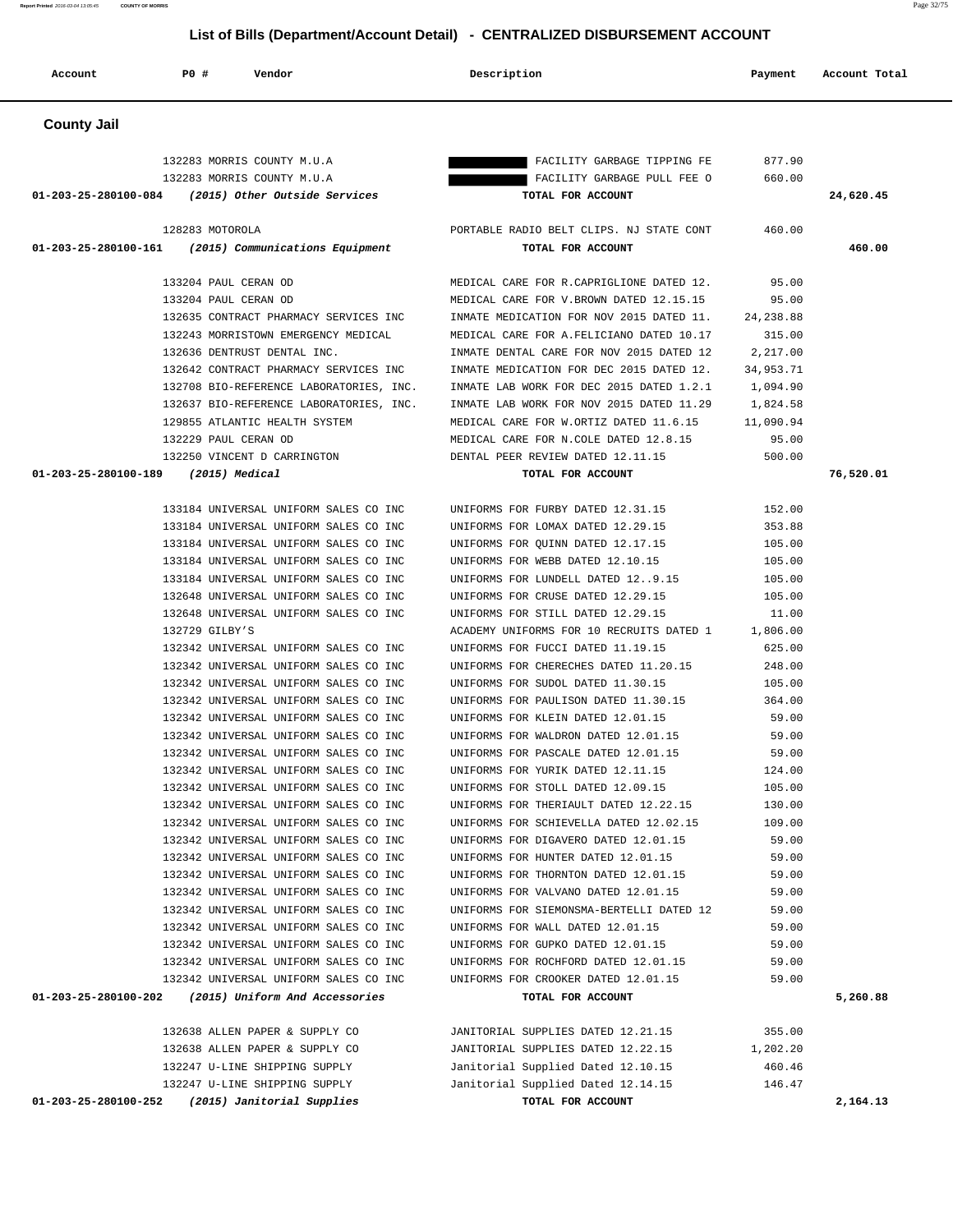| Account              | <b>PO #</b><br>Vendor                                                          | Description                                                                     | Payment          | Account Total |
|----------------------|--------------------------------------------------------------------------------|---------------------------------------------------------------------------------|------------------|---------------|
| <b>County Jail</b>   |                                                                                |                                                                                 |                  |               |
|                      | 132283 MORRIS COUNTY M.U.A                                                     | FACILITY GARBAGE TIPPING FE                                                     | 877.90           |               |
|                      | 132283 MORRIS COUNTY M.U.A                                                     | FACILITY GARBAGE PULL FEE O                                                     | 660.00           |               |
|                      | 01-203-25-280100-084 (2015) Other Outside Services                             | TOTAL FOR ACCOUNT                                                               |                  | 24,620.45     |
|                      | 128283 MOTOROLA                                                                | PORTABLE RADIO BELT CLIPS. NJ STATE CONT                                        | 460.00           |               |
| 01-203-25-280100-161 | (2015) Communications Equipment                                                | TOTAL FOR ACCOUNT                                                               |                  | 460.00        |
|                      | 133204 PAUL CERAN OD                                                           | MEDICAL CARE FOR R. CAPRIGLIONE DATED 12.                                       | 95.00            |               |
|                      | 133204 PAUL CERAN OD                                                           | MEDICAL CARE FOR V.BROWN DATED 12.15.15                                         | 95.00            |               |
|                      | 132635 CONTRACT PHARMACY SERVICES INC                                          | INMATE MEDICATION FOR NOV 2015 DATED 11.                                        | 24, 238.88       |               |
|                      | 132243 MORRISTOWN EMERGENCY MEDICAL                                            | MEDICAL CARE FOR A. FELICIANO DATED 10.17                                       | 315.00           |               |
|                      | 132636 DENTRUST DENTAL INC.                                                    | INMATE DENTAL CARE FOR NOV 2015 DATED 12                                        | 2,217.00         |               |
|                      | 132642 CONTRACT PHARMACY SERVICES INC                                          | INMATE MEDICATION FOR DEC 2015 DATED 12.                                        | 34,953.71        |               |
|                      | 132708 BIO-REFERENCE LABORATORIES, INC.                                        | INMATE LAB WORK FOR DEC 2015 DATED 1.2.1                                        | 1,094.90         |               |
|                      | 132637 BIO-REFERENCE LABORATORIES, INC.                                        | INMATE LAB WORK FOR NOV 2015 DATED 11.29                                        | 1,824.58         |               |
|                      | 129855 ATLANTIC HEALTH SYSTEM                                                  | MEDICAL CARE FOR W.ORTIZ DATED 11.6.15                                          | 11,090.94        |               |
|                      | 132229 PAUL CERAN OD                                                           | MEDICAL CARE FOR N.COLE DATED 12.8.15                                           | 95.00            |               |
| 01-203-25-280100-189 | 132250 VINCENT D CARRINGTON<br>$(2015)$ Medical                                | DENTAL PEER REVIEW DATED 12.11.15<br>TOTAL FOR ACCOUNT                          | 500.00           | 76,520.01     |
|                      | 133184 UNIVERSAL UNIFORM SALES CO INC                                          | UNIFORMS FOR FURBY DATED 12.31.15                                               |                  |               |
|                      | 133184 UNIVERSAL UNIFORM SALES CO INC                                          | UNIFORMS FOR LOMAX DATED 12.29.15                                               | 152.00<br>353.88 |               |
|                      | 133184 UNIVERSAL UNIFORM SALES CO INC                                          | UNIFORMS FOR QUINN DATED 12.17.15                                               | 105.00           |               |
|                      | 133184 UNIVERSAL UNIFORM SALES CO INC                                          | UNIFORMS FOR WEBB DATED 12.10.15                                                | 105.00           |               |
|                      | 133184 UNIVERSAL UNIFORM SALES CO INC                                          | UNIFORMS FOR LUNDELL DATED 129.15                                               | 105.00           |               |
|                      | 132648 UNIVERSAL UNIFORM SALES CO INC                                          | UNIFORMS FOR CRUSE DATED 12.29.15                                               | 105.00           |               |
|                      | 132648 UNIVERSAL UNIFORM SALES CO INC                                          | UNIFORMS FOR STILL DATED 12.29.15                                               | 11.00            |               |
|                      | 132729 GILBY'S                                                                 | ACADEMY UNIFORMS FOR 10 RECRUITS DATED 1                                        | 1,806.00         |               |
|                      | 132342 UNIVERSAL UNIFORM SALES CO INC                                          | UNIFORMS FOR FUCCI DATED 11.19.15                                               | 625.00           |               |
|                      | 132342 UNIVERSAL UNIFORM SALES CO INC                                          | UNIFORMS FOR CHERECHES DATED 11.20.15                                           | 248.00           |               |
|                      | 132342 UNIVERSAL UNIFORM SALES CO INC                                          | UNIFORMS FOR SUDOL DATED 11.30.15                                               | 105.00           |               |
|                      | 132342 UNIVERSAL UNIFORM SALES CO INC                                          | UNIFORMS FOR PAULISON DATED 11.30.15                                            | 364.00           |               |
|                      | 132342 UNIVERSAL UNIFORM SALES CO INC                                          | UNIFORMS FOR KLEIN DATED 12.01.15                                               | 59.00            |               |
|                      | 132342 UNIVERSAL UNIFORM SALES CO INC                                          | UNIFORMS FOR WALDRON DATED 12.01.15                                             | 59.00            |               |
|                      | 132342 UNIVERSAL UNIFORM SALES CO INC                                          | UNIFORMS FOR PASCALE DATED 12.01.15                                             | 59.00            |               |
|                      | 132342 UNIVERSAL UNIFORM SALES CO INC                                          | UNIFORMS FOR YURIK DATED 12.11.15                                               | 124.00           |               |
|                      | 132342 UNIVERSAL UNIFORM SALES CO INC                                          | UNIFORMS FOR STOLL DATED 12.09.15                                               | 105.00           |               |
|                      | 132342 UNIVERSAL UNIFORM SALES CO INC<br>132342 UNIVERSAL UNIFORM SALES CO INC | UNIFORMS FOR THERIAULT DATED 12.22.15<br>UNIFORMS FOR SCHIEVELLA DATED 12.02.15 | 130.00           |               |
|                      | 132342 UNIVERSAL UNIFORM SALES CO INC                                          | UNIFORMS FOR DIGAVERO DATED 12.01.15                                            | 109.00<br>59.00  |               |
|                      | 132342 UNIVERSAL UNIFORM SALES CO INC                                          | UNIFORMS FOR HUNTER DATED 12.01.15                                              | 59.00            |               |
|                      | 132342 UNIVERSAL UNIFORM SALES CO INC                                          | UNIFORMS FOR THORNTON DATED 12.01.15                                            | 59.00            |               |
|                      | 132342 UNIVERSAL UNIFORM SALES CO INC                                          | UNIFORMS FOR VALVANO DATED 12.01.15                                             | 59.00            |               |
|                      | 132342 UNIVERSAL UNIFORM SALES CO INC                                          | UNIFORMS FOR SIEMONSMA-BERTELLI DATED 12                                        | 59.00            |               |
|                      | 132342 UNIVERSAL UNIFORM SALES CO INC                                          | UNIFORMS FOR WALL DATED 12.01.15                                                | 59.00            |               |
|                      | 132342 UNIVERSAL UNIFORM SALES CO INC                                          | UNIFORMS FOR GUPKO DATED 12.01.15                                               | 59.00            |               |
|                      | 132342 UNIVERSAL UNIFORM SALES CO INC                                          | UNIFORMS FOR ROCHFORD DATED 12.01.15                                            | 59.00            |               |
|                      | 132342 UNIVERSAL UNIFORM SALES CO INC                                          | UNIFORMS FOR CROOKER DATED 12.01.15                                             | 59.00            |               |
| 01-203-25-280100-202 | (2015) Uniform And Accessories                                                 | TOTAL FOR ACCOUNT                                                               |                  | 5,260.88      |
|                      | 132638 ALLEN PAPER & SUPPLY CO                                                 | JANITORIAL SUPPLIES DATED 12.21.15                                              | 355.00           |               |
|                      | 132638 ALLEN PAPER & SUPPLY CO                                                 | JANITORIAL SUPPLIES DATED 12.22.15                                              | 1,202.20         |               |
|                      | 132247 U-LINE SHIPPING SUPPLY                                                  | Janitorial Supplied Dated 12.10.15                                              | 460.46           |               |
|                      | 132247 U-LINE SHIPPING SUPPLY                                                  | Janitorial Supplied Dated 12.14.15                                              | 146.47           |               |
| 01-203-25-280100-252 | (2015) Janitorial Supplies                                                     | TOTAL FOR ACCOUNT                                                               |                  | 2,164.13      |

**Report Printed** 2016-03-04 13:05:45 **COUNTY OF MORRIS** Page 32/75

## **List of Bills (Department/Account Detail) - CENTRALIZED DISBURSEMENT ACCOUNT**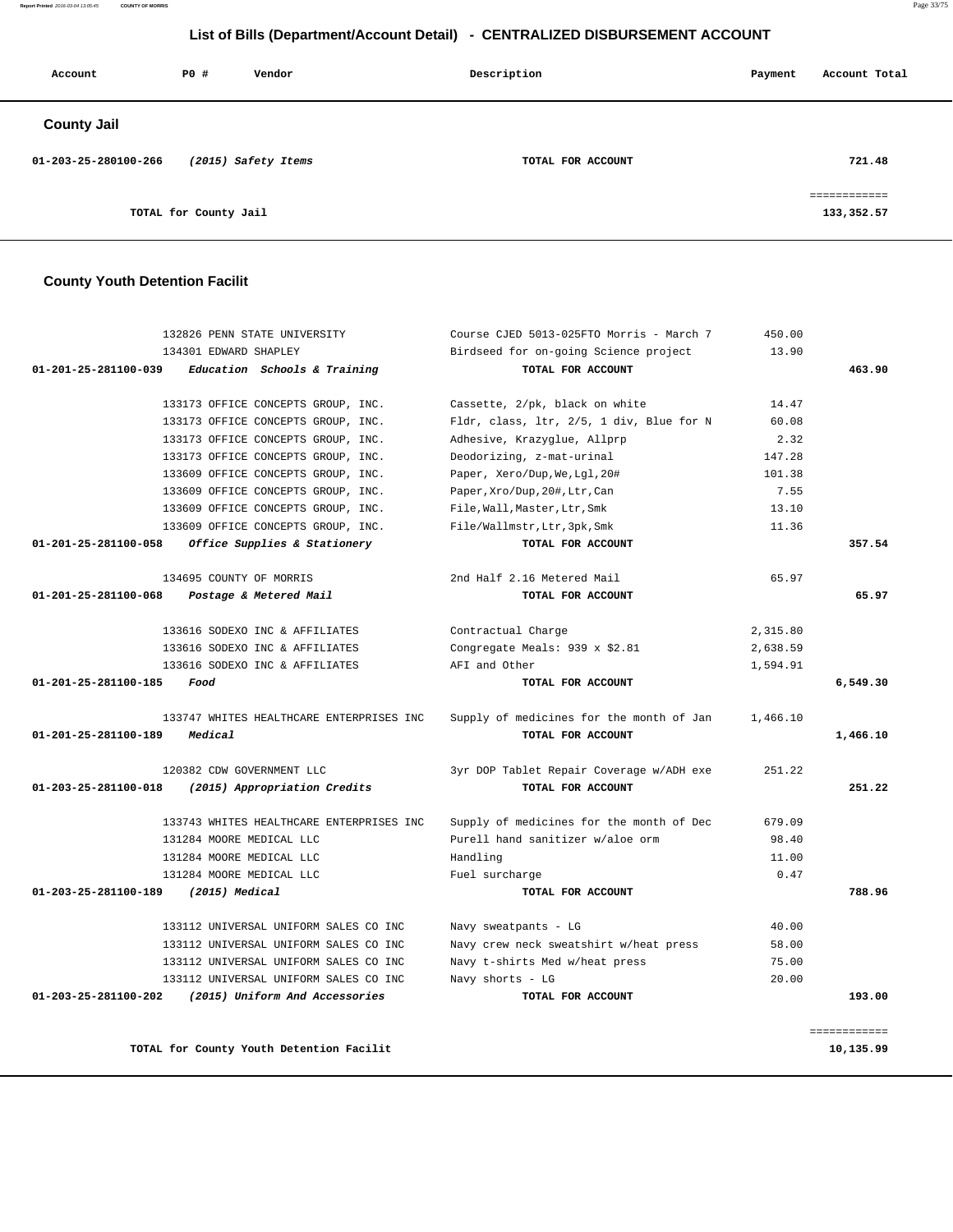**Report Printed** 2016-03-04 13:05:45 **COUNTY OF MORRIS** Page 33/75

## **List of Bills (Department/Account Detail) - CENTRALIZED DISBURSEMENT ACCOUNT**

| Account              | P0 #                  | Vendor              | Description       |  | Account Total              |
|----------------------|-----------------------|---------------------|-------------------|--|----------------------------|
| <b>County Jail</b>   |                       |                     |                   |  |                            |
| 01-203-25-280100-266 |                       | (2015) Safety Items | TOTAL FOR ACCOUNT |  | 721.48                     |
|                      | TOTAL for County Jail |                     |                   |  | ============<br>133,352.57 |

# **County Youth Detention Facilit**

| 132826 PENN STATE UNIVERSITY                           | Course CJED 5013-025FTO Morris - March 7 | 450.00   |              |
|--------------------------------------------------------|------------------------------------------|----------|--------------|
| 134301 EDWARD SHAPLEY                                  | Birdseed for on-going Science project    | 13.90    |              |
| 01-201-25-281100-039<br>Education Schools & Training   | TOTAL FOR ACCOUNT                        |          | 463.90       |
| 133173 OFFICE CONCEPTS GROUP, INC.                     | Cassette, 2/pk, black on white           | 14.47    |              |
| 133173 OFFICE CONCEPTS GROUP, INC.                     | Fldr, class, ltr, 2/5, 1 div, Blue for N | 60.08    |              |
| 133173 OFFICE CONCEPTS GROUP, INC.                     | Adhesive, Krazyglue, Allprp              | 2.32     |              |
| 133173 OFFICE CONCEPTS GROUP, INC.                     | Deodorizing, z-mat-urinal                | 147.28   |              |
| 133609 OFFICE CONCEPTS GROUP, INC.                     | Paper, Xero/Dup, We, Lql, 20#            | 101.38   |              |
| 133609 OFFICE CONCEPTS GROUP, INC.                     | Paper, Xro/Dup, 20#, Ltr, Can            | 7.55     |              |
| 133609 OFFICE CONCEPTS GROUP, INC.                     | File, Wall, Master, Ltr, Smk             | 13.10    |              |
| 133609 OFFICE CONCEPTS GROUP, INC.                     | File/Wallmstr, Ltr, 3pk, Smk             | 11.36    |              |
| 01-201-25-281100-058<br>Office Supplies & Stationery   | TOTAL FOR ACCOUNT                        |          | 357.54       |
| 134695 COUNTY OF MORRIS                                | 2nd Half 2.16 Metered Mail               | 65.97    |              |
| 01-201-25-281100-068<br>Postage & Metered Mail         | TOTAL FOR ACCOUNT                        |          | 65.97        |
| 133616 SODEXO INC & AFFILIATES                         | Contractual Charge                       | 2,315.80 |              |
| 133616 SODEXO INC & AFFILIATES                         | Congregate Meals: 939 x \$2.81           | 2,638.59 |              |
| 133616 SODEXO INC & AFFILIATES                         | AFI and Other                            | 1,594.91 |              |
| 01-201-25-281100-185<br>Food                           | TOTAL FOR ACCOUNT                        |          | 6,549.30     |
| 133747 WHITES HEALTHCARE ENTERPRISES INC               | Supply of medicines for the month of Jan | 1,466.10 |              |
| 01-201-25-281100-189<br>Medical                        | TOTAL FOR ACCOUNT                        |          | 1,466.10     |
| 120382 CDW GOVERNMENT LLC                              | 3yr DOP Tablet Repair Coverage w/ADH exe | 251.22   |              |
| 01-203-25-281100-018<br>(2015) Appropriation Credits   | TOTAL FOR ACCOUNT                        |          | 251.22       |
| 133743 WHITES HEALTHCARE ENTERPRISES INC               | Supply of medicines for the month of Dec | 679.09   |              |
| 131284 MOORE MEDICAL LLC                               | Purell hand sanitizer w/aloe orm         | 98.40    |              |
| 131284 MOORE MEDICAL LLC                               | Handling                                 | 11.00    |              |
| 131284 MOORE MEDICAL LLC                               | Fuel surcharge                           | 0.47     |              |
| 01-203-25-281100-189<br>$(2015)$ Medical               | TOTAL FOR ACCOUNT                        |          | 788.96       |
| 133112 UNIVERSAL UNIFORM SALES CO INC                  | Navy sweatpants - LG                     | 40.00    |              |
| 133112 UNIVERSAL UNIFORM SALES CO INC                  | Navy crew neck sweatshirt w/heat press   | 58.00    |              |
| 133112 UNIVERSAL UNIFORM SALES CO INC                  | Navy t-shirts Med w/heat press           | 75.00    |              |
| 133112 UNIVERSAL UNIFORM SALES CO INC                  | Navy shorts - LG                         | 20.00    |              |
| 01-203-25-281100-202<br>(2015) Uniform And Accessories | TOTAL FOR ACCOUNT                        |          | 193.00       |
|                                                        |                                          |          | ============ |
| TOTAL for County Youth Detention Facilit               |                                          |          | 10,135.99    |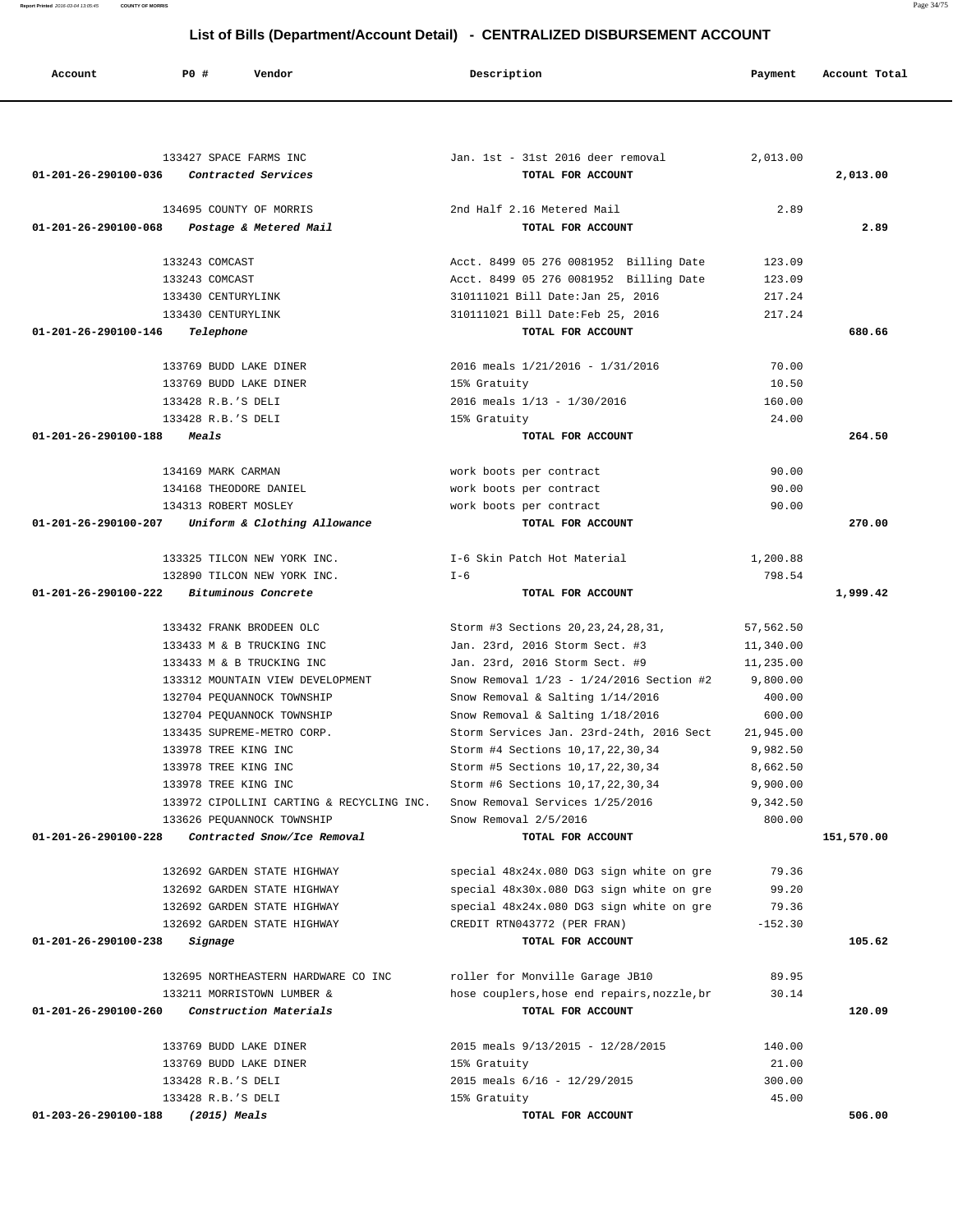| Account                           | P0 #                 | Vendor                                    | Description                                 | Payment   | Account Total |
|-----------------------------------|----------------------|-------------------------------------------|---------------------------------------------|-----------|---------------|
|                                   |                      |                                           |                                             |           |               |
|                                   |                      | 133427 SPACE FARMS INC                    | Jan. 1st - 31st 2016 deer removal           | 2,013.00  |               |
| 01-201-26-290100-036              |                      | Contracted Services                       | TOTAL FOR ACCOUNT                           |           | 2,013.00      |
|                                   |                      | 134695 COUNTY OF MORRIS                   | 2nd Half 2.16 Metered Mail                  | 2.89      |               |
| 01-201-26-290100-068              |                      | Postage & Metered Mail                    | TOTAL FOR ACCOUNT                           |           | 2.89          |
|                                   | 133243 COMCAST       |                                           | Acct. 8499 05 276 0081952 Billing Date      | 123.09    |               |
|                                   | 133243 COMCAST       |                                           | Acct. 8499 05 276 0081952 Billing Date      | 123.09    |               |
|                                   | 133430 CENTURYLINK   |                                           | 310111021 Bill Date: Jan 25, 2016           | 217.24    |               |
|                                   | 133430 CENTURYLINK   |                                           | 310111021 Bill Date: Feb 25, 2016           | 217.24    |               |
| 01-201-26-290100-146              | Telephone            |                                           | TOTAL FOR ACCOUNT                           |           | 680.66        |
|                                   |                      | 133769 BUDD LAKE DINER                    | 2016 meals 1/21/2016 - 1/31/2016            | 70.00     |               |
|                                   |                      | 133769 BUDD LAKE DINER                    | 15% Gratuity                                | 10.50     |               |
|                                   | 133428 R.B.'S DELI   |                                           | 2016 meals $1/13 - 1/30/2016$               | 160.00    |               |
|                                   | 133428 R.B.'S DELI   |                                           | 15% Gratuity                                | 24.00     |               |
| 01-201-26-290100-188              | <i><b>Meals</b></i>  |                                           | TOTAL FOR ACCOUNT                           |           | 264.50        |
|                                   | 134169 MARK CARMAN   |                                           | work boots per contract                     | 90.00     |               |
|                                   |                      | 134168 THEODORE DANIEL                    | work boots per contract                     | 90.00     |               |
|                                   | 134313 ROBERT MOSLEY |                                           | work boots per contract                     | 90.00     |               |
| 01-201-26-290100-207              |                      | Uniform & Clothing Allowance              | TOTAL FOR ACCOUNT                           |           | 270.00        |
|                                   |                      | 133325 TILCON NEW YORK INC.               | I-6 Skin Patch Hot Material                 | 1,200.88  |               |
|                                   |                      | 132890 TILCON NEW YORK INC.               | $I - 6$                                     | 798.54    |               |
| 01-201-26-290100-222              |                      | Bituminous Concrete                       | TOTAL FOR ACCOUNT                           |           | 1,999.42      |
|                                   |                      | 133432 FRANK BRODEEN OLC                  | Storm #3 Sections 20, 23, 24, 28, 31,       | 57,562.50 |               |
|                                   |                      | 133433 M & B TRUCKING INC                 | Jan. 23rd, 2016 Storm Sect. #3              | 11,340.00 |               |
|                                   |                      | 133433 M & B TRUCKING INC                 | Jan. 23rd, 2016 Storm Sect. #9              | 11,235.00 |               |
|                                   |                      | 133312 MOUNTAIN VIEW DEVELOPMENT          | Snow Removal $1/23 - 1/24/2016$ Section #2  | 9,800.00  |               |
|                                   |                      | 132704 PEOUANNOCK TOWNSHIP                | Snow Removal & Salting 1/14/2016            | 400.00    |               |
|                                   |                      | 132704 PEQUANNOCK TOWNSHIP                | Snow Removal & Salting 1/18/2016            | 600.00    |               |
|                                   |                      | 133435 SUPREME-METRO CORP.                | Storm Services Jan. 23rd-24th, 2016 Sect    | 21,945.00 |               |
|                                   | 133978 TREE KING INC |                                           | Storm #4 Sections 10, 17, 22, 30, 34        | 9,982.50  |               |
|                                   | 133978 TREE KING INC |                                           | Storm #5 Sections 10, 17, 22, 30, 34        | 8,662.50  |               |
|                                   | 133978 TREE KING INC |                                           | Storm #6 Sections 10, 17, 22, 30, 34        | 9,900.00  |               |
|                                   |                      | 133972 CIPOLLINI CARTING & RECYCLING INC. | Snow Removal Services 1/25/2016             | 9,342.50  |               |
|                                   |                      | 133626 PEQUANNOCK TOWNSHIP                | Snow Removal 2/5/2016                       | 800.00    |               |
| 01-201-26-290100-228              |                      | Contracted Snow/Ice Removal               | TOTAL FOR ACCOUNT                           |           | 151,570.00    |
|                                   |                      | 132692 GARDEN STATE HIGHWAY               | special 48x24x.080 DG3 sign white on gre    | 79.36     |               |
|                                   |                      | 132692 GARDEN STATE HIGHWAY               | special 48x30x.080 DG3 sign white on gre    | 99.20     |               |
|                                   |                      | 132692 GARDEN STATE HIGHWAY               | special 48x24x.080 DG3 sign white on gre    | 79.36     |               |
|                                   |                      | 132692 GARDEN STATE HIGHWAY               | CREDIT RTN043772 (PER FRAN)                 | $-152.30$ |               |
| 01-201-26-290100-238              | Signage              |                                           | TOTAL FOR ACCOUNT                           |           | 105.62        |
|                                   |                      | 132695 NORTHEASTERN HARDWARE CO INC       | roller for Monville Garage JB10             | 89.95     |               |
|                                   |                      | 133211 MORRISTOWN LUMBER &                | hose couplers, hose end repairs, nozzle, br | 30.14     |               |
| 01-201-26-290100-260              |                      | Construction Materials                    | TOTAL FOR ACCOUNT                           |           | 120.09        |
|                                   |                      | 133769 BUDD LAKE DINER                    | 2015 meals 9/13/2015 - 12/28/2015           | 140.00    |               |
|                                   |                      | 133769 BUDD LAKE DINER                    | 15% Gratuity                                | 21.00     |               |
|                                   | 133428 R.B.'S DELI   |                                           | 2015 meals 6/16 - 12/29/2015                | 300.00    |               |
|                                   | 133428 R.B.'S DELI   |                                           | 15% Gratuity                                | 45.00     |               |
| 01-203-26-290100-188 (2015) Meals |                      |                                           | TOTAL FOR ACCOUNT                           |           | 506.00        |

**Report Printed** 2016-03-04 13:05:45 **COUNTY OF MORRIS** Page 34/75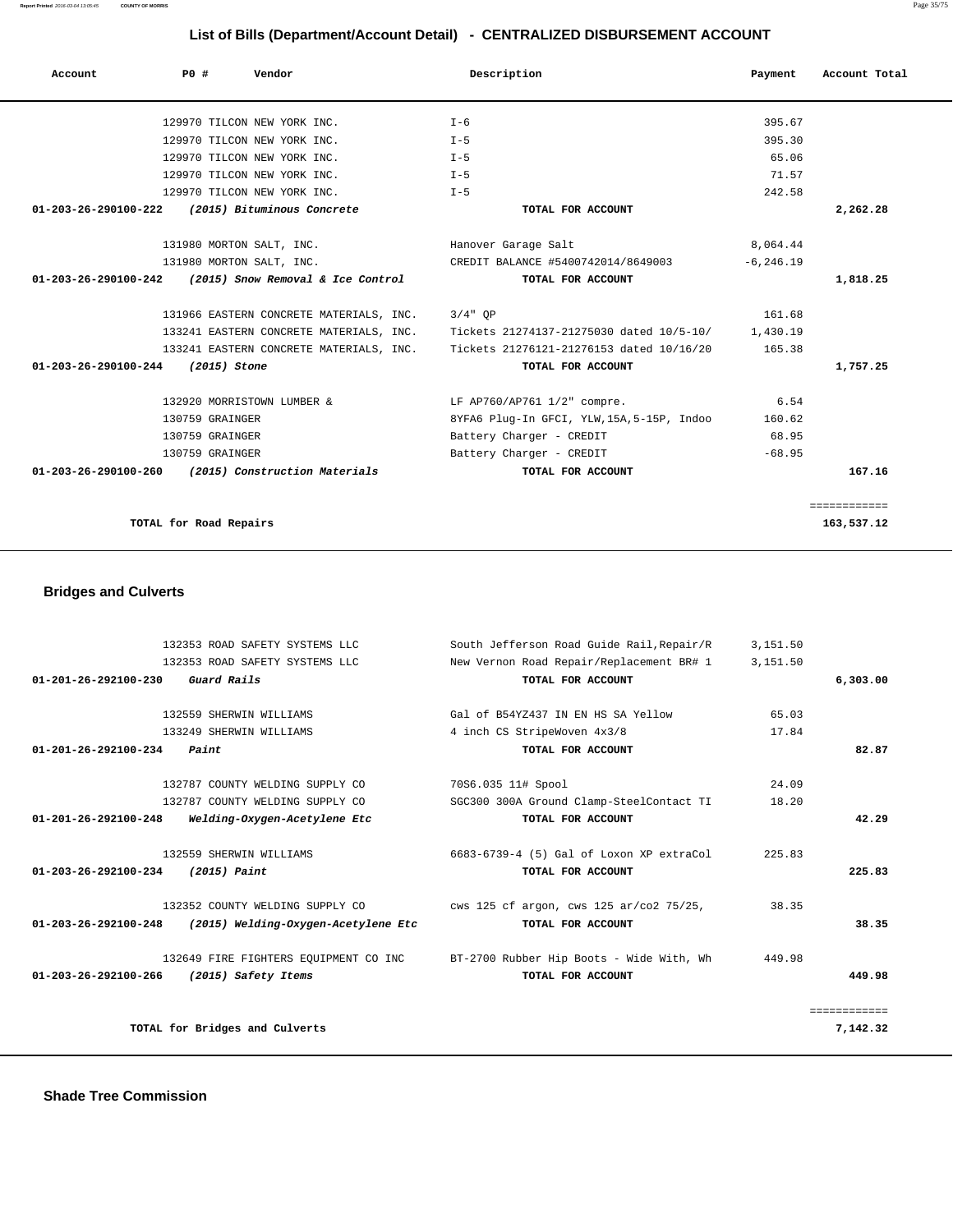| $01 - 201 - 26 - 292100 - 230$ | Guard Rails                         | TOTAL FOR ACCOUNT                                                              |        | 6,303.00     |
|--------------------------------|-------------------------------------|--------------------------------------------------------------------------------|--------|--------------|
|                                | 132559 SHERWIN WILLIAMS             | Gal of B54YZ437 IN EN HS SA Yellow                                             | 65.03  |              |
|                                | 133249 SHERWIN WILLIAMS             | 4 inch CS StripeWoven 4x3/8                                                    | 17.84  |              |
| 01-201-26-292100-234           | Paint                               | TOTAL FOR ACCOUNT                                                              |        | 82.87        |
|                                |                                     |                                                                                |        |              |
|                                | 132787 COUNTY WELDING SUPPLY CO     | 70S6.035 11# Spool                                                             | 24.09  |              |
|                                | 132787 COUNTY WELDING SUPPLY CO     | SGC300 300A Ground Clamp-SteelContact TI                                       | 18.20  |              |
| $01 - 201 - 26 - 292100 - 248$ | Welding-Oxygen-Acetylene Etc        | TOTAL FOR ACCOUNT                                                              |        | 42.29        |
|                                | 132559 SHERWIN WILLIAMS             | 6683-6739-4 (5) Gal of Loxon XP extraCol                                       | 225.83 |              |
| 01-203-26-292100-234           | (2015) Paint                        | TOTAL FOR ACCOUNT                                                              |        | 225.83       |
|                                | 132352 COUNTY WELDING SUPPLY CO     | cws 125 cf argon, cws 125 ar/co2 75/25,                                        | 38.35  |              |
| $01 - 203 - 26 - 292100 - 248$ | (2015) Welding-Oxygen-Acetylene Etc | TOTAL FOR ACCOUNT                                                              |        | 38.35        |
|                                |                                     | 132649 FIRE FIGHTERS EQUIPMENT CO INC BT-2700 Rubber Hip Boots - Wide With, Wh | 449.98 |              |
| 01-203-26-292100-266           | (2015) Safety Items                 | TOTAL FOR ACCOUNT                                                              |        | 449.98       |
|                                |                                     |                                                                                |        | ============ |
|                                | TOTAL for Bridges and Culverts      |                                                                                |        | 7,142.32     |
|                                |                                     |                                                                                |        |              |

132353 ROAD SAFETY SYSTEMS LLC South Jefferson Road Guide Rail,Repair/R 3,151.50<br>132353 ROAD SAFETY SYSTEMS LLC New Vernon Road Repair/Replacement BR# 1 3,151.50

New Vernon Road Repair/Replacement BR# 1 3,151.50

#### **Bridges and Culverts**

| 129970 TILCON NEW YORK INC.                               | $T - 6$                                           | 395.67       |              |
|-----------------------------------------------------------|---------------------------------------------------|--------------|--------------|
| 129970 TILCON NEW YORK INC.                               | $T - 5$                                           | 395.30       |              |
| 129970 TILCON NEW YORK INC.                               | $T - 5$                                           | 65.06        |              |
| 129970 TILCON NEW YORK INC.                               | $T-5$                                             | 71.57        |              |
| 129970 TILCON NEW YORK INC.                               | $T - 5$                                           | 242.58       |              |
|                                                           |                                                   |              |              |
| $01 - 203 - 26 - 290100 - 222$ (2015) Bituminous Concrete | TOTAL FOR ACCOUNT                                 |              | 2,262.28     |
| 131980 MORTON SALT, INC.                                  | Hanover Garage Salt                               | 8,064.44     |              |
| 131980 MORTON SALT, INC.                                  | CREDIT BALANCE #5400742014/8649003                | $-6, 246.19$ |              |
| $01-203-26-290100-242$ (2015) Snow Removal & Ice Control  | TOTAL FOR ACCOUNT                                 |              | 1,818.25     |
|                                                           |                                                   |              |              |
| 131966 EASTERN CONCRETE MATERIALS, INC.                   | $3/4"$ OP                                         | 161.68       |              |
| 133241 EASTERN CONCRETE MATERIALS, INC.                   | Tickets 21274137-21275030 dated 10/5-10/ 1,430.19 |              |              |
| 133241 EASTERN CONCRETE MATERIALS, INC.                   | Tickets 21276121-21276153 dated 10/16/20          | 165.38       |              |
| 01-203-26-290100-244 (2015) Stone                         | TOTAL FOR ACCOUNT                                 |              | 1,757.25     |
|                                                           |                                                   |              |              |
| 132920 MORRISTOWN LUMBER &                                | LF AP760/AP761 1/2" compre.                       | 6.54         |              |
| 130759 GRAINGER                                           | 8YFA6 Plug-In GFCI, YLW, 15A, 5-15P, Indoo 160.62 |              |              |
| 130759 GRAINGER                                           | Battery Charger - CREDIT                          | 68.95        |              |
| 130759 GRAINGER                                           | Battery Charger - CREDIT                          | $-68.95$     |              |
| $01-203-26-290100-260$ (2015) Construction Materials      | TOTAL FOR ACCOUNT                                 |              | 167.16       |
|                                                           |                                                   |              |              |
|                                                           |                                                   |              | ============ |
| TOTAL for Road Repairs                                    |                                                   |              | 163,537.12   |
|                                                           |                                                   |              |              |
|                                                           |                                                   |              |              |

 **Account P0 # Vendor Description Payment Account Total**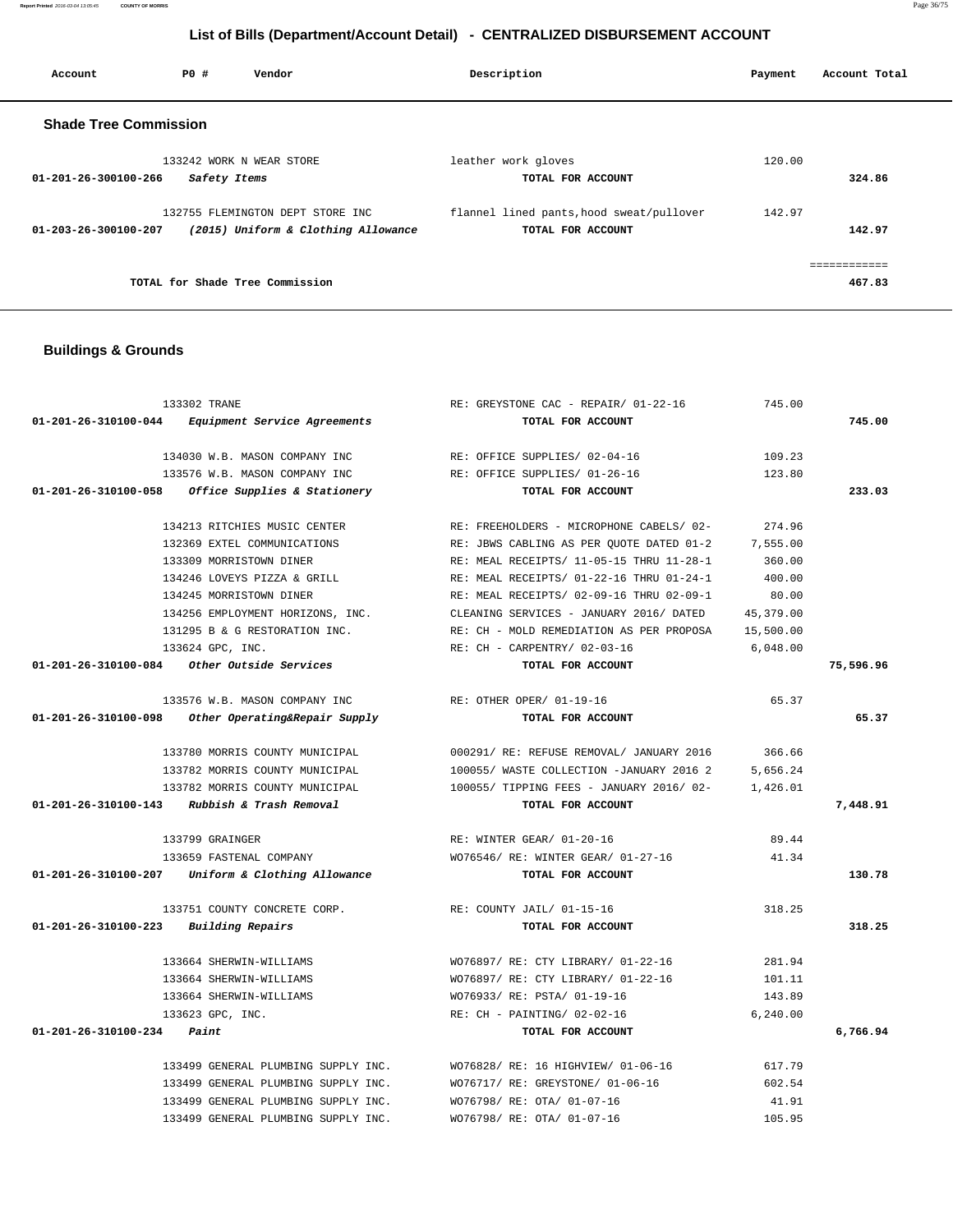**Report Printed** 2016-03-04 13:05:45 **COUNTY OF MORRIS** Page 36/75

# **List of Bills (Department/Account Detail) - CENTRALIZED DISBURSEMENT ACCOUNT**

| Account                      | PO#          | Vendor                                                                  | Description                                                   | Payment | Account Total          |
|------------------------------|--------------|-------------------------------------------------------------------------|---------------------------------------------------------------|---------|------------------------|
| <b>Shade Tree Commission</b> |              |                                                                         |                                                               |         |                        |
| 01-201-26-300100-266         | Safety Items | 133242 WORK N WEAR STORE                                                | leather work gloves<br>TOTAL FOR ACCOUNT                      | 120.00  | 324.86                 |
| 01-203-26-300100-207         |              | 132755 FLEMINGTON DEPT STORE INC<br>(2015) Uniform & Clothing Allowance | flannel lined pants, hood sweat/pullover<br>TOTAL FOR ACCOUNT | 142.97  | 142.97                 |
|                              |              | TOTAL for Shade Tree Commission                                         |                                                               |         | ============<br>467.83 |

## **Buildings & Grounds**

| 133302 TRANE                          |                                                      | RE: GREYSTONE CAC - REPAIR/ 01-22-16             | 745.00    |           |
|---------------------------------------|------------------------------------------------------|--------------------------------------------------|-----------|-----------|
|                                       | 01-201-26-310100-044 Equipment Service Agreements    | TOTAL FOR ACCOUNT                                |           | 745.00    |
|                                       | 134030 W.B. MASON COMPANY INC                        | RE: OFFICE SUPPLIES/ 02-04-16                    | 109.23    |           |
|                                       | 133576 W.B. MASON COMPANY INC                        | RE: OFFICE SUPPLIES/ 01-26-16                    | 123.80    |           |
|                                       | 01-201-26-310100-058 Office Supplies & Stationery    | TOTAL FOR ACCOUNT                                |           | 233.03    |
|                                       | 134213 RITCHIES MUSIC CENTER                         | RE: FREEHOLDERS - MICROPHONE CABELS/ 02-         | 274.96    |           |
|                                       | 132369 EXTEL COMMUNICATIONS                          | RE: JBWS CABLING AS PER OUOTE DATED 01-2         | 7,555.00  |           |
|                                       | 133309 MORRISTOWN DINER                              | RE: MEAL RECEIPTS/ 11-05-15 THRU 11-28-1         | 360.00    |           |
|                                       | 134246 LOVEYS PIZZA & GRILL                          | RE: MEAL RECEIPTS/ 01-22-16 THRU 01-24-1         | 400.00    |           |
|                                       | 134245 MORRISTOWN DINER                              | RE: MEAL RECEIPTS/ 02-09-16 THRU 02-09-1         | 80.00     |           |
|                                       | 134256 EMPLOYMENT HORIZONS, INC.                     | CLEANING SERVICES - JANUARY 2016/ DATED          | 45,379.00 |           |
|                                       | 131295 B & G RESTORATION INC.                        | RE: CH - MOLD REMEDIATION AS PER PROPOSA         | 15,500.00 |           |
|                                       | 133624 GPC, INC.                                     | RE: CH - CARPENTRY/ 02-03-16                     | 6.048.00  |           |
|                                       | $01-201-26-310100-084$ Other Outside Services        | TOTAL FOR ACCOUNT                                |           | 75,596.96 |
|                                       | 133576 W.B. MASON COMPANY INC                        | RE: OTHER OPER/ 01-19-16                         | 65.37     |           |
|                                       | $01-201-26-310100-098$ Other Operating&Repair Supply | TOTAL FOR ACCOUNT                                |           | 65.37     |
|                                       | 133780 MORRIS COUNTY MUNICIPAL                       | 000291/ RE: REFUSE REMOVAL/ JANUARY 2016         | 366.66    |           |
|                                       | 133782 MORRIS COUNTY MUNICIPAL                       | 100055/ WASTE COLLECTION -JANUARY 2016 2         | 5,656.24  |           |
|                                       | 133782 MORRIS COUNTY MUNICIPAL                       | 100055/ TIPPING FEES - JANUARY 2016/02- 1,426.01 |           |           |
|                                       | $01-201-26-310100-143$ Rubbish & Trash Removal       | TOTAL FOR ACCOUNT                                |           | 7,448.91  |
|                                       | 133799 GRAINGER                                      | RE: WINTER GEAR/ 01-20-16                        | 89.44     |           |
|                                       | 133659 FASTENAL COMPANY                              | WO76546/ RE: WINTER GEAR/ 01-27-16               | 41.34     |           |
|                                       | 01-201-26-310100-207 Uniform & Clothing Allowance    | TOTAL FOR ACCOUNT                                |           | 130.78    |
|                                       | 133751 COUNTY CONCRETE CORP.                         | RE: COUNTY JAIL/ 01-15-16                        | 318.25    |           |
| 01-201-26-310100-223 Building Repairs |                                                      | TOTAL FOR ACCOUNT                                |           | 318.25    |
|                                       | 133664 SHERWIN-WILLIAMS                              | WO76897/ RE: CTY LIBRARY/ 01-22-16               | 281.94    |           |
|                                       | 133664 SHERWIN-WILLIAMS                              | WO76897/ RE: CTY LIBRARY/ 01-22-16               | 101.11    |           |
|                                       | 133664 SHERWIN-WILLIAMS                              | WO76933/ RE: PSTA/ 01-19-16                      | 143.89    |           |
|                                       | 133623 GPC, INC.                                     | RE: CH - PAINTING/ 02-02-16                      | 6, 240.00 |           |
| $01 - 201 - 26 - 310100 - 234$ Paint  |                                                      | TOTAL FOR ACCOUNT                                |           | 6,766.94  |
|                                       | 133499 GENERAL PLUMBING SUPPLY INC.                  | WO76828/ RE: 16 HIGHVIEW/ 01-06-16               | 617.79    |           |
|                                       | 133499 GENERAL PLUMBING SUPPLY INC.                  | WO76717/ RE: GREYSTONE/ 01-06-16                 | 602.54    |           |
|                                       | 133499 GENERAL PLUMBING SUPPLY INC.                  | WO76798/ RE: OTA/ 01-07-16                       | 41.91     |           |
|                                       | 133499 GENERAL PLUMBING SUPPLY INC.                  | WO76798/ RE: OTA/ 01-07-16                       | 105.95    |           |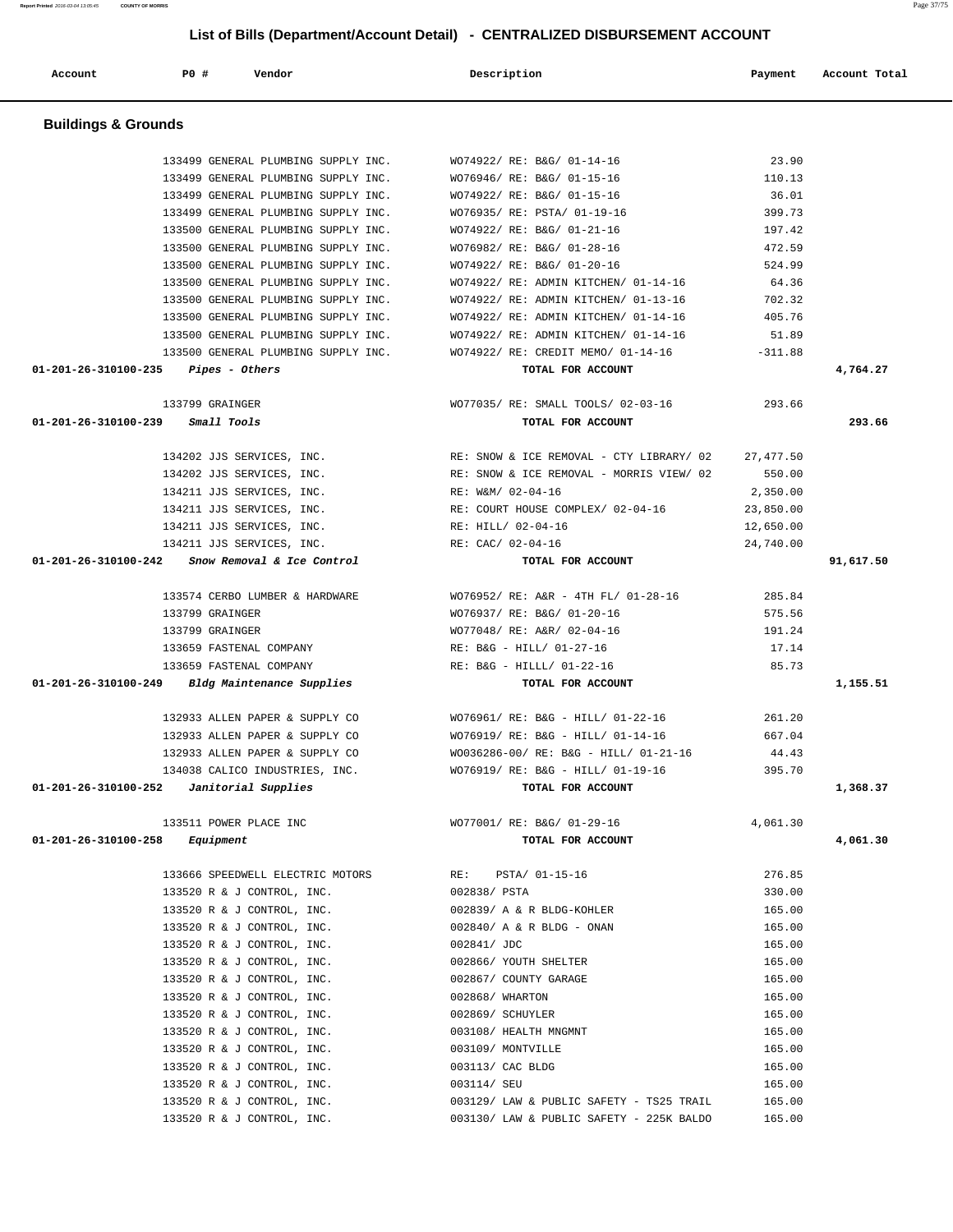| <b>Buildings &amp; Grounds</b>                    |                                          |           |           |
|---------------------------------------------------|------------------------------------------|-----------|-----------|
| 133499 GENERAL PLUMBING SUPPLY INC.               | WO74922/ RE: B&G/ 01-14-16               | 23.90     |           |
| 133499 GENERAL PLUMBING SUPPLY INC.               | WO76946/ RE: B&G/ 01-15-16               | 110.13    |           |
| 133499 GENERAL PLUMBING SUPPLY INC.               | WO74922/ RE: B&G/ 01-15-16               | 36.01     |           |
| 133499 GENERAL PLUMBING SUPPLY INC.               | WO76935/ RE: PSTA/ 01-19-16              | 399.73    |           |
| 133500 GENERAL PLUMBING SUPPLY INC.               | WO74922/ RE: B&G/ 01-21-16               | 197.42    |           |
| 133500 GENERAL PLUMBING SUPPLY INC.               | WO76982/ RE: B&G/ 01-28-16               | 472.59    |           |
| 133500 GENERAL PLUMBING SUPPLY INC.               | WO74922/ RE: B&G/ 01-20-16               | 524.99    |           |
| 133500 GENERAL PLUMBING SUPPLY INC.               | WO74922/ RE: ADMIN KITCHEN/ 01-14-16     | 64.36     |           |
| 133500 GENERAL PLUMBING SUPPLY INC.               | WO74922/ RE: ADMIN KITCHEN/ 01-13-16     | 702.32    |           |
| 133500 GENERAL PLUMBING SUPPLY INC.               | WO74922/ RE: ADMIN KITCHEN/ 01-14-16     | 405.76    |           |
| 133500 GENERAL PLUMBING SUPPLY INC.               | WO74922/ RE: ADMIN KITCHEN/ 01-14-16     | 51.89     |           |
| 133500 GENERAL PLUMBING SUPPLY INC.               | WO74922/ RE: CREDIT MEMO/ 01-14-16       | $-311.88$ |           |
| $01-201-26-310100-235$ Pipes - Others             | TOTAL FOR ACCOUNT                        |           | 4,764.27  |
| 133799 GRAINGER                                   | WO77035/ RE: SMALL TOOLS/ 02-03-16       | 293.66    |           |
| 01-201-26-310100-239<br>Small Tools               | TOTAL FOR ACCOUNT                        |           | 293.66    |
| 134202 JJS SERVICES, INC.                         | RE: SNOW & ICE REMOVAL - CTY LIBRARY/ 02 | 27,477.50 |           |
| 134202 JJS SERVICES, INC.                         | RE: SNOW & ICE REMOVAL - MORRIS VIEW/ 02 | 550.00    |           |
| 134211 JJS SERVICES, INC.                         | RE: W&M/ 02-04-16                        | 2,350.00  |           |
| 134211 JJS SERVICES, INC.                         | RE: COURT HOUSE COMPLEX/ 02-04-16        | 23,850.00 |           |
| 134211 JJS SERVICES, INC.                         | RE: HILL/ 02-04-16                       | 12,650.00 |           |
| 134211 JJS SERVICES, INC.                         | RE: CAC/ 02-04-16                        | 24,740.00 |           |
| $01-201-26-310100-242$ Snow Removal & Ice Control | TOTAL FOR ACCOUNT                        |           | 91,617.50 |
| 133574 CERBO LUMBER & HARDWARE                    | WO76952/ RE: A&R - 4TH FL/ 01-28-16      | 285.84    |           |
| 133799 GRAINGER                                   | WO76937/ RE: B&G/ 01-20-16               | 575.56    |           |
| 133799 GRAINGER                                   | WO77048/ RE: A&R/ 02-04-16               | 191.24    |           |
| 133659 FASTENAL COMPANY                           | RE: B&G - HILL/ 01-27-16                 | 17.14     |           |
| 133659 FASTENAL COMPANY                           | RE: B&G - HILLL/ 01-22-16                | 85.73     |           |
| 01-201-26-310100-249 Bldg Maintenance Supplies    | TOTAL FOR ACCOUNT                        |           | 1,155.51  |
| 132933 ALLEN PAPER & SUPPLY CO                    | WO76961/ RE: B&G - HILL/ 01-22-16        | 261.20    |           |
| 132933 ALLEN PAPER & SUPPLY CO                    | WO76919/ RE: B&G - HILL/ 01-14-16        | 667.04    |           |
| 132933 ALLEN PAPER & SUPPLY CO                    | WO036286-00/ RE: B&G - HILL/ 01-21-16    | 44.43     |           |
| 134038 CALICO INDUSTRIES, INC.                    | WO76919/ RE: B&G - HILL/ 01-19-16        | 395.70    |           |
| 01-201-26-310100-252<br>Janitorial Supplies       | TOTAL FOR ACCOUNT                        |           | 1,368.37  |
| 133511 POWER PLACE INC                            | WO77001/ RE: B&G/ 01-29-16               | 4,061.30  |           |
| 01-201-26-310100-258<br>Equipment                 | TOTAL FOR ACCOUNT                        |           | 4,061.30  |
| 133666 SPEEDWELL ELECTRIC MOTORS                  | RE:<br>PSTA/ 01-15-16                    | 276.85    |           |
| 133520 R & J CONTROL, INC.                        | 002838/ PSTA                             | 330.00    |           |
| 133520 R & J CONTROL, INC.                        | 002839/ A & R BLDG-KOHLER                | 165.00    |           |
| 133520 R & J CONTROL, INC.                        | 002840/ A & R BLDG - ONAN                | 165.00    |           |
| 133520 R & J CONTROL, INC.                        | 002841/ JDC                              | 165.00    |           |
| 133520 R & J CONTROL, INC.                        | 002866/ YOUTH SHELTER                    | 165.00    |           |
| 133520 R & J CONTROL, INC.                        | 002867/ COUNTY GARAGE                    | 165.00    |           |
| 133520 R & J CONTROL, INC.                        | 002868/ WHARTON                          | 165.00    |           |
| 133520 R & J CONTROL, INC.                        | 002869/ SCHUYLER                         | 165.00    |           |
| 133520 R & J CONTROL, INC.                        | 003108/ HEALTH MNGMNT                    | 165.00    |           |
| 133520 R & J CONTROL, INC.                        | 003109/ MONTVILLE                        | 165.00    |           |
| 133520 R & J CONTROL, INC.                        | 003113/ CAC BLDG                         | 165.00    |           |
| 133520 R & J CONTROL, INC.                        | 003114/ SEU                              | 165.00    |           |
| 133520 R & J CONTROL, INC.                        | 003129/ LAW & PUBLIC SAFETY - TS25 TRAIL | 165.00    |           |
| 133520 R & J CONTROL, INC.                        | 003130/ LAW & PUBLIC SAFETY - 225K BALDO | 165.00    |           |

Account **PO #** Vendor **Description Description Payment** Account Total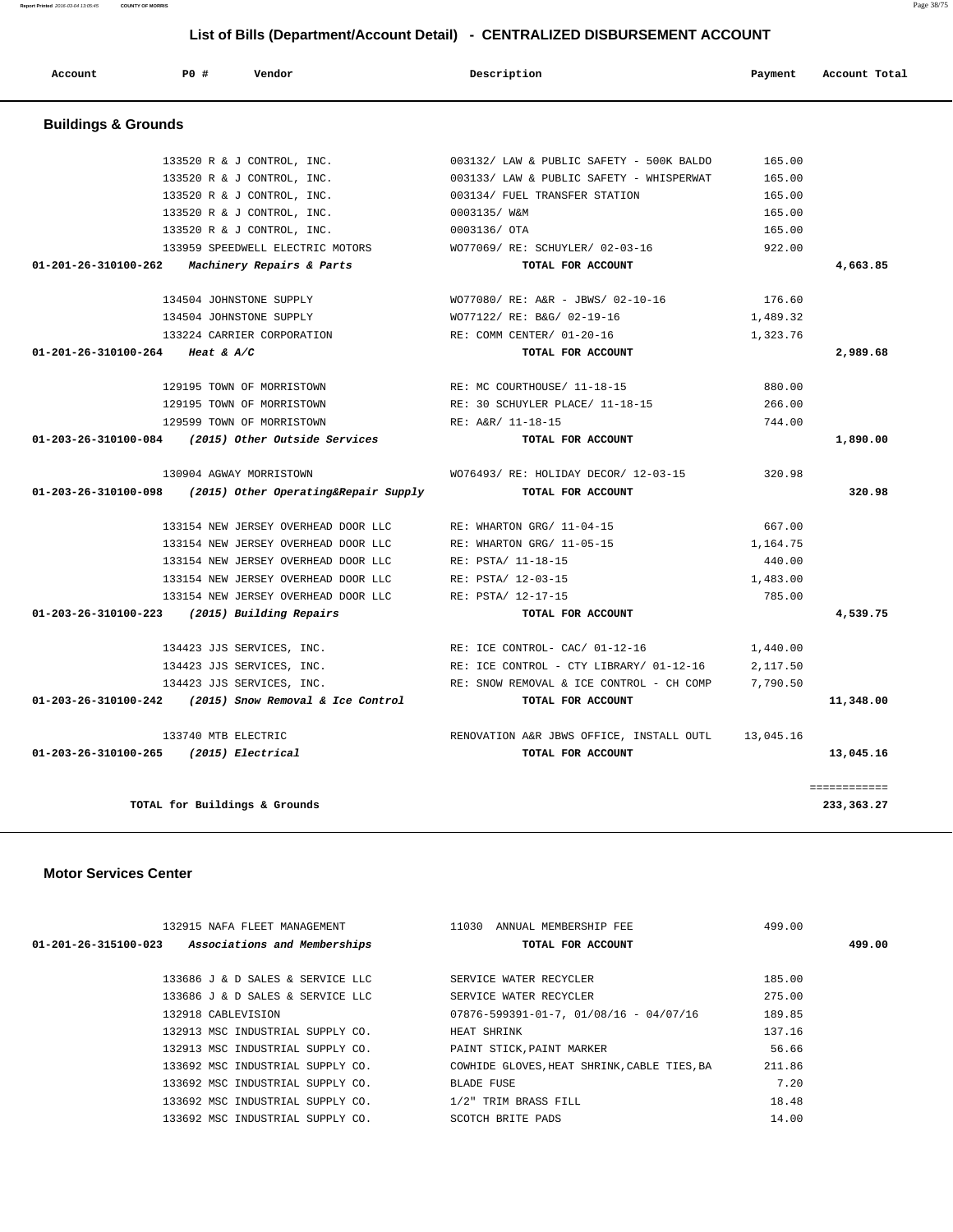| List of Bills (Department/Account Detail) - CENTRALIZED DISBURSEMENT ACCOUNT |     |                            |                                          |                          |  |
|------------------------------------------------------------------------------|-----|----------------------------|------------------------------------------|--------------------------|--|
| Account                                                                      | PO# | Vendor                     | Description                              | Account Total<br>Payment |  |
| <b>Buildings &amp; Grounds</b>                                               |     |                            |                                          |                          |  |
|                                                                              |     | 133520 R & J CONTROL, INC. | 003132/ LAW & PUBLIC SAFETY - 500K BALDO | 165.00                   |  |
|                                                                              |     | 133520 R & J CONTROL, INC. | 003133/ LAW & PUBLIC SAFETY - WHISPERWAT | 165.00                   |  |
|                                                                              |     | 133520 R & J CONTROL, INC. | 003134/ FUEL TRANSFER STATION            | 165.00                   |  |

 133520 R & J CONTROL, INC. 0003135/ W&M 165.00 133520 R & J CONTROL, INC. 0003136/ OTA 165.00 133959 SPEEDWELL ELECTRIC MOTORS WO77069/ RE: SCHUYLER/ 02-03-16 922.00  **01-201-26-310100-262 Machinery Repairs & Parts TOTAL FOR ACCOUNT 4,663.85**

 134504 JOHNSTONE SUPPLY WO77080/ RE: A&R - JBWS/ 02-10-16 176.60 134504 JOHNSTONE SUPPLY WO77122/ RE: B&G/ 02-19-16 1,489.32 133224 CARRIER CORPORATION RE: COMM CENTER/ 01-20-16 1,323.76  **01-201-26-310100-264 Heat & A/C TOTAL FOR ACCOUNT 2,989.68**

 129195 TOWN OF MORRISTOWN RE: MC COURTHOUSE/ 11-18-15 880.00 129195 TOWN OF MORRISTOWN RE: 30 SCHUYLER PLACE/ 11-18-15 266.00 129599 TOWN OF MORRISTOWN RE: A&R/ 11-18-15 744.00  **01-203-26-310100-084 (2015) Other Outside Services TOTAL FOR ACCOUNT 1,890.00**

 130904 AGWAY MORRISTOWN WO76493/ RE: HOLIDAY DECOR/ 12-03-15 320.98  **01-203-26-310100-098 (2015) Other Operating&Repair Supply TOTAL FOR ACCOUNT 320.98**

 133154 NEW JERSEY OVERHEAD DOOR LLC RE: WHARTON GRG/ 11-04-15 667.00 133154 NEW JERSEY OVERHEAD DOOR LLC RE: WHARTON GRG/ 11-05-15 1,164.75 133154 NEW JERSEY OVERHEAD DOOR LLC RE: PSTA/ 11-18-15 440.00 133154 NEW JERSEY OVERHEAD DOOR LLC RE: PSTA/ 12-03-15 1,483.00 133154 NEW JERSEY OVERHEAD DOOR LLC RE: PSTA/ 12-17-15 785.00  **01-203-26-310100-223 (2015) Building Repairs TOTAL FOR ACCOUNT 4,539.75**

 134423 JJS SERVICES, INC. RE: ICE CONTROL- CAC/ 01-12-16 1,440.00 134423 JJS SERVICES, INC. RE: ICE CONTROL - CTY LIBRARY/ 01-12-16 2,117.50 134423 JJS SERVICES, INC. THE RE: SNOW REMOVAL & ICE CONTROL - CH COMP 7,790.50  **01-203-26-310100-242 (2015) Snow Removal & Ice Control TOTAL FOR ACCOUNT 11,348.00**

 133740 MTB ELECTRIC RENOVATION A&R JBWS OFFICE, INSTALL OUTL 13,045.16  **01-203-26-310100-265 (2015) Electrical TOTAL FOR ACCOUNT 13,045.16**

**TOTAL for Buildings & Grounds 233,363.27**

============

| 132915 NAFA FLEET MANAGEMENT                         | 11030<br>ANNUAL MEMBERSHIP FEE                    | 499.00 |
|------------------------------------------------------|---------------------------------------------------|--------|
| Associations and Memberships<br>01-201-26-315100-023 | TOTAL FOR ACCOUNT                                 | 499.00 |
|                                                      |                                                   |        |
| 133686 J & D SALES & SERVICE LLC                     | SERVICE WATER RECYCLER                            | 185.00 |
| 133686 J & D SALES & SERVICE LLC                     | SERVICE WATER RECYCLER                            | 275.00 |
| 132918 CABLEVISION                                   | $07876 - 599391 - 01 - 7$ , $01/08/16 - 04/07/16$ | 189.85 |
| 132913 MSC INDUSTRIAL SUPPLY CO.                     | HEAT SHRINK                                       | 137.16 |
| 132913 MSC INDUSTRIAL SUPPLY CO.                     | PAINT STICK, PAINT MARKER                         | 56.66  |
| 133692 MSC INDUSTRIAL SUPPLY CO.                     | COWHIDE GLOVES, HEAT SHRINK, CABLE TIES, BA       | 211.86 |
| 133692 MSC INDUSTRIAL SUPPLY CO.                     | BLADE FUSE                                        | 7.20   |
| 133692 MSC INDUSTRIAL SUPPLY CO.                     | 1/2" TRIM BRASS FILL                              | 18.48  |
| 133692 MSC INDUSTRIAL SUPPLY CO.                     | SCOTCH BRITE PADS                                 | 14.00  |
|                                                      |                                                   |        |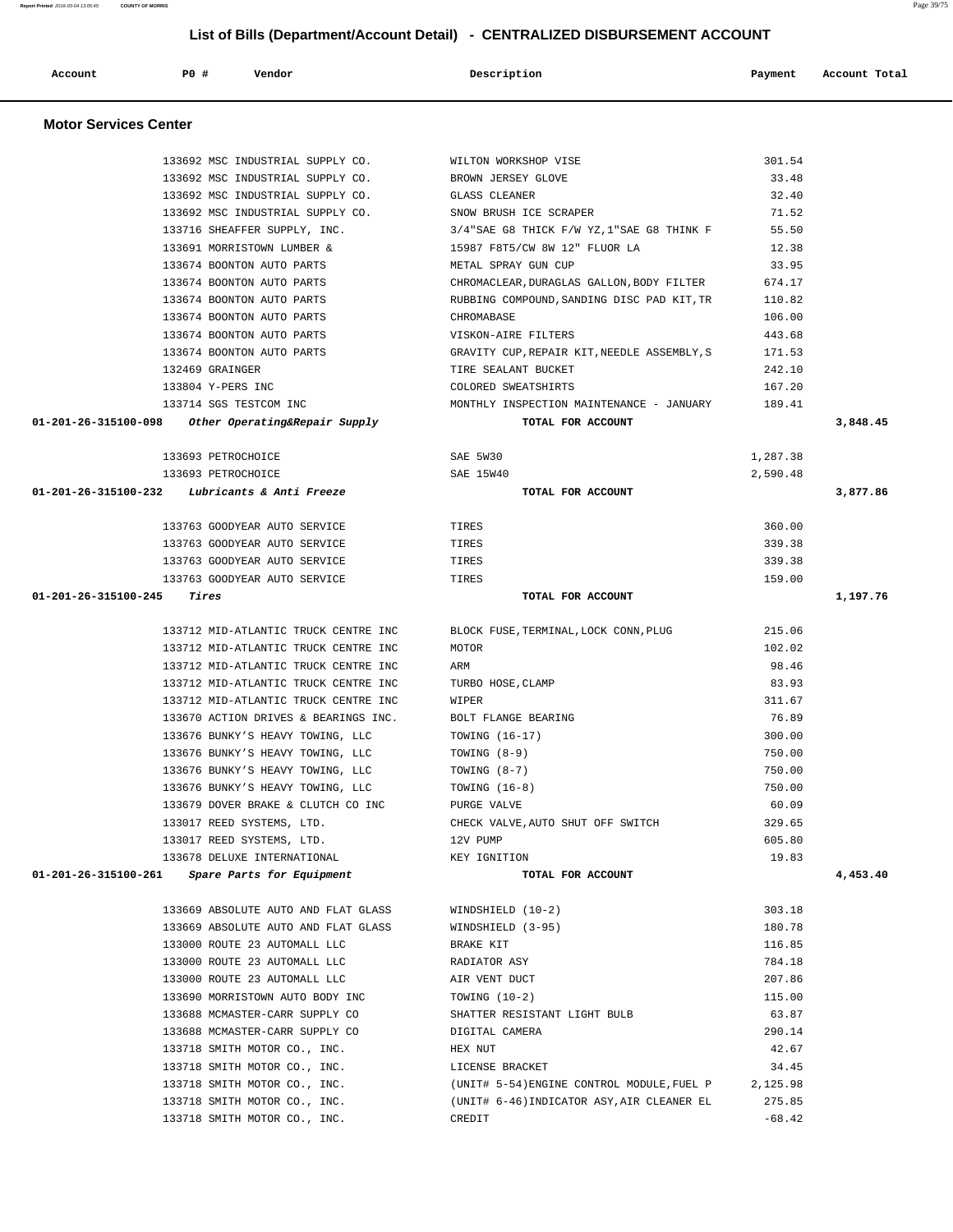|                      | 133716 SHEAFFER SUPPLY, INC.                       | $3/4$ "SAE G8 THICK F/W YZ, $1$ "SAE G8 THINK F | 55.50    |          |
|----------------------|----------------------------------------------------|-------------------------------------------------|----------|----------|
|                      | 133691 MORRISTOWN LUMBER &                         | 15987 F8T5/CW 8W 12" FLUOR LA                   | 12.38    |          |
|                      | 133674 BOONTON AUTO PARTS                          | METAL SPRAY GUN CUP                             | 33.95    |          |
|                      | 133674 BOONTON AUTO PARTS                          | CHROMACLEAR, DURAGLAS GALLON, BODY FILTER       | 674.17   |          |
|                      | 133674 BOONTON AUTO PARTS                          | RUBBING COMPOUND, SANDING DISC PAD KIT, TR      | 110.82   |          |
|                      | 133674 BOONTON AUTO PARTS                          | CHROMABASE                                      | 106.00   |          |
|                      | 133674 BOONTON AUTO PARTS                          | VISKON-AIRE FILTERS                             | 443.68   |          |
|                      | 133674 BOONTON AUTO PARTS                          | GRAVITY CUP, REPAIR KIT, NEEDLE ASSEMBLY, S     | 171.53   |          |
|                      | 132469 GRAINGER                                    | TIRE SEALANT BUCKET                             | 242.10   |          |
|                      | 133804 Y-PERS INC                                  | COLORED SWEATSHIRTS                             | 167.20   |          |
|                      | 133714 SGS TESTCOM INC                             | MONTHLY INSPECTION MAINTENANCE - JANUARY        | 189.41   |          |
|                      | 01-201-26-315100-098 Other Operating&Repair Supply | TOTAL FOR ACCOUNT                               |          | 3,848.45 |
|                      | 133693 PETROCHOICE                                 | SAE 5W30                                        | 1,287.38 |          |
|                      | 133693 PETROCHOICE                                 | SAE 15W40                                       | 2,590.48 |          |
|                      | $01-201-26-315100-232$ Lubricants & Anti Freeze    | TOTAL FOR ACCOUNT                               |          | 3,877.86 |
|                      | 133763 GOODYEAR AUTO SERVICE                       | TIRES                                           | 360.00   |          |
|                      | 133763 GOODYEAR AUTO SERVICE                       | TIRES                                           | 339.38   |          |
|                      | 133763 GOODYEAR AUTO SERVICE                       | TIRES                                           | 339.38   |          |
|                      | 133763 GOODYEAR AUTO SERVICE                       | TIRES                                           | 159.00   |          |
| 01-201-26-315100-245 | Tires                                              | TOTAL FOR ACCOUNT                               |          | 1,197.76 |
|                      |                                                    |                                                 |          |          |
|                      | 133712 MID-ATLANTIC TRUCK CENTRE INC               | BLOCK FUSE, TERMINAL, LOCK CONN, PLUG           | 215.06   |          |
|                      | 133712 MID-ATLANTIC TRUCK CENTRE INC               | MOTOR                                           | 102.02   |          |
|                      | 133712 MID-ATLANTIC TRUCK CENTRE INC               | ARM                                             | 98.46    |          |
|                      | 133712 MID-ATLANTIC TRUCK CENTRE INC               | TURBO HOSE, CLAMP                               | 83.93    |          |
|                      | 133712 MID-ATLANTIC TRUCK CENTRE INC               | WIPER                                           | 311.67   |          |
|                      | 133670 ACTION DRIVES & BEARINGS INC.               | BOLT FLANGE BEARING                             | 76.89    |          |
|                      |                                                    |                                                 | 300.00   |          |
|                      | 133676 BUNKY'S HEAVY TOWING, LLC                   | TOWING (16-17)                                  |          |          |
|                      | 133676 BUNKY'S HEAVY TOWING, LLC                   | TOWING (8-9)                                    | 750.00   |          |
|                      | 133676 BUNKY'S HEAVY TOWING, LLC                   | TOWING $(8-7)$                                  | 750.00   |          |
|                      | 133676 BUNKY'S HEAVY TOWING, LLC                   | TOWING $(16-8)$                                 | 750.00   |          |
|                      | 133679 DOVER BRAKE & CLUTCH CO INC                 | PURGE VALVE                                     | 60.09    |          |
|                      | 133017 REED SYSTEMS, LTD.                          | CHECK VALVE, AUTO SHUT OFF SWITCH               | 329.65   |          |
|                      | 133017 REED SYSTEMS, LTD.                          | 12V PUMP                                        | 605.80   |          |
|                      | 133678 DELUXE INTERNATIONAL                        | KEY IGNITION                                    | 19.83    |          |
|                      | $01-201-26-315100-261$ Spare Parts for Equipment   | TOTAL FOR ACCOUNT                               |          | 4,453.40 |
|                      | 133669 ABSOLUTE AUTO AND FLAT GLASS                | WINDSHIELD (10-2)                               | 303.18   |          |
|                      | 133669 ABSOLUTE AUTO AND FLAT GLASS                | WINDSHIELD (3-95)                               | 180.78   |          |
|                      | 133000 ROUTE 23 AUTOMALL LLC                       | BRAKE KIT                                       | 116.85   |          |
|                      | 133000 ROUTE 23 AUTOMALL LLC                       | RADIATOR ASY                                    | 784.18   |          |
|                      | 133000 ROUTE 23 AUTOMALL LLC                       | AIR VENT DUCT                                   | 207.86   |          |
|                      | 133690 MORRISTOWN AUTO BODY INC                    | TOWING $(10-2)$                                 | 115.00   |          |
|                      | 133688 MCMASTER-CARR SUPPLY CO                     | SHATTER RESISTANT LIGHT BULB                    | 63.87    |          |
|                      | 133688 MCMASTER-CARR SUPPLY CO                     | DIGITAL CAMERA                                  | 290.14   |          |
|                      | 133718 SMITH MOTOR CO., INC.                       | HEX NUT                                         | 42.67    |          |
|                      | 133718 SMITH MOTOR CO., INC.                       | LICENSE BRACKET                                 | 34.45    |          |
|                      | 133718 SMITH MOTOR CO., INC.                       | (UNIT# 5-54) ENGINE CONTROL MODULE, FUEL P      | 2,125.98 |          |
|                      | 133718 SMITH MOTOR CO., INC.                       | (UNIT# 6-46) INDICATOR ASY, AIR CLEANER EL      | 275.85   |          |
|                      | 133718 SMITH MOTOR CO., INC.                       | CREDIT                                          | $-68.42$ |          |
|                      |                                                    |                                                 |          |          |

 **Account P0 # Vendor Description Payment Account Total**

 133692 MSC INDUSTRIAL SUPPLY CO. BROWN JERSEY GLOVE 33.48 133692 MSC INDUSTRIAL SUPPLY CO. GLASS CLEANER SUPPLY CO. A SAME SUPPLY CO. 133692 MSC INDUSTRIAL SUPPLY CO. SNOW BRUSH ICE SCRAPER 71.52

133692 MSC INDUSTRIAL SUPPLY CO. WILTON WORKSHOP VISE 301.54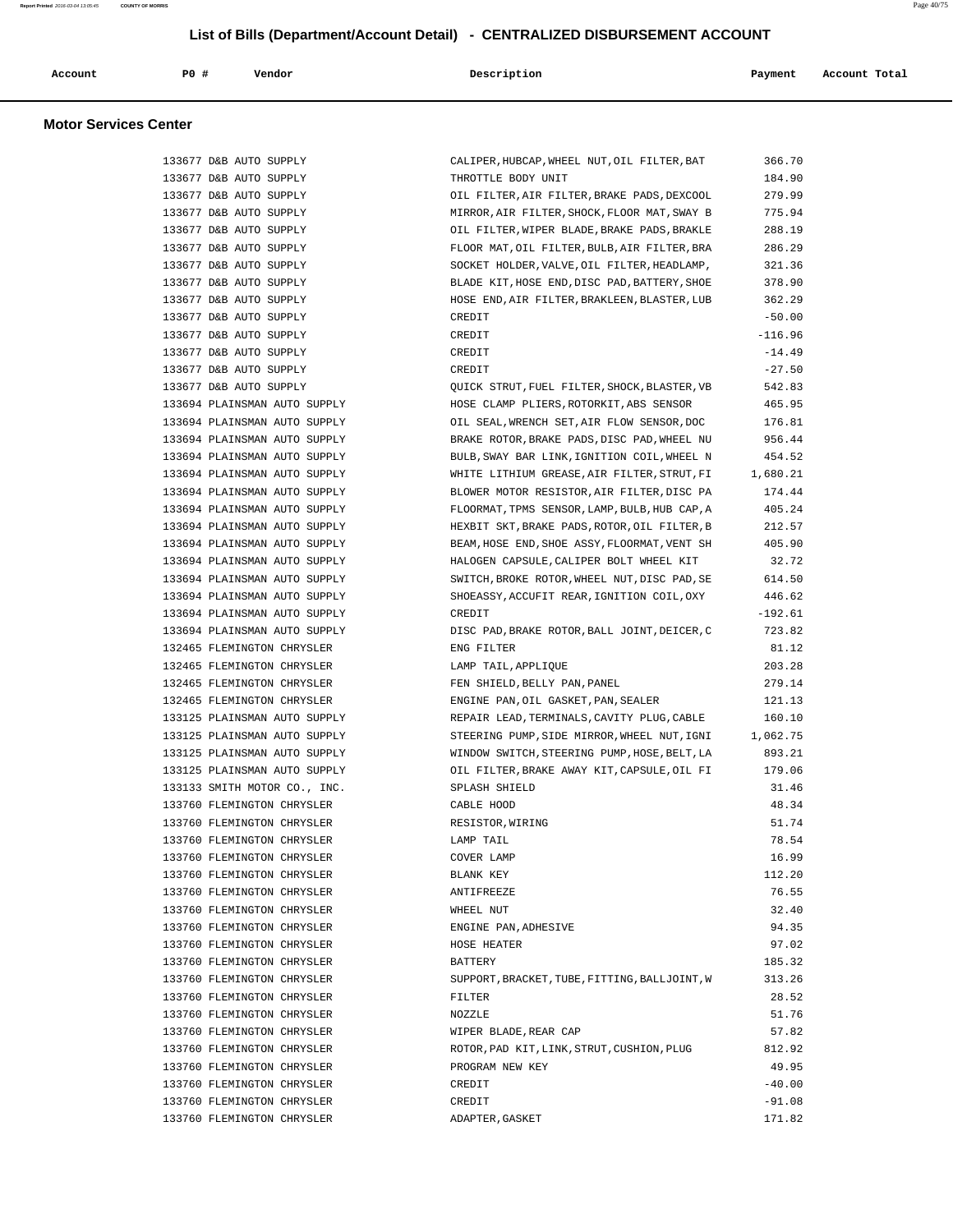| Account | PO# | Vendor | Description | Payment | Account Total |
|---------|-----|--------|-------------|---------|---------------|
|         |     |        |             |         |               |

| 133677 D&B AUTO SUPPLY       | CALIPER, HUBCAP, WHEEL NUT, OIL FILTER, BAT                                                         | 366.70    |
|------------------------------|-----------------------------------------------------------------------------------------------------|-----------|
| 133677 D&B AUTO SUPPLY       | THROTTLE BODY UNIT                                                                                  | 184.90    |
| 133677 D&B AUTO SUPPLY       | OIL FILTER, AIR FILTER, BRAKE PADS, DEXCOOL                                                         | 279.99    |
| 133677 D&B AUTO SUPPLY       | MIRROR, AIR FILTER, SHOCK, FLOOR MAT, SWAY B                                                        | 775.94    |
| 133677 D&B AUTO SUPPLY       | OIL FILTER, WIPER BLADE, BRAKE PADS, BRAKLE                                                         | 288.19    |
| 133677 D&B AUTO SUPPLY       | FLOOR MAT, OIL FILTER, BULB, AIR FILTER, BRA                                                        | 286.29    |
| 133677 D&B AUTO SUPPLY       | SOCKET HOLDER, VALVE, OIL FILTER, HEADLAMP,                                                         | 321.36    |
| 133677 D&B AUTO SUPPLY       | BLADE KIT, HOSE END, DISC PAD, BATTERY, SHOE                                                        | 378.90    |
| 133677 D&B AUTO SUPPLY       | HOSE END, AIR FILTER, BRAKLEEN, BLASTER, LUB                                                        | 362.29    |
| 133677 D&B AUTO SUPPLY       | CREDIT                                                                                              | $-50.00$  |
| 133677 D&B AUTO SUPPLY       | CREDIT                                                                                              | $-116.96$ |
| 133677 D&B AUTO SUPPLY       | CREDIT                                                                                              | $-14.49$  |
| 133677 D&B AUTO SUPPLY       | CREDIT                                                                                              | $-27.50$  |
| 133677 D&B AUTO SUPPLY       | QUICK STRUT, FUEL FILTER, SHOCK, BLASTER, VB                                                        | 542.83    |
| 133694 PLAINSMAN AUTO SUPPLY | HOSE CLAMP PLIERS, ROTORKIT, ABS SENSOR                                                             | 465.95    |
|                              |                                                                                                     |           |
| 133694 PLAINSMAN AUTO SUPPLY | OIL SEAL, WRENCH SET, AIR FLOW SENSOR, DOC                                                          | 176.81    |
| 133694 PLAINSMAN AUTO SUPPLY | BRAKE ROTOR, BRAKE PADS, DISC PAD, WHEEL NU                                                         | 956.44    |
| 133694 PLAINSMAN AUTO SUPPLY | BULB, SWAY BAR LINK, IGNITION COIL, WHEEL N<br>WHITE LITHIUM GREASE, AIR FILTER, STRUT, FI 1,680.21 | 454.52    |
| 133694 PLAINSMAN AUTO SUPPLY |                                                                                                     |           |
| 133694 PLAINSMAN AUTO SUPPLY | BLOWER MOTOR RESISTOR, AIR FILTER, DISC PA                                                          | 174.44    |
| 133694 PLAINSMAN AUTO SUPPLY | FLOORMAT, TPMS SENSOR, LAMP, BULB, HUB CAP, A                                                       | 405.24    |
| 133694 PLAINSMAN AUTO SUPPLY | HEXBIT SKT, BRAKE PADS, ROTOR, OIL FILTER, B                                                        | 212.57    |
| 133694 PLAINSMAN AUTO SUPPLY | BEAM, HOSE END, SHOE ASSY, FLOORMAT, VENT SH                                                        | 405.90    |
| 133694 PLAINSMAN AUTO SUPPLY | HALOGEN CAPSULE, CALIPER BOLT WHEEL KIT                                                             | 32.72     |
| 133694 PLAINSMAN AUTO SUPPLY | SWITCH, BROKE ROTOR, WHEEL NUT, DISC PAD, SE                                                        | 614.50    |
| 133694 PLAINSMAN AUTO SUPPLY | SHOEASSY, ACCUFIT REAR, IGNITION COIL, OXY                                                          | 446.62    |
| 133694 PLAINSMAN AUTO SUPPLY | CREDIT                                                                                              | $-192.61$ |
| 133694 PLAINSMAN AUTO SUPPLY | DISC PAD, BRAKE ROTOR, BALL JOINT, DEICER, C                                                        | 723.82    |
| 132465 FLEMINGTON CHRYSLER   | ENG FILTER                                                                                          | 81.12     |
| 132465 FLEMINGTON CHRYSLER   | LAMP TAIL, APPLIQUE                                                                                 | 203.28    |
| 132465 FLEMINGTON CHRYSLER   | FEN SHIELD, BELLY PAN, PANEL                                                                        | 279.14    |
| 132465 FLEMINGTON CHRYSLER   | ENGINE PAN, OIL GASKET, PAN, SEALER                                                                 | 121.13    |
| 133125 PLAINSMAN AUTO SUPPLY | REPAIR LEAD, TERMINALS, CAVITY PLUG, CABLE                                                          | 160.10    |
| 133125 PLAINSMAN AUTO SUPPLY | STEERING PUMP, SIDE MIRROR, WHEEL NUT, IGNI                                                         | 1,062.75  |
| 133125 PLAINSMAN AUTO SUPPLY | WINDOW SWITCH, STEERING PUMP, HOSE, BELT, LA                                                        | 893.21    |
| 133125 PLAINSMAN AUTO SUPPLY | OIL FILTER, BRAKE AWAY KIT, CAPSULE, OIL FI                                                         | 179.06    |
| 133133 SMITH MOTOR CO., INC. | SPLASH SHIELD                                                                                       | 31.46     |
| 133760 FLEMINGTON CHRYSLER   | CABLE HOOD                                                                                          | 48.34     |
| 133760 FLEMINGTON CHRYSLER   | RESISTOR, WIRING                                                                                    | 51.74     |
| 133760 FLEMINGTON CHRYSLER   | LAMP TAIL                                                                                           | 78.54     |
| 133760 FLEMINGTON CHRYSLER   | COVER LAMP                                                                                          | 16.99     |
| 133760 FLEMINGTON CHRYSLER   | BLANK KEY                                                                                           | 112.20    |
| 133760 FLEMINGTON CHRYSLER   | <b>ANTIFREEZE</b>                                                                                   | 76.55     |
| 133760 FLEMINGTON CHRYSLER   | WHEEL NUT                                                                                           | 32.40     |
| 133760 FLEMINGTON CHRYSLER   | ENGINE PAN, ADHESIVE                                                                                | 94.35     |
| 133760 FLEMINGTON CHRYSLER   | HOSE HEATER                                                                                         | 97.02     |
| 133760 FLEMINGTON CHRYSLER   | BATTERY                                                                                             | 185.32    |
| 133760 FLEMINGTON CHRYSLER   | SUPPORT, BRACKET, TUBE, FITTING, BALLJOINT, W                                                       | 313.26    |
| 133760 FLEMINGTON CHRYSLER   | FILTER                                                                                              | 28.52     |
| 133760 FLEMINGTON CHRYSLER   | NOZZLE                                                                                              | 51.76     |
| 133760 FLEMINGTON CHRYSLER   | WIPER BLADE, REAR CAP                                                                               | 57.82     |
| 133760 FLEMINGTON CHRYSLER   | ROTOR, PAD KIT, LINK, STRUT, CUSHION, PLUG                                                          | 812.92    |
| 133760 FLEMINGTON CHRYSLER   | PROGRAM NEW KEY                                                                                     | 49.95     |
| 133760 FLEMINGTON CHRYSLER   | CREDIT                                                                                              | $-40.00$  |
| 133760 FLEMINGTON CHRYSLER   | CREDIT                                                                                              | $-91.08$  |
| 133760 FLEMINGTON CHRYSLER   | ADAPTER, GASKET                                                                                     | 171.82    |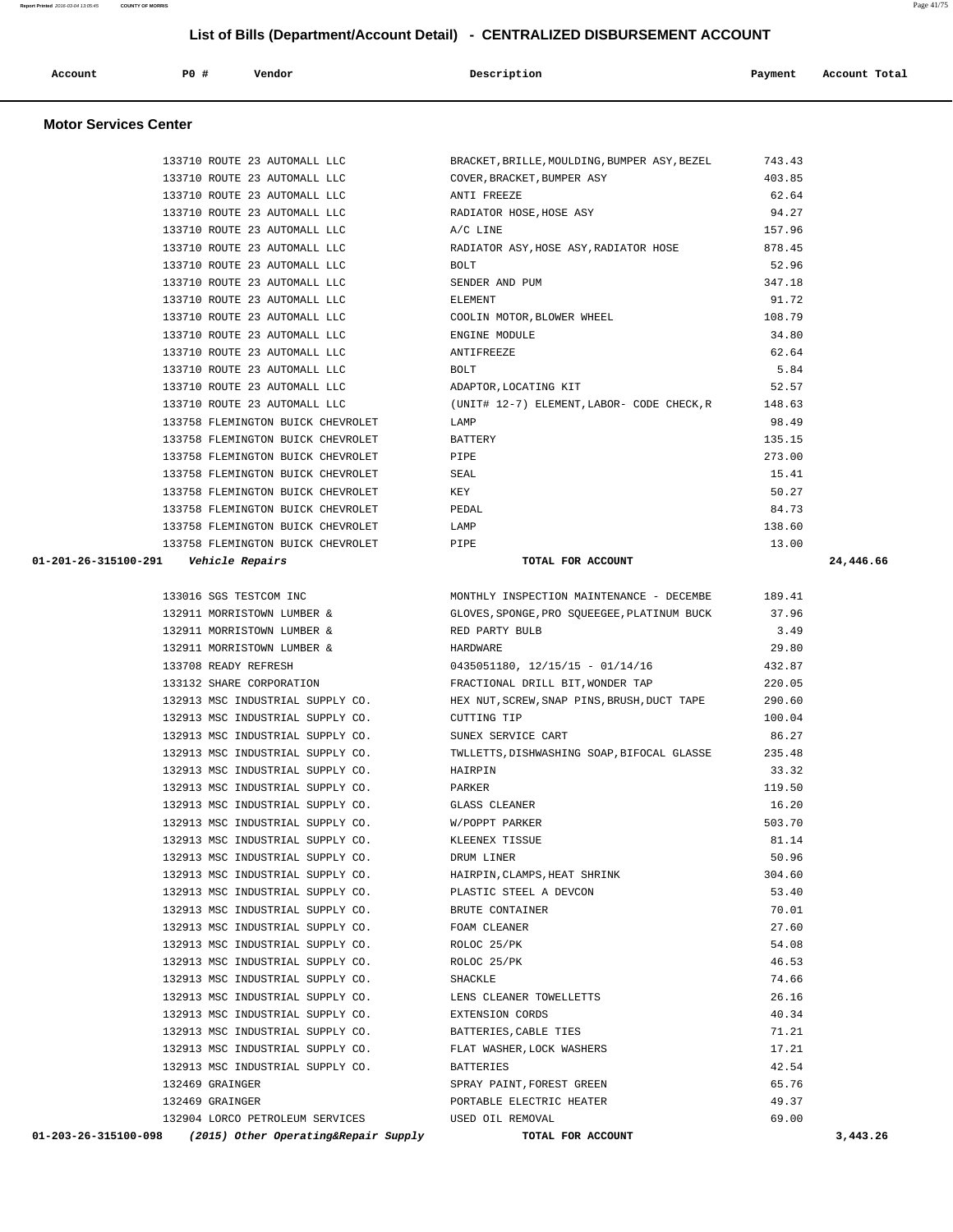| 133710 ROUTE 23 AUTOMALL LLC                                 | COVER, BRACKET, BUMPER ASY                        | 403.85 |           |
|--------------------------------------------------------------|---------------------------------------------------|--------|-----------|
| 133710 ROUTE 23 AUTOMALL LLC                                 | ANTI FREEZE                                       | 62.64  |           |
| 133710 ROUTE 23 AUTOMALL LLC                                 | RADIATOR HOSE, HOSE ASY                           | 94.27  |           |
| 133710 ROUTE 23 AUTOMALL LLC                                 | A/C LINE                                          | 157.96 |           |
| 133710 ROUTE 23 AUTOMALL LLC                                 | RADIATOR ASY, HOSE ASY, RADIATOR HOSE             | 878.45 |           |
| 133710 ROUTE 23 AUTOMALL LLC                                 | BOLT                                              | 52.96  |           |
| 133710 ROUTE 23 AUTOMALL LLC                                 | SENDER AND PUM                                    | 347.18 |           |
| 133710 ROUTE 23 AUTOMALL LLC                                 | ELEMENT                                           | 91.72  |           |
| 133710 ROUTE 23 AUTOMALL LLC                                 | COOLIN MOTOR, BLOWER WHEEL                        | 108.79 |           |
| 133710 ROUTE 23 AUTOMALL LLC                                 | ENGINE MODULE                                     | 34.80  |           |
| 133710 ROUTE 23 AUTOMALL LLC                                 | ANTIFREEZE                                        | 62.64  |           |
| 133710 ROUTE 23 AUTOMALL LLC                                 | BOLT                                              | 5.84   |           |
| 133710 ROUTE 23 AUTOMALL LLC                                 | ADAPTOR, LOCATING KIT                             | 52.57  |           |
| 133710 ROUTE 23 AUTOMALL LLC                                 | (UNIT# 12-7) ELEMENT, LABOR- CODE CHECK, R 148.63 |        |           |
| 133758 FLEMINGTON BUICK CHEVROLET                            | LAMP                                              | 98.49  |           |
| 133758 FLEMINGTON BUICK CHEVROLET                            | BATTERY                                           | 135.15 |           |
| 133758 FLEMINGTON BUICK CHEVROLET                            | PIPE                                              | 273.00 |           |
| 133758 FLEMINGTON BUICK CHEVROLET                            | SEAL                                              | 15.41  |           |
| 133758 FLEMINGTON BUICK CHEVROLET                            | KEY                                               | 50.27  |           |
| 133758 FLEMINGTON BUICK CHEVROLET                            | PEDAL                                             | 84.73  |           |
| 133758 FLEMINGTON BUICK CHEVROLET                            | LAMP                                              | 138.60 |           |
| 133758 FLEMINGTON BUICK CHEVROLET PIPE                       |                                                   | 13.00  |           |
| 01-201-26-315100-291    Vehicle Repairs                      | TOTAL FOR ACCOUNT                                 |        | 24,446.66 |
|                                                              |                                                   |        |           |
| 133016 SGS TESTCOM INC                                       | MONTHLY INSPECTION MAINTENANCE - DECEMBE          | 189.41 |           |
| 132911 MORRISTOWN LUMBER &                                   | GLOVES, SPONGE, PRO SQUEEGEE, PLATINUM BUCK       | 37.96  |           |
| 132911 MORRISTOWN LUMBER &                                   | RED PARTY BULB                                    | 3.49   |           |
| 132911 MORRISTOWN LUMBER &                                   | HARDWARE                                          | 29.80  |           |
| 133708 READY REFRESH                                         | 0435051180, 12/15/15 - 01/14/16                   | 432.87 |           |
| 133132 SHARE CORPORATION                                     | FRACTIONAL DRILL BIT, WONDER TAP                  | 220.05 |           |
| 132913 MSC INDUSTRIAL SUPPLY CO.                             | HEX NUT, SCREW, SNAP PINS, BRUSH, DUCT TAPE       | 290.60 |           |
| 132913 MSC INDUSTRIAL SUPPLY CO.                             | CUTTING TIP                                       | 100.04 |           |
| 132913 MSC INDUSTRIAL SUPPLY CO.                             | SUNEX SERVICE CART                                | 86.27  |           |
| 132913 MSC INDUSTRIAL SUPPLY CO.                             | TWLLETTS, DISHWASHING SOAP, BIFOCAL GLASSE        | 235.48 |           |
| 132913 MSC INDUSTRIAL SUPPLY CO.                             | HAIRPIN                                           | 33.32  |           |
| 132913 MSC INDUSTRIAL SUPPLY CO.                             | PARKER                                            | 119.50 |           |
| 132913 MSC INDUSTRIAL SUPPLY CO. GLASS CLEANER               |                                                   | 16.20  |           |
| 132913 MSC INDUSTRIAL SUPPLY CO. W/POPPT PARKER              |                                                   | 503.70 |           |
| 132913 MSC INDUSTRIAL SUPPLY CO.                             | KLEENEX TISSUE                                    | 81.14  |           |
| 132913 MSC INDUSTRIAL SUPPLY CO.                             | DRUM LINER                                        | 50.96  |           |
| 132913 MSC INDUSTRIAL SUPPLY CO.                             | HAIRPIN, CLAMPS, HEAT SHRINK                      | 304.60 |           |
| 132913 MSC INDUSTRIAL SUPPLY CO.                             | PLASTIC STEEL A DEVCON                            | 53.40  |           |
| 132913 MSC INDUSTRIAL SUPPLY CO.                             | BRUTE CONTAINER                                   | 70.01  |           |
| 132913 MSC INDUSTRIAL SUPPLY CO.                             | FOAM CLEANER                                      | 27.60  |           |
| 132913 MSC INDUSTRIAL SUPPLY CO.                             | ROLOC 25/PK                                       | 54.08  |           |
| 132913 MSC INDUSTRIAL SUPPLY CO.                             | ROLOC 25/PK                                       | 46.53  |           |
| 132913 MSC INDUSTRIAL SUPPLY CO.                             | SHACKLE                                           | 74.66  |           |
| 132913 MSC INDUSTRIAL SUPPLY CO.                             | LENS CLEANER TOWELLETTS                           | 26.16  |           |
| 132913 MSC INDUSTRIAL SUPPLY CO.                             | EXTENSION CORDS                                   | 40.34  |           |
| 132913 MSC INDUSTRIAL SUPPLY CO.                             | BATTERIES, CABLE TIES                             | 71.21  |           |
| 132913 MSC INDUSTRIAL SUPPLY CO.                             | FLAT WASHER, LOCK WASHERS                         | 17.21  |           |
| 132913 MSC INDUSTRIAL SUPPLY CO.                             | BATTERIES                                         | 42.54  |           |
| 132469 GRAINGER                                              | SPRAY PAINT, FOREST GREEN                         | 65.76  |           |
| 132469 GRAINGER                                              | PORTABLE ELECTRIC HEATER                          | 49.37  |           |
| 132904 LORCO PETROLEUM SERVICES                              | USED OIL REMOVAL                                  | 69.00  |           |
| 01-203-26-315100-098<br>(2015) Other Operating&Repair Supply | TOTAL FOR ACCOUNT                                 |        | 3,443.26  |
|                                                              |                                                   |        |           |

 **Account P0 # Vendor Description Payment Account Total**

133710 ROUTE 23 AUTOMALL LLC BRACKET,BRILLE,MOULDING,BUMPER ASY,BEZEL 743.43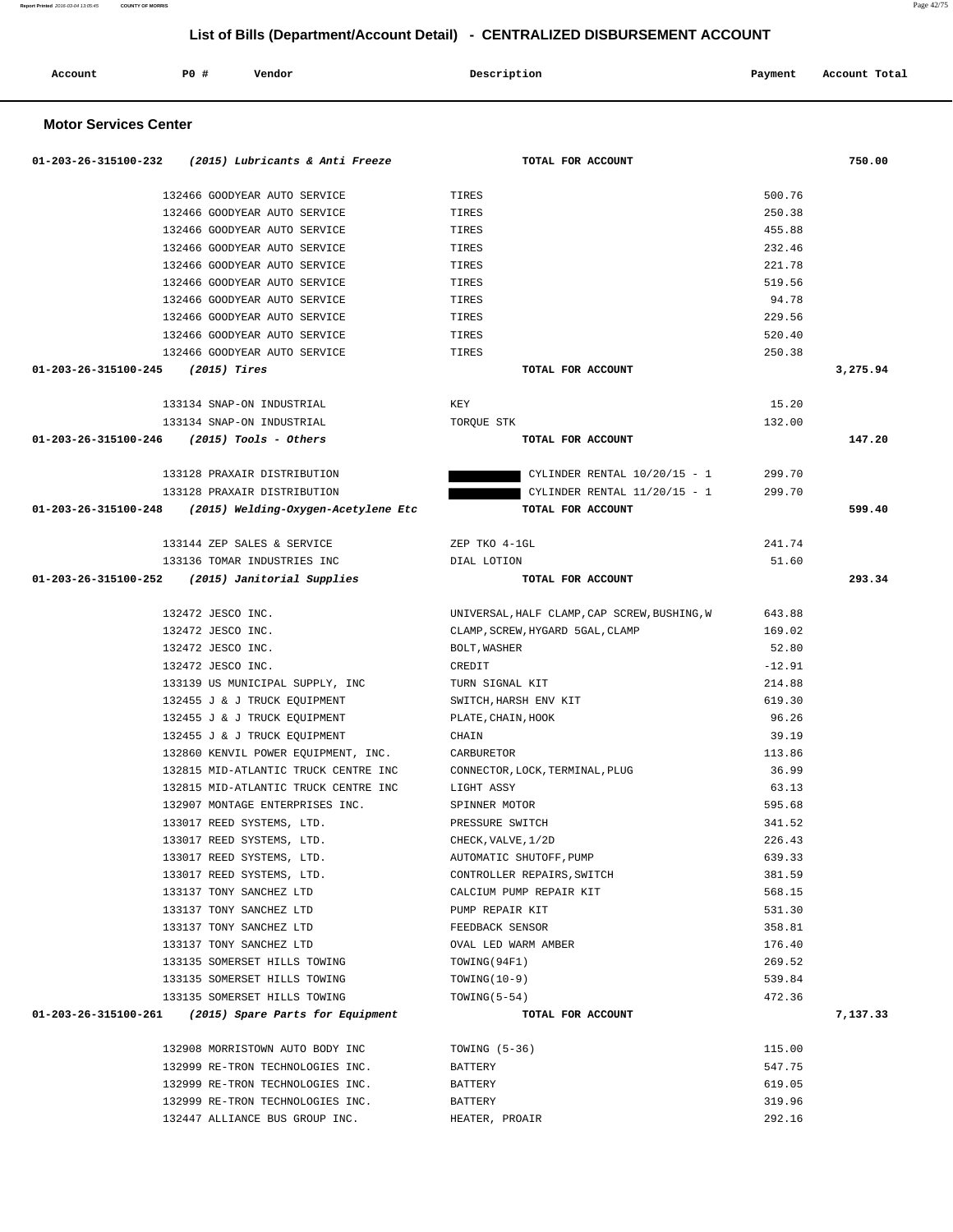| 01-203-26-315100-232 (2015) Lubricants & Anti Freeze       | TOTAL FOR ACCOUNT                            |          | 750.00   |
|------------------------------------------------------------|----------------------------------------------|----------|----------|
| 132466 GOODYEAR AUTO SERVICE                               | TIRES                                        | 500.76   |          |
| 132466 GOODYEAR AUTO SERVICE                               | TIRES                                        | 250.38   |          |
| 132466 GOODYEAR AUTO SERVICE                               | TIRES                                        | 455.88   |          |
| 132466 GOODYEAR AUTO SERVICE                               | TIRES                                        | 232.46   |          |
| 132466 GOODYEAR AUTO SERVICE                               | TIRES                                        | 221.78   |          |
| 132466 GOODYEAR AUTO SERVICE                               | TIRES                                        | 519.56   |          |
| 132466 GOODYEAR AUTO SERVICE                               | TIRES                                        | 94.78    |          |
| 132466 GOODYEAR AUTO SERVICE                               | TIRES                                        | 229.56   |          |
| 132466 GOODYEAR AUTO SERVICE                               | TIRES                                        | 520.40   |          |
| 132466 GOODYEAR AUTO SERVICE                               | TIRES                                        | 250.38   |          |
| $01-203-26-315100-245$ (2015) Tires                        | TOTAL FOR ACCOUNT                            |          | 3,275.94 |
| 133134 SNAP-ON INDUSTRIAL                                  | KEY                                          | 15.20    |          |
| 133134 SNAP-ON INDUSTRIAL                                  | TORQUE STK                                   | 132.00   |          |
| $01-203-26-315100-246$ (2015) Tools - Others               | TOTAL FOR ACCOUNT                            |          | 147.20   |
| 133128 PRAXAIR DISTRIBUTION                                | CYLINDER RENTAL $10/20/15 - 1$               | 299.70   |          |
| 133128 PRAXAIR DISTRIBUTION                                | CYLINDER RENTAL 11/20/15 - 1                 | 299.70   |          |
| $01-203-26-315100-248$ (2015) Welding-Oxygen-Acetylene Etc | TOTAL FOR ACCOUNT                            |          | 599.40   |
|                                                            |                                              |          |          |
| 133144 ZEP SALES & SERVICE                                 | ZEP TKO 4-1GL                                | 241.74   |          |
| 133136 TOMAR INDUSTRIES INC                                | DIAL LOTION                                  | 51.60    |          |
| 01-203-26-315100-252 (2015) Janitorial Supplies            | TOTAL FOR ACCOUNT                            |          | 293.34   |
|                                                            |                                              |          |          |
| 132472 JESCO INC.                                          | UNIVERSAL, HALF CLAMP, CAP SCREW, BUSHING, W | 643.88   |          |
| 132472 JESCO INC.                                          | CLAMP, SCREW, HYGARD 5GAL, CLAMP             | 169.02   |          |
| 132472 JESCO INC.                                          | BOLT, WASHER                                 | 52.80    |          |
| 132472 JESCO INC.                                          | CREDIT                                       | $-12.91$ |          |
| 133139 US MUNICIPAL SUPPLY, INC                            | TURN SIGNAL KIT                              | 214.88   |          |
| 132455 J & J TRUCK EQUIPMENT                               | SWITCH,HARSH ENV KIT                         | 619.30   |          |
| 132455 J & J TRUCK EQUIPMENT                               | PLATE, CHAIN, HOOK                           | 96.26    |          |
| 132455 J & J TRUCK EQUIPMENT                               | CHAIN                                        | 39.19    |          |
| 132860 KENVIL POWER EQUIPMENT, INC.                        | CARBURETOR                                   | 113.86   |          |
| 132815 MID-ATLANTIC TRUCK CENTRE INC                       | CONNECTOR, LOCK, TERMINAL, PLUG              | 36.99    |          |
| 132815 MID-ATLANTIC TRUCK CENTRE INC                       | LIGHT ASSY                                   | 63.13    |          |
| 132907 MONTAGE ENTERPRISES INC.                            | SPINNER MOTOR                                | 595.68   |          |
| 133017 REED SYSTEMS, LTD.                                  | PRESSURE SWITCH                              | 341.52   |          |
| 133017 REED SYSTEMS, LTD.                                  | CHECK, VALVE, 1/2D                           | 226.43   |          |
| 133017 REED SYSTEMS, LTD.                                  | AUTOMATIC SHUTOFF, PUMP                      | 639.33   |          |
| 133017 REED SYSTEMS, LTD.                                  | CONTROLLER REPAIRS, SWITCH                   | 381.59   |          |
| 133137 TONY SANCHEZ LTD                                    | CALCIUM PUMP REPAIR KIT                      | 568.15   |          |
| 133137 TONY SANCHEZ LTD                                    | PUMP REPAIR KIT                              | 531.30   |          |
| 133137 TONY SANCHEZ LTD                                    | FEEDBACK SENSOR                              | 358.81   |          |
| 133137 TONY SANCHEZ LTD                                    | OVAL LED WARM AMBER                          | 176.40   |          |
| 133135 SOMERSET HILLS TOWING                               | TOWING (94F1)                                | 269.52   |          |
| 133135 SOMERSET HILLS TOWING                               | $TOWING(10-9)$                               | 539.84   |          |
| 133135 SOMERSET HILLS TOWING                               | $TOWING(5-54)$                               | 472.36   |          |
| 01-203-26-315100-261 (2015) Spare Parts for Equipment      | TOTAL FOR ACCOUNT                            |          | 7,137.33 |
| 132908 MORRISTOWN AUTO BODY INC                            | TOWING $(5-36)$                              | 115.00   |          |
| 132999 RE-TRON TECHNOLOGIES INC.                           | BATTERY                                      | 547.75   |          |
| 132999 RE-TRON TECHNOLOGIES INC.                           | BATTERY                                      | 619.05   |          |
| 132999 RE-TRON TECHNOLOGIES INC.                           | BATTERY                                      | 319.96   |          |
| 132447 ALLIANCE BUS GROUP INC.                             | HEATER, PROAIR                               | 292.16   |          |

 **Account P0 # Vendor Description Payment Account Total**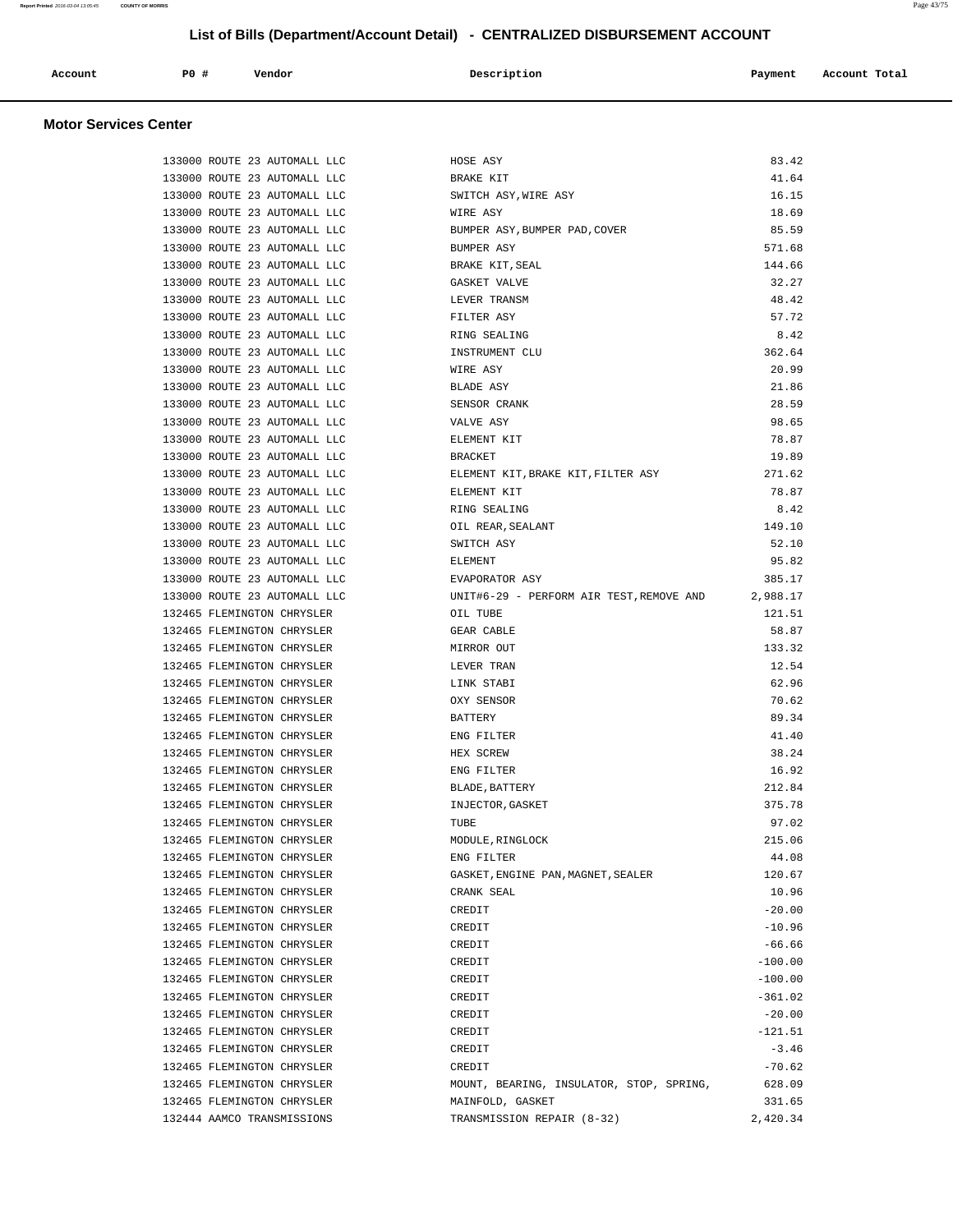| $P0$ $\sharp$<br>Description<br>Account<br>Payment<br>Vendor<br>Account Total |  |  |  |  |  |  |  |
|-------------------------------------------------------------------------------|--|--|--|--|--|--|--|
|-------------------------------------------------------------------------------|--|--|--|--|--|--|--|

| 133000 ROUTE 23 AUTOMALL LLC | HOSE ASY                                 | 83.42     |
|------------------------------|------------------------------------------|-----------|
| 133000 ROUTE 23 AUTOMALL LLC | BRAKE KIT                                | 41.64     |
| 133000 ROUTE 23 AUTOMALL LLC | SWITCH ASY, WIRE ASY                     | 16.15     |
| 133000 ROUTE 23 AUTOMALL LLC | WIRE ASY                                 | 18.69     |
| 133000 ROUTE 23 AUTOMALL LLC | BUMPER ASY, BUMPER PAD, COVER            | 85.59     |
| 133000 ROUTE 23 AUTOMALL LLC | BUMPER ASY                               | 571.68    |
| 133000 ROUTE 23 AUTOMALL LLC | BRAKE KIT, SEAL                          | 144.66    |
| 133000 ROUTE 23 AUTOMALL LLC | GASKET VALVE                             | 32.27     |
| 133000 ROUTE 23 AUTOMALL LLC | LEVER TRANSM                             | 48.42     |
| 133000 ROUTE 23 AUTOMALL LLC | FILTER ASY                               | 57.72     |
| 133000 ROUTE 23 AUTOMALL LLC | RING SEALING                             | 8.42      |
| 133000 ROUTE 23 AUTOMALL LLC | INSTRUMENT CLU                           | 362.64    |
| 133000 ROUTE 23 AUTOMALL LLC | WIRE ASY                                 | 20.99     |
| 133000 ROUTE 23 AUTOMALL LLC | BLADE ASY                                | 21.86     |
| 133000 ROUTE 23 AUTOMALL LLC | SENSOR CRANK                             | 28.59     |
| 133000 ROUTE 23 AUTOMALL LLC | VALVE ASY                                | 98.65     |
| 133000 ROUTE 23 AUTOMALL LLC | ELEMENT KIT                              | 78.87     |
| 133000 ROUTE 23 AUTOMALL LLC | <b>BRACKET</b>                           | 19.89     |
| 133000 ROUTE 23 AUTOMALL LLC | ELEMENT KIT, BRAKE KIT, FILTER ASY       | 271.62    |
| 133000 ROUTE 23 AUTOMALL LLC | ELEMENT KIT                              | 78.87     |
| 133000 ROUTE 23 AUTOMALL LLC | RING SEALING                             | 8.42      |
| 133000 ROUTE 23 AUTOMALL LLC | OIL REAR, SEALANT                        | 149.10    |
| 133000 ROUTE 23 AUTOMALL LLC | SWITCH ASY                               | 52.10     |
| 133000 ROUTE 23 AUTOMALL LLC | <b>ELEMENT</b>                           | 95.82     |
| 133000 ROUTE 23 AUTOMALL LLC | EVAPORATOR ASY                           | 385.17    |
| 133000 ROUTE 23 AUTOMALL LLC | UNIT#6-29 - PERFORM AIR TEST, REMOVE AND | 2,988.17  |
| 132465 FLEMINGTON CHRYSLER   | OIL TUBE                                 | 121.51    |
| 132465 FLEMINGTON CHRYSLER   | GEAR CABLE                               | 58.87     |
| 132465 FLEMINGTON CHRYSLER   | MIRROR OUT                               | 133.32    |
| 132465 FLEMINGTON CHRYSLER   | LEVER TRAN                               | 12.54     |
| 132465 FLEMINGTON CHRYSLER   | LINK STABI                               | 62.96     |
| 132465 FLEMINGTON CHRYSLER   | OXY SENSOR                               | 70.62     |
| 132465 FLEMINGTON CHRYSLER   | BATTERY                                  | 89.34     |
| 132465 FLEMINGTON CHRYSLER   | ENG FILTER                               | 41.40     |
| 132465 FLEMINGTON CHRYSLER   | HEX SCREW                                | 38.24     |
| 132465 FLEMINGTON CHRYSLER   | ENG FILTER                               | 16.92     |
| 132465 FLEMINGTON CHRYSLER   | BLADE, BATTERY                           | 212.84    |
| 132465 FLEMINGTON CHRYSLER   | INJECTOR, GASKET                         | 375.78    |
| 132465 FLEMINGTON CHRYSLER   | TUBE                                     | 97.02     |
| 132465 FLEMINGTON CHRYSLER   | MODULE, RINGLOCK                         | 215.06    |
| 132465 FLEMINGTON CHRYSLER   | ENG FILTER                               | 44.08     |
| 132465 FLEMINGTON CHRYSLER   | GASKET, ENGINE PAN, MAGNET, SEALER       | 120.67    |
| 132465 FLEMINGTON CHRYSLER   | CRANK SEAL                               | 10.96     |
| 132465 FLEMINGTON CHRYSLER   | CREDIT                                   | $-20.00$  |
| 132465 FLEMINGTON CHRYSLER   | CREDIT                                   | $-10.96$  |
| 132465 FLEMINGTON CHRYSLER   | CREDIT                                   | $-66.66$  |
| 132465 FLEMINGTON CHRYSLER   | CREDIT                                   | $-100.00$ |
| 132465 FLEMINGTON CHRYSLER   | CREDIT                                   | $-100.00$ |
| 132465 FLEMINGTON CHRYSLER   | CREDIT                                   | $-361.02$ |
| 132465 FLEMINGTON CHRYSLER   | CREDIT                                   | $-20.00$  |
| 132465 FLEMINGTON CHRYSLER   | CREDIT                                   | $-121.51$ |
| 132465 FLEMINGTON CHRYSLER   | CREDIT                                   | $-3.46$   |
| 132465 FLEMINGTON CHRYSLER   | CREDIT                                   | $-70.62$  |
| 132465 FLEMINGTON CHRYSLER   | MOUNT, BEARING, INSULATOR, STOP, SPRING, | 628.09    |
| 132465 FLEMINGTON CHRYSLER   | MAINFOLD, GASKET                         | 331.65    |
| 132444 AAMCO TRANSMISSIONS   | TRANSMISSION REPAIR (8-32)               | 2,420.34  |
|                              |                                          |           |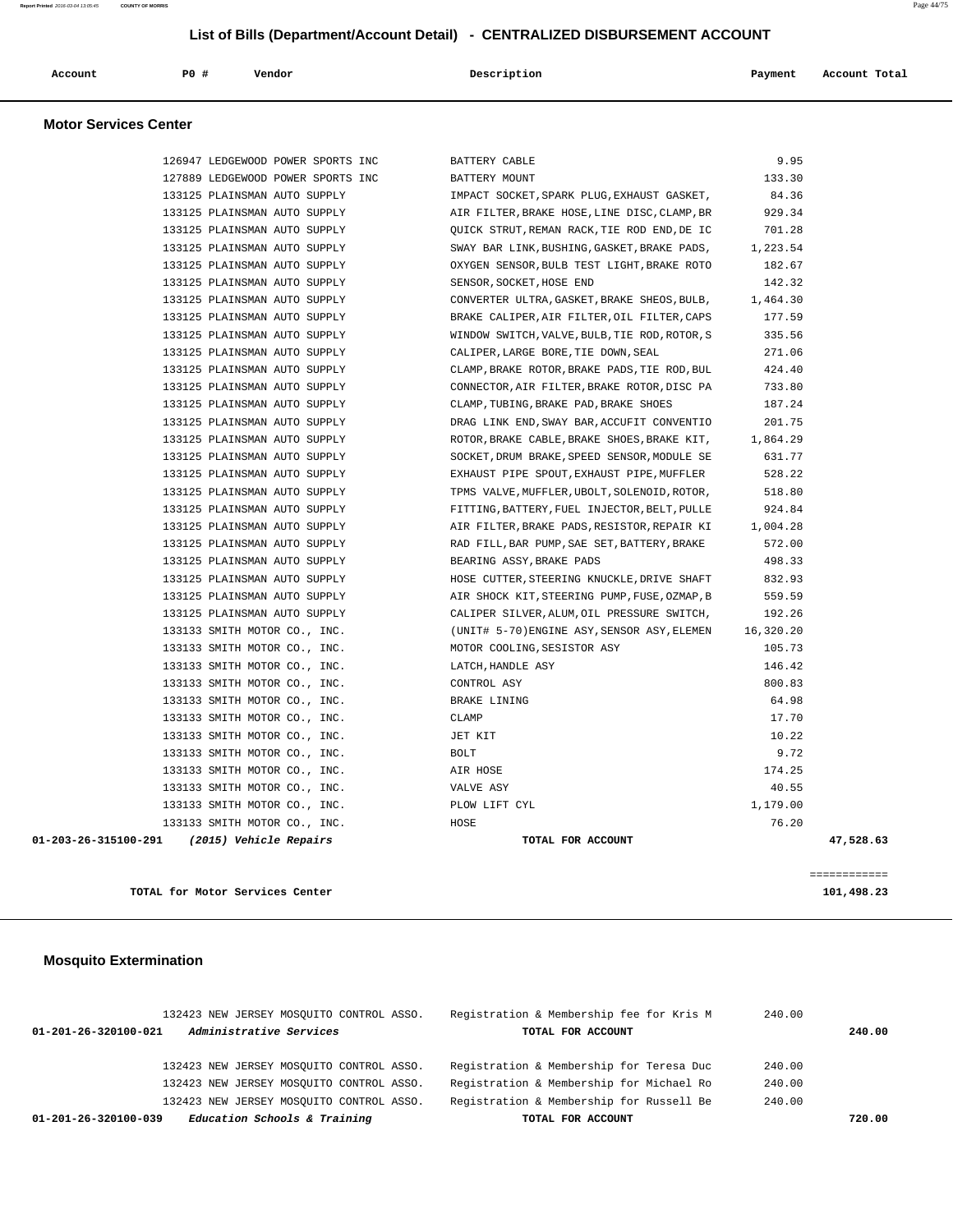| Account | PO# | Vendor | Description | Payment | Account Total |
|---------|-----|--------|-------------|---------|---------------|
|         |     |        |             |         |               |

#### **Motor Services Center**

| 127889 LEDGEWOOD POWER SPORTS INC           | BATTERY MOUNT                                 | 133.30    |              |
|---------------------------------------------|-----------------------------------------------|-----------|--------------|
| 133125 PLAINSMAN AUTO SUPPLY                | IMPACT SOCKET, SPARK PLUG, EXHAUST GASKET,    | 84.36     |              |
| 133125 PLAINSMAN AUTO SUPPLY                | AIR FILTER, BRAKE HOSE, LINE DISC, CLAMP, BR  | 929.34    |              |
| 133125 PLAINSMAN AUTO SUPPLY                | QUICK STRUT, REMAN RACK, TIE ROD END, DE IC   | 701.28    |              |
| 133125 PLAINSMAN AUTO SUPPLY                | SWAY BAR LINK, BUSHING, GASKET, BRAKE PADS,   | 1,223.54  |              |
| 133125 PLAINSMAN AUTO SUPPLY                | OXYGEN SENSOR, BULB TEST LIGHT, BRAKE ROTO    | 182.67    |              |
| 133125 PLAINSMAN AUTO SUPPLY                | SENSOR, SOCKET, HOSE END                      | 142.32    |              |
| 133125 PLAINSMAN AUTO SUPPLY                | CONVERTER ULTRA, GASKET, BRAKE SHEOS, BULB,   | 1,464.30  |              |
| 133125 PLAINSMAN AUTO SUPPLY                | BRAKE CALIPER, AIR FILTER, OIL FILTER, CAPS   | 177.59    |              |
| 133125 PLAINSMAN AUTO SUPPLY                | WINDOW SWITCH, VALVE, BULB, TIE ROD, ROTOR, S | 335.56    |              |
| 133125 PLAINSMAN AUTO SUPPLY                | CALIPER, LARGE BORE, TIE DOWN, SEAL           | 271.06    |              |
| 133125 PLAINSMAN AUTO SUPPLY                | CLAMP, BRAKE ROTOR, BRAKE PADS, TIE ROD, BUL  | 424.40    |              |
| 133125 PLAINSMAN AUTO SUPPLY                | CONNECTOR, AIR FILTER, BRAKE ROTOR, DISC PA   | 733.80    |              |
| 133125 PLAINSMAN AUTO SUPPLY                | CLAMP, TUBING, BRAKE PAD, BRAKE SHOES         | 187.24    |              |
| 133125 PLAINSMAN AUTO SUPPLY                | DRAG LINK END, SWAY BAR, ACCUFIT CONVENTIO    | 201.75    |              |
| 133125 PLAINSMAN AUTO SUPPLY                | ROTOR, BRAKE CABLE, BRAKE SHOES, BRAKE KIT,   | 1,864.29  |              |
| 133125 PLAINSMAN AUTO SUPPLY                | SOCKET, DRUM BRAKE, SPEED SENSOR, MODULE SE   | 631.77    |              |
| 133125 PLAINSMAN AUTO SUPPLY                | EXHAUST PIPE SPOUT, EXHAUST PIPE, MUFFLER     | 528.22    |              |
| 133125 PLAINSMAN AUTO SUPPLY                | TPMS VALVE, MUFFLER, UBOLT, SOLENOID, ROTOR,  | 518.80    |              |
| 133125 PLAINSMAN AUTO SUPPLY                | FITTING, BATTERY, FUEL INJECTOR, BELT, PULLE  | 924.84    |              |
| 133125 PLAINSMAN AUTO SUPPLY                | AIR FILTER, BRAKE PADS, RESISTOR, REPAIR KI   | 1,004.28  |              |
| 133125 PLAINSMAN AUTO SUPPLY                | RAD FILL, BAR PUMP, SAE SET, BATTERY, BRAKE   | 572.00    |              |
| 133125 PLAINSMAN AUTO SUPPLY                | BEARING ASSY, BRAKE PADS                      | 498.33    |              |
| 133125 PLAINSMAN AUTO SUPPLY                | HOSE CUTTER, STEERING KNUCKLE, DRIVE SHAFT    | 832.93    |              |
| 133125 PLAINSMAN AUTO SUPPLY                | AIR SHOCK KIT, STEERING PUMP, FUSE, OZMAP, B  | 559.59    |              |
| 133125 PLAINSMAN AUTO SUPPLY                | CALIPER SILVER, ALUM, OIL PRESSURE SWITCH,    | 192.26    |              |
| 133133 SMITH MOTOR CO., INC.                | (UNIT# 5-70)ENGINE ASY, SENSOR ASY, ELEMEN    | 16,320.20 |              |
| 133133 SMITH MOTOR CO., INC.                | MOTOR COOLING, SESISTOR ASY                   | 105.73    |              |
| 133133 SMITH MOTOR CO., INC.                | LATCH, HANDLE ASY                             | 146.42    |              |
| 133133 SMITH MOTOR CO., INC.                | CONTROL ASY                                   | 800.83    |              |
| 133133 SMITH MOTOR CO., INC.                | BRAKE LINING                                  | 64.98     |              |
| 133133 SMITH MOTOR CO., INC.                | CLAMP                                         | 17.70     |              |
| 133133 SMITH MOTOR CO., INC.                | JET KIT                                       | 10.22     |              |
| 133133 SMITH MOTOR CO., INC.                | <b>BOLT</b>                                   | 9.72      |              |
| 133133 SMITH MOTOR CO., INC.                | AIR HOSE                                      | 174.25    |              |
| 133133 SMITH MOTOR CO., INC.                | VALVE ASY                                     | 40.55     |              |
| 133133 SMITH MOTOR CO., INC.                | PLOW LIFT CYL                                 | 1,179.00  |              |
| 133133 SMITH MOTOR CO., INC.                | HOSE                                          | 76.20     |              |
| 01-203-26-315100-291 (2015) Vehicle Repairs | TOTAL FOR ACCOUNT                             |           | 47,528.63    |
|                                             |                                               |           |              |
|                                             |                                               |           | ============ |
| TOTAL for Motor Services Center             |                                               |           | 101,498.23   |

## **Mosquito Extermination**

| 132423 NEW JERSEY MOSOUITO CONTROL ASSO.<br>Administrative Services<br>$01 - 201 - 26 - 320100 - 021$ | Registration & Membership fee for Kris M<br>TOTAL FOR ACCOUNT | 240.00<br>240.00 |
|-------------------------------------------------------------------------------------------------------|---------------------------------------------------------------|------------------|
| 132423 NEW JERSEY MOSOUITO CONTROL ASSO.                                                              | Registration & Membership for Teresa Duc                      | 240.00           |
| 132423 NEW JERSEY MOSOUITO CONTROL ASSO.                                                              | Registration & Membership for Michael Ro                      | 240.00           |
| 132423 NEW JERSEY MOSOUITO CONTROL ASSO.                                                              | Registration & Membership for Russell Be                      | 240.00           |
| Education Schools & Training<br>01-201-26-320100-039                                                  | TOTAL FOR ACCOUNT                                             | 720.00           |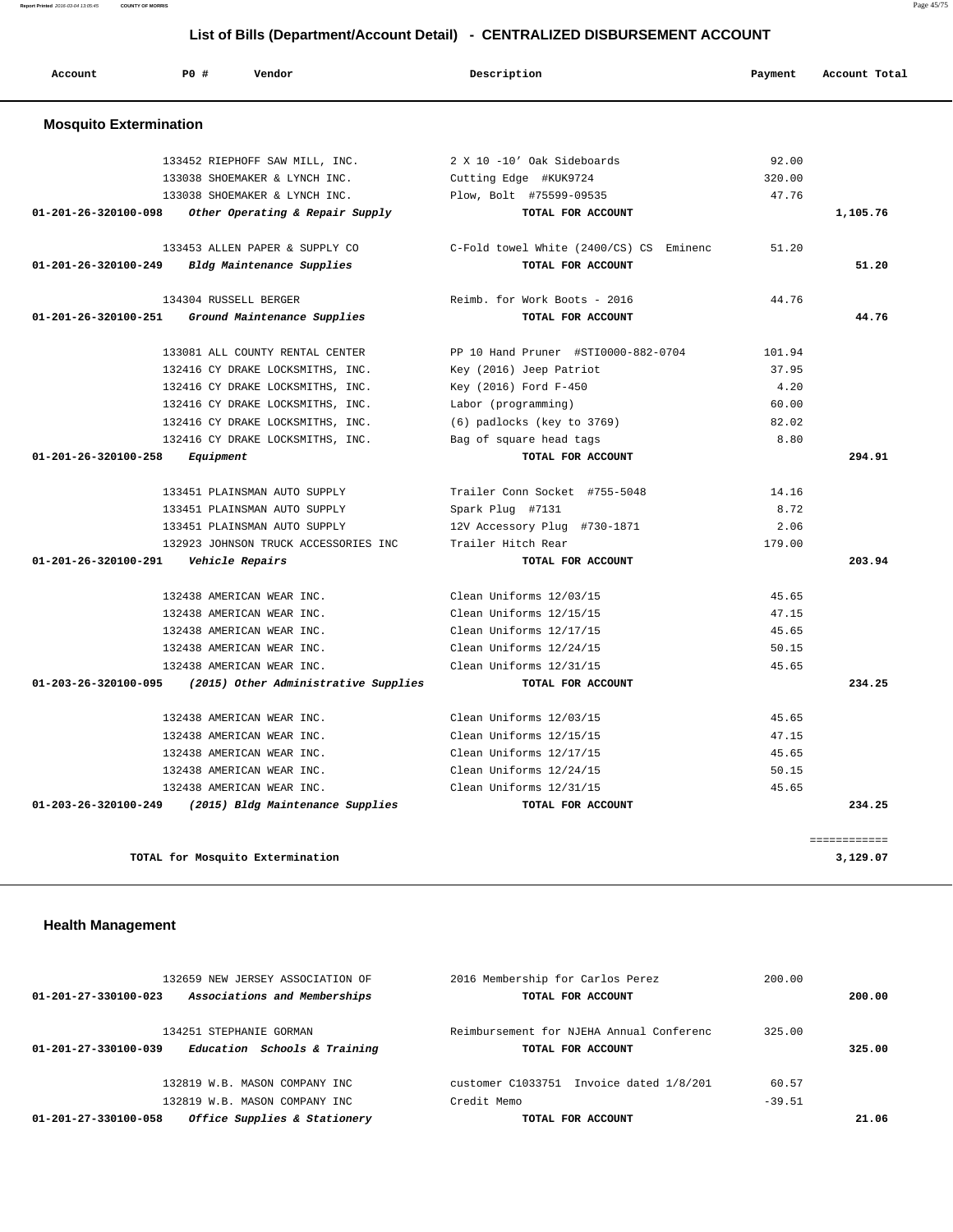| Account                       | <b>PO #</b> | Vendor                               | Description                             | Payment | Account Total |
|-------------------------------|-------------|--------------------------------------|-----------------------------------------|---------|---------------|
| <b>Mosquito Extermination</b> |             |                                      |                                         |         |               |
|                               |             | 133452 RIEPHOFF SAW MILL, INC.       | 2 X 10 -10' Oak Sideboards              | 92.00   |               |
|                               |             | 133038 SHOEMAKER & LYNCH INC.        | Cutting Edge #KUK9724                   | 320.00  |               |
|                               |             | 133038 SHOEMAKER & LYNCH INC.        | Plow, Bolt #75599-09535                 | 47.76   |               |
| 01-201-26-320100-098          |             | Other Operating & Repair Supply      | TOTAL FOR ACCOUNT                       |         | 1,105.76      |
|                               |             | 133453 ALLEN PAPER & SUPPLY CO       | C-Fold towel White (2400/CS) CS Eminenc | 51.20   |               |
| 01-201-26-320100-249          |             | Bldg Maintenance Supplies            | TOTAL FOR ACCOUNT                       |         | 51.20         |
|                               |             | 134304 RUSSELL BERGER                | Reimb. for Work Boots - 2016            | 44.76   |               |
| 01-201-26-320100-251          |             | Ground Maintenance Supplies          | TOTAL FOR ACCOUNT                       |         | 44.76         |
|                               |             | 133081 ALL COUNTY RENTAL CENTER      | PP 10 Hand Pruner #STI0000-882-0704     | 101.94  |               |
|                               |             | 132416 CY DRAKE LOCKSMITHS, INC.     | Key (2016) Jeep Patriot                 | 37.95   |               |
|                               |             | 132416 CY DRAKE LOCKSMITHS, INC.     | Key (2016) Ford F-450                   | 4.20    |               |
|                               |             | 132416 CY DRAKE LOCKSMITHS, INC.     | Labor (programming)                     | 60.00   |               |
|                               |             | 132416 CY DRAKE LOCKSMITHS, INC.     | (6) padlocks (key to 3769)              | 82.02   |               |
|                               |             | 132416 CY DRAKE LOCKSMITHS, INC.     | Bag of square head tags                 | 8.80    |               |
| 01-201-26-320100-258          | Equipment   |                                      | TOTAL FOR ACCOUNT                       |         | 294.91        |
|                               |             | 133451 PLAINSMAN AUTO SUPPLY         | Trailer Conn Socket #755-5048           | 14.16   |               |
|                               |             | 133451 PLAINSMAN AUTO SUPPLY         | Spark Plug #7131                        | 8.72    |               |
|                               |             | 133451 PLAINSMAN AUTO SUPPLY         | 12V Accessory Plug #730-1871            | 2.06    |               |
|                               |             | 132923 JOHNSON TRUCK ACCESSORIES INC | Trailer Hitch Rear                      | 179.00  |               |
| 01-201-26-320100-291          |             | <i><b>Vehicle Repairs</b></i>        | TOTAL FOR ACCOUNT                       |         | 203.94        |
|                               |             | 132438 AMERICAN WEAR INC.            | Clean Uniforms 12/03/15                 | 45.65   |               |
|                               |             | 132438 AMERICAN WEAR INC.            | Clean Uniforms 12/15/15                 | 47.15   |               |
|                               |             | 132438 AMERICAN WEAR INC.            | Clean Uniforms 12/17/15                 | 45.65   |               |
|                               |             | 132438 AMERICAN WEAR INC.            | Clean Uniforms 12/24/15                 | 50.15   |               |
|                               |             | 132438 AMERICAN WEAR INC.            | Clean Uniforms 12/31/15                 | 45.65   |               |
| 01-203-26-320100-095          |             | (2015) Other Administrative Supplies | TOTAL FOR ACCOUNT                       |         | 234.25        |
|                               |             | 132438 AMERICAN WEAR INC.            | Clean Uniforms 12/03/15                 | 45.65   |               |
|                               |             | 132438 AMERICAN WEAR INC.            | Clean Uniforms 12/15/15                 | 47.15   |               |
|                               |             | 132438 AMERICAN WEAR INC.            | Clean Uniforms 12/17/15                 | 45.65   |               |
|                               |             | 132438 AMERICAN WEAR INC.            | Clean Uniforms 12/24/15                 | 50.15   |               |
|                               |             | 132438 AMERICAN WEAR INC.            | Clean Uniforms 12/31/15                 | 45.65   |               |
| 01-203-26-320100-249          |             | (2015) Bldg Maintenance Supplies     | TOTAL FOR ACCOUNT                       |         | 234.25        |
|                               |             |                                      |                                         |         | ============  |

## **Health Management**

| 132659 NEW JERSEY ASSOCIATION OF                     | 2016 Membership for Carlos Perez         | 200.00   |        |
|------------------------------------------------------|------------------------------------------|----------|--------|
| Associations and Memberships<br>01-201-27-330100-023 | TOTAL FOR ACCOUNT                        |          | 200.00 |
| 134251 STEPHANIE GORMAN                              | Reimbursement for NJEHA Annual Conferenc | 325.00   |        |
| Education Schools & Training<br>01-201-27-330100-039 | TOTAL FOR ACCOUNT                        |          | 325.00 |
| 132819 W.B. MASON COMPANY INC.                       | customer C1033751 Invoice dated 1/8/201  | 60.57    |        |
| 132819 W.B. MASON COMPANY INC.                       | Credit Memo                              | $-39.51$ |        |
| Office Supplies & Stationery<br>01-201-27-330100-058 | TOTAL FOR ACCOUNT                        |          | 21.06  |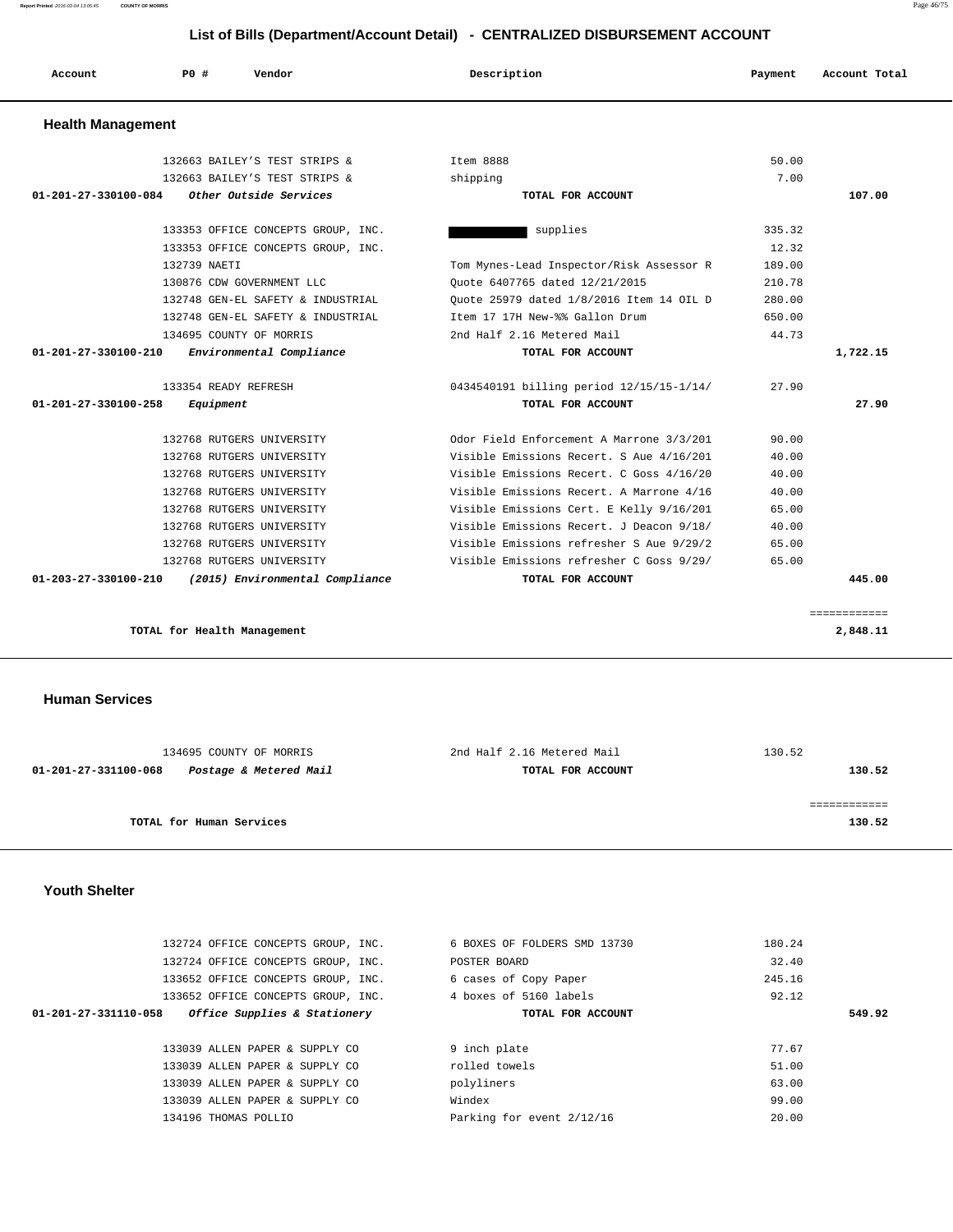| Account                        | PO#<br>Vendor                      | Description                              | Payment | Account Total |
|--------------------------------|------------------------------------|------------------------------------------|---------|---------------|
| <b>Health Management</b>       |                                    |                                          |         |               |
|                                | 132663 BAILEY'S TEST STRIPS &      | Item 8888                                | 50.00   |               |
|                                | 132663 BAILEY'S TEST STRIPS &      | shipping                                 | 7.00    |               |
| 01-201-27-330100-084           | Other Outside Services             | TOTAL FOR ACCOUNT                        |         | 107.00        |
|                                | 133353 OFFICE CONCEPTS GROUP, INC. | supplies                                 | 335.32  |               |
|                                | 133353 OFFICE CONCEPTS GROUP, INC. |                                          | 12.32   |               |
|                                | 132739 NAETI                       | Tom Mynes-Lead Inspector/Risk Assessor R | 189.00  |               |
|                                | 130876 CDW GOVERNMENT LLC          | Ouote 6407765 dated 12/21/2015           | 210.78  |               |
|                                | 132748 GEN-EL SAFETY & INDUSTRIAL  | Ouote 25979 dated 1/8/2016 Item 14 OIL D | 280.00  |               |
|                                | 132748 GEN-EL SAFETY & INDUSTRIAL  | Item 17 17H New-%% Gallon Drum           | 650.00  |               |
|                                | 134695 COUNTY OF MORRIS            | 2nd Half 2.16 Metered Mail               | 44.73   |               |
| $01 - 201 - 27 - 330100 - 210$ | Environmental Compliance           | TOTAL FOR ACCOUNT                        |         | 1,722.15      |
|                                | 133354 READY REFRESH               | 0434540191 billing period 12/15/15-1/14/ | 27.90   |               |
| 01-201-27-330100-258           | Equipment                          | TOTAL FOR ACCOUNT                        |         | 27.90         |
|                                | 132768 RUTGERS UNIVERSITY          | Odor Field Enforcement A Marrone 3/3/201 | 90.00   |               |
|                                | 132768 RUTGERS UNIVERSITY          | Visible Emissions Recert. S Aue 4/16/201 | 40.00   |               |
|                                | 132768 RUTGERS UNIVERSITY          | Visible Emissions Recert. C Goss 4/16/20 | 40.00   |               |
|                                | 132768 RUTGERS UNIVERSITY          | Visible Emissions Recert. A Marrone 4/16 | 40.00   |               |
|                                | 132768 RUTGERS UNIVERSITY          | Visible Emissions Cert. E Kelly 9/16/201 | 65.00   |               |
|                                | 132768 RUTGERS UNIVERSITY          | Visible Emissions Recert. J Deacon 9/18/ | 40.00   |               |
|                                | 132768 RUTGERS UNIVERSITY          | Visible Emissions refresher S Aue 9/29/2 | 65.00   |               |
|                                | 132768 RUTGERS UNIVERSITY          | Visible Emissions refresher C Goss 9/29/ | 65.00   |               |
| 01-203-27-330100-210           | (2015) Environmental Compliance    | TOTAL FOR ACCOUNT                        |         | 445.00        |
|                                |                                    |                                          |         | ============  |
|                                | TOTAL for Health Management        |                                          |         | 2,848.11      |

 **Human Services** 

| 134695 COUNTY OF MORRIS                        | 2nd Half 2.16 Metered Mail | 130.52 |
|------------------------------------------------|----------------------------|--------|
| Postage & Metered Mail<br>01-201-27-331100-068 | TOTAL FOR ACCOUNT          | 130.52 |
|                                                |                            |        |
|                                                |                            |        |
| TOTAL for Human Services                       |                            | 130.52 |
|                                                |                            |        |

## **Youth Shelter**

| 132724 OFFICE CONCEPTS GROUP, INC.                   | 6 BOXES OF FOLDERS SMD 13730 | 180.24 |
|------------------------------------------------------|------------------------------|--------|
| 132724 OFFICE CONCEPTS GROUP, INC.                   | POSTER BOARD                 | 32.40  |
| 133652 OFFICE CONCEPTS GROUP, INC.                   | 6 cases of Copy Paper        | 245.16 |
| 133652 OFFICE CONCEPTS GROUP, INC.                   | 4 boxes of 5160 labels       | 92.12  |
| Office Supplies & Stationery<br>01-201-27-331110-058 | TOTAL FOR ACCOUNT            | 549.92 |
|                                                      |                              |        |
| 133039 ALLEN PAPER & SUPPLY CO                       | 9 inch plate                 | 77.67  |
| 133039 ALLEN PAPER & SUPPLY CO                       | rolled towels                | 51.00  |
| 133039 ALLEN PAPER & SUPPLY CO                       | polyliners                   | 63.00  |
|                                                      |                              |        |
| 133039 ALLEN PAPER & SUPPLY CO                       | Windex                       | 99.00  |

**Report Printed** 2016-03-04 13:05:45 **COUNTY OF MORRIS** Page 46/75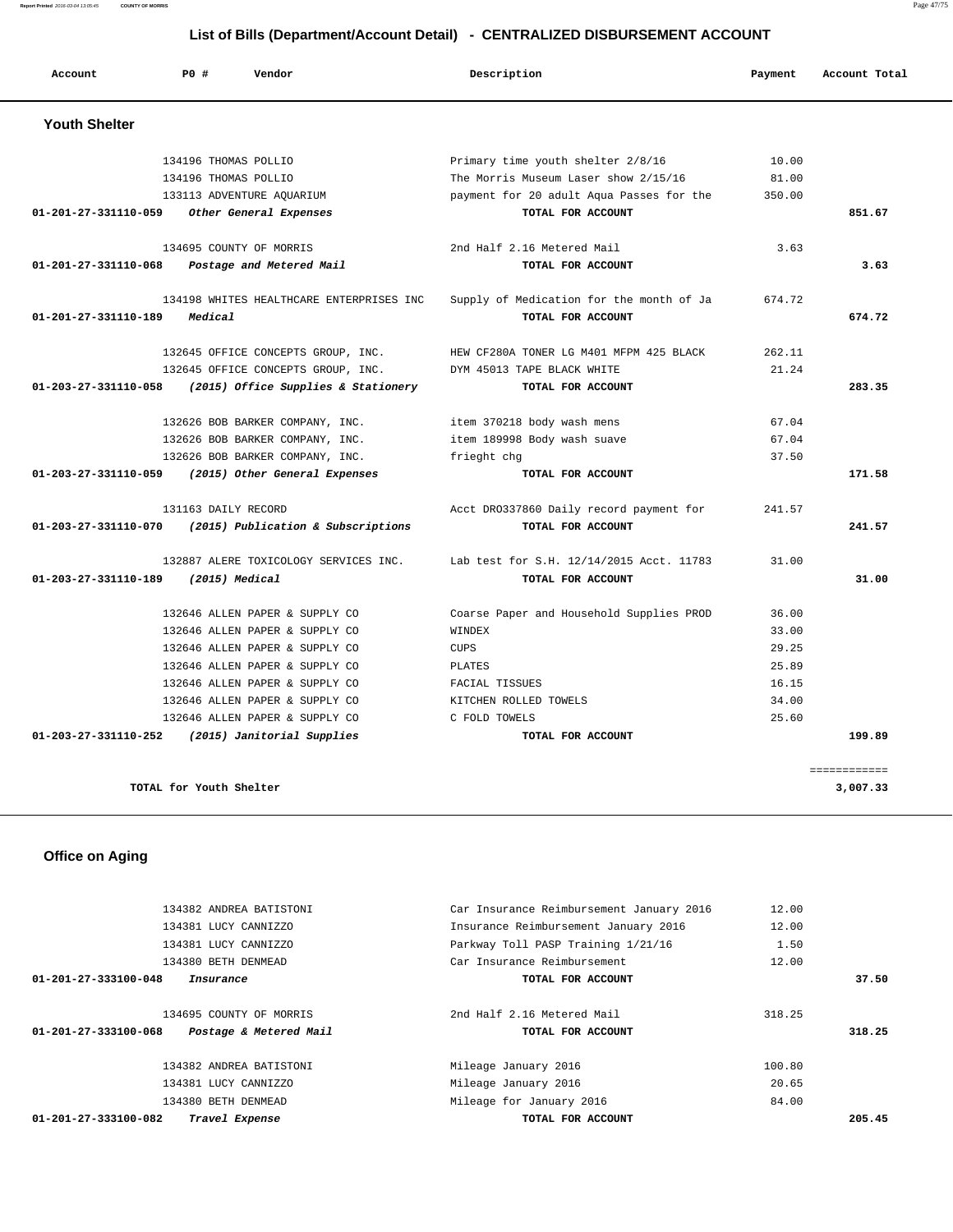| Account              | PO#                     | Vendor                                   | Description                              | Payment | Account Total |
|----------------------|-------------------------|------------------------------------------|------------------------------------------|---------|---------------|
| <b>Youth Shelter</b> |                         |                                          |                                          |         |               |
|                      | 134196 THOMAS POLLIO    |                                          | Primary time youth shelter 2/8/16        | 10.00   |               |
|                      | 134196 THOMAS POLLIO    |                                          | The Morris Museum Laser show 2/15/16     | 81.00   |               |
|                      |                         | 133113 ADVENTURE AQUARIUM                | payment for 20 adult Aqua Passes for the | 350.00  |               |
| 01-201-27-331110-059 |                         | Other General Expenses                   | TOTAL FOR ACCOUNT                        |         | 851.67        |
|                      |                         | 134695 COUNTY OF MORRIS                  | 2nd Half 2.16 Metered Mail               | 3.63    |               |
| 01-201-27-331110-068 |                         | Postage and Metered Mail                 | TOTAL FOR ACCOUNT                        |         | 3.63          |
|                      |                         | 134198 WHITES HEALTHCARE ENTERPRISES INC | Supply of Medication for the month of Ja | 674.72  |               |
| 01-201-27-331110-189 | Medical                 |                                          | TOTAL FOR ACCOUNT                        |         | 674.72        |
|                      |                         | 132645 OFFICE CONCEPTS GROUP, INC.       | HEW CF280A TONER LG M401 MFPM 425 BLACK  | 262.11  |               |
|                      |                         | 132645 OFFICE CONCEPTS GROUP, INC.       | DYM 45013 TAPE BLACK WHITE               | 21.24   |               |
| 01-203-27-331110-058 |                         | (2015) Office Supplies & Stationery      | TOTAL FOR ACCOUNT                        |         | 283.35        |
|                      |                         | 132626 BOB BARKER COMPANY, INC.          | item 370218 body wash mens               | 67.04   |               |
|                      |                         | 132626 BOB BARKER COMPANY, INC.          | item 189998 Body wash suave              | 67.04   |               |
|                      |                         | 132626 BOB BARKER COMPANY, INC.          | frieght chg                              | 37.50   |               |
| 01-203-27-331110-059 |                         | (2015) Other General Expenses            | TOTAL FOR ACCOUNT                        |         | 171.58        |
|                      | 131163 DAILY RECORD     |                                          | Acct DR0337860 Daily record payment for  | 241.57  |               |
| 01-203-27-331110-070 |                         | (2015) Publication & Subscriptions       | TOTAL FOR ACCOUNT                        |         | 241.57        |
|                      |                         | 132887 ALERE TOXICOLOGY SERVICES INC.    | Lab test for S.H. 12/14/2015 Acct. 11783 | 31.00   |               |
| 01-203-27-331110-189 |                         | (2015) Medical                           | TOTAL FOR ACCOUNT                        |         | 31.00         |
|                      |                         | 132646 ALLEN PAPER & SUPPLY CO           | Coarse Paper and Household Supplies PROD | 36.00   |               |
|                      |                         | 132646 ALLEN PAPER & SUPPLY CO           | WINDEX                                   | 33.00   |               |
|                      |                         | 132646 ALLEN PAPER & SUPPLY CO           | <b>CUPS</b>                              | 29.25   |               |
|                      |                         | 132646 ALLEN PAPER & SUPPLY CO           | <b>PLATES</b>                            | 25.89   |               |
|                      |                         | 132646 ALLEN PAPER & SUPPLY CO           | FACIAL TISSUES                           | 16.15   |               |
|                      |                         | 132646 ALLEN PAPER & SUPPLY CO           | KITCHEN ROLLED TOWELS                    | 34.00   |               |
|                      |                         | 132646 ALLEN PAPER & SUPPLY CO           | C FOLD TOWELS                            | 25.60   |               |
| 01-203-27-331110-252 |                         | (2015) Janitorial Supplies               | TOTAL FOR ACCOUNT                        |         | 199.89        |
|                      |                         |                                          |                                          |         | ============  |
|                      | TOTAL for Youth Shelter |                                          |                                          |         | 3,007.33      |

 **Office on Aging** 

| TOTAL FOR ACCOUNT                                            |        | 205.45                                   |
|--------------------------------------------------------------|--------|------------------------------------------|
| 134380 BETH DENMEAD<br>Mileage for January 2016              | 84.00  |                                          |
| 134381 LUCY CANNIZZO<br>Mileage January 2016                 | 20.65  |                                          |
| 134382 ANDREA BATISTONI<br>Mileage January 2016              | 100.80 |                                          |
| Postage & Metered Mail<br>TOTAL FOR ACCOUNT                  |        | 318.25                                   |
| 134695 COUNTY OF MORRIS<br>2nd Half 2.16 Metered Mail        | 318.25 |                                          |
| TOTAL FOR ACCOUNT                                            |        | 37.50                                    |
| Car Insurance Reimbursement<br>134380 BETH DENMEAD           | 12.00  |                                          |
| Parkway Toll PASP Training 1/21/16<br>134381 LUCY CANNIZZO   | 1.50   |                                          |
| Insurance Reimbursement January 2016<br>134381 LUCY CANNIZZO | 12.00  |                                          |
| 134382 ANDREA BATISTONI                                      | 12.00  |                                          |
|                                                              |        | Car Insurance Reimbursement January 2016 |

**Report Printed** 2016-03-04 13:05:45 **COUNTY OF MORRIS** Page 47/75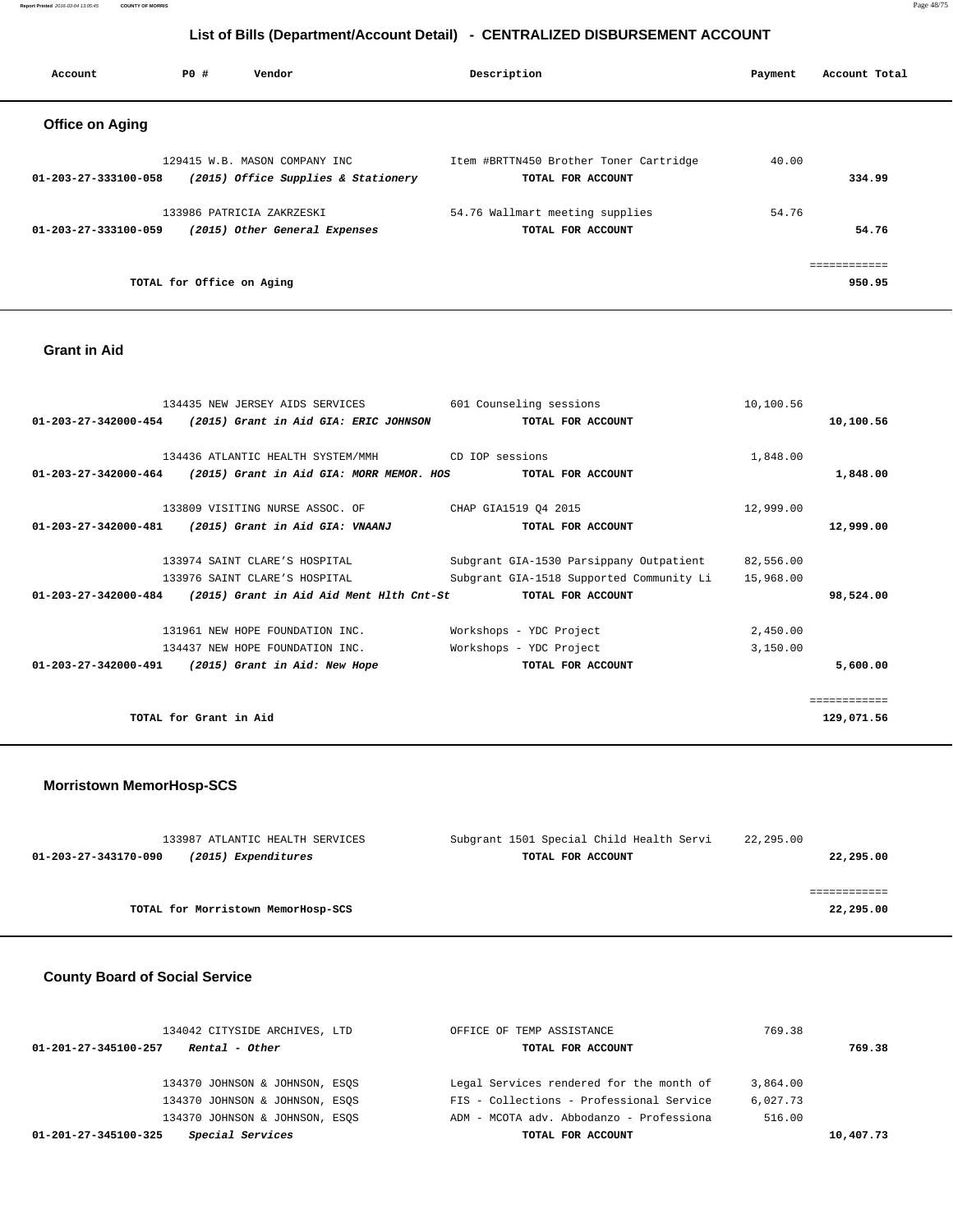**Report Printed** 2016-03-04 13:05:45 **COUNTY OF MORRIS** Page 48/75

## **List of Bills (Department/Account Detail) - CENTRALIZED DISBURSEMENT ACCOUNT**

| Account                | PO# | Vendor                              | Description                            | Account Total<br>Payment |
|------------------------|-----|-------------------------------------|----------------------------------------|--------------------------|
| <b>Office on Aging</b> |     |                                     |                                        |                          |
|                        |     | 129415 W.B. MASON COMPANY INC       | Item #BRTTN450 Brother Toner Cartridge | 40.00                    |
| 01-203-27-333100-058   |     | (2015) Office Supplies & Stationery | TOTAL FOR ACCOUNT                      | 334.99                   |
|                        |     | 133986 PATRICIA ZAKRZESKI           | 54.76 Wallmart meeting supplies        | 54.76                    |
| 01-203-27-333100-059   |     | (2015) Other General Expenses       | TOTAL FOR ACCOUNT                      | 54.76                    |
|                        |     |                                     |                                        | ============             |
|                        |     | TOTAL for Office on Aging           |                                        | 950.95                   |

## **Grant in Aid**

|                                | 134435 NEW JERSEY AIDS SERVICES                                 | 601 Counseling sessions                  | 10,100.56 |              |
|--------------------------------|-----------------------------------------------------------------|------------------------------------------|-----------|--------------|
| 01-203-27-342000-454           | (2015) Grant in Aid GIA: ERIC JOHNSON                           | TOTAL FOR ACCOUNT                        |           | 10,100.56    |
|                                |                                                                 |                                          |           |              |
|                                | 134436 ATLANTIC HEALTH SYSTEM/MMH                               | CD IOP sessions                          | 1,848.00  |              |
| $01 - 203 - 27 - 342000 - 464$ | (2015) Grant in Aid GIA: MORR MEMOR. HOS                        | TOTAL FOR ACCOUNT                        |           | 1,848.00     |
|                                | 133809 VISITING NURSE ASSOC. OF                                 | CHAP GIA1519 Q4 2015                     | 12,999.00 |              |
|                                |                                                                 |                                          |           |              |
| 01-203-27-342000-481           | (2015) Grant in Aid GIA: VNAANJ                                 | TOTAL FOR ACCOUNT                        |           | 12,999.00    |
|                                | 133974 SAINT CLARE'S HOSPITAL                                   | Subgrant GIA-1530 Parsippany Outpatient  | 82,556.00 |              |
|                                | 133976 SAINT CLARE'S HOSPITAL                                   | Subgrant GIA-1518 Supported Community Li | 15,968.00 |              |
|                                |                                                                 |                                          |           |              |
|                                | $01-203-27-342000-484$ (2015) Grant in Aid Aid Ment Hlth Cnt-St | TOTAL FOR ACCOUNT                        |           | 98,524.00    |
|                                | 131961 NEW HOPE FOUNDATION INC.                                 | Workshops - YDC Project                  | 2,450.00  |              |
|                                | 134437 NEW HOPE FOUNDATION INC.                                 | Workshops - YDC Project                  | 3,150.00  |              |
| $01 - 203 - 27 - 342000 - 491$ | (2015) Grant in Aid: New Hope                                   | TOTAL FOR ACCOUNT                        |           | 5,600.00     |
|                                |                                                                 |                                          |           |              |
|                                |                                                                 |                                          |           | ============ |
|                                | TOTAL for Grant in Aid                                          |                                          |           | 129,071.56   |
|                                |                                                                 |                                          |           |              |

#### **Morristown MemorHosp-SCS**

| 133987 ATLANTIC HEALTH SERVICES             | Subgrant 1501 Special Child Health Servi | 22,295.00 |
|---------------------------------------------|------------------------------------------|-----------|
| (2015) Expenditures<br>01-203-27-343170-090 | TOTAL FOR ACCOUNT                        | 22,295.00 |
|                                             |                                          |           |
|                                             |                                          |           |
| TOTAL for Morristown MemorHosp-SCS          |                                          | 22,295.00 |

## **County Board of Social Service**

| 134042 CITYSIDE ARCHIVES, LTD            | OFFICE OF TEMP ASSISTANCE                | 769.38    |
|------------------------------------------|------------------------------------------|-----------|
| Rental - Other<br>01-201-27-345100-257   | TOTAL FOR ACCOUNT                        | 769.38    |
|                                          |                                          |           |
| 134370 JOHNSON & JOHNSON, ESOS           | Legal Services rendered for the month of | 3,864.00  |
| 134370 JOHNSON & JOHNSON, ESOS           | FIS - Collections - Professional Service | 6,027.73  |
| 134370 JOHNSON & JOHNSON, ESOS           | ADM - MCOTA adv. Abbodanzo - Professiona | 516.00    |
| Special Services<br>01-201-27-345100-325 | TOTAL FOR ACCOUNT                        | 10,407.73 |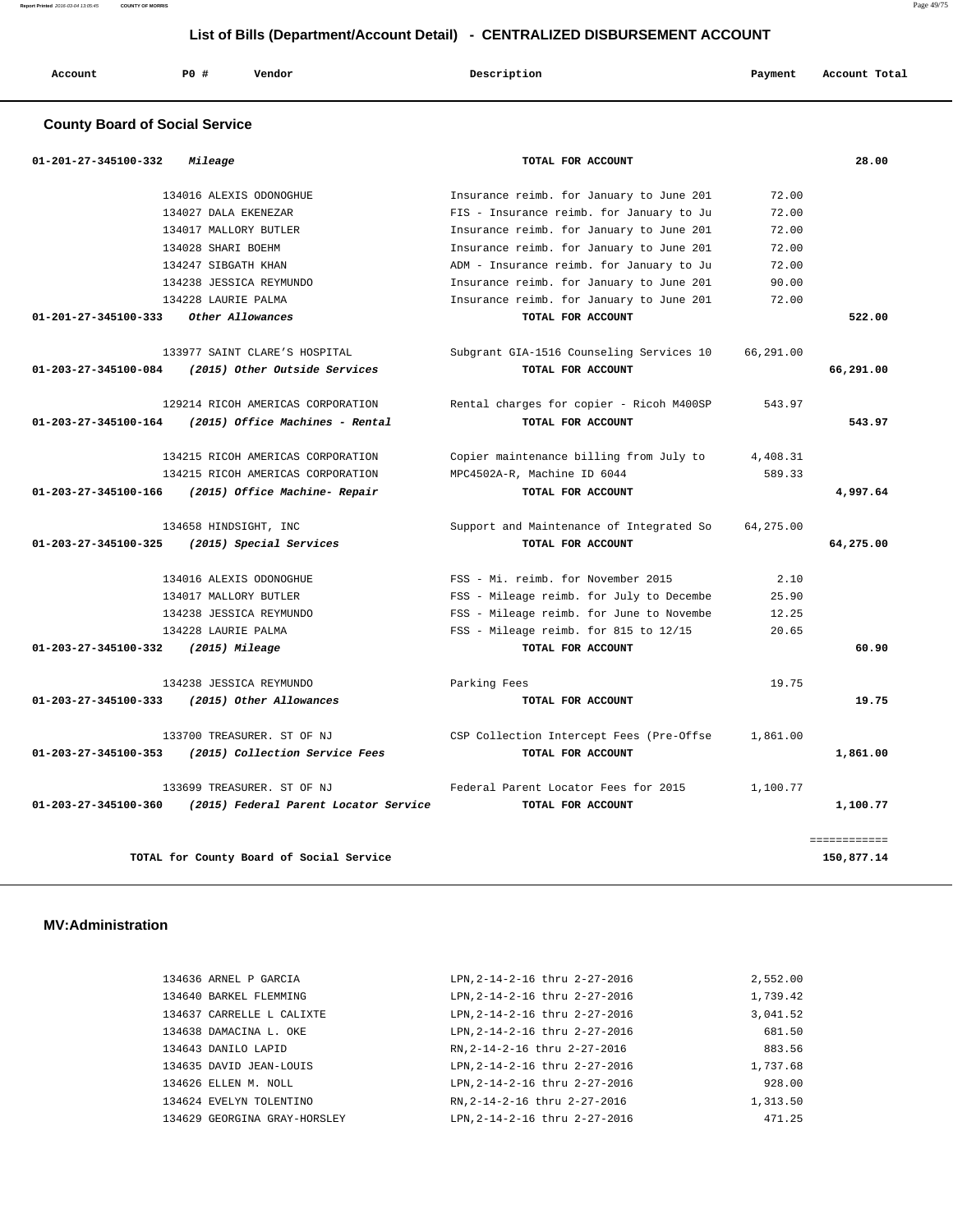**Report Printed** 2016-03-04 13:05:45 **COUNTY OF MORRIS** Page 49/75

## **List of Bills (Department/Account Detail) - CENTRALIZED DISBURSEMENT ACCOUNT**

| Account | PO# | Vendor | Description | Payment | Account Total |
|---------|-----|--------|-------------|---------|---------------|
|         |     |        |             |         |               |

## **County Board of Social Service**

| 28.00     |           | TOTAL FOR ACCOUNT                        | Mileage                               | 01-201-27-345100-332           |
|-----------|-----------|------------------------------------------|---------------------------------------|--------------------------------|
|           | 72.00     | Insurance reimb. for January to June 201 | 134016 ALEXIS ODONOGHUE               |                                |
|           | 72.00     | FIS - Insurance reimb. for January to Ju | 134027 DALA EKENEZAR                  |                                |
|           | 72.00     | Insurance reimb. for January to June 201 | 134017 MALLORY BUTLER                 |                                |
|           | 72.00     | Insurance reimb. for January to June 201 | 134028 SHARI BOEHM                    |                                |
|           | 72.00     | ADM - Insurance reimb. for January to Ju | 134247 SIBGATH KHAN                   |                                |
|           | 90.00     | Insurance reimb. for January to June 201 | 134238 JESSICA REYMUNDO               |                                |
|           | 72.00     | Insurance reimb. for January to June 201 | 134228 LAURIE PALMA                   |                                |
| 522.00    |           | TOTAL FOR ACCOUNT                        | Other Allowances                      | 01-201-27-345100-333           |
|           | 66,291.00 | Subgrant GIA-1516 Counseling Services 10 | 133977 SAINT CLARE'S HOSPITAL         |                                |
| 66,291.00 |           | TOTAL FOR ACCOUNT                        | (2015) Other Outside Services         | 01-203-27-345100-084           |
|           | 543.97    | Rental charges for copier - Ricoh M400SP | 129214 RICOH AMERICAS CORPORATION     |                                |
| 543.97    |           | TOTAL FOR ACCOUNT                        | (2015) Office Machines - Rental       | 01-203-27-345100-164           |
|           | 4,408.31  | Copier maintenance billing from July to  | 134215 RICOH AMERICAS CORPORATION     |                                |
|           | 589.33    | MPC4502A-R, Machine ID 6044              | 134215 RICOH AMERICAS CORPORATION     |                                |
| 4,997.64  |           | TOTAL FOR ACCOUNT                        | (2015) Office Machine- Repair         | 01-203-27-345100-166           |
|           | 64,275.00 | Support and Maintenance of Integrated So | 134658 HINDSIGHT, INC                 |                                |
| 64,275.00 |           | TOTAL FOR ACCOUNT                        | (2015) Special Services               | $01 - 203 - 27 - 345100 - 325$ |
|           | 2.10      | FSS - Mi. reimb. for November 2015       | 134016 ALEXIS ODONOGHUE               |                                |
|           | 25.90     | FSS - Mileage reimb. for July to Decembe | 134017 MALLORY BUTLER                 |                                |
|           | 12.25     | FSS - Mileage reimb. for June to Novembe | 134238 JESSICA REYMUNDO               |                                |
|           | 20.65     | FSS - Mileage reimb. for 815 to 12/15    | 134228 LAURIE PALMA                   |                                |
| 60.90     |           | TOTAL FOR ACCOUNT                        | (2015) Mileage                        | 01-203-27-345100-332           |
|           | 19.75     | Parking Fees                             | 134238 JESSICA REYMUNDO               |                                |
| 19.75     |           | TOTAL FOR ACCOUNT                        | (2015) Other Allowances               | 01-203-27-345100-333           |
|           | 1,861.00  | CSP Collection Intercept Fees (Pre-Offse | 133700 TREASURER. ST OF NJ            |                                |
| 1,861.00  |           | TOTAL FOR ACCOUNT                        | (2015) Collection Service Fees        | 01-203-27-345100-353           |
|           | 1,100.77  | Federal Parent Locator Fees for 2015     | 133699 TREASURER. ST OF NJ            |                                |
|           |           | TOTAL FOR ACCOUNT                        | (2015) Federal Parent Locator Service | 01-203-27-345100-360           |

 **MV:Administration** 

| 134636 ARNEL P GARCIA        | LPN, 2-14-2-16 thru 2-27-2016 | 2,552.00 |
|------------------------------|-------------------------------|----------|
| 134640 BARKEL FLEMMING       | LPN.2-14-2-16 thru 2-27-2016  | 1,739.42 |
| 134637 CARRELLE L CALIXTE    | LPN, 2-14-2-16 thru 2-27-2016 | 3,041.52 |
| 134638 DAMACINA L. OKE       | LPN, 2-14-2-16 thru 2-27-2016 | 681.50   |
| 134643 DANILO LAPID          | RN, 2-14-2-16 thru 2-27-2016  | 883.56   |
| 134635 DAVID JEAN-LOUIS      | LPN.2-14-2-16 thru 2-27-2016  | 1,737.68 |
| 134626 ELLEN M. NOLL         | LPN, 2-14-2-16 thru 2-27-2016 | 928.00   |
| 134624 EVELYN TOLENTINO      | RN, 2-14-2-16 thru 2-27-2016  | 1,313.50 |
| 134629 GEORGINA GRAY-HORSLEY | LPN.2-14-2-16 thru 2-27-2016  | 471.25   |
|                              |                               |          |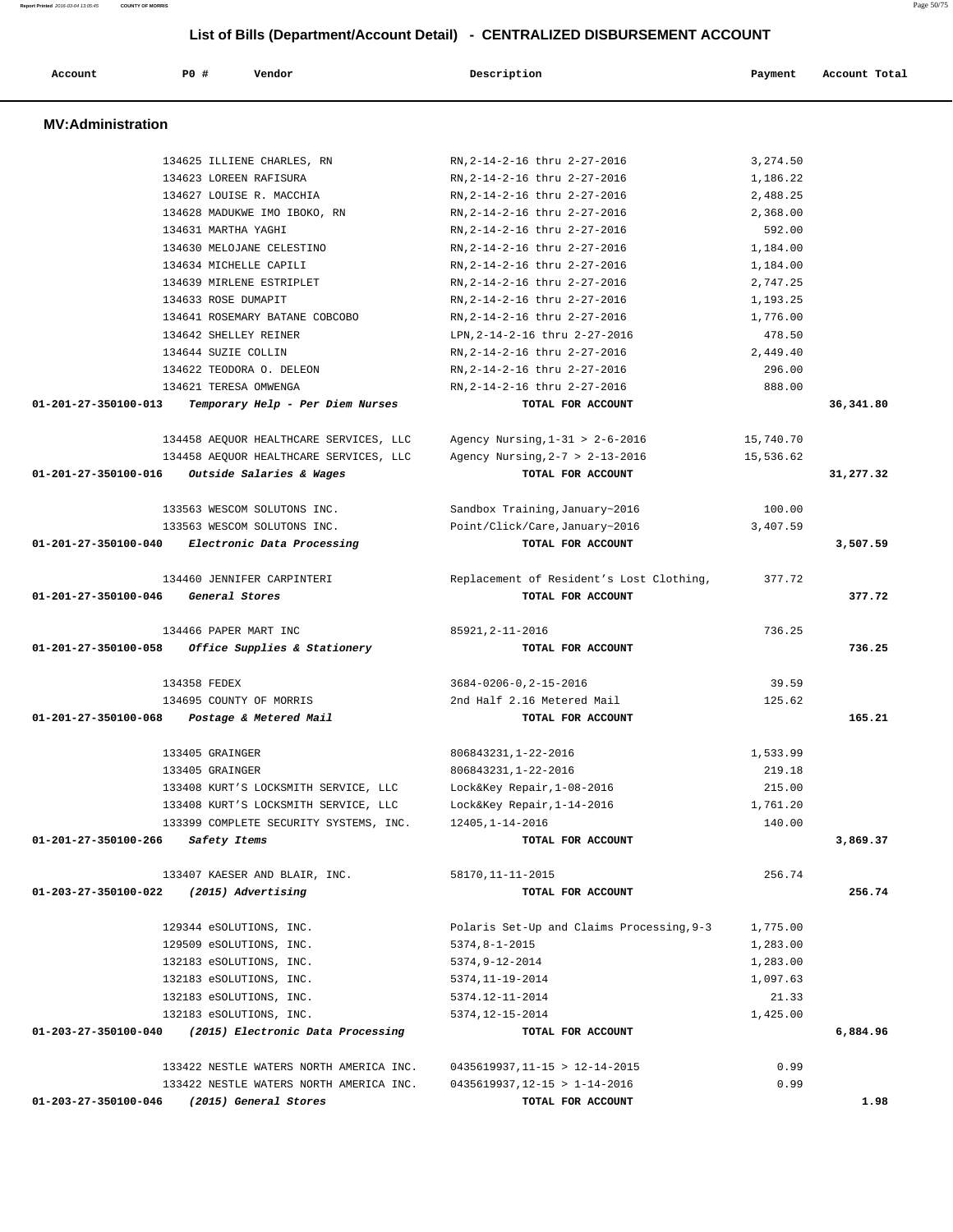**List of Bills (Department/Account Detail) - CENTRALIZED DISBURSEMENT ACCOUNT Account P0 # Vendor Description Payment Account Total**

| 01-203-27-350100-046 | (2015) General Stores                                                      | TOTAL FOR ACCOUNT                                              |                      | 1.98      |
|----------------------|----------------------------------------------------------------------------|----------------------------------------------------------------|----------------------|-----------|
|                      | 133422 NESTLE WATERS NORTH AMERICA INC.                                    | $0435619937, 12-15 > 1-14-2016$                                | 0.99                 |           |
|                      | 133422 NESTLE WATERS NORTH AMERICA INC.                                    | $0435619937, 11-15 > 12-14-2015$                               | 0.99                 |           |
|                      |                                                                            |                                                                |                      |           |
| 01-203-27-350100-040 | (2015) Electronic Data Processing                                          | TOTAL FOR ACCOUNT                                              |                      | 6,884.96  |
|                      | 132183 eSOLUTIONS, INC.                                                    | 5374, 12-15-2014                                               | 1,425.00             |           |
|                      | 132183 eSOLUTIONS, INC.                                                    | 5374.12-11-2014                                                | 21.33                |           |
|                      | 132183 eSOLUTIONS, INC.                                                    | 5374, 11-19-2014                                               | 1,097.63             |           |
|                      | 132183 eSOLUTIONS, INC.                                                    | 5374,9-12-2014                                                 | 1,283.00             |           |
|                      | 129509 eSOLUTIONS, INC.                                                    | $5374, 8 - 1 - 2015$                                           | 1,283.00             |           |
|                      | 129344 eSOLUTIONS, INC.                                                    | Polaris Set-Up and Claims Processing, 9-3                      | 1,775.00             |           |
| 01-203-27-350100-022 | 133407 KAESER AND BLAIR, INC.<br>(2015) Advertising                        | 58170, 11-11-2015<br>TOTAL FOR ACCOUNT                         | 256.74               | 256.74    |
|                      |                                                                            |                                                                |                      |           |
| 01-201-27-350100-266 | Safety Items                                                               | TOTAL FOR ACCOUNT                                              |                      | 3,869.37  |
|                      | 133399 COMPLETE SECURITY SYSTEMS, INC.                                     | 12405,1-14-2016                                                | 140.00               |           |
|                      | 133408 KURT'S LOCKSMITH SERVICE, LLC                                       | Lock&Key Repair, 1-14-2016                                     | 1,761.20             |           |
|                      | 133408 KURT'S LOCKSMITH SERVICE, LLC                                       | Lock&Key Repair, 1-08-2016                                     | 215.00               |           |
|                      | 133405 GRAINGER<br>133405 GRAINGER                                         | 806843231, 1-22-2016<br>806843231, 1-22-2016                   | 1,533.99<br>219.18   |           |
|                      |                                                                            |                                                                |                      |           |
| 01-201-27-350100-068 | Postage & Metered Mail                                                     | TOTAL FOR ACCOUNT                                              |                      | 165.21    |
|                      | 134358 FEDEX<br>134695 COUNTY OF MORRIS                                    | $3684 - 0206 - 0, 2 - 15 - 2016$<br>2nd Half 2.16 Metered Mail | 39.59<br>125.62      |           |
|                      |                                                                            |                                                                |                      |           |
|                      | 134466 PAPER MART INC<br>01-201-27-350100-058 Office Supplies & Stationery | 85921, 2-11-2016<br>TOTAL FOR ACCOUNT                          | 736.25               | 736.25    |
| 01-201-27-350100-046 | General Stores                                                             | TOTAL FOR ACCOUNT                                              |                      | 377.72    |
|                      | 134460 JENNIFER CARPINTERI                                                 | Replacement of Resident's Lost Clothing,                       | 377.72               |           |
| 01-201-27-350100-040 | Electronic Data Processing                                                 | TOTAL FOR ACCOUNT                                              |                      | 3,507.59  |
|                      | 133563 WESCOM SOLUTONS INC.                                                | Point/Click/Care, January~2016                                 | 3,407.59             |           |
|                      | 133563 WESCOM SOLUTONS INC.                                                | Sandbox Training, January~2016                                 | 100.00               |           |
| 01-201-27-350100-016 | Outside Salaries & Wages                                                   | TOTAL FOR ACCOUNT                                              |                      | 31,277.32 |
|                      | 134458 AEQUOR HEALTHCARE SERVICES, LLC                                     | Agency Nursing, $2-7$ > $2-13-2016$                            | 15,536.62            |           |
|                      | 134458 AEQUOR HEALTHCARE SERVICES, LLC                                     | Agency Nursing, $1-31$ > $2-6-2016$                            | 15,740.70            |           |
| 01-201-27-350100-013 | Temporary Help - Per Diem Nurses                                           | TOTAL FOR ACCOUNT                                              |                      | 36,341.80 |
|                      | 134621 TERESA OMWENGA                                                      | RN, 2-14-2-16 thru 2-27-2016                                   | 888.00               |           |
|                      | 134622 TEODORA O. DELEON                                                   | RN, 2-14-2-16 thru 2-27-2016                                   | 296.00               |           |
|                      | 134644 SUZIE COLLIN                                                        | RN, 2-14-2-16 thru 2-27-2016                                   | 2,449.40             |           |
|                      | 134642 SHELLEY REINER                                                      | LPN, 2-14-2-16 thru 2-27-2016                                  | 478.50               |           |
|                      | 134633 ROSE DUMAPIT<br>134641 ROSEMARY BATANE COBCOBO                      | RN, 2-14-2-16 thru 2-27-2016<br>RN, 2-14-2-16 thru 2-27-2016   | 1,193.25<br>1,776.00 |           |
|                      | 134639 MIRLENE ESTRIPLET                                                   | RN, 2-14-2-16 thru 2-27-2016                                   | 2,747.25             |           |
|                      | 134634 MICHELLE CAPILI                                                     | RN, 2-14-2-16 thru 2-27-2016                                   | 1,184.00             |           |
|                      | 134630 MELOJANE CELESTINO                                                  | RN, 2-14-2-16 thru 2-27-2016                                   | 1,184.00             |           |
|                      | 134631 MARTHA YAGHI                                                        | RN, 2-14-2-16 thru 2-27-2016                                   | 592.00               |           |
|                      | 134628 MADUKWE IMO IBOKO, RN                                               | RN, 2-14-2-16 thru 2-27-2016                                   | 2,368.00             |           |
|                      | 134627 LOUISE R. MACCHIA                                                   | RN, 2-14-2-16 thru 2-27-2016                                   | 2,488.25             |           |
|                      | 134623 LOREEN RAFISURA                                                     | RN, 2-14-2-16 thru 2-27-2016                                   | 1,186.22             |           |
|                      |                                                                            |                                                                |                      |           |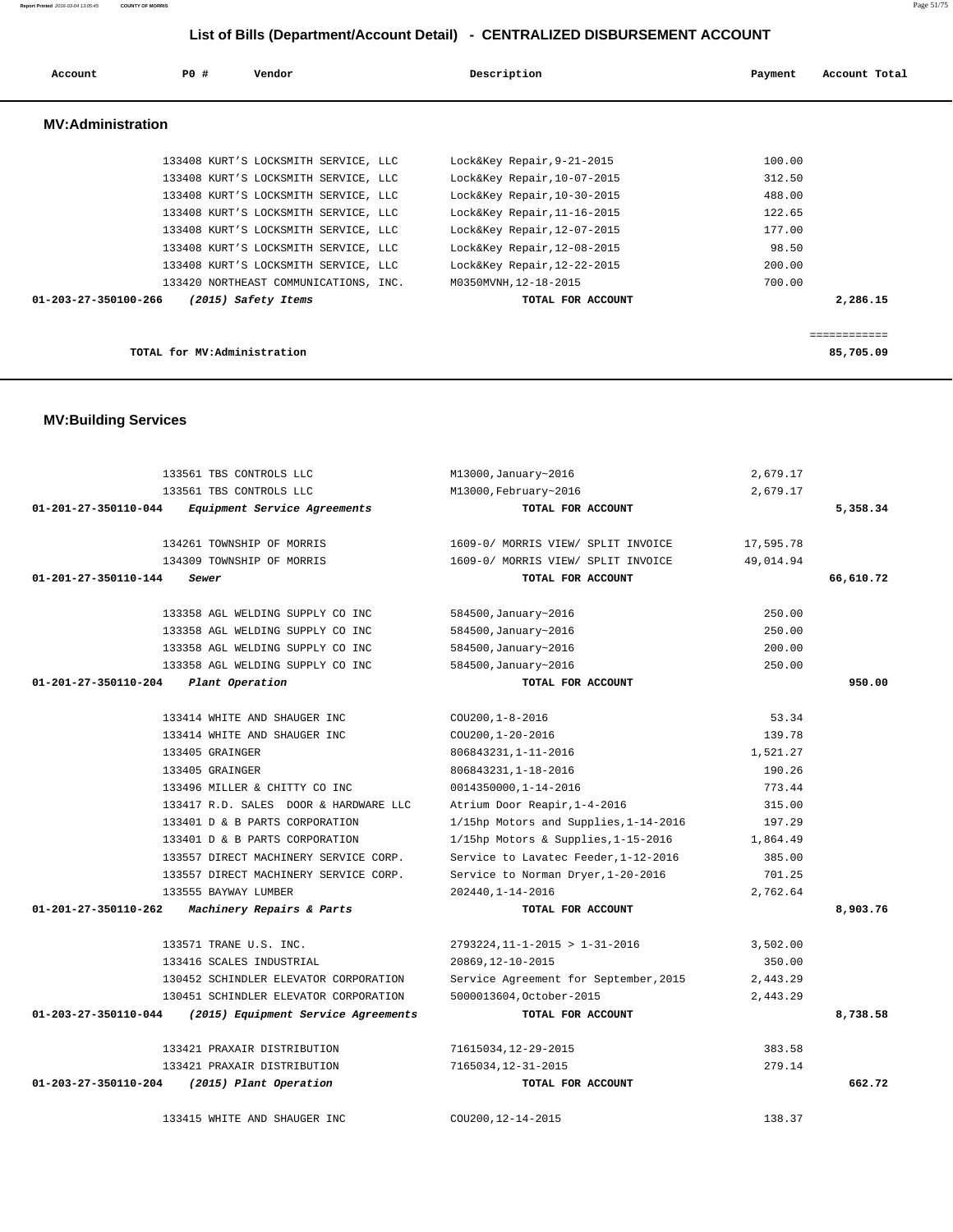|                                | 133561 TBS CONTROLS LLC               | M13000, January~2016                                 | 2,679.17           |           |
|--------------------------------|---------------------------------------|------------------------------------------------------|--------------------|-----------|
|                                | 133561 TBS CONTROLS LLC               | M13000, February~2016                                | 2,679.17           |           |
| 01-201-27-350110-044           | Equipment Service Agreements          | TOTAL FOR ACCOUNT                                    |                    | 5,358.34  |
|                                | 134261 TOWNSHIP OF MORRIS             | 1609-0/ MORRIS VIEW/ SPLIT INVOICE                   | 17,595.78          |           |
|                                | 134309 TOWNSHIP OF MORRIS             | 1609-0/ MORRIS VIEW/ SPLIT INVOICE                   | 49,014.94          |           |
| 01-201-27-350110-144           | Sewer                                 | TOTAL FOR ACCOUNT                                    |                    | 66,610.72 |
|                                |                                       |                                                      |                    |           |
|                                | 133358 AGL WELDING SUPPLY CO INC      | 584500, January~2016                                 | 250.00             |           |
|                                | 133358 AGL WELDING SUPPLY CO INC      | 584500, January~2016                                 | 250.00             |           |
|                                | 133358 AGL WELDING SUPPLY CO INC      | 584500, January~2016                                 | 200.00             |           |
|                                | 133358 AGL WELDING SUPPLY CO INC      | 584500, January~2016                                 | 250.00             |           |
| $01 - 201 - 27 - 350110 - 204$ | Plant Operation                       | TOTAL FOR ACCOUNT                                    |                    | 950.00    |
|                                |                                       |                                                      |                    |           |
|                                | 133414 WHITE AND SHAUGER INC          | $COU200, 1-8-2016$                                   | 53.34              |           |
|                                | 133414 WHITE AND SHAUGER INC          | COU200, 1-20-2016                                    | 139.78             |           |
|                                | 133405 GRAINGER<br>133405 GRAINGER    | 806843231, 1-11-2016                                 | 1,521.27<br>190.26 |           |
|                                | 133496 MILLER & CHITTY CO INC         | 806843231, 1-18-2016                                 | 773.44             |           |
|                                | 133417 R.D. SALES DOOR & HARDWARE LLC | 0014350000,1-14-2016<br>Atrium Door Reapir, 1-4-2016 | 315.00             |           |
|                                | 133401 D & B PARTS CORPORATION        | 1/15hp Motors and Supplies, 1-14-2016                | 197.29             |           |
|                                | 133401 D & B PARTS CORPORATION        | 1/15hp Motors & Supplies, 1-15-2016                  | 1,864.49           |           |
|                                | 133557 DIRECT MACHINERY SERVICE CORP. | Service to Lavatec Feeder, 1-12-2016                 | 385.00             |           |
|                                | 133557 DIRECT MACHINERY SERVICE CORP. | Service to Norman Dryer, 1-20-2016                   | 701.25             |           |
|                                | 133555 BAYWAY LUMBER                  | 202440.1-14-2016                                     | 2.762.64           |           |
| $01 - 201 - 27 - 350110 - 262$ | Machinery Repairs & Parts             | TOTAL FOR ACCOUNT                                    |                    | 8,903.76  |
|                                |                                       |                                                      |                    |           |
|                                | 133571 TRANE U.S. INC.                | $2793224, 11-1-2015 > 1-31-2016$                     | 3,502.00           |           |
|                                | 133416 SCALES INDUSTRIAL              | 20869, 12-10-2015                                    | 350.00             |           |
|                                | 130452 SCHINDLER ELEVATOR CORPORATION | Service Agreement for September, 2015                | 2.443.29           |           |
|                                | 130451 SCHINDLER ELEVATOR CORPORATION | 5000013604.0ctober-2015                              | 2,443.29           |           |
| 01-203-27-350110-044           | (2015) Equipment Service Agreements   | TOTAL FOR ACCOUNT                                    |                    | 8,738.58  |
|                                | 133421 PRAXAIR DISTRIBUTION           | 71615034, 12-29-2015                                 | 383.58             |           |
|                                | 133421 PRAXAIR DISTRIBUTION           | 7165034, 12-31-2015                                  | 279.14             |           |
| 01-203-27-350110-204           | (2015) Plant Operation                | TOTAL FOR ACCOUNT                                    |                    | 662.72    |
|                                |                                       |                                                      |                    |           |
|                                | 133415 WHITE AND SHAUGER INC          | COU200, 12-14-2015                                   | 138.37             |           |

## **MV:Building Services**

| TOTAL for MV:Administration                 |                             | 85,705.09 |
|---------------------------------------------|-----------------------------|-----------|
|                                             |                             |           |
| 01-203-27-350100-266<br>(2015) Safety Items | TOTAL FOR ACCOUNT           | 2,286.15  |
| 133420 NORTHEAST COMMUNICATIONS, INC.       | M0350MVNH, 12-18-2015       | 700.00    |
| 133408 KURT'S LOCKSMITH SERVICE, LLC        | Lock&Key Repair, 12-22-2015 | 200.00    |
| 133408 KURT'S LOCKSMITH SERVICE, LLC        | Lock&Key Repair, 12-08-2015 | 98.50     |
| 133408 KURT'S LOCKSMITH SERVICE, LLC        | Lock&Key Repair, 12-07-2015 | 177.00    |
| 133408 KURT'S LOCKSMITH SERVICE, LLC        | Lock&Key Repair, 11-16-2015 | 122.65    |
| 133408 KURT'S LOCKSMITH SERVICE, LLC        | Lock&Key Repair, 10-30-2015 | 488.00    |
| 133408 KURT'S LOCKSMITH SERVICE, LLC        | Lock&Key Repair, 10-07-2015 | 312.50    |

# **List of Bills (Department/Account Detail) - CENTRALIZED DISBURSEMENT ACCOUNT Account P0 # Vendor Description Payment Account Total MV:Administration**  133408 KURT'S LOCKSMITH SERVICE, LLC Lock&Key Repair,9-21-2015 100.00 133408 KURT'S LOCKSMITH SERVICE, LLC Lock&Key Repair,10-07-2015 312.50 133408 KURT'S LOCKSMITH SERVICE, LLC Lock&Key Repair,10-30-2015 488.00 133408 KURT'S LOCKSMITH SERVICE, LLC Lock&Key Repair,11-16-2015 122.65 133408 KURT'S LOCKSMITH SERVICE, LLC Lock&Key Repair,12-07-2015 177.00 133408 KURT'S LOCKSMITH SERVICE, LLC Lock&Key Repair,12-08-2015 98.50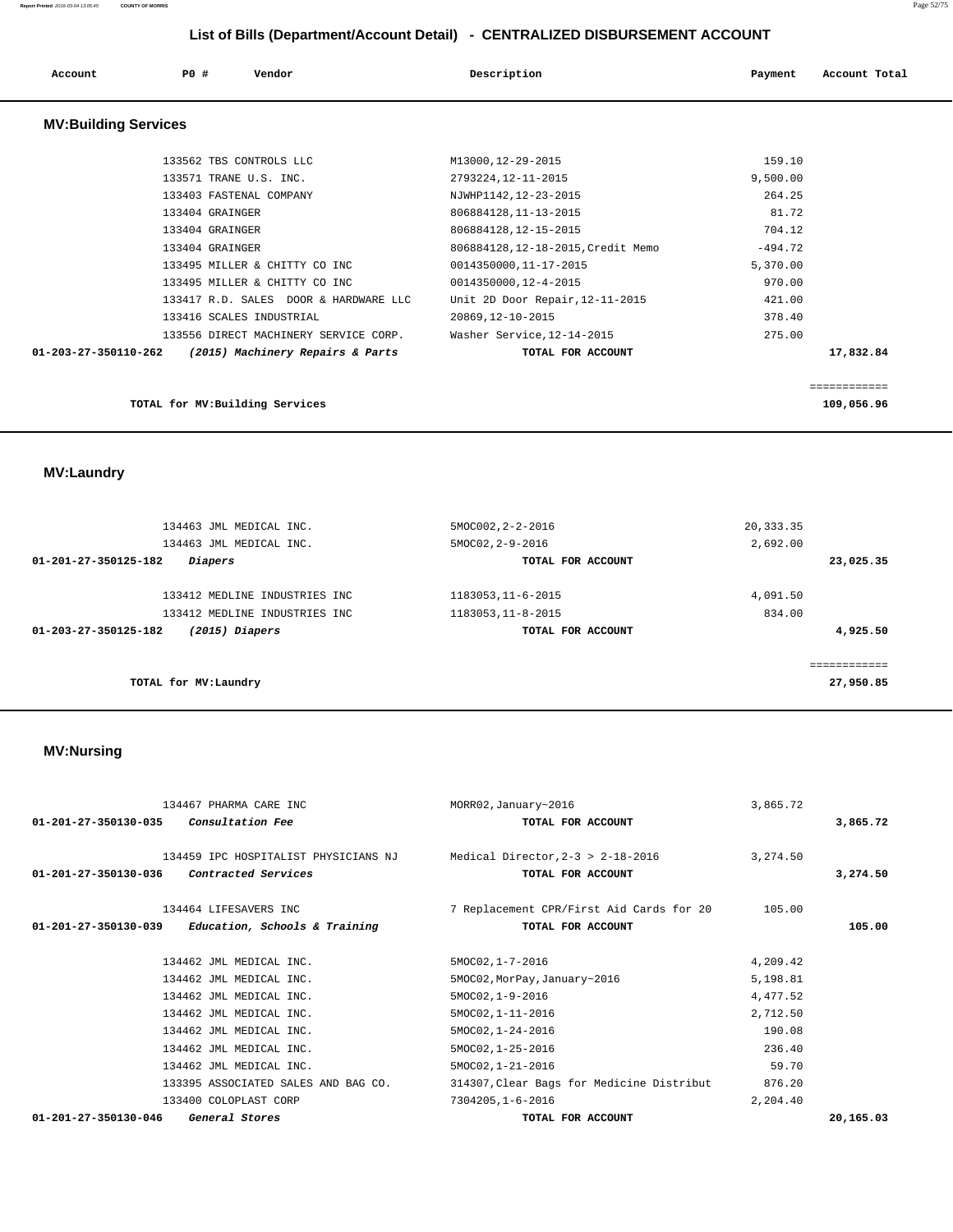| Account                     | P0 # | Vendor | Description | Payment | Account Total |
|-----------------------------|------|--------|-------------|---------|---------------|
| <b>MV:Building Services</b> |      |        |             |         |               |

| TOTAL for MV: Building Services                                    |                                    |           | 109,056.96 |
|--------------------------------------------------------------------|------------------------------------|-----------|------------|
|                                                                    |                                    |           |            |
| (2015) Machinery Repairs & Parts<br>$01 - 203 - 27 - 350110 - 262$ | TOTAL FOR ACCOUNT                  |           | 17,832.84  |
| 133556 DIRECT MACHINERY SERVICE CORP.                              | Washer Service, 12-14-2015         | 275.00    |            |
| 133416 SCALES INDUSTRIAL                                           | 20869, 12-10-2015                  | 378.40    |            |
| 133417 R.D. SALES DOOR & HARDWARE LLC                              | Unit 2D Door Repair, 12-11-2015    | 421.00    |            |
| 133495 MILLER & CHITTY CO INC                                      | 0014350000,12-4-2015               | 970.00    |            |
| 133495 MILLER & CHITTY CO INC                                      | 0014350000,11-17-2015              | 5,370.00  |            |
| 133404 GRAINGER                                                    | 806884128, 12-18-2015, Credit Memo | $-494.72$ |            |
| 133404 GRAINGER                                                    | 806884128, 12-15-2015              | 704.12    |            |
| 133404 GRAINGER                                                    | 806884128, 11-13-2015              | 81.72     |            |
| 133403 FASTENAL COMPANY                                            | NJWHP1142, 12-23-2015              | 264.25    |            |
| 133571 TRANE U.S. INC.                                             | 2793224,12-11-2015                 | 9,500.00  |            |
| 133562 TBS CONTROLS LLC                                            | M13000,12-29-2015                  | 159.10    |            |

 **MV:Laundry** 

| 134463 JML MEDICAL INC.<br>134463 JML MEDICAL INC. | 5MOC002, 2-2-2016<br>5MOC02, 2-9-2016 | 20, 333.35<br>2,692.00  |
|----------------------------------------------------|---------------------------------------|-------------------------|
| Diapers<br>01-201-27-350125-182                    | TOTAL FOR ACCOUNT                     | 23,025.35               |
| 133412 MEDLINE INDUSTRIES INC                      | 1183053, 11-6-2015                    | 4,091.50                |
| 133412 MEDLINE INDUSTRIES INC                      | 1183053, 11-8-2015                    | 834.00                  |
| 01-203-27-350125-182<br>$(2015)$ Diapers           | TOTAL FOR ACCOUNT                     | 4,925.50                |
|                                                    |                                       | . = = = = = = = = = = = |
| TOTAL for MV: Laundry                              |                                       | 27,950.85               |

## **MV:Nursing**

| 134467 PHARMA CARE INC<br>$01-201-27-350130-035$ Consultation Fee                                                                   | MORR02, January~2016<br>TOTAL FOR ACCOUNT                                                                      | 3,865.72                                               | 3,865.72  |
|-------------------------------------------------------------------------------------------------------------------------------------|----------------------------------------------------------------------------------------------------------------|--------------------------------------------------------|-----------|
| 134459 IPC HOSPITALIST PHYSICIANS NJ<br>01-201-27-350130-036<br><i>Contracted Services</i>                                          | Medical Director. $2-3 > 2-18-2016$<br>TOTAL FOR ACCOUNT                                                       | 3, 274, 50                                             | 3,274.50  |
| 134464 LIFESAVERS INC<br>01-201-27-350130-039<br>Education, Schools & Training                                                      | 7 Replacement CPR/First Aid Cards for 20<br>TOTAL FOR ACCOUNT                                                  | 105.00                                                 | 105.00    |
| 134462 JML MEDICAL INC.<br>134462 JML MEDICAL INC.<br>134462 JML MEDICAL INC.<br>134462 JML MEDICAL INC.<br>134462 JML MEDICAL INC. | 5MOC02, 1-7-2016<br>5MOC02, MorPay, January~2016<br>5MOC02, 1-9-2016<br>5MOC02, 1-11-2016<br>5MOC02, 1-24-2016 | 4,209.42<br>5,198.81<br>4,477.52<br>2,712.50<br>190.08 |           |
| 134462 JML MEDICAL INC.<br>134462 JML MEDICAL INC.<br>133395 ASSOCIATED SALES AND BAG CO.<br>133400 COLOPLAST CORP                  | 5MOC02, 1-25-2016<br>5MOC02, 1-21-2016<br>314307, Clear Bags for Medicine Distribut<br>7304205, 1-6-2016       | 236.40<br>59.70<br>876.20<br>2,204.40                  |           |
| $01 - 201 - 27 - 350130 - 046$<br>General Stores                                                                                    | TOTAL FOR ACCOUNT                                                                                              |                                                        | 20,165.03 |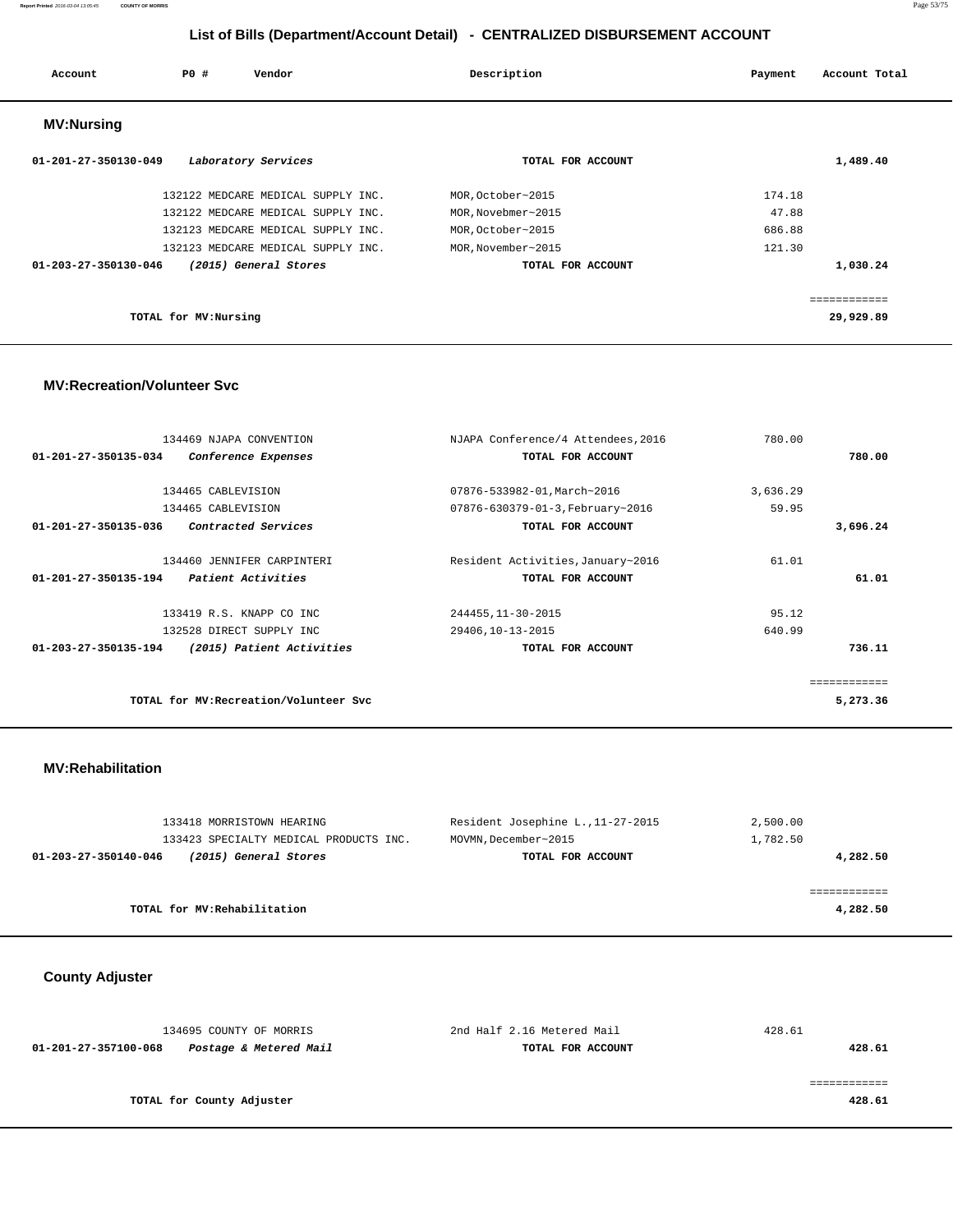#### **Report Printed** 2016-03-04 13:05:45 **COUNTY OF MORRIS** Page 53/75

## **List of Bills (Department/Account Detail) - CENTRALIZED DISBURSEMENT ACCOUNT**

| Account                        | PO# | Vendor                             | Description        | Account Total<br>Payment |
|--------------------------------|-----|------------------------------------|--------------------|--------------------------|
| <b>MV:Nursing</b>              |     |                                    |                    |                          |
| $01 - 201 - 27 - 350130 - 049$ |     | Laboratory Services                | TOTAL FOR ACCOUNT  | 1,489.40                 |
|                                |     | 132122 MEDCARE MEDICAL SUPPLY INC. | MOR, October~2015  | 174.18                   |
|                                |     | 132122 MEDCARE MEDICAL SUPPLY INC. | MOR, Novebmer~2015 | 47.88                    |
|                                |     | 132123 MEDCARE MEDICAL SUPPLY INC. | MOR, October~2015  | 686.88                   |
|                                |     | 132123 MEDCARE MEDICAL SUPPLY INC. | MOR, November~2015 | 121.30                   |
| $01 - 203 - 27 - 350130 - 046$ |     | (2015) General Stores              | TOTAL FOR ACCOUNT  | 1,030.24                 |
|                                |     |                                    |                    |                          |

============

**TOTAL for MV:Nursing 29,929.89**

#### **MV:Recreation/Volunteer Svc**

| 134469 NJAPA CONVENTION                           | NJAPA Conference/4 Attendees, 2016 | 780.00   |              |
|---------------------------------------------------|------------------------------------|----------|--------------|
| 01-201-27-350135-034<br>Conference Expenses       | TOTAL FOR ACCOUNT                  |          | 780.00       |
|                                                   |                                    |          |              |
| 134465 CABLEVISION                                | 07876-533982-01, March~2016        | 3,636.29 |              |
| 134465 CABLEVISION                                | 07876-630379-01-3, February~2016   | 59.95    |              |
| Contracted Services<br>01-201-27-350135-036       | TOTAL FOR ACCOUNT                  |          | 3,696.24     |
| 134460 JENNIFER CARPINTERI                        | Resident Activities, January~2016  | 61.01    |              |
| 01-201-27-350135-194<br>Patient Activities        | TOTAL FOR ACCOUNT                  |          | 61.01        |
| 133419 R.S. KNAPP CO INC                          | 244455, 11-30-2015                 | 95.12    |              |
| 132528 DIRECT SUPPLY INC                          | 29406,10-13-2015                   | 640.99   |              |
| 01-203-27-350135-194<br>(2015) Patient Activities | TOTAL FOR ACCOUNT                  |          | 736.11       |
|                                                   |                                    |          | ============ |
| TOTAL for MV: Recreation/Volunteer Svc            |                                    |          | 5,273.36     |

#### **MV:Rehabilitation**

| 133418 MORRISTOWN HEARING                     | Resident Josephine L., 11-27-2015 | 2,500.00 |
|-----------------------------------------------|-----------------------------------|----------|
| 133423 SPECIALTY MEDICAL PRODUCTS INC.        | MOVMN, December~2015              | 1,782.50 |
| (2015) General Stores<br>01-203-27-350140-046 | TOTAL FOR ACCOUNT                 | 4,282.50 |
|                                               |                                   |          |
|                                               |                                   |          |
| TOTAL for MV:Rehabilitation                   |                                   | 4,282.50 |

 **County Adjuster** 

| 134695 COUNTY OF MORRIS                        | 2nd Half 2.16 Metered Mail | 428.61 |
|------------------------------------------------|----------------------------|--------|
| Postage & Metered Mail<br>01-201-27-357100-068 | TOTAL FOR ACCOUNT          | 428.61 |
|                                                |                            |        |
|                                                |                            |        |
| TOTAL for County Adjuster                      |                            | 428.61 |
|                                                |                            |        |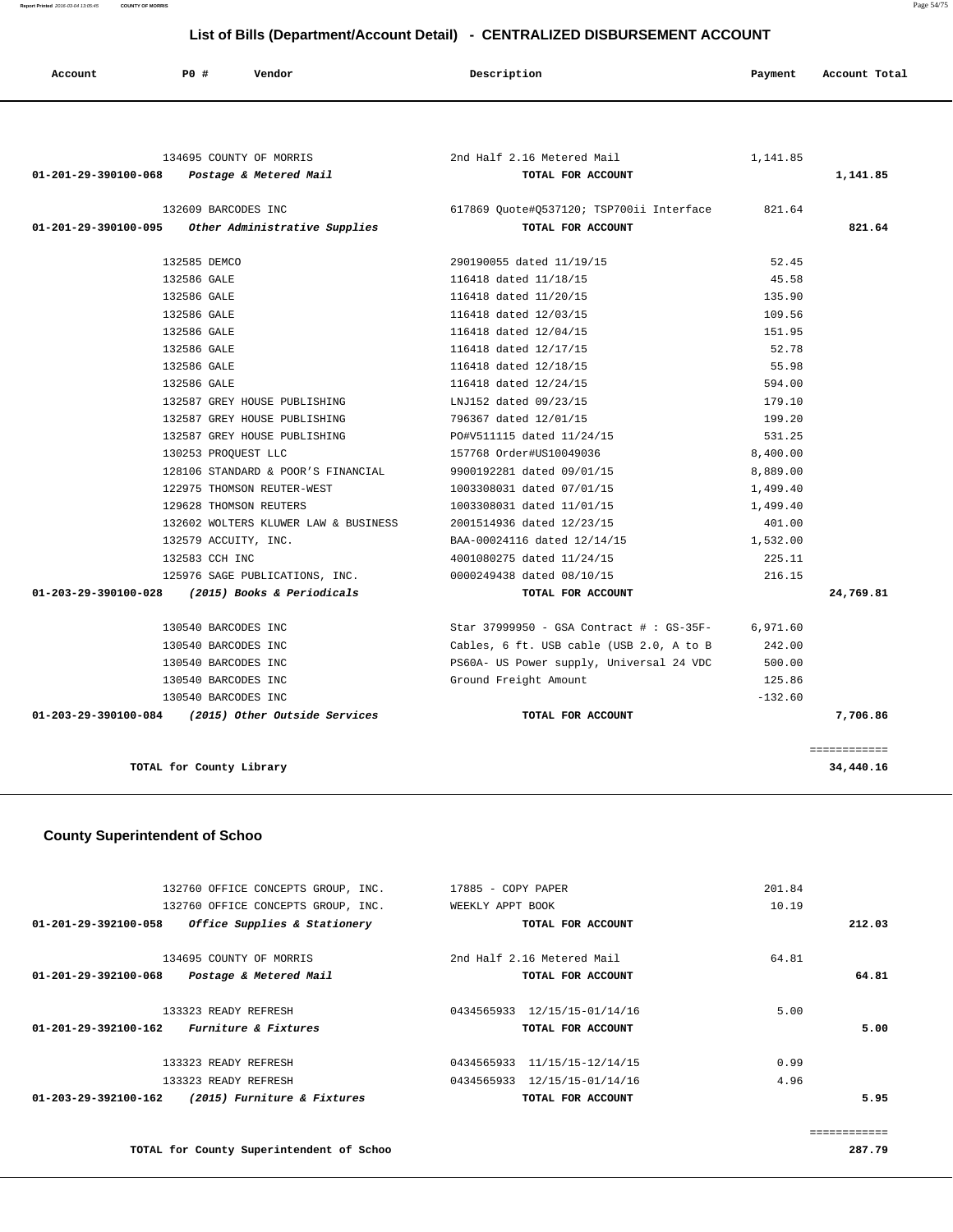**Report Printed** 2016-03-04 13:05:45 **COUNTY OF MORRIS** Page 54/75

## **List of Bills (Department/Account Detail) - CENTRALIZED DISBURSEMENT ACCOUNT**

| Account | PO# | Vendor | Description | Payment | Account Total |
|---------|-----|--------|-------------|---------|---------------|
|         |     |        |             |         |               |

| 134695 COUNTY OF MORRIS                                      | 2nd Half 2.16 Metered Mail                       | 1,141.85  |              |
|--------------------------------------------------------------|--------------------------------------------------|-----------|--------------|
| 01-201-29-390100-068    Postage & Metered Mail               | TOTAL FOR ACCOUNT                                |           | 1,141.85     |
| 132609 BARCODES INC                                          |                                                  |           |              |
| 01-201-29-390100-095 Other Administrative Supplies           | TOTAL FOR ACCOUNT                                |           | 821.64       |
| 132585 DEMCO                                                 | 290190055 dated 11/19/15                         | 52.45     |              |
| 132586 GALE                                                  | 116418 dated 11/18/15                            | 45.58     |              |
| 132586 GALE                                                  | 116418 dated 11/20/15                            | 135.90    |              |
| 132586 GALE                                                  | 116418 dated 12/03/15                            | 109.56    |              |
| 132586 GALE                                                  | 116418 dated 12/04/15                            | 151.95    |              |
| 132586 GALE                                                  | 116418 dated 12/17/15                            | 52.78     |              |
| 132586 GALE                                                  | 116418 dated 12/18/15                            | 55.98     |              |
| 132586 GALE                                                  | 116418 dated 12/24/15                            | 594.00    |              |
| 132587 GREY HOUSE PUBLISHING                                 | LNJ152 dated 09/23/15                            | 179.10    |              |
| 132587 GREY HOUSE PUBLISHING                                 | 796367 dated 12/01/15                            | 199.20    |              |
| 132587 GREY HOUSE PUBLISHING                                 | PO#V511115 dated 11/24/15                        | 531.25    |              |
| 130253 PROQUEST LLC                                          | 157768 Order#US10049036                          | 8,400.00  |              |
| 128106 STANDARD & POOR'S FINANCIAL 9900192281 dated 09/01/15 |                                                  | 8,889.00  |              |
| 122975 THOMSON REUTER-WEST                                   | 1003308031 dated 07/01/15                        | 1,499.40  |              |
| 129628 THOMSON REUTERS                                       | 1003308031 dated 11/01/15                        | 1,499.40  |              |
| 132602 WOLTERS KLUWER LAW & BUSINESS                         | 2001514936 dated 12/23/15                        | 401.00    |              |
| 132579 ACCUITY, INC.                                         | BAA-00024116 dated 12/14/15                      | 1,532.00  |              |
| 132583 CCH INC                                               | 4001080275 dated 11/24/15                        | 225.11    |              |
| 125976 SAGE PUBLICATIONS, INC. 0000249438 dated 08/10/15     |                                                  | 216.15    |              |
| 01-203-29-390100-028 (2015) Books & Periodicals              | TOTAL FOR ACCOUNT                                |           | 24,769.81    |
| 130540 BARCODES INC                                          | Star 37999950 - GSA Contract #: GS-35F- 6,971.60 |           |              |
| 130540 BARCODES INC                                          | Cables, 6 ft. USB cable (USB 2.0, A to B         | 242.00    |              |
| 130540 BARCODES INC                                          | PS60A- US Power supply, Universal 24 VDC         | 500.00    |              |
| 130540 BARCODES INC                                          | Ground Freight Amount                            | 125.86    |              |
| 130540 BARCODES INC                                          |                                                  | $-132.60$ |              |
| 01-203-29-390100-084 (2015) Other Outside Services           | TOTAL FOR ACCOUNT                                |           | 7,706.86     |
|                                                              |                                                  |           | ============ |
| TOTAL for County Library                                     |                                                  |           | 34,440.16    |

## **County Superintendent of Schoo**

|                      | 132760 OFFICE CONCEPTS GROUP, INC. | 17885 - COPY PAPER |                              | 201.84 |        |
|----------------------|------------------------------------|--------------------|------------------------------|--------|--------|
|                      |                                    |                    |                              |        |        |
|                      | 132760 OFFICE CONCEPTS GROUP, INC. | WEEKLY APPT BOOK   |                              | 10.19  |        |
| 01-201-29-392100-058 | Office Supplies & Stationery       |                    | TOTAL FOR ACCOUNT            |        | 212.03 |
|                      | 134695 COUNTY OF MORRIS            |                    | 2nd Half 2.16 Metered Mail   | 64.81  |        |
| 01-201-29-392100-068 | Postage & Metered Mail             |                    | TOTAL FOR ACCOUNT            |        | 64.81  |
|                      | 133323 READY REFRESH               | 0434565933         | 12/15/15-01/14/16            | 5.00   |        |
| 01-201-29-392100-162 | <i>Furniture &amp; Fixtures</i>    |                    | TOTAL FOR ACCOUNT            |        | 5.00   |
|                      | 133323 READY REFRESH               | 0434565933         | 11/15/15-12/14/15            | 0.99   |        |
|                      | 133323 READY REFRESH               |                    | 0434565933 12/15/15-01/14/16 | 4.96   |        |
| 01-203-29-392100-162 | (2015) Furniture & Fixtures        |                    | TOTAL FOR ACCOUNT            |        | 5.95   |
|                      |                                    |                    |                              |        |        |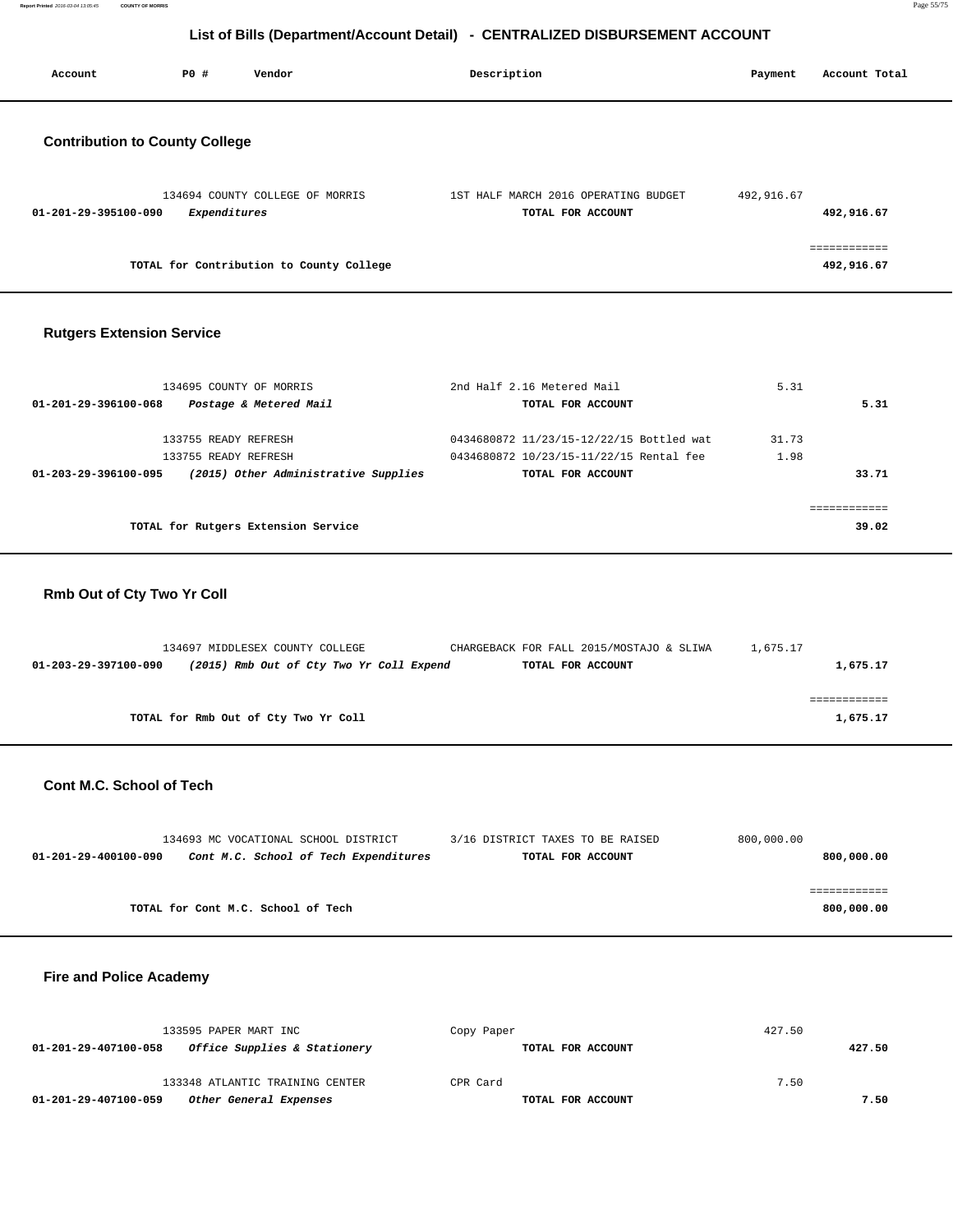**Report Printed** 2016-03-04 13:05:45 **COUNTY OF MORRIS** Page 55/75

## **List of Bills (Department/Account Detail) - CENTRALIZED DISBURSEMENT ACCOUNT**

|                                       |              |                                          | List of Dine (Department/tooding Detail) CERTRALILLED DIODORCEMENT ACOODITI |            |                            |
|---------------------------------------|--------------|------------------------------------------|-----------------------------------------------------------------------------|------------|----------------------------|
| Account                               | P0 #         | Vendor                                   | Description                                                                 | Payment    | Account Total              |
| <b>Contribution to County College</b> |              |                                          |                                                                             |            |                            |
| 01-201-29-395100-090                  | Expenditures | 134694 COUNTY COLLEGE OF MORRIS          | 1ST HALF MARCH 2016 OPERATING BUDGET<br>TOTAL FOR ACCOUNT                   | 492,916.67 | 492,916.67                 |
|                                       |              | TOTAL for Contribution to County College |                                                                             |            | ============<br>492,916.67 |
| <b>Rutgers Extension Service</b>      |              |                                          |                                                                             |            |                            |

| 134695 COUNTY OF MORRIS                                      | 2nd Half 2.16 Metered Mail               | 5.31  |
|--------------------------------------------------------------|------------------------------------------|-------|
| Postage & Metered Mail<br>01-201-29-396100-068               | TOTAL FOR ACCOUNT                        | 5.31  |
| 133755 READY REFRESH                                         | 0434680872 11/23/15-12/22/15 Bottled wat | 31.73 |
| 133755 READY REFRESH                                         | 0434680872 10/23/15-11/22/15 Rental fee  | 1.98  |
| (2015) Other Administrative Supplies<br>01-203-29-396100-095 | TOTAL FOR ACCOUNT                        | 33.71 |
|                                                              |                                          |       |
| TOTAL for Rutgers Extension Service                          |                                          | 39.02 |

## **Rmb Out of Cty Two Yr Coll**

| 134697 MIDDLESEX COUNTY COLLEGE                                  | CHARGEBACK FOR FALL 2015/MOSTAJO & SLIWA | 1,675.17 |
|------------------------------------------------------------------|------------------------------------------|----------|
| (2015) Rmb Out of Cty Two Yr Coll Expend<br>01-203-29-397100-090 | TOTAL FOR ACCOUNT                        | 1,675.17 |
|                                                                  |                                          |          |
|                                                                  |                                          |          |
| TOTAL for Rmb Out of Cty Two Yr Coll                             |                                          | 1,675.17 |
|                                                                  |                                          |          |

## **Cont M.C. School of Tech**

| 134693 MC VOCATIONAL SCHOOL DISTRICT                          | 3/16 DISTRICT TAXES TO BE RAISED | 800,000.00 |
|---------------------------------------------------------------|----------------------------------|------------|
| Cont M.C. School of Tech Expenditures<br>01-201-29-400100-090 | TOTAL FOR ACCOUNT                | 800,000.00 |
|                                                               |                                  |            |
|                                                               |                                  |            |
| TOTAL for Cont M.C. School of Tech                            |                                  | 800,000.00 |

## **Fire and Police Academy**

| 133595 PAPER MART INC                                | Copy Paper        | 427.50 |
|------------------------------------------------------|-------------------|--------|
| Office Supplies & Stationery<br>01-201-29-407100-058 | TOTAL FOR ACCOUNT | 427.50 |
| 133348 ATLANTIC TRAINING CENTER                      | CPR Card          | 7.50   |
| 01-201-29-407100-059<br>Other General Expenses       | TOTAL FOR ACCOUNT | 7.50   |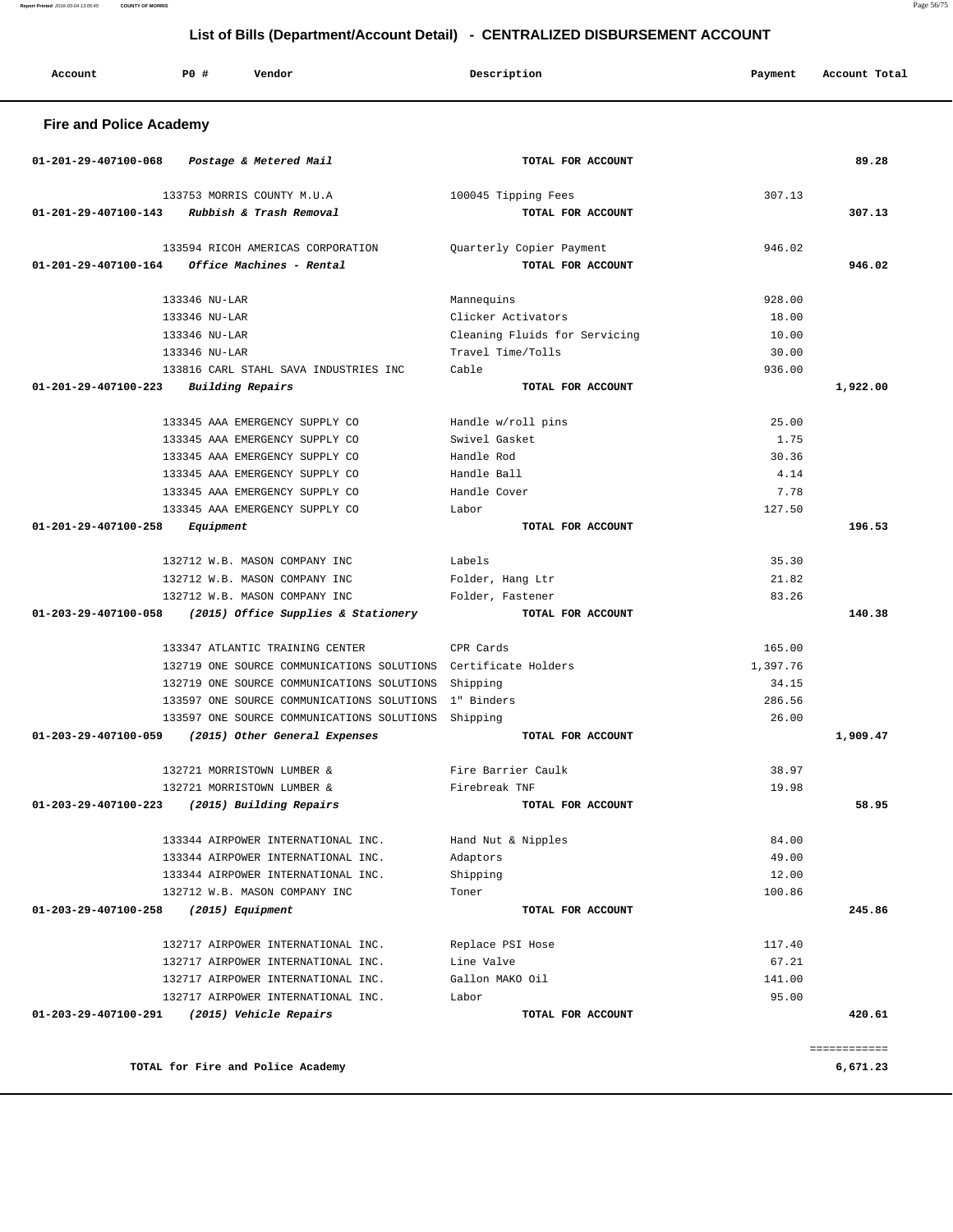**Fire and Police Academy 01-201-29-407100-068 Postage & Metered Mail TOTAL FOR ACCOUNT 89.28** 133753 MORRIS COUNTY M.U.A 100045 Tipping Fees 307.13  **01-201-29-407100-143 Rubbish & Trash Removal TOTAL FOR ACCOUNT 307.13** 133594 RICOH AMERICAS CORPORATION Quarterly Copier Payment 946.02  **01-201-29-407100-164 Office Machines - Rental TOTAL FOR ACCOUNT 946.02** 133346 NU-LAR Mannequins 928.00 133346 NU-LAR Clicker Activators 18.00 133346 NU-LAR Cleaning Fluids for Servicing 10.00 133346 NU-LAR Travel Time/Tolls 30.00 133816 CARL STAHL SAVA INDUSTRIES INC Cable 936.00  **01-201-29-407100-223 Building Repairs TOTAL FOR ACCOUNT 1,922.00** 133345 AAA EMERGENCY SUPPLY CO Handle w/roll pins 25.00 133345 AAA EMERGENCY SUPPLY CO Swivel Gasket 1.75 133345 AAA EMERGENCY SUPPLY CO Handle Rod 30.36 133345 AAA EMERGENCY SUPPLY CO Handle Ball 4.14 133345 AAA EMERGENCY SUPPLY CO Handle Cover 7.78 133345 AAA EMERGENCY SUPPLY CO Labor 127.50  **01-201-29-407100-258 Equipment TOTAL FOR ACCOUNT 196.53** 132712 W.B. MASON COMPANY INC Labels 35.30 132712 W.B. MASON COMPANY INC Folder, Hang Ltr 21.82 132712 W.B. MASON COMPANY INC Folder, Fastener 83.26  **01-203-29-407100-058 (2015) Office Supplies & Stationery TOTAL FOR ACCOUNT 140.38** 133347 ATLANTIC TRAINING CENTER CPR Cards 165.00 132719 ONE SOURCE COMMUNICATIONS SOLUTIONS Certificate Holders 1,397.76 132719 ONE SOURCE COMMUNICATIONS SOLUTIONS Shipping 34.15 133597 ONE SOURCE COMMUNICATIONS SOLUTIONS 1" Binders 286.56 133597 ONE SOURCE COMMUNICATIONS SOLUTIONS Shipping 26.00  **01-203-29-407100-059 (2015) Other General Expenses TOTAL FOR ACCOUNT 1,909.47** 132721 MORRISTOWN LUMBER & Fire Barrier Caulk 38.97 132721 MORRISTOWN LUMBER & Firebreak TNF 19.98  **01-203-29-407100-223 (2015) Building Repairs TOTAL FOR ACCOUNT 58.95** 133344 AIRPOWER INTERNATIONAL INC. Hand Nut & Nipples 84.00 133344 AIRPOWER INTERNATIONAL INC. Adaptors 49.00 133344 AIRPOWER INTERNATIONAL INC. Shipping 12.00 132712 W.B. MASON COMPANY INC Toner 100.86  **01-203-29-407100-258 (2015) Equipment TOTAL FOR ACCOUNT 245.86** 132717 AIRPOWER INTERNATIONAL INC. Replace PSI Hose 117.40 132717 AIRPOWER INTERNATIONAL INC. Line Valve 67.21 132717 AIRPOWER INTERNATIONAL INC. Gallon MAKO Oil 141.00 132717 AIRPOWER INTERNATIONAL INC. Labor 95.00  **01-203-29-407100-291 (2015) Vehicle Repairs TOTAL FOR ACCOUNT 420.61** ============ **TOTAL for Fire and Police Academy 6,671.23**

 **Account P0 # Vendor Description Payment Account Total**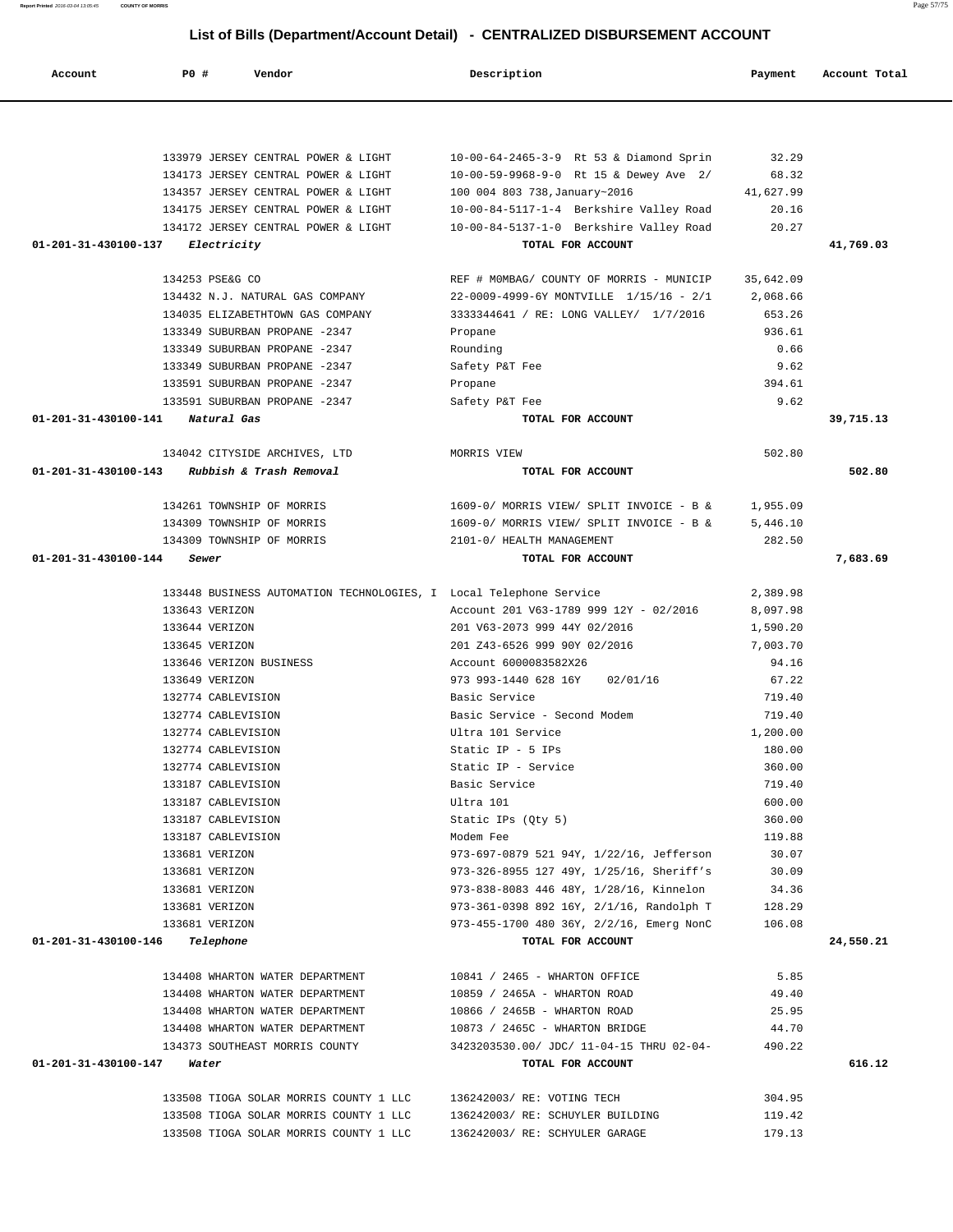| 133979 JERSEY CENTRAL POWER & LIGHT                                | 10-00-64-2465-3-9 Rt 53 & Diamond Sprin             | 32.29            |           |
|--------------------------------------------------------------------|-----------------------------------------------------|------------------|-----------|
| 134173 JERSEY CENTRAL POWER & LIGHT                                | 10-00-59-9968-9-0 Rt 15 & Dewey Ave 2/              | 68.32            |           |
| 134357 JERSEY CENTRAL POWER & LIGHT                                | 100 004 803 738, January~2016                       | 41,627.99        |           |
| 134175 JERSEY CENTRAL POWER & LIGHT                                | 10-00-84-5117-1-4 Berkshire Valley Road             | 20.16            |           |
| 134172 JERSEY CENTRAL POWER & LIGHT                                | 10-00-84-5137-1-0 Berkshire Valley Road             | 20.27            |           |
| 01-201-31-430100-137 Electricity                                   | TOTAL FOR ACCOUNT                                   |                  | 41,769.03 |
| 134253 PSE&G CO                                                    | REF # MOMBAG/ COUNTY OF MORRIS - MUNICIP            | 35,642.09        |           |
| 134432 N.J. NATURAL GAS COMPANY                                    | 22-0009-4999-6Y MONTVILLE 1/15/16 - 2/1             | 2,068.66         |           |
| 134035 ELIZABETHTOWN GAS COMPANY                                   | 3333344641 / RE: LONG VALLEY/ 1/7/2016              | 653.26           |           |
| 133349 SUBURBAN PROPANE -2347                                      | Propane                                             | 936.61           |           |
| 133349 SUBURBAN PROPANE -2347                                      | Rounding                                            | 0.66             |           |
| 133349 SUBURBAN PROPANE -2347                                      | Safety P&T Fee                                      | 9.62             |           |
| 133591 SUBURBAN PROPANE -2347                                      | Propane                                             | 394.61           |           |
| 133591 SUBURBAN PROPANE -2347                                      | Safety P&T Fee                                      | 9.62             |           |
| 01-201-31-430100-141 Natural Gas                                   | TOTAL FOR ACCOUNT                                   |                  | 39,715.13 |
| 134042 CITYSIDE ARCHIVES, LTD                                      | MORRIS VIEW                                         | 502.80           |           |
| 01-201-31-430100-143<br>Rubbish & Trash Removal                    | TOTAL FOR ACCOUNT                                   |                  | 502.80    |
| 134261 TOWNSHIP OF MORRIS                                          | $1609-0/$ MORRIS VIEW/ SPLIT INVOICE - B & 1,955.09 |                  |           |
| 134309 TOWNSHIP OF MORRIS                                          | 1609-0/ MORRIS VIEW/ SPLIT INVOICE - B &            | 5,446.10         |           |
| 134309 TOWNSHIP OF MORRIS                                          | 2101-0/ HEALTH MANAGEMENT                           | 282.50           |           |
| 01-201-31-430100-144<br>Sewer                                      | TOTAL FOR ACCOUNT                                   |                  | 7,683.69  |
| 133448 BUSINESS AUTOMATION TECHNOLOGIES, I Local Telephone Service |                                                     | 2,389.98         |           |
| 133643 VERIZON                                                     | Account 201 V63-1789 999 12Y - 02/2016              | 8,097.98         |           |
| 133644 VERIZON                                                     | 201 V63-2073 999 44Y 02/2016                        | 1,590.20         |           |
| 133645 VERIZON                                                     | 201 Z43-6526 999 90Y 02/2016                        | 7,003.70         |           |
| 133646 VERIZON BUSINESS                                            | Account 6000083582X26                               | 94.16            |           |
| 133649 VERIZON                                                     | 973 993-1440 628 16Y<br>02/01/16                    | 67.22            |           |
| 132774 CABLEVISION                                                 | Basic Service                                       | 719.40           |           |
| 132774 CABLEVISION                                                 | Basic Service - Second Modem                        | 719.40           |           |
| 132774 CABLEVISION                                                 | Ultra 101 Service                                   | 1,200.00         |           |
| 132774 CABLEVISION                                                 | Static IP - 5 IPs                                   | 180.00           |           |
| 132774 CABLEVISION<br>133187 CABLEVISION                           | Static IP - Service<br>Basic Service                | 360.00<br>719.40 |           |
| 133187 CABLEVISION                                                 | Ultra 101                                           | 600.00           |           |
| 133187 CABLEVISION                                                 | Static IPs (Qty 5)                                  | 360.00           |           |
| 133187 CABLEVISION                                                 | Modem Fee                                           | 119.88           |           |
| 133681 VERIZON                                                     | 973-697-0879 521 94Y, 1/22/16, Jefferson            | 30.07            |           |
| 133681 VERIZON                                                     | 973-326-8955 127 49Y, 1/25/16, Sheriff's            | 30.09            |           |
| 133681 VERIZON                                                     | 973-838-8083 446 48Y, 1/28/16, Kinnelon             | 34.36            |           |
| 133681 VERIZON                                                     | 973-361-0398 892 16Y, 2/1/16, Randolph T            | 128.29           |           |
| 133681 VERIZON                                                     | 973-455-1700 480 36Y, 2/2/16, Emerg NonC            | 106.08           |           |
| 01-201-31-430100-146<br>Telephone                                  | TOTAL FOR ACCOUNT                                   |                  | 24,550.21 |
| 134408 WHARTON WATER DEPARTMENT                                    | 10841 / 2465 - WHARTON OFFICE                       | 5.85             |           |
| 134408 WHARTON WATER DEPARTMENT                                    | 10859 / 2465A - WHARTON ROAD                        | 49.40            |           |
| 134408 WHARTON WATER DEPARTMENT                                    | 10866 / 2465B - WHARTON ROAD                        | 25.95            |           |
| 134408 WHARTON WATER DEPARTMENT                                    | 10873 / 2465C - WHARTON BRIDGE                      | 44.70            |           |
| 134373 SOUTHEAST MORRIS COUNTY                                     | 3423203530.00/ JDC/ 11-04-15 THRU 02-04-            | 490.22           |           |
| 01-201-31-430100-147<br>Water                                      | TOTAL FOR ACCOUNT                                   |                  | 616.12    |
| 133508 TIOGA SOLAR MORRIS COUNTY 1 LLC                             | 136242003/ RE: VOTING TECH                          | 304.95           |           |
| 133508 TIOGA SOLAR MORRIS COUNTY 1 LLC                             | 136242003/ RE: SCHUYLER BUILDING                    | 119.42           |           |

133508 TIOGA SOLAR MORRIS COUNTY 1 LLC 136242003/ RE: SCHYULER GARAGE 179.13

 **Account P0 # Vendor Description Payment Account Total**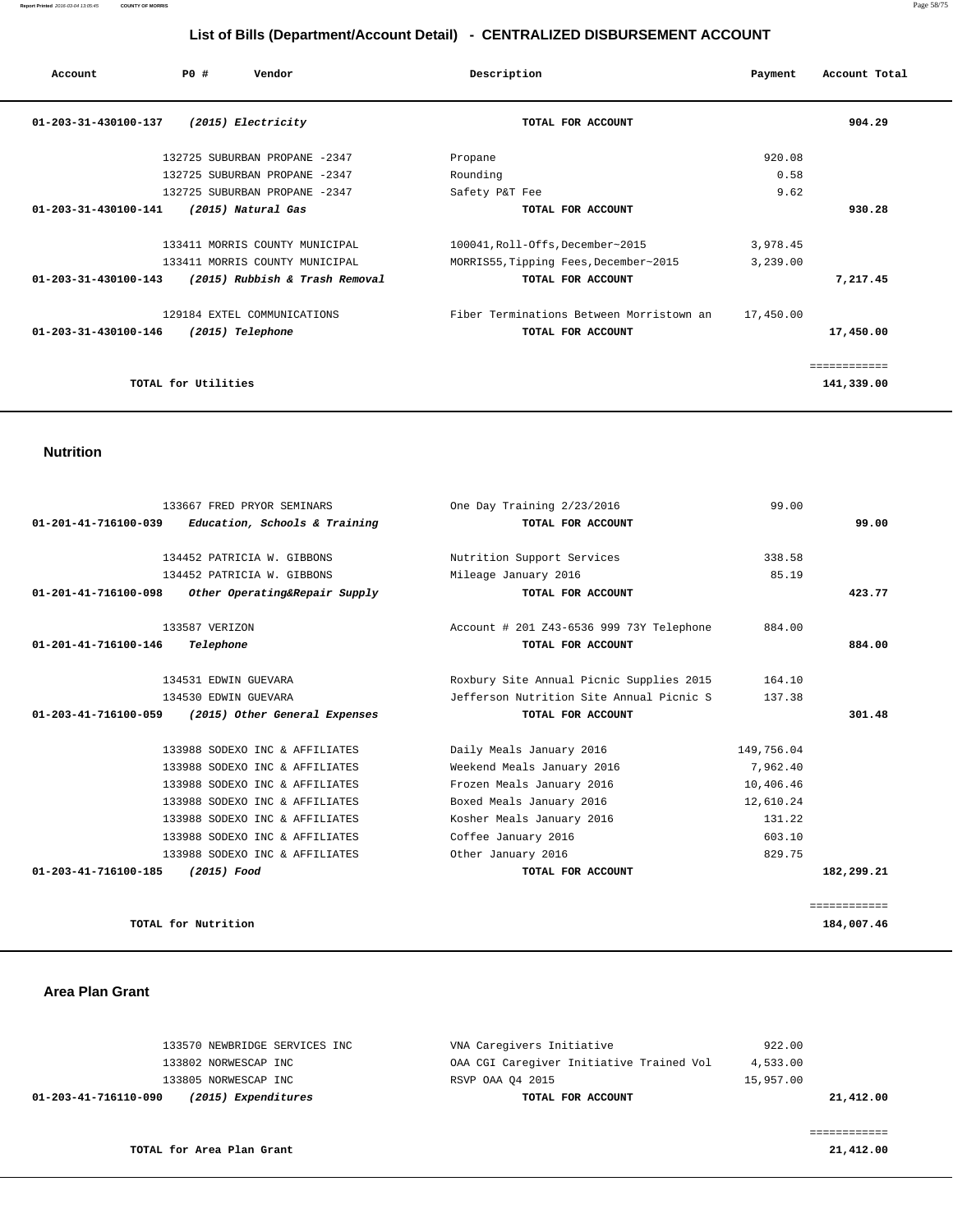| Account                        | PO#                 | Vendor                         | Description                              | Payment   | Account Total |
|--------------------------------|---------------------|--------------------------------|------------------------------------------|-----------|---------------|
| 01-203-31-430100-137           |                     | (2015) Electricity             | TOTAL FOR ACCOUNT                        |           | 904.29        |
|                                |                     | 132725 SUBURBAN PROPANE -2347  | Propane                                  | 920.08    |               |
|                                |                     | 132725 SUBURBAN PROPANE -2347  | Rounding                                 | 0.58      |               |
|                                |                     | 132725 SUBURBAN PROPANE -2347  | Safety P&T Fee                           | 9.62      |               |
| $01 - 203 - 31 - 430100 - 141$ |                     | (2015) Natural Gas             | TOTAL FOR ACCOUNT                        |           | 930.28        |
|                                |                     | 133411 MORRIS COUNTY MUNICIPAL | 100041, Roll-Offs, December~2015         | 3,978.45  |               |
|                                |                     | 133411 MORRIS COUNTY MUNICIPAL | MORRIS55, Tipping Fees, December~2015    | 3,239.00  |               |
| $01 - 203 - 31 - 430100 - 143$ |                     | (2015) Rubbish & Trash Removal | TOTAL FOR ACCOUNT                        |           | 7,217.45      |
|                                |                     | 129184 EXTEL COMMUNICATIONS    | Fiber Terminations Between Morristown an | 17,450.00 |               |
| 01-203-31-430100-146           |                     | (2015) Telephone               | TOTAL FOR ACCOUNT                        |           | 17,450.00     |
|                                |                     |                                |                                          |           | ============  |
|                                | TOTAL for Utilities |                                |                                          |           | 141,339.00    |
|                                |                     |                                |                                          |           |               |

#### **Nutrition**

| 133667 FRED PRYOR SEMINARS                            | One Day Training 2/23/2016               | 99.00      |              |
|-------------------------------------------------------|------------------------------------------|------------|--------------|
| Education, Schools & Training<br>01-201-41-716100-039 | TOTAL FOR ACCOUNT                        |            | 99.00        |
| 134452 PATRICIA W. GIBBONS                            | Nutrition Support Services               | 338.58     |              |
|                                                       |                                          |            |              |
| 134452 PATRICIA W. GIBBONS                            | Mileage January 2016                     | 85.19      |              |
| 01-201-41-716100-098<br>Other Operating&Repair Supply | TOTAL FOR ACCOUNT                        |            | 423.77       |
| 133587 VERIZON                                        | Account # 201 Z43-6536 999 73Y Telephone | 884.00     |              |
| $01 - 201 - 41 - 716100 - 146$<br>Telephone           | TOTAL FOR ACCOUNT                        |            | 884.00       |
| 134531 EDWIN GUEVARA                                  | Roxbury Site Annual Picnic Supplies 2015 | 164.10     |              |
| 134530 EDWIN GUEVARA                                  | Jefferson Nutrition Site Annual Picnic S | 137.38     |              |
| 01-203-41-716100-059<br>(2015) Other General Expenses | TOTAL FOR ACCOUNT                        |            | 301.48       |
|                                                       |                                          |            |              |
| 133988 SODEXO INC & AFFILIATES                        | Daily Meals January 2016                 | 149,756.04 |              |
| 133988 SODEXO INC & AFFILIATES                        | Weekend Meals January 2016               | 7.962.40   |              |
| 133988 SODEXO INC & AFFILIATES                        | Frozen Meals January 2016                | 10,406.46  |              |
| 133988 SODEXO INC & AFFILIATES                        | Boxed Meals January 2016                 | 12,610.24  |              |
| 133988 SODEXO INC & AFFILIATES                        | Kosher Meals January 2016                | 131.22     |              |
| 133988 SODEXO INC & AFFILIATES                        | Coffee January 2016                      | 603.10     |              |
| 133988 SODEXO INC & AFFILIATES                        | Other January 2016                       | 829.75     |              |
| 01-203-41-716100-185<br>(2015) Food                   | TOTAL FOR ACCOUNT                        |            | 182,299.21   |
|                                                       |                                          |            |              |
|                                                       |                                          |            | ============ |
| TOTAL for Nutrition                                   |                                          |            | 184,007.46   |

#### **Area Plan Grant**

|                      | 133570 NEWBRIDGE SERVICES INC | VNA Caregivers Initiative                | 922.00    |           |
|----------------------|-------------------------------|------------------------------------------|-----------|-----------|
|                      | 133802 NORWESCAP INC          | OAA CGI Caregiver Initiative Trained Vol | 4,533.00  |           |
|                      | 133805 NORWESCAP INC          | RSVP OAA 04 2015                         | 15,957.00 |           |
| 01-203-41-716110-090 | (2015) Expenditures           | TOTAL FOR ACCOUNT                        |           | 21,412.00 |
|                      |                               |                                          |           |           |
|                      |                               |                                          |           |           |
|                      | TOTAL for Area Plan Grant     |                                          |           | 21,412.00 |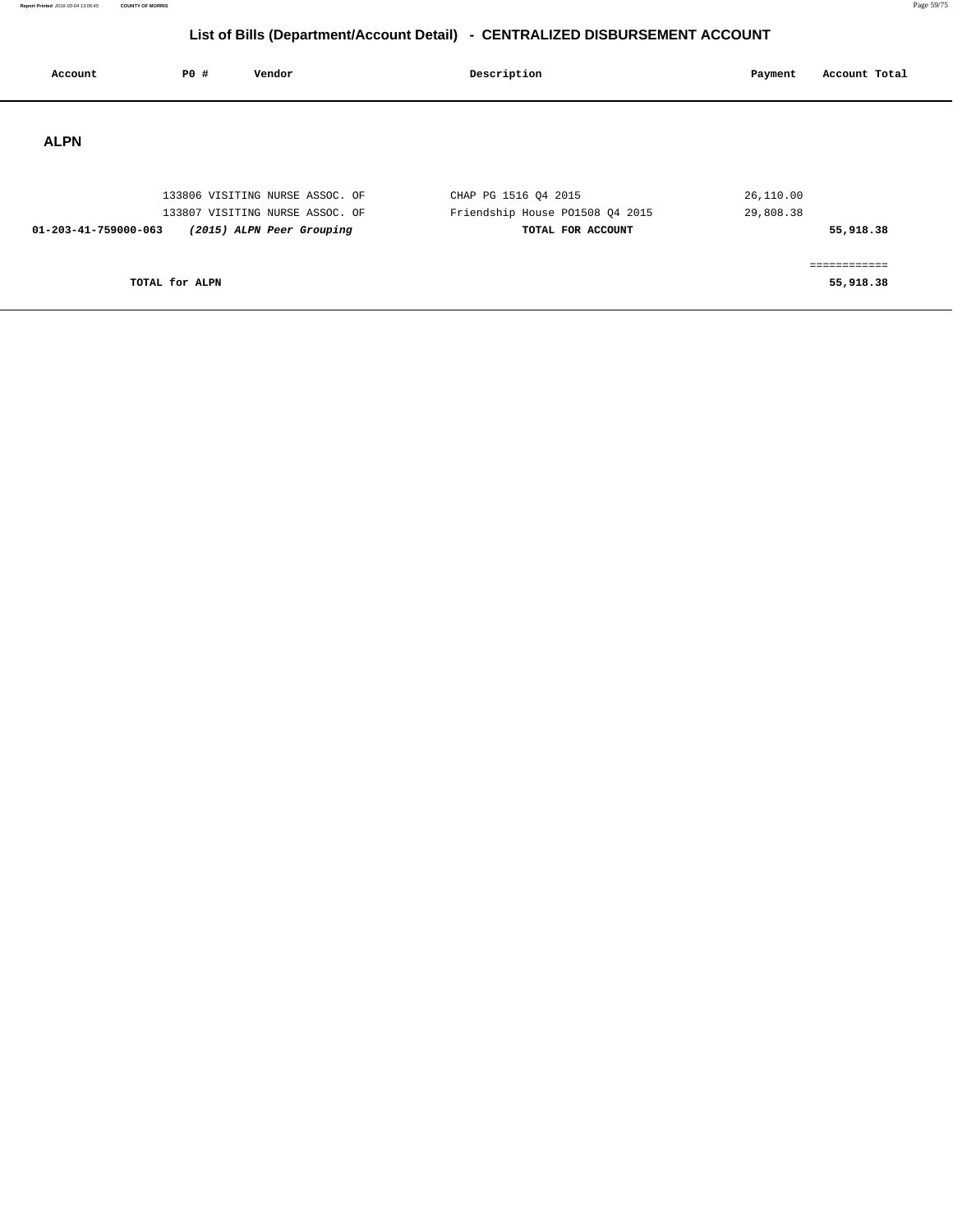**Report Printed** 2016-03-04 13:05:45 **COUNTY OF MORRIS** Page 59/75

## **List of Bills (Department/Account Detail) - CENTRALIZED DISBURSEMENT ACCOUNT**

| Account              | <b>PO #</b>    | Vendor                                                             | Description                                             | Payment                | Account Total                          |
|----------------------|----------------|--------------------------------------------------------------------|---------------------------------------------------------|------------------------|----------------------------------------|
| <b>ALPN</b>          |                |                                                                    |                                                         |                        |                                        |
|                      |                | 133806 VISITING NURSE ASSOC. OF<br>133807 VISITING NURSE ASSOC. OF | CHAP PG 1516 Q4 2015<br>Friendship House P01508 Q4 2015 | 26,110.00<br>29,808.38 |                                        |
| 01-203-41-759000-063 | TOTAL for ALPN | (2015) ALPN Peer Grouping                                          | TOTAL FOR ACCOUNT                                       |                        | 55,918.38<br>============<br>55,918.38 |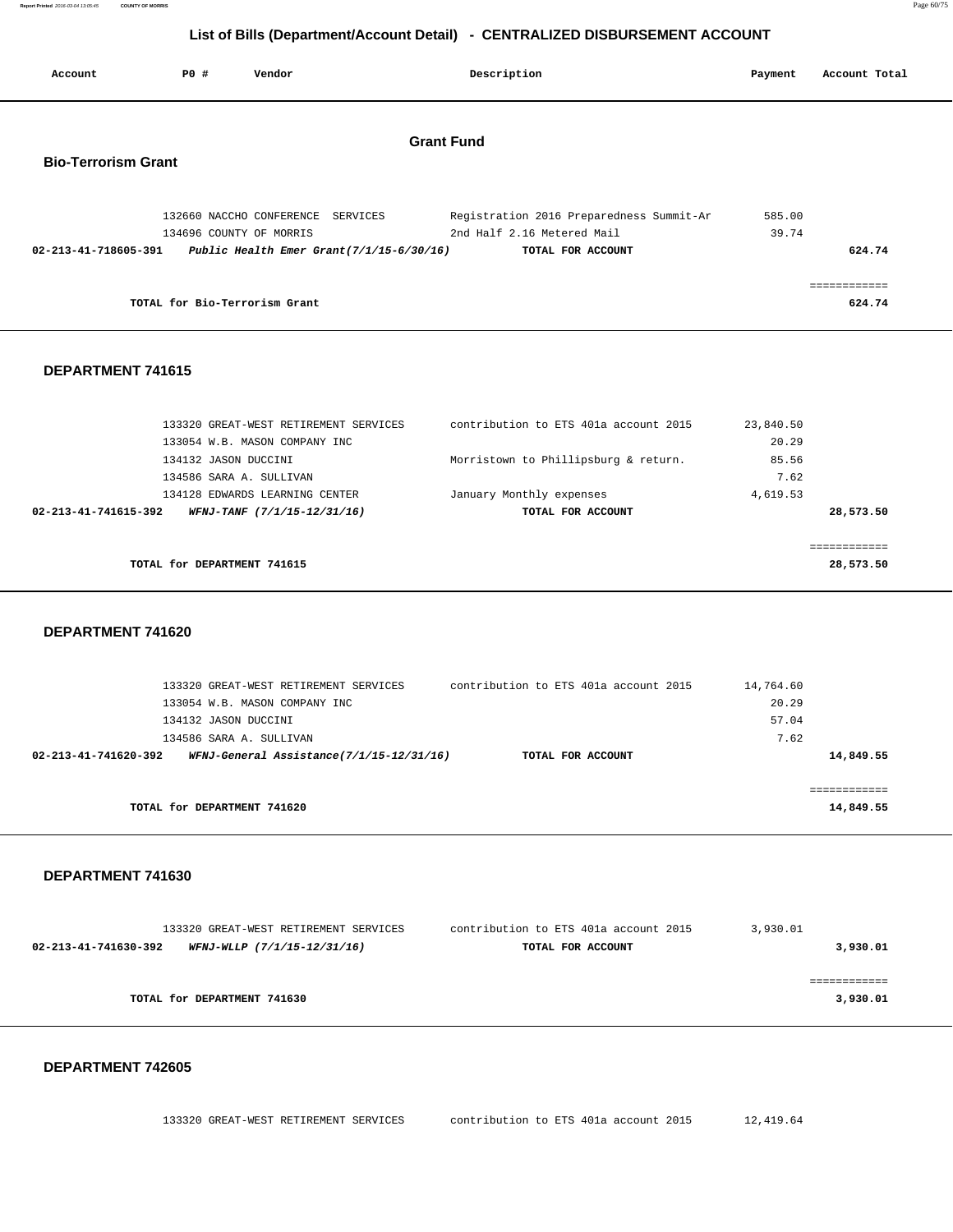**Report Printed** 2016-03-04 13:05:45 **COUNTY OF MORRIS** Page 60/75

## **List of Bills (Department/Account Detail) - CENTRALIZED DISBURSEMENT ACCOUNT**

| Account                    | PO# | Vendor                                              |                   | Description                                                            | Payment         | Account Total          |
|----------------------------|-----|-----------------------------------------------------|-------------------|------------------------------------------------------------------------|-----------------|------------------------|
| <b>Bio-Terrorism Grant</b> |     |                                                     | <b>Grant Fund</b> |                                                                        |                 |                        |
|                            |     | 132660 NACCHO CONFERENCE<br>134696 COUNTY OF MORRIS | SERVICES          | Registration 2016 Preparedness Summit-Ar<br>2nd Half 2.16 Metered Mail | 585.00<br>39.74 |                        |
| 02-213-41-718605-391       |     | Public Health Emer Grant $(7/1/15-6/30/16)$         |                   | TOTAL FOR ACCOUNT                                                      |                 | 624.74                 |
|                            |     | TOTAL for Bio-Terrorism Grant                       |                   |                                                                        |                 | ============<br>624.74 |

#### **DEPARTMENT 741615**

|                      | 133320 GREAT-WEST RETIREMENT SERVICES | contribution to ETS 401a account 2015 | 23,840.50 |
|----------------------|---------------------------------------|---------------------------------------|-----------|
|                      | 133054 W.B. MASON COMPANY INC         |                                       | 20.29     |
|                      | 134132 JASON DUCCINI                  | Morristown to Phillipsburg & return.  | 85.56     |
|                      | 134586 SARA A. SULLIVAN               |                                       | 7.62      |
|                      | 134128 EDWARDS LEARNING CENTER        | January Monthly expenses              | 4,619.53  |
| 02-213-41-741615-392 | WFNJ-TANF (7/1/15-12/31/16)           | TOTAL FOR ACCOUNT                     | 28,573.50 |
|                      |                                       |                                       |           |
|                      |                                       |                                       |           |
|                      | TOTAL for DEPARTMENT 741615           |                                       | 28,573.50 |
|                      |                                       |                                       |           |

 **DEPARTMENT 741620** 

| 133320 GREAT-WEST RETIREMENT SERVICES                            | contribution to ETS 401a account 2015 | 14,764.60 |
|------------------------------------------------------------------|---------------------------------------|-----------|
| 133054 W.B. MASON COMPANY INC                                    |                                       | 20.29     |
| 134132 JASON DUCCINI                                             |                                       | 57.04     |
| 134586 SARA A. SULLIVAN                                          |                                       | 7.62      |
| WFNJ-General Assistance(7/1/15-12/31/16)<br>02-213-41-741620-392 | TOTAL FOR ACCOUNT                     | 14,849.55 |
|                                                                  |                                       |           |
|                                                                  |                                       |           |
| TOTAL for DEPARTMENT 741620                                      |                                       | 14,849.55 |
|                                                                  |                                       |           |

#### **DEPARTMENT 741630**

|                      | 133320 GREAT-WEST RETIREMENT SERVICES | contribution to ETS 401a account 2015 | 3,930.01 |
|----------------------|---------------------------------------|---------------------------------------|----------|
| 02-213-41-741630-392 | WFNJ-WLLP (7/1/15-12/31/16)           | TOTAL FOR ACCOUNT                     | 3,930.01 |
|                      |                                       |                                       |          |
|                      |                                       |                                       |          |
|                      | TOTAL for DEPARTMENT 741630           |                                       | 3,930.01 |
|                      |                                       |                                       |          |

#### **DEPARTMENT 742605**

133320 GREAT-WEST RETIREMENT SERVICES contribution to ETS 401a account 2015 12,419.64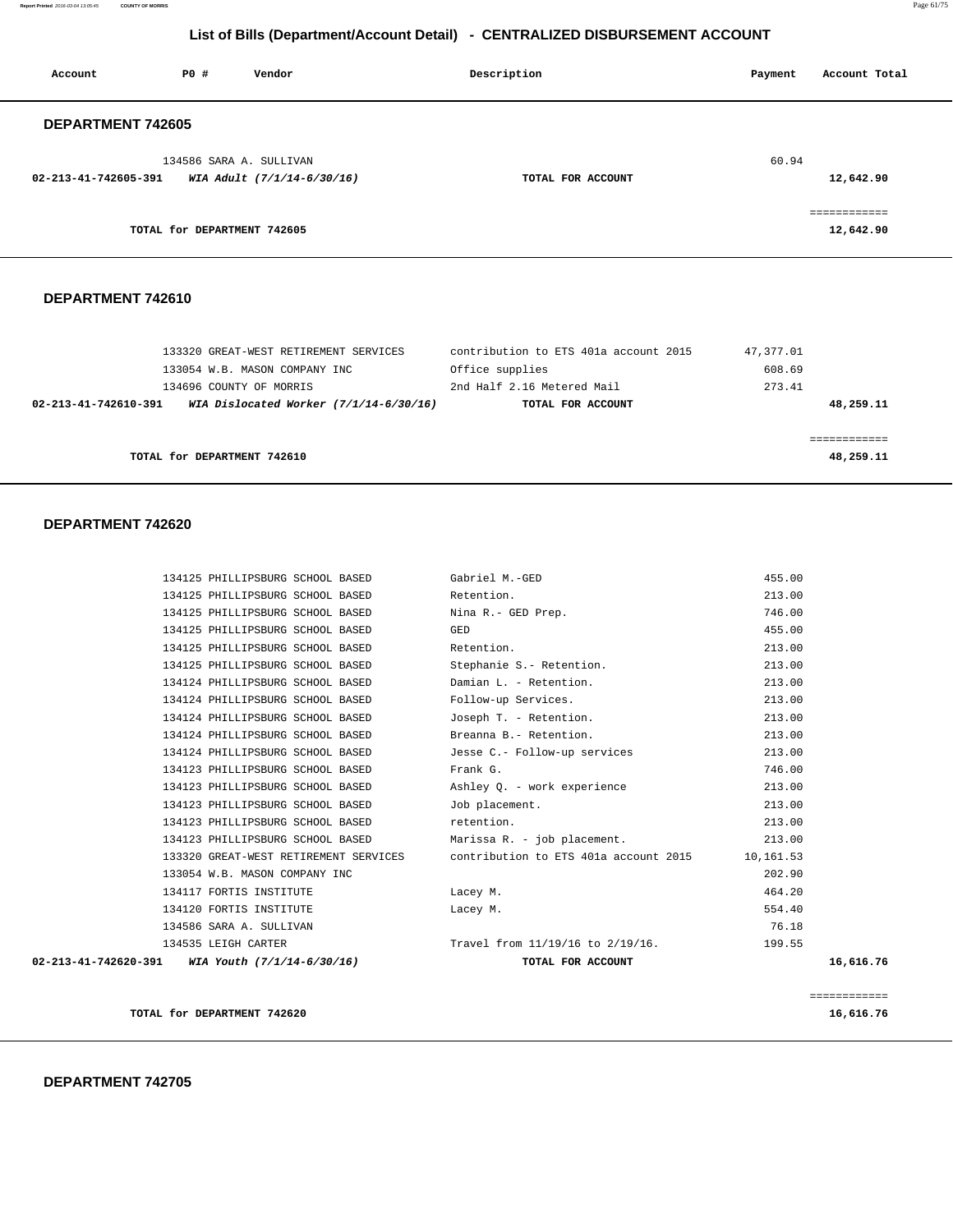**Report Printed** 2016-03-04 13:05:45 **COUNTY OF MORRIS** Page 61/75

## **List of Bills (Department/Account Detail) - CENTRALIZED DISBURSEMENT ACCOUNT**

| Account              | PO#                         | Vendor                                                | Description       | Account Total<br>Payment  |
|----------------------|-----------------------------|-------------------------------------------------------|-------------------|---------------------------|
| DEPARTMENT 742605    |                             |                                                       |                   |                           |
| 02-213-41-742605-391 |                             | 134586 SARA A. SULLIVAN<br>WIA Adult (7/1/14-6/30/16) | TOTAL FOR ACCOUNT | 60.94<br>12,642.90        |
|                      | TOTAL for DEPARTMENT 742605 |                                                       |                   | ============<br>12,642.90 |

#### **DEPARTMENT 742610**

|                      | 133320 GREAT-WEST RETIREMENT SERVICES    | contribution to ETS 401a account 2015 | 47,377.01 |
|----------------------|------------------------------------------|---------------------------------------|-----------|
|                      | 133054 W.B. MASON COMPANY INC            | Office supplies                       | 608.69    |
|                      | 134696 COUNTY OF MORRIS                  | 2nd Half 2.16 Metered Mail            | 273.41    |
| 02-213-41-742610-391 | WIA Dislocated Worker $(7/1/14-6/30/16)$ | TOTAL FOR ACCOUNT                     | 48,259.11 |
|                      |                                          |                                       |           |
|                      |                                          |                                       |           |
|                      | TOTAL for DEPARTMENT 742610              |                                       | 48,259.11 |
|                      |                                          |                                       |           |

|                                                               |                                       |                                       |           | ============ |
|---------------------------------------------------------------|---------------------------------------|---------------------------------------|-----------|--------------|
| $02 - 213 - 41 - 742620 - 391$ WIA Youth $(7/1/14 - 6/30/16)$ |                                       | TOTAL FOR ACCOUNT                     |           | 16,616.76    |
|                                                               | 134535 LEIGH CARTER                   | Travel from 11/19/16 to 2/19/16.      | 199.55    |              |
|                                                               | 134586 SARA A. SULLIVAN               |                                       | 76.18     |              |
|                                                               | 134120 FORTIS INSTITUTE               | Lacey M.                              | 554.40    |              |
|                                                               | 134117 FORTIS INSTITUTE               | Lacey M.                              | 464.20    |              |
|                                                               | 133054 W.B. MASON COMPANY INC         |                                       | 202.90    |              |
|                                                               | 133320 GREAT-WEST RETIREMENT SERVICES | contribution to ETS 401a account 2015 | 10,161.53 |              |
|                                                               | 134123 PHILLIPSBURG SCHOOL BASED      | Marissa R. - job placement.           | 213.00    |              |
|                                                               | 134123 PHILLIPSBURG SCHOOL BASED      | retention.                            | 213.00    |              |
|                                                               | 134123 PHILLIPSBURG SCHOOL BASED      | Job placement.                        | 213.00    |              |
|                                                               | 134123 PHILLIPSBURG SCHOOL BASED      | Ashley 0. - work experience           | 213.00    |              |
|                                                               | 134123 PHILLIPSBURG SCHOOL BASED      | Frank G.                              | 746.00    |              |
|                                                               | 134124 PHILLIPSBURG SCHOOL BASED      | Jesse C.- Follow-up services          | 213.00    |              |
|                                                               | 134124 PHILLIPSBURG SCHOOL BASED      | Breanna B.- Retention.                | 213.00    |              |
|                                                               | 134124 PHILLIPSBURG SCHOOL BASED      | Joseph T. - Retention.                | 213.00    |              |
|                                                               | 134124 PHILLIPSBURG SCHOOL BASED      | Follow-up Services.                   | 213.00    |              |
|                                                               | 134124 PHILLIPSBURG SCHOOL BASED      | Damian L. - Retention.                | 213.00    |              |
|                                                               | 134125 PHILLIPSBURG SCHOOL BASED      | Stephanie S.- Retention.              | 213.00    |              |
|                                                               | 134125 PHILLIPSBURG SCHOOL BASED      | Retention.                            | 213.00    |              |
|                                                               | 134125 PHILLIPSBURG SCHOOL BASED      | GED                                   | 455.00    |              |
|                                                               | 134125 PHILLIPSBURG SCHOOL BASED      | Nina R.- GED Prep.                    | 746.00    |              |
|                                                               | 134125 PHILLIPSBURG SCHOOL BASED      | Retention.                            | 213.00    |              |
|                                                               | 134125 PHILLIPSBURG SCHOOL BASED      | Gabriel M.-GED                        | 455.00    |              |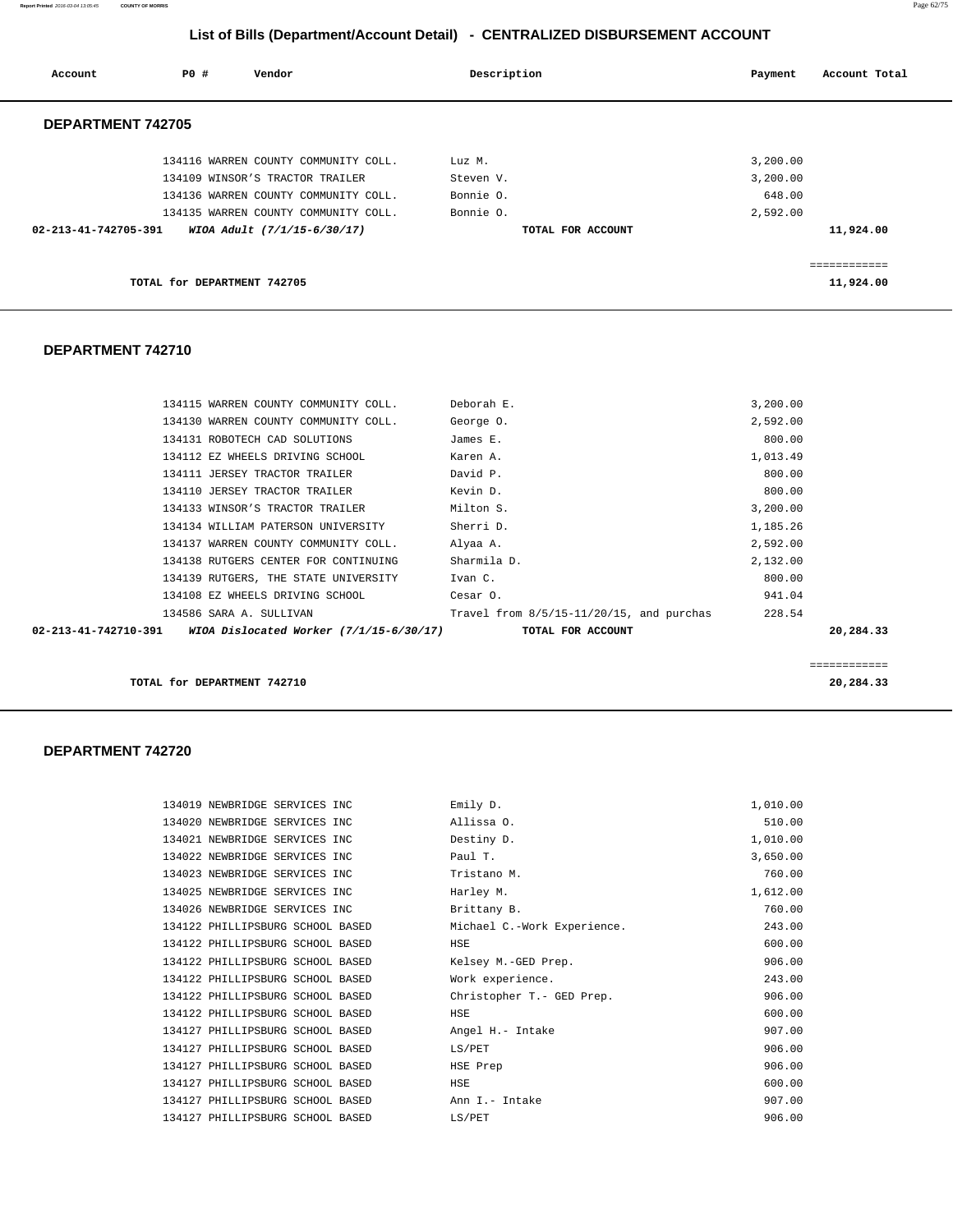**Report Printed** 2016-03-04 13:05:45 **COUNTY OF MORRIS** Page 62/75

## **List of Bills (Department/Account Detail) - CENTRALIZED DISBURSEMENT ACCOUNT**

| Account                  | PO#<br>Vendor                        | Description       | Payment  | Account Total |
|--------------------------|--------------------------------------|-------------------|----------|---------------|
| <b>DEPARTMENT 742705</b> |                                      |                   |          |               |
|                          | 134116 WARREN COUNTY COMMUNITY COLL. | Luz M.            | 3,200.00 |               |
|                          | 134109 WINSOR'S TRACTOR TRAILER      | Steven V.         | 3,200.00 |               |
|                          | 134136 WARREN COUNTY COMMUNITY COLL. | Bonnie O.         | 648.00   |               |
|                          | 134135 WARREN COUNTY COMMUNITY COLL. | Bonnie O.         | 2,592.00 |               |
| 02-213-41-742705-391     | WIOA Adult (7/1/15-6/30/17)          | TOTAL FOR ACCOUNT |          | 11,924.00     |
|                          |                                      |                   |          |               |
|                          | TOTAL for DEPARTMENT 742705          |                   |          | 11,924.00     |

## **DEPARTMENT 742710**

|                      | 134115 WARREN COUNTY COMMUNITY COLL.    | Deborah E.                                  | 3,200.00 |           |
|----------------------|-----------------------------------------|---------------------------------------------|----------|-----------|
|                      | 134130 WARREN COUNTY COMMUNITY COLL.    | George 0.                                   | 2,592.00 |           |
|                      | 134131 ROBOTECH CAD SOLUTIONS           | James E.                                    | 800.00   |           |
|                      | 134112 EZ WHEELS DRIVING SCHOOL         | Karen A.                                    | 1,013.49 |           |
|                      | 134111 JERSEY TRACTOR TRAILER           | David P.                                    | 800.00   |           |
|                      | 134110 JERSEY TRACTOR TRAILER           | Kevin D.                                    | 800.00   |           |
|                      | 134133 WINSOR'S TRACTOR TRAILER         | Milton S.                                   | 3,200.00 |           |
|                      | 134134 WILLIAM PATERSON UNIVERSITY      | Sherri D.                                   | 1,185.26 |           |
|                      | 134137 WARREN COUNTY COMMUNITY COLL.    | Alyaa A.                                    | 2,592.00 |           |
|                      | 134138 RUTGERS CENTER FOR CONTINUING    | Sharmila D.                                 | 2,132.00 |           |
|                      | 134139 RUTGERS, THE STATE UNIVERSITY    | Ivan C.                                     | 800.00   |           |
|                      | 134108 EZ WHEELS DRIVING SCHOOL         | Cesar O.                                    | 941.04   |           |
|                      | 134586 SARA A. SULLIVAN                 | Travel from $8/5/15-11/20/15$ , and purchas | 228.54   |           |
| 02-213-41-742710-391 | WIOA Dislocated Worker (7/1/15-6/30/17) | TOTAL FOR ACCOUNT                           |          | 20,284.33 |
|                      |                                         |                                             |          |           |
|                      |                                         |                                             |          |           |

**TOTAL for DEPARTMENT 742710** 20,284.33

| 134019 NEWBRIDGE SERVICES INC    | Emily D.                    | 1,010.00 |
|----------------------------------|-----------------------------|----------|
| 134020 NEWBRIDGE SERVICES INC    | Allissa 0.                  | 510.00   |
| 134021 NEWBRIDGE SERVICES INC    | Destiny D.                  | 1,010.00 |
| 134022 NEWBRIDGE SERVICES INC    | Paul T.                     | 3,650.00 |
| 134023 NEWBRIDGE SERVICES INC    | Tristano M.                 | 760.00   |
| 134025 NEWBRIDGE SERVICES INC    | Harley M.                   | 1,612.00 |
| 134026 NEWBRIDGE SERVICES INC    | Brittany B.                 | 760.00   |
| 134122 PHILLIPSBURG SCHOOL BASED | Michael C.-Work Experience. | 243.00   |
| 134122 PHILLIPSBURG SCHOOL BASED | <b>HSE</b>                  | 600.00   |
| 134122 PHILLIPSBURG SCHOOL BASED | Kelsey M.-GED Prep.         | 906.00   |
| 134122 PHILLIPSBURG SCHOOL BASED | Work experience.            | 243.00   |
| 134122 PHILLIPSBURG SCHOOL BASED | Christopher T. - GED Prep.  | 906.00   |
| 134122 PHILLIPSBURG SCHOOL BASED | HSE                         | 600.00   |
| 134127 PHILLIPSBURG SCHOOL BASED | Angel H.- Intake            | 907.00   |
| 134127 PHILLIPSBURG SCHOOL BASED | LS/PET                      | 906.00   |
| 134127 PHILLIPSBURG SCHOOL BASED | HSE Prep                    | 906.00   |
| 134127 PHILLIPSBURG SCHOOL BASED | HSE                         | 600.00   |
| 134127 PHILLIPSBURG SCHOOL BASED | Ann I.- Intake              | 907.00   |
| 134127 PHILLIPSBURG SCHOOL BASED | LS/PET                      | 906.00   |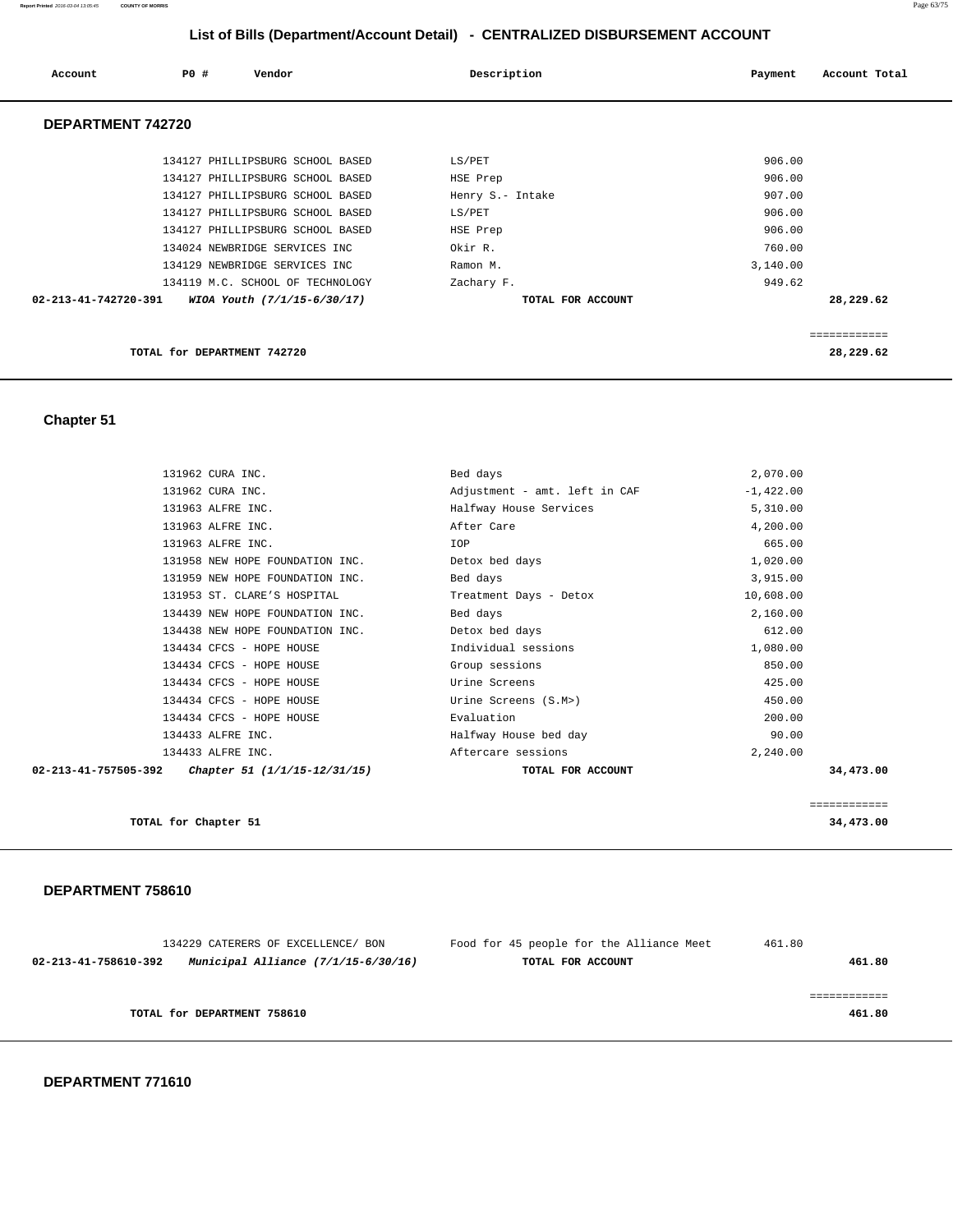#### **Report Printed** 2016-03-04 13:05:45 **COUNTY OF MORRIS** Page 63/75

 **List of Bills (Department/Account Detail) - CENTRALIZED DISBURSEMENT ACCOUNT**

| Account              | PO# | Vendor                           | Description       | Account Total<br>Payment |
|----------------------|-----|----------------------------------|-------------------|--------------------------|
| DEPARTMENT 742720    |     |                                  |                   |                          |
|                      |     | 134127 PHILLIPSBURG SCHOOL BASED | LS/PET            | 906.00                   |
|                      |     | 134127 PHILLIPSBURG SCHOOL BASED | HSE Prep          | 906.00                   |
|                      |     | 134127 PHILLIPSBURG SCHOOL BASED | Henry S.- Intake  | 907.00                   |
|                      |     | 134127 PHILLIPSBURG SCHOOL BASED | LS/PET            | 906.00                   |
|                      |     | 134127 PHILLIPSBURG SCHOOL BASED | HSE Prep          | 906.00                   |
|                      |     | 134024 NEWBRIDGE SERVICES INC    | Okir R.           | 760.00                   |
|                      |     | 134129 NEWBRIDGE SERVICES INC    | Ramon M.          | 3,140.00                 |
|                      |     | 134119 M.C. SCHOOL OF TECHNOLOGY | Zachary F.        | 949.62                   |
| 02-213-41-742720-391 |     | WIOA Youth (7/1/15-6/30/17)      | TOTAL FOR ACCOUNT | 28,229.62                |
|                      |     |                                  |                   | ============             |
|                      |     | TOTAL for DEPARTMENT 742720      |                   | 28,229.62                |

## **Chapter 51**

| 131962 CURA INC.                                            | Bed days                      | 2,070.00     |
|-------------------------------------------------------------|-------------------------------|--------------|
| 131962 CURA INC.                                            | Adjustment - amt. left in CAF | $-1,422.00$  |
| 131963 ALFRE INC.                                           | Halfway House Services        | 5,310.00     |
| 131963 ALFRE INC.                                           | After Care                    | 4,200.00     |
| 131963 ALFRE INC.                                           | IOP                           | 665.00       |
| 131958 NEW HOPE FOUNDATION INC.                             | Detox bed days                | 1,020.00     |
| 131959 NEW HOPE FOUNDATION INC.                             | Bed days                      | 3,915.00     |
| 131953 ST. CLARE'S HOSPITAL                                 | Treatment Days - Detox        | 10,608.00    |
| 134439 NEW HOPE FOUNDATION INC.                             | Bed days                      | 2,160.00     |
| 134438 NEW HOPE FOUNDATION INC.                             | Detox bed days                | 612.00       |
| 134434 CFCS - HOPE HOUSE                                    | Individual sessions           | 1,080.00     |
| 134434 CFCS - HOPE HOUSE                                    | Group sessions                | 850.00       |
| 134434 CFCS - HOPE HOUSE                                    | Urine Screens                 | 425.00       |
| 134434 CFCS - HOPE HOUSE                                    | Urine Screens (S.M>)          | 450.00       |
| 134434 CFCS - HOPE HOUSE                                    | Evaluation                    | 200.00       |
| 134433 ALFRE INC.                                           | Halfway House bed day         | 90.00        |
| 134433 ALFRE INC.                                           | Aftercare sessions            | 2,240.00     |
| $02 - 213 - 41 - 757505 - 392$ Chapter 51 (1/1/15-12/31/15) | TOTAL FOR ACCOUNT             | 34,473.00    |
|                                                             |                               |              |
|                                                             |                               | ============ |
| TOTAL for Chapter 51                                        |                               | 34,473.00    |

|                      | 134229 CATERERS OF EXCELLENCE/ BON    | Food for 45 people for the Alliance Meet | 461.80 |
|----------------------|---------------------------------------|------------------------------------------|--------|
| 02-213-41-758610-392 | Municipal Alliance $(7/1/15-6/30/16)$ | TOTAL FOR ACCOUNT                        | 461.80 |
|                      |                                       |                                          |        |
|                      |                                       |                                          |        |
|                      | TOTAL for DEPARTMENT 758610           |                                          | 461.80 |
|                      |                                       |                                          |        |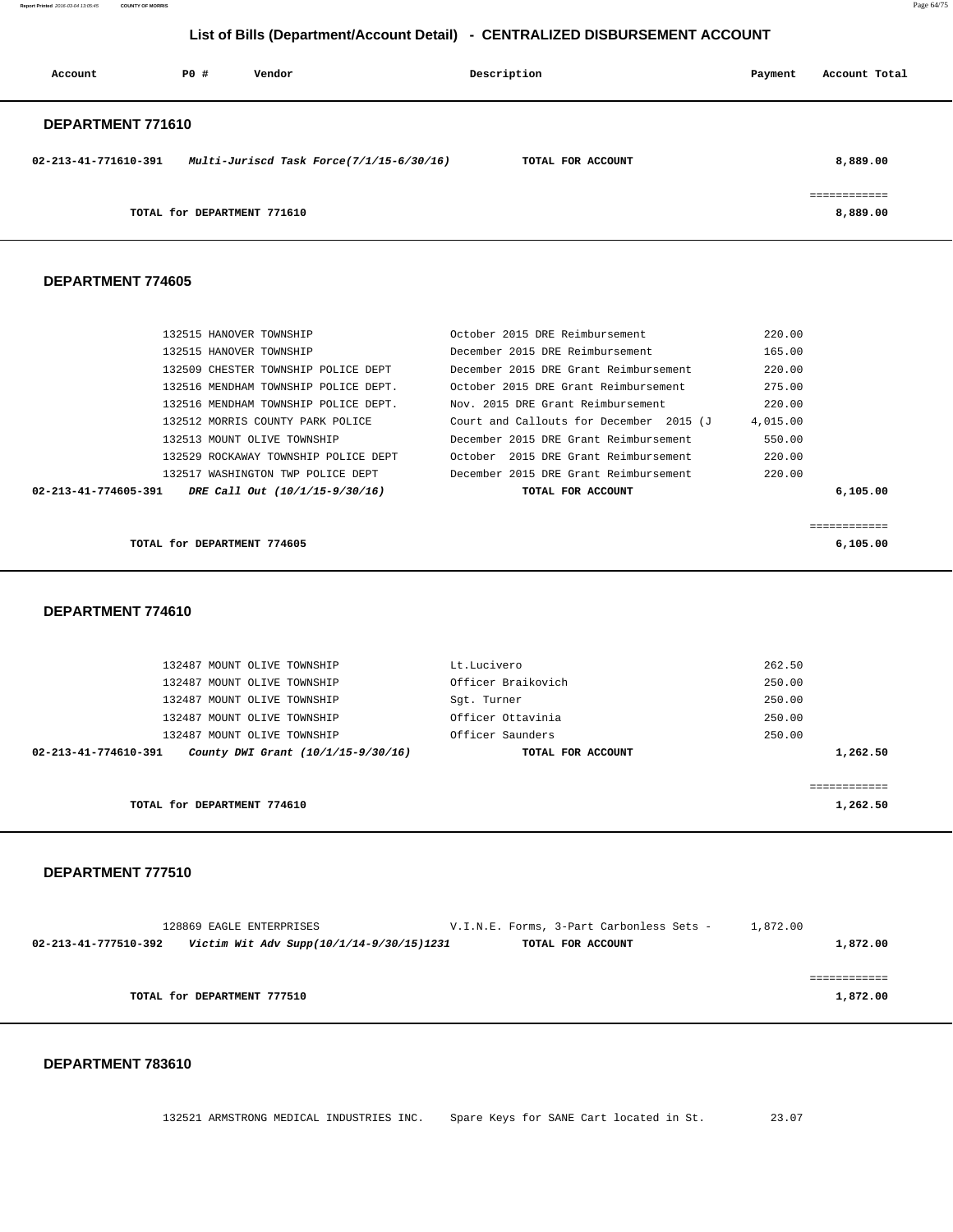**Report Printed** 2016-03-04 13:05:45 **COUNTY OF MORRIS** Page 64/75

## **List of Bills (Department/Account Detail) - CENTRALIZED DISBURSEMENT ACCOUNT**

| Account              | PO#                         | Vendor                                   | Description       | Payment | Account Total |
|----------------------|-----------------------------|------------------------------------------|-------------------|---------|---------------|
| DEPARTMENT 771610    |                             |                                          |                   |         |               |
| 02-213-41-771610-391 |                             | Multi-Juriscd Task Force(7/1/15-6/30/16) | TOTAL FOR ACCOUNT |         | 8,889.00      |
|                      |                             |                                          |                   |         |               |
|                      | TOTAL for DEPARTMENT 771610 |                                          |                   |         | 8,889.00      |

#### **DEPARTMENT 774605**

| TOTAL for DEPARTMENT 774605                            |                                         | 6,105.00    |
|--------------------------------------------------------|-----------------------------------------|-------------|
|                                                        |                                         | eeeeeeeeeee |
| DRE Call Out (10/1/15-9/30/16)<br>02-213-41-774605-391 | TOTAL FOR ACCOUNT                       | 6,105.00    |
| 132517 WASHINGTON TWP POLICE DEPT                      | December 2015 DRE Grant Reimbursement   | 220.00      |
| 132529 ROCKAWAY TOWNSHIP POLICE DEPT                   | October 2015 DRE Grant Reimbursement    | 220.00      |
| 132513 MOUNT OLIVE TOWNSHIP                            | December 2015 DRE Grant Reimbursement   | 550.00      |
| 132512 MORRIS COUNTY PARK POLICE                       | Court and Callouts for December 2015 (J | 4,015.00    |
| 132516 MENDHAM TOWNSHIP POLICE DEPT.                   | Nov. 2015 DRE Grant Reimbursement       | 220.00      |
| 132516 MENDHAM TOWNSHIP POLICE DEPT.                   | October 2015 DRE Grant Reimbursement    | 275.00      |
| 132509 CHESTER TOWNSHIP POLICE DEPT                    | December 2015 DRE Grant Reimbursement   | 220.00      |
| 132515 HANOVER TOWNSHIP                                | December 2015 DRE Reimbursement         | 165.00      |
| 132515 HANOVER TOWNSHIP                                | October 2015 DRE Reimbursement          | 220.00      |

#### **DEPARTMENT 774610**

| 132487 MOUNT OLIVE TOWNSHIP                                | Lt.Lucivero        | 262.50   |
|------------------------------------------------------------|--------------------|----------|
| 132487 MOUNT OLIVE TOWNSHIP                                | Officer Braikovich | 250.00   |
| 132487 MOUNT OLIVE TOWNSHIP                                | Sqt. Turner        | 250.00   |
| 132487 MOUNT OLIVE TOWNSHIP                                | Officer Ottavinia  | 250.00   |
| 132487 MOUNT OLIVE TOWNSHIP                                | Officer Saunders   | 250.00   |
| 02-213-41-774610-391<br>County DWI Grant (10/1/15-9/30/16) | TOTAL FOR ACCOUNT  | 1,262.50 |
|                                                            |                    |          |
|                                                            |                    |          |
| TOTAL for DEPARTMENT 774610                                |                    | 1,262.50 |

#### **DEPARTMENT 777510**

| 128869 EAGLE ENTERPRISES                                         | V.I.N.E. Forms, 3-Part Carbonless Sets - | 1,872.00 |
|------------------------------------------------------------------|------------------------------------------|----------|
| Victim Wit Adv Supp(10/1/14-9/30/15)1231<br>02-213-41-777510-392 | TOTAL FOR ACCOUNT                        | 1,872.00 |
|                                                                  |                                          |          |
|                                                                  |                                          |          |
| TOTAL for DEPARTMENT 777510                                      |                                          | 1,872.00 |
|                                                                  |                                          |          |

#### **DEPARTMENT 783610**

132521 ARMSTRONG MEDICAL INDUSTRIES INC. Spare Keys for SANE Cart located in St. 23.07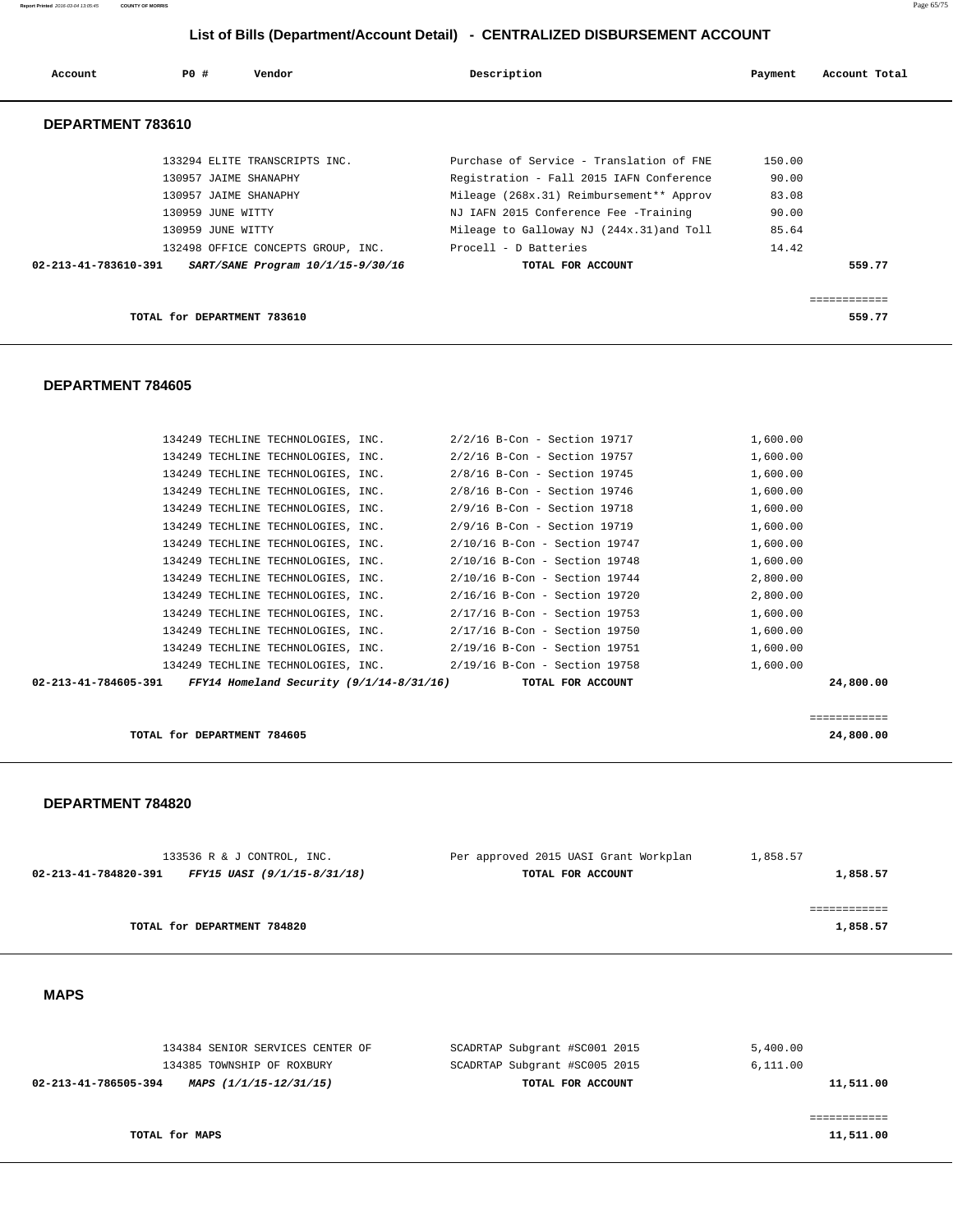**Report Printed** 2016-03-04 13:05:45 **COUNTY OF MORRIS** Page 65/75

## **List of Bills (Department/Account Detail) - CENTRALIZED DISBURSEMENT ACCOUNT**

| Account              | PO#                   | Vendor                             | Description                               | Payment | Account Total |
|----------------------|-----------------------|------------------------------------|-------------------------------------------|---------|---------------|
| DEPARTMENT 783610    |                       |                                    |                                           |         |               |
|                      |                       | 133294 ELITE TRANSCRIPTS INC.      | Purchase of Service - Translation of FNE  | 150.00  |               |
|                      | 130957 JAIME SHANAPHY |                                    | Registration - Fall 2015 IAFN Conference  | 90.00   |               |
|                      | 130957 JAIME SHANAPHY |                                    | Mileage (268x.31) Reimbursement** Approv  | 83.08   |               |
|                      | 130959 JUNE WITTY     |                                    | NJ IAFN 2015 Conference Fee -Training     | 90.00   |               |
|                      | 130959 JUNE WITTY     |                                    | Mileage to Galloway NJ (244x.31) and Toll | 85.64   |               |
|                      |                       | 132498 OFFICE CONCEPTS GROUP, INC. | Procell - D Batteries                     | 14.42   |               |
| 02-213-41-783610-391 |                       | SART/SANE Program 10/1/15-9/30/16  | TOTAL FOR ACCOUNT                         |         | 559.77        |
|                      |                       |                                    |                                           |         |               |

**TOTAL for DEPARTMENT 783610 559.77**

# **DEPARTMENT 784605**

| 02-213-41-784605-391 FFY14 Homeland Security $(9/1/14-8/31/16)$ TOTAL FOR ACCOUNT |                                    |                                                                  | 24,800,00 |
|-----------------------------------------------------------------------------------|------------------------------------|------------------------------------------------------------------|-----------|
|                                                                                   |                                    | 134249 TECHLINE TECHNOLOGIES, INC. 2/19/16 B-Con - Section 19758 | 1,600.00  |
|                                                                                   |                                    | 134249 TECHLINE TECHNOLOGIES, INC. 2/19/16 B-Con - Section 19751 | 1,600.00  |
|                                                                                   | 134249 TECHLINE TECHNOLOGIES, INC. | 2/17/16 B-Con - Section 19750                                    | 1,600.00  |
|                                                                                   |                                    | 134249 TECHLINE TECHNOLOGIES, INC. 2/17/16 B-Con - Section 19753 | 1,600.00  |
|                                                                                   | 134249 TECHLINE TECHNOLOGIES, INC. | 2/16/16 B-Con - Section 19720                                    | 2,800.00  |
|                                                                                   |                                    | 134249 TECHLINE TECHNOLOGIES, INC. 2/10/16 B-Con - Section 19744 | 2,800.00  |
|                                                                                   | 134249 TECHLINE TECHNOLOGIES, INC. | 2/10/16 B-Con - Section 19748                                    | 1,600.00  |
|                                                                                   |                                    | 134249 TECHLINE TECHNOLOGIES, INC. 2/10/16 B-Con - Section 19747 | 1,600.00  |
|                                                                                   | 134249 TECHLINE TECHNOLOGIES, INC. | 2/9/16 B-Con - Section 19719                                     | 1,600.00  |
|                                                                                   |                                    | 134249 TECHLINE TECHNOLOGIES, INC. 2/9/16 B-Con - Section 19718  | 1,600.00  |
|                                                                                   | 134249 TECHLINE TECHNOLOGIES, INC. | 2/8/16 B-Con - Section 19746                                     | 1,600.00  |
|                                                                                   |                                    | 134249 TECHLINE TECHNOLOGIES, INC. 2/8/16 B-Con - Section 19745  | 1,600.00  |
|                                                                                   |                                    | 134249 TECHLINE TECHNOLOGIES, INC. 2/2/16 B-Con - Section 19757  | 1,600.00  |
|                                                                                   |                                    | 134249 TECHLINE TECHNOLOGIES, INC. 2/2/16 B-Con - Section 19717  | 1,600.00  |
|                                                                                   |                                    |                                                                  |           |

**TOTAL for DEPARTMENT 784605 24,800.00**

#### **DEPARTMENT 784820**

| 133536 R & J CONTROL, INC.                          | Per approved 2015 UASI Grant Workplan | 1,858.57 |
|-----------------------------------------------------|---------------------------------------|----------|
| 02-213-41-784820-391<br>FFY15 UASI (9/1/15-8/31/18) | TOTAL FOR ACCOUNT                     | 1,858.57 |
|                                                     |                                       |          |
|                                                     |                                       |          |
| TOTAL for DEPARTMENT 784820                         |                                       | 1,858.57 |
|                                                     |                                       |          |

============

## **MAPS**

| 134384 SENIOR SERVICES CENTER OF               | SCADRTAP Subgrant #SC001 2015 | 5,400.00  |
|------------------------------------------------|-------------------------------|-----------|
| 134385 TOWNSHIP OF ROXBURY                     | SCADRTAP Subgrant #SC005 2015 | 6,111.00  |
| 02-213-41-786505-394<br>MAPS (1/1/15-12/31/15) | TOTAL FOR ACCOUNT             | 11,511.00 |
|                                                |                               |           |
|                                                |                               |           |
| TOTAL for MAPS                                 |                               | 11,511.00 |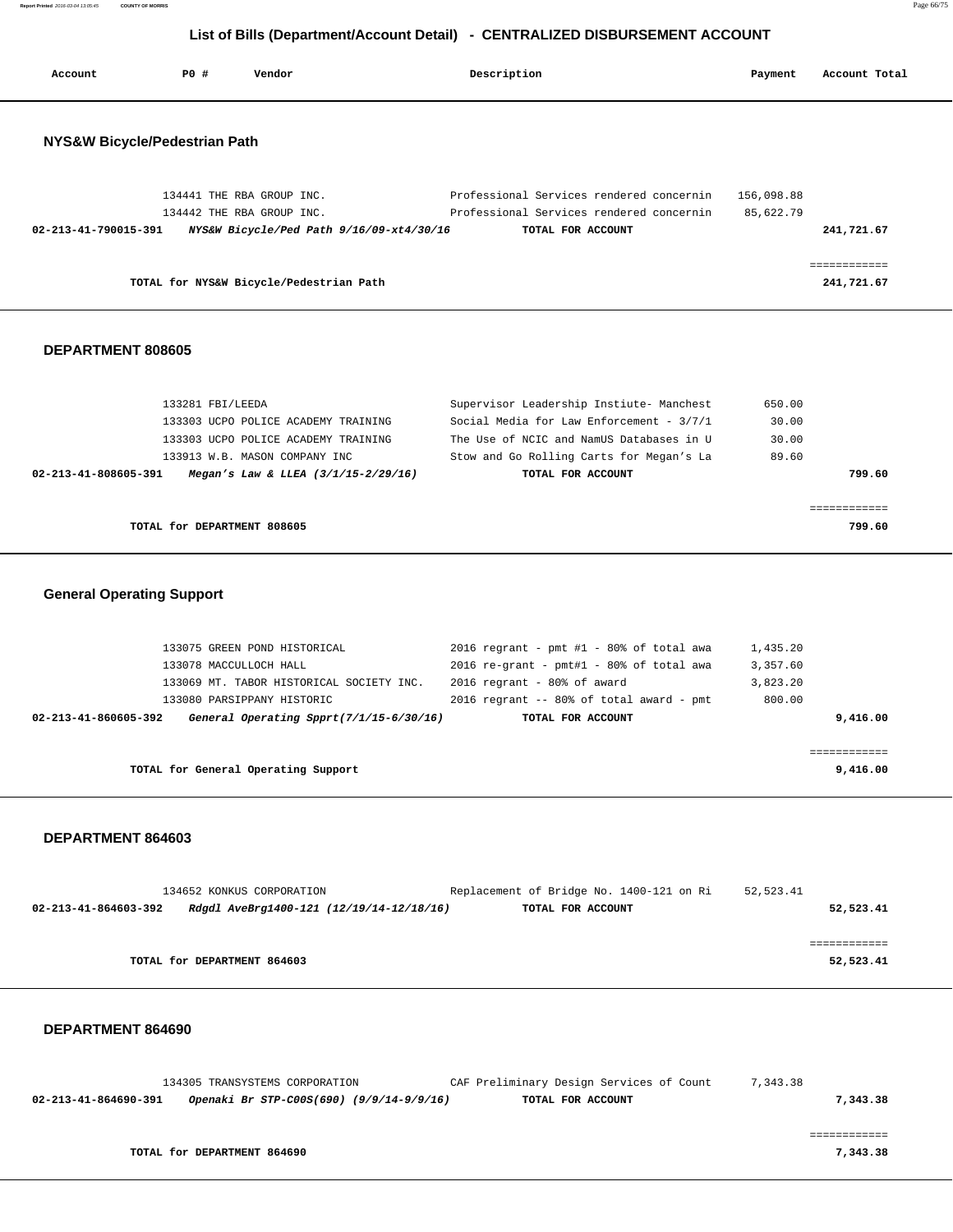**Report Printed** 2016-03-04 13:05:45 **COUNTY OF MORRIS** Page 66/75

## **List of Bills (Department/Account Detail) - CENTRALIZED DISBURSEMENT ACCOUNT**

| Account                       | PO# | Vendor                                                                | Description                                                   | Payment    | Account Total              |
|-------------------------------|-----|-----------------------------------------------------------------------|---------------------------------------------------------------|------------|----------------------------|
| NYS&W Bicycle/Pedestrian Path |     |                                                                       |                                                               |            |                            |
|                               |     | 134441 THE RBA GROUP INC.                                             | Professional Services rendered concernin                      | 156,098.88 |                            |
| 02-213-41-790015-391          |     | 134442 THE RBA GROUP INC.<br>NYS&W Bicycle/Ped Path 9/16/09-xt4/30/16 | Professional Services rendered concernin<br>TOTAL FOR ACCOUNT | 85,622.79  | 241,721.67                 |
|                               |     | TOTAL for NYS&W Bicycle/Pedestrian Path                               |                                                               |            | ============<br>241,721.67 |
|                               |     |                                                                       |                                                               |            |                            |

## **DEPARTMENT 808605**

| TOTAL for DEPARTMENT 808605                                     |                                          | 799.60 |
|-----------------------------------------------------------------|------------------------------------------|--------|
|                                                                 |                                          |        |
| 02-213-41-808605-391<br>Megan's Law & LLEA $(3/1/15 - 2/29/16)$ | TOTAL FOR ACCOUNT                        | 799.60 |
| 133913 W.B. MASON COMPANY INC                                   | Stow and Go Rolling Carts for Megan's La | 89.60  |
| 133303 UCPO POLICE ACADEMY TRAINING                             | The Use of NCIC and NamUS Databases in U | 30.00  |
| 133303 UCPO POLICE ACADEMY TRAINING                             | Social Media for Law Enforcement - 3/7/1 | 30.00  |
| 133281 FBI/LEEDA                                                | Supervisor Leadership Instiute- Manchest | 650.00 |

## **General Operating Support**

|                      | 133075 GREEN POND HISTORICAL<br>133078 MACCULLOCH HALL | 2016 regrant - pmt #1 - 80% of total awa<br>2016 re-grant - $pm#1$ - 80% of total awa | 1,435.20<br>3,357.60 |
|----------------------|--------------------------------------------------------|---------------------------------------------------------------------------------------|----------------------|
|                      | 133069 MT. TABOR HISTORICAL SOCIETY INC.               | $2016$ regrant - $80\%$ of award                                                      | 3,823.20             |
|                      | 133080 PARSIPPANY HISTORIC                             | 2016 regrant $-$ 80% of total award $-$ pmt                                           | 800.00               |
| 02-213-41-860605-392 | General Operating Spprt(7/1/15-6/30/16)                | TOTAL FOR ACCOUNT                                                                     | 9,416.00             |
|                      |                                                        |                                                                                       |                      |
|                      | TOTAL for General Operating Support                    |                                                                                       | 9,416.00             |
|                      |                                                        |                                                                                       |                      |

#### **DEPARTMENT 864603**

| 134652 KONKUS CORPORATION                                        | Replacement of Bridge No. 1400-121 on Ri | 52,523.41 |
|------------------------------------------------------------------|------------------------------------------|-----------|
| 02-213-41-864603-392<br>Rdgdl AveBrg1400-121 (12/19/14-12/18/16) | TOTAL FOR ACCOUNT                        | 52,523.41 |
|                                                                  |                                          |           |
|                                                                  |                                          |           |
| TOTAL for DEPARTMENT 864603                                      |                                          | 52,523.41 |
|                                                                  |                                          |           |

|                      | 134305 TRANSYSTEMS CORPORATION           | CAF Preliminary Design Services of Count | 7,343.38 |
|----------------------|------------------------------------------|------------------------------------------|----------|
| 02-213-41-864690-391 | Openaki Br STP-C00S(690) (9/9/14-9/9/16) | TOTAL FOR ACCOUNT                        | 7,343.38 |
|                      |                                          |                                          |          |
|                      |                                          |                                          |          |
|                      |                                          |                                          |          |
|                      | TOTAL for DEPARTMENT 864690              |                                          | 7,343.38 |
|                      |                                          |                                          |          |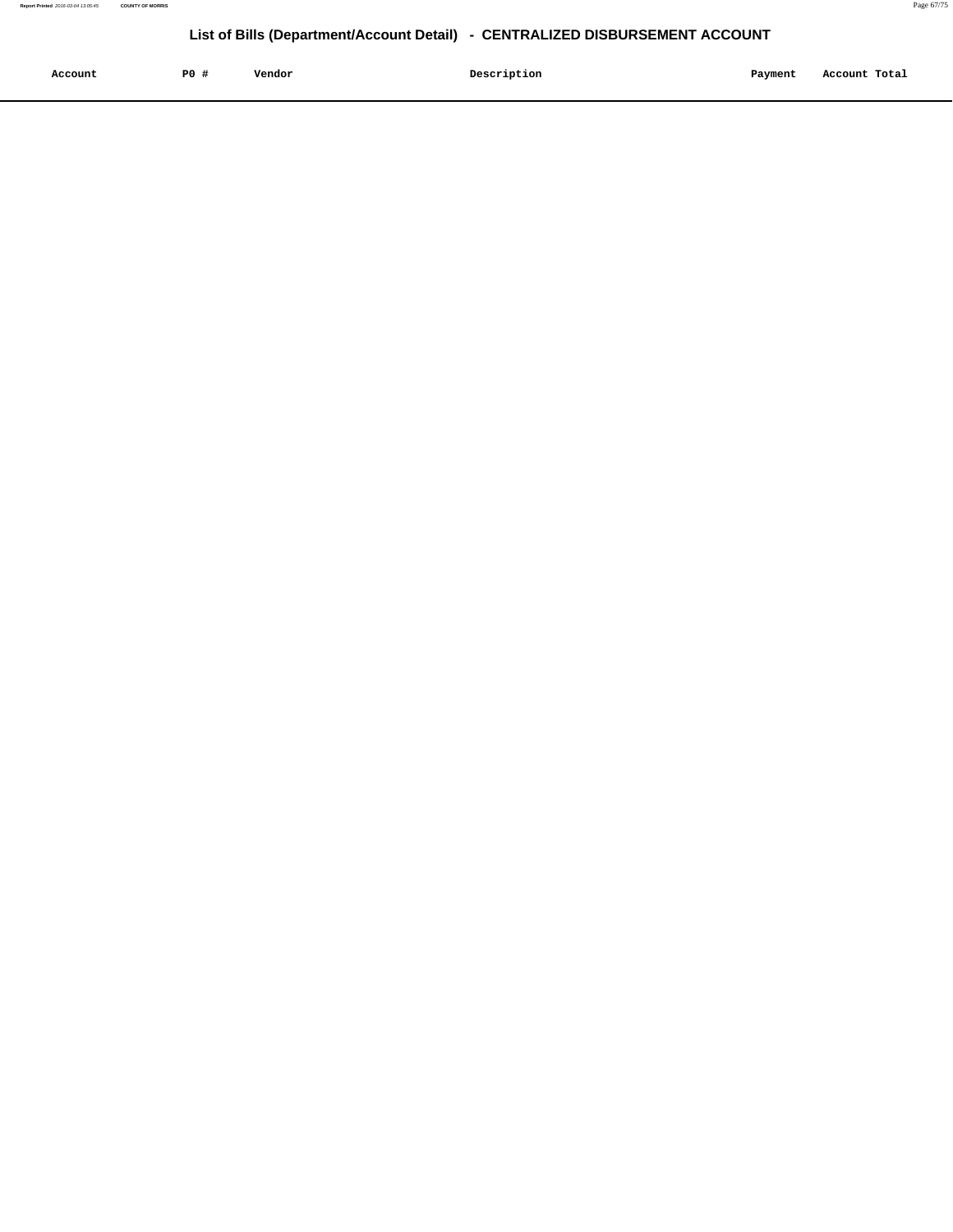| Account<br>. | P <sub>0</sub> | Vendor<br>. | Description | Payment | Account Total |
|--------------|----------------|-------------|-------------|---------|---------------|
|              |                |             |             |         |               |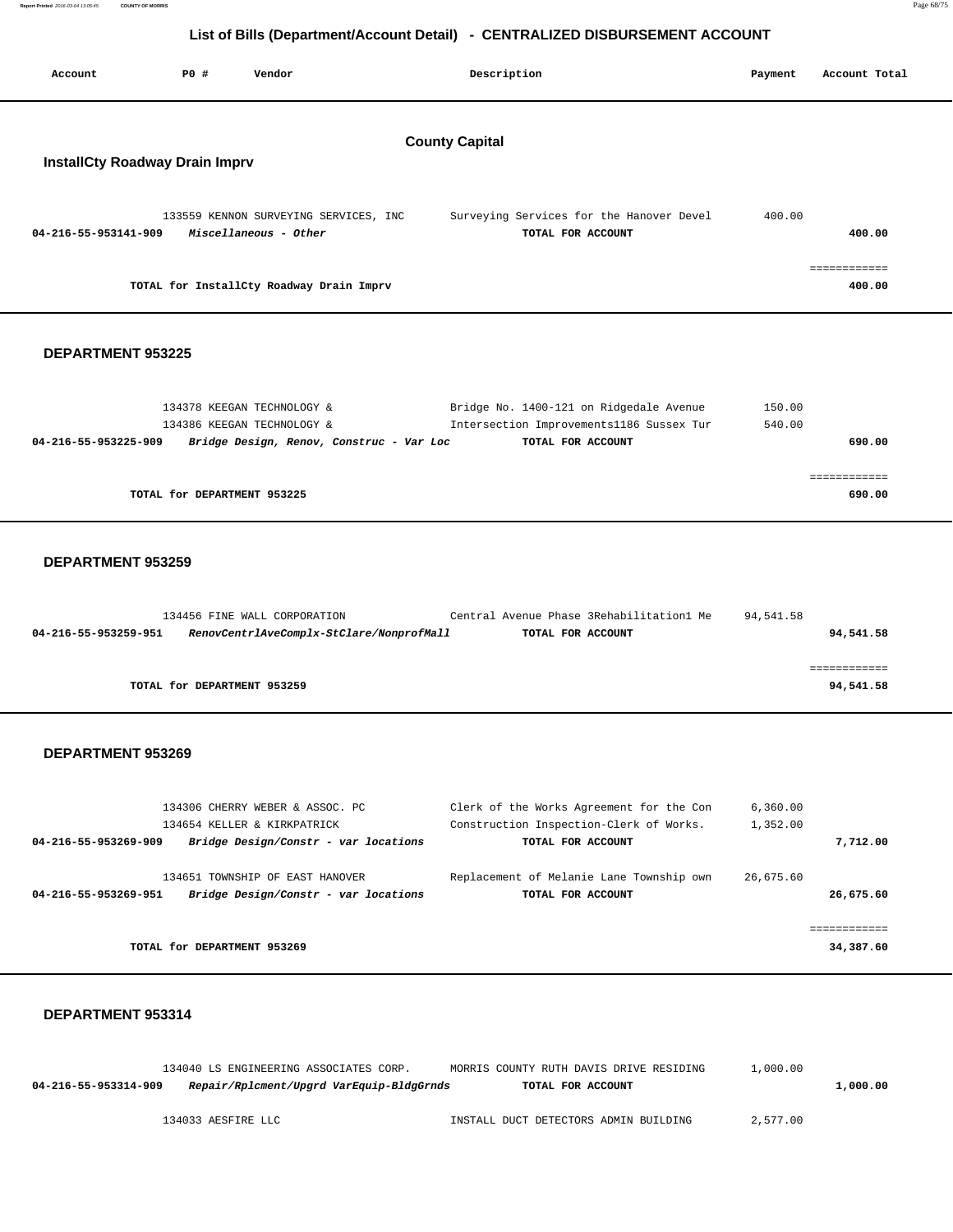**Report Printed** 2016-03-04 13:05:45 **COUNTY OF MORRIS** Page 68/75

## **List of Bills (Department/Account Detail) - CENTRALIZED DISBURSEMENT ACCOUNT**

| Account                                                        | <b>PO #</b> | Vendor                                                         |  | Description                                                   | Payment | Account Total          |
|----------------------------------------------------------------|-------------|----------------------------------------------------------------|--|---------------------------------------------------------------|---------|------------------------|
| <b>County Capital</b><br><b>InstallCty Roadway Drain Imprv</b> |             |                                                                |  |                                                               |         |                        |
| 04-216-55-953141-909                                           |             | 133559 KENNON SURVEYING SERVICES, INC<br>Miscellaneous - Other |  | Surveying Services for the Hanover Devel<br>TOTAL FOR ACCOUNT | 400.00  | 400.00                 |
|                                                                |             | TOTAL for InstallCty Roadway Drain Imprv                       |  |                                                               |         | ------------<br>400.00 |

### **DEPARTMENT 953225**

| 134378 KEEGAN TECHNOLOGY &                                       | Bridge No. 1400-121 on Ridgedale Avenue  | 150.00 |
|------------------------------------------------------------------|------------------------------------------|--------|
| 134386 KEEGAN TECHNOLOGY &                                       | Intersection Improvements1186 Sussex Tur | 540.00 |
| Bridge Design, Renov, Construc - Var Loc<br>04-216-55-953225-909 | TOTAL FOR ACCOUNT                        | 690.00 |
|                                                                  |                                          |        |
|                                                                  |                                          |        |
| TOTAL for DEPARTMENT 953225                                      |                                          | 690.00 |

#### **DEPARTMENT 953259**

|                      | 134456 FINE WALL CORPORATION             | Central Avenue Phase 3Rehabilitation1 Me | 94,541.58 |           |
|----------------------|------------------------------------------|------------------------------------------|-----------|-----------|
| 04-216-55-953259-951 | RenovCentrlAveComplx-StClare/NonprofMall | TOTAL FOR ACCOUNT                        |           | 94,541.58 |
|                      |                                          |                                          |           |           |
|                      |                                          |                                          |           |           |
|                      | TOTAL for DEPARTMENT 953259              |                                          |           | 94,541.58 |

### **DEPARTMENT 953269**

| 134306 CHERRY WEBER & ASSOC. PC                              | Clerk of the Works Agreement for the Con | 6,360.00  |
|--------------------------------------------------------------|------------------------------------------|-----------|
| 134654 KELLER & KIRKPATRICK                                  | Construction Inspection-Clerk of Works.  | 1,352.00  |
| Bridge Design/Constr - var locations<br>04-216-55-953269-909 | TOTAL FOR ACCOUNT                        | 7,712.00  |
|                                                              |                                          |           |
| 134651 TOWNSHIP OF EAST HANOVER                              | Replacement of Melanie Lane Township own | 26,675.60 |
| Bridge Design/Constr - var locations<br>04-216-55-953269-951 | TOTAL FOR ACCOUNT                        | 26,675.60 |
|                                                              |                                          |           |
|                                                              |                                          |           |
| TOTAL for DEPARTMENT 953269                                  |                                          | 34,387.60 |

|                      | 134040 LS ENGINEERING ASSOCIATES CORP. |                                          | MORRIS COUNTY RUTH DAVIS DRIVE RESIDING |                   | 1,000.00 |          |
|----------------------|----------------------------------------|------------------------------------------|-----------------------------------------|-------------------|----------|----------|
| 04-216-55-953314-909 |                                        | Repair/Rplcment/Upgrd VarEquip-BldgGrnds |                                         | TOTAL FOR ACCOUNT |          | 1,000.00 |
|                      |                                        |                                          |                                         |                   |          |          |
|                      | 134033 AESFIRE LLC                     |                                          | INSTALL DUCT DETECTORS ADMIN BUILDING   |                   | 2,577.00 |          |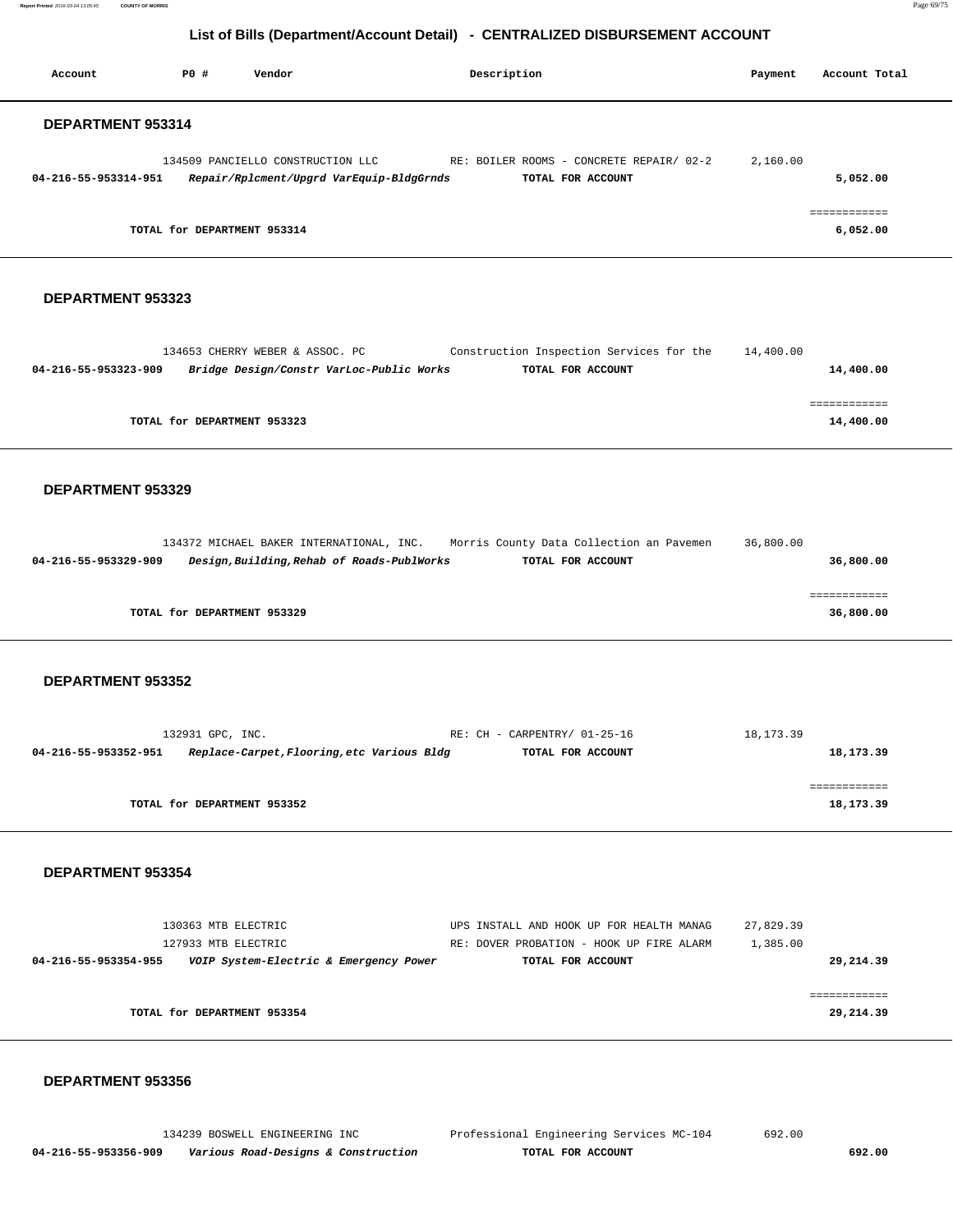**Report Printed** 2016-03-04 13:05:45 **COUNTY OF MORRIS** Page 69/75

## **List of Bills (Department/Account Detail) - CENTRALIZED DISBURSEMENT ACCOUNT**

| Account              | PO#                         | Vendor                                                                        | Description                                                   | Payment  | Account Total            |
|----------------------|-----------------------------|-------------------------------------------------------------------------------|---------------------------------------------------------------|----------|--------------------------|
| DEPARTMENT 953314    |                             |                                                                               |                                                               |          |                          |
| 04-216-55-953314-951 |                             | 134509 PANCIELLO CONSTRUCTION LLC<br>Repair/Rplcment/Upgrd VarEquip-BldgGrnds | RE: BOILER ROOMS - CONCRETE REPAIR/ 02-2<br>TOTAL FOR ACCOUNT | 2,160.00 | 5,052.00                 |
|                      | TOTAL for DEPARTMENT 953314 |                                                                               |                                                               |          | ------------<br>6,052.00 |

#### **DEPARTMENT 953323**

| 134653 CHERRY WEBER & ASSOC. PC                                  | Construction Inspection Services for the | 14,400.00 |
|------------------------------------------------------------------|------------------------------------------|-----------|
| Bridge Design/Constr VarLoc-Public Works<br>04-216-55-953323-909 | TOTAL FOR ACCOUNT                        | 14,400.00 |
|                                                                  |                                          |           |
|                                                                  |                                          |           |
| TOTAL for DEPARTMENT 953323                                      |                                          | 14,400.00 |
|                                                                  |                                          |           |

#### **DEPARTMENT 953329**

|                      | 134372 MICHAEL BAKER INTERNATIONAL, INC.   | Morris County Data Collection an Pavemen | 36,800.00 |
|----------------------|--------------------------------------------|------------------------------------------|-----------|
| 04-216-55-953329-909 | Design, Building, Rehab of Roads-PublWorks | TOTAL FOR ACCOUNT                        | 36,800.00 |
|                      |                                            |                                          |           |
|                      |                                            |                                          |           |
|                      | TOTAL for DEPARTMENT 953329                |                                          | 36,800.00 |

#### **DEPARTMENT 953352**

| 132931 GPC, INC.                                                   | RE: CH - CARPENTRY/ 01-25-16 | 18, 173.39 |           |
|--------------------------------------------------------------------|------------------------------|------------|-----------|
| Replace-Carpet, Flooring, etc Various Bldg<br>04-216-55-953352-951 | TOTAL FOR ACCOUNT            |            | 18,173.39 |
|                                                                    |                              |            |           |
|                                                                    |                              |            |           |
| TOTAL for DEPARTMENT 953352                                        |                              |            | 18,173.39 |
|                                                                    |                              |            |           |

#### **DEPARTMENT 953354**

| 130363 MTB ELECTRIC                                            | UPS INSTALL AND HOOK UP FOR HEALTH MANAG | 27,829.39 |
|----------------------------------------------------------------|------------------------------------------|-----------|
| 127933 MTB ELECTRIC                                            | RE: DOVER PROBATION - HOOK UP FIRE ALARM | 1,385.00  |
| VOIP System-Electric & Emergency Power<br>04-216-55-953354-955 | TOTAL FOR ACCOUNT                        | 29,214.39 |
|                                                                |                                          |           |
|                                                                |                                          |           |
| TOTAL for DEPARTMENT 953354                                    |                                          | 29,214.39 |
|                                                                |                                          |           |

#### **DEPARTMENT 953356**

 134239 BOSWELL ENGINEERING INC Professional Engineering Services MC-104 692.00  **04-216-55-953356-909 Various Road-Designs & Construction TOTAL FOR ACCOUNT 692.00**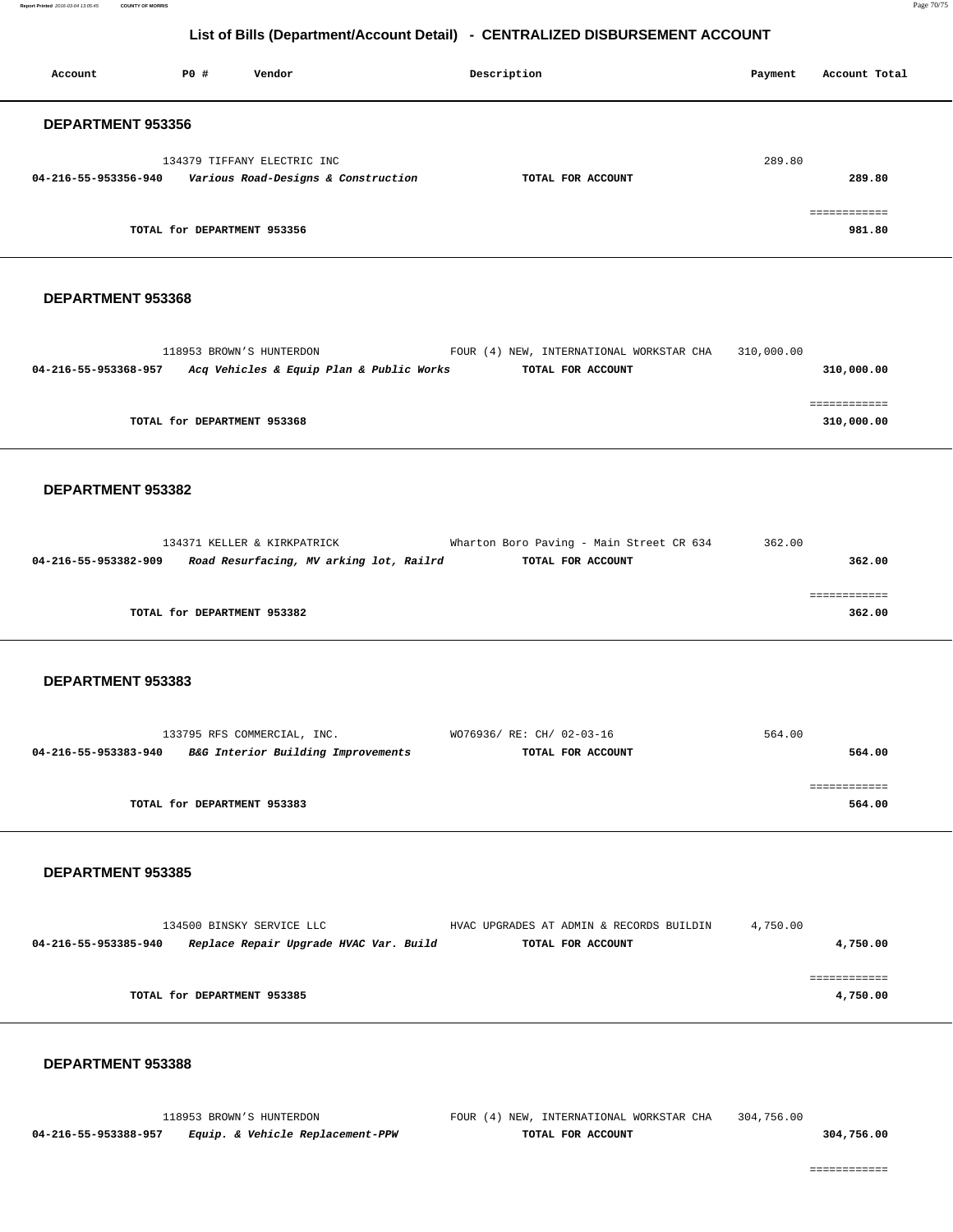**Report Printed** 2016-03-04 13:05:45 **COUNTY OF MORRIS** Page 70/75

## **List of Bills (Department/Account Detail) - CENTRALIZED DISBURSEMENT ACCOUNT**

| Account                  | PO#                         | Vendor                                                             | Description       | Account Total<br>Payment |
|--------------------------|-----------------------------|--------------------------------------------------------------------|-------------------|--------------------------|
| <b>DEPARTMENT 953356</b> |                             |                                                                    |                   |                          |
| 04-216-55-953356-940     |                             | 134379 TIFFANY ELECTRIC INC<br>Various Road-Designs & Construction | TOTAL FOR ACCOUNT | 289.80<br>289.80         |
|                          | TOTAL for DEPARTMENT 953356 |                                                                    |                   | essessessess<br>981.80   |

#### **DEPARTMENT 953368**

| 118953 BROWN'S HUNTERDON                                         | FOUR (4) NEW, INTERNATIONAL WORKSTAR CHA | 310,000.00 |
|------------------------------------------------------------------|------------------------------------------|------------|
| Acq Vehicles & Equip Plan & Public Works<br>04-216-55-953368-957 | TOTAL FOR ACCOUNT                        | 310,000.00 |
|                                                                  |                                          |            |
|                                                                  |                                          |            |
| TOTAL for DEPARTMENT 953368                                      |                                          | 310,000.00 |
|                                                                  |                                          |            |

#### **DEPARTMENT 953382**

|                      | 134371 KELLER & KIRKPATRICK             | Wharton Boro Paving - Main Street CR 634 | 362.00 |
|----------------------|-----------------------------------------|------------------------------------------|--------|
| 04-216-55-953382-909 | Road Resurfacing, MV arking lot, Railrd | TOTAL FOR ACCOUNT                        | 362.00 |
|                      |                                         |                                          |        |
|                      |                                         |                                          |        |
|                      | TOTAL for DEPARTMENT 953382             |                                          | 362.00 |
|                      |                                         |                                          |        |

#### **DEPARTMENT 953383**

| 133795 RFS COMMERCIAL, INC.                                | WO76936/ RE: CH/ 02-03-16 | 564.00 |
|------------------------------------------------------------|---------------------------|--------|
| B&G Interior Building Improvements<br>04-216-55-953383-940 | TOTAL FOR ACCOUNT         | 564.00 |
|                                                            |                           |        |
|                                                            |                           |        |
| TOTAL for DEPARTMENT 953383                                |                           | 564.00 |

## **DEPARTMENT 953385**

| 134500 BINSKY SERVICE LLC   |                                        | HVAC UPGRADES AT ADMIN & RECORDS BUILDIN | 4,750.00 |          |
|-----------------------------|----------------------------------------|------------------------------------------|----------|----------|
| 04-216-55-953385-940        | Replace Repair Upgrade HVAC Var. Build | TOTAL FOR ACCOUNT                        |          | 4,750.00 |
|                             |                                        |                                          |          |          |
|                             |                                        |                                          |          |          |
| TOTAL for DEPARTMENT 953385 |                                        |                                          |          | 4,750.00 |
|                             |                                        |                                          |          |          |

#### **DEPARTMENT 953388**

 118953 BROWN'S HUNTERDON FOUR (4) NEW, INTERNATIONAL WORKSTAR CHA 304,756.00  **04-216-55-953388-957 Equip. & Vehicle Replacement-PPW TOTAL FOR ACCOUNT 304,756.00**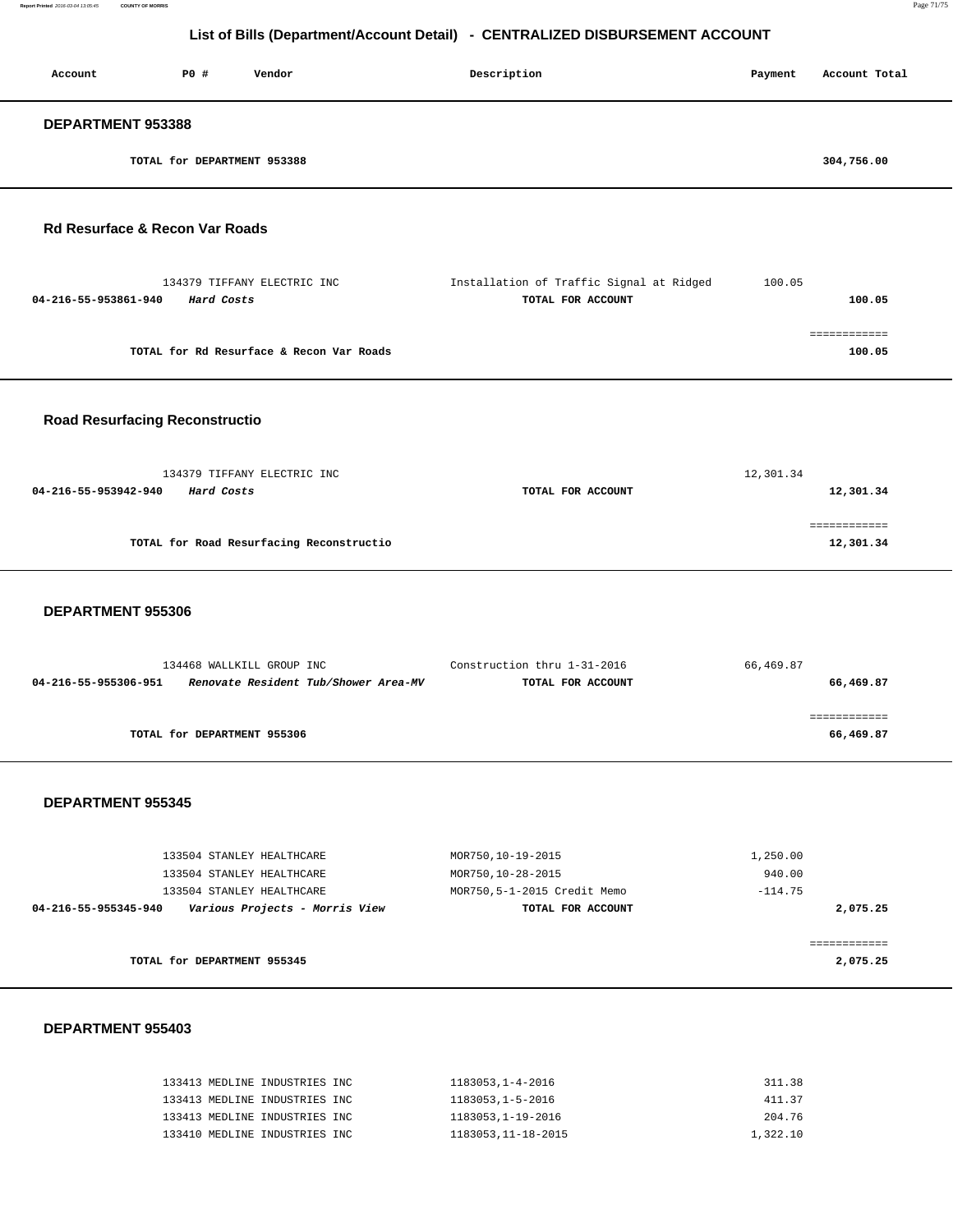| Account                                   | PO#                         | Vendor                                   | Description                                                   | Payment | Account Total          |
|-------------------------------------------|-----------------------------|------------------------------------------|---------------------------------------------------------------|---------|------------------------|
| DEPARTMENT 953388                         |                             |                                          |                                                               |         |                        |
|                                           | TOTAL for DEPARTMENT 953388 |                                          |                                                               |         | 304,756.00             |
| <b>Rd Resurface &amp; Recon Var Roads</b> |                             |                                          |                                                               |         |                        |
| 04-216-55-953861-940                      | Hard Costs                  | 134379 TIFFANY ELECTRIC INC              | Installation of Traffic Signal at Ridged<br>TOTAL FOR ACCOUNT | 100.05  | 100.05                 |
|                                           |                             | TOTAL for Rd Resurface & Recon Var Roads |                                                               |         | ============<br>100.05 |

## **Road Resurfacing Reconstructio**

| 134379 TIFFANY ELECTRIC INC              |                   | 12,301.34 |
|------------------------------------------|-------------------|-----------|
| 04-216-55-953942-940<br>Hard Costs       | TOTAL FOR ACCOUNT | 12,301.34 |
|                                          |                   |           |
|                                          |                   |           |
| TOTAL for Road Resurfacing Reconstructio |                   | 12,301.34 |
|                                          |                   |           |

#### **DEPARTMENT 955306**

| 134468 WALLKILL GROUP INC                                    | Construction thru 1-31-2016 | 66,469.87 |
|--------------------------------------------------------------|-----------------------------|-----------|
| Renovate Resident Tub/Shower Area-MV<br>04-216-55-955306-951 | TOTAL FOR ACCOUNT           | 66,469.87 |
|                                                              |                             |           |
|                                                              |                             |           |
| TOTAL for DEPARTMENT 955306                                  |                             | 66,469.87 |
|                                                              |                             |           |

#### **DEPARTMENT 955345**

| 133504 STANLEY HEALTHCARE                              | MOR750,10-19-2015           | 1,250.00  |
|--------------------------------------------------------|-----------------------------|-----------|
| 133504 STANLEY HEALTHCARE                              | MOR750,10-28-2015           | 940.00    |
| 133504 STANLEY HEALTHCARE                              | MOR750,5-1-2015 Credit Memo | $-114.75$ |
| Various Projects - Morris View<br>04-216-55-955345-940 | TOTAL FOR ACCOUNT           | 2,075.25  |
|                                                        |                             |           |
|                                                        |                             |           |
| TOTAL for DEPARTMENT 955345                            |                             | 2,075.25  |
|                                                        |                             |           |

| 133413 MEDLINE INDUSTRIES INC | 1183053.1-4-2016   | 311.38   |
|-------------------------------|--------------------|----------|
| 133413 MEDLINE INDUSTRIES INC | 1183053,1-5-2016   | 411.37   |
| 133413 MEDLINE INDUSTRIES INC | 1183053, 1-19-2016 | 204.76   |
| 133410 MEDLINE INDUSTRIES INC | 1183053,11-18-2015 | 1,322.10 |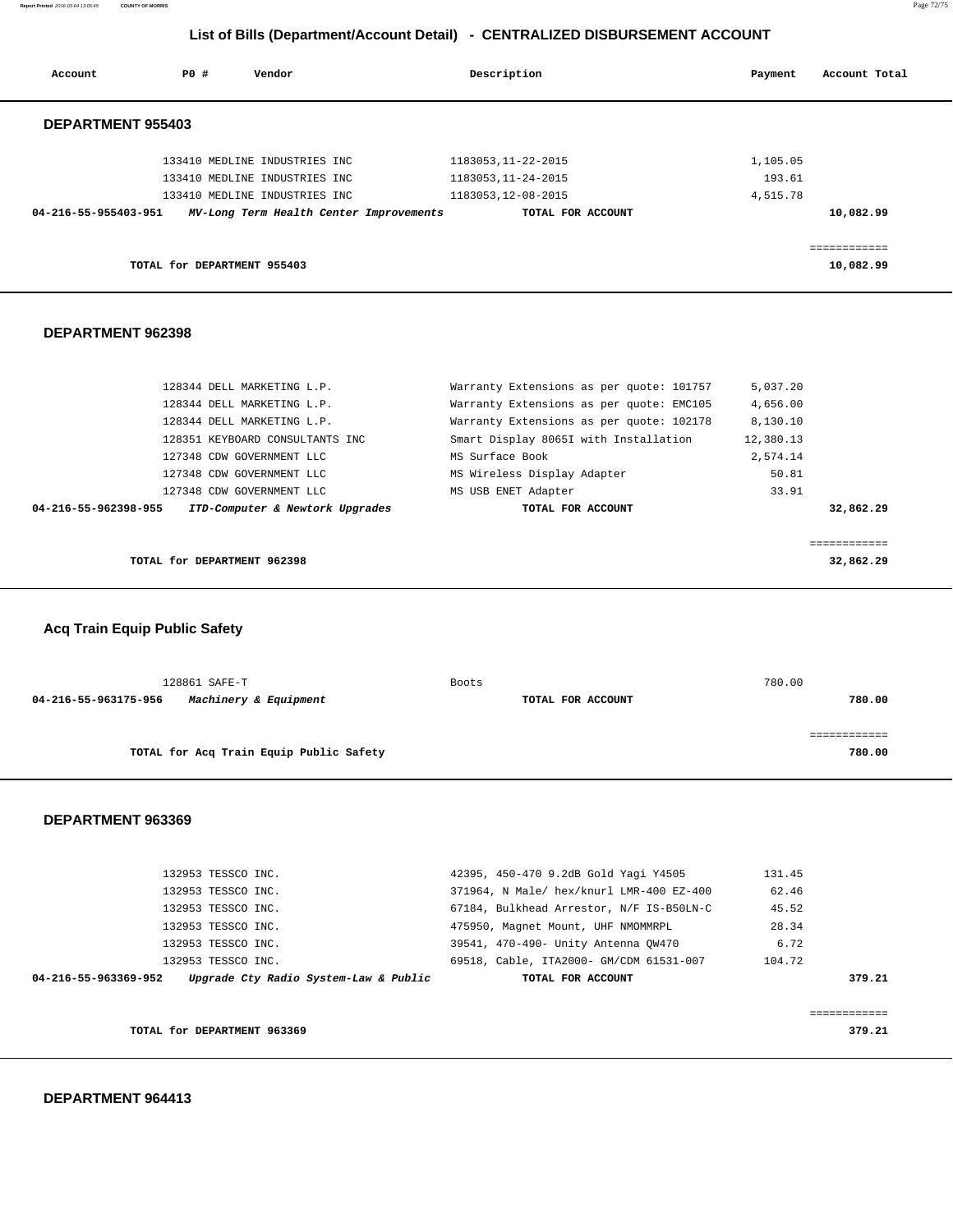**Report Printed** 2016-03-04 13:05:45 **COUNTY OF MORRIS** Page 72/75

## **List of Bills (Department/Account Detail) - CENTRALIZED DISBURSEMENT ACCOUNT**

| Account                  | PO#                         | Vendor                                  | Description         | Payment  | Account Total             |
|--------------------------|-----------------------------|-----------------------------------------|---------------------|----------|---------------------------|
|                          |                             |                                         |                     |          |                           |
| <b>DEPARTMENT 955403</b> |                             |                                         |                     |          |                           |
|                          |                             | 133410 MEDLINE INDUSTRIES INC           | 1183053, 11-22-2015 | 1,105.05 |                           |
|                          |                             | 133410 MEDLINE INDUSTRIES INC           | 1183053, 11-24-2015 | 193.61   |                           |
|                          |                             | 133410 MEDLINE INDUSTRIES INC           | 1183053, 12-08-2015 | 4,515.78 |                           |
| 04-216-55-955403-951     |                             | MV-Long Term Health Center Improvements | TOTAL FOR ACCOUNT   |          | 10,082.99                 |
|                          | TOTAL for DEPARTMENT 955403 |                                         |                     |          | ============<br>10,082.99 |
|                          |                             |                                         |                     |          |                           |

## **DEPARTMENT 962398**

| TOTAL for DEPARTMENT 962398                             |                                          | 32,862.29 |
|---------------------------------------------------------|------------------------------------------|-----------|
|                                                         |                                          |           |
| ITD-Computer & Newtork Upgrades<br>04-216-55-962398-955 | TOTAL FOR ACCOUNT                        | 32,862.29 |
| 127348 CDW GOVERNMENT LLC                               | MS USB ENET Adapter                      | 33.91     |
| 127348 CDW GOVERNMENT LLC                               | MS Wireless Display Adapter              | 50.81     |
| 127348 CDW GOVERNMENT LLC                               | MS Surface Book                          | 2,574.14  |
| 128351 KEYBOARD CONSULTANTS INC                         | Smart Display 8065I with Installation    | 12,380.13 |
| 128344 DELL MARKETING L.P.                              | Warranty Extensions as per quote: 102178 | 8,130.10  |
| 128344 DELL MARKETING L.P.                              | Warranty Extensions as per quote: EMC105 | 4,656.00  |
| 128344 DELL MARKETING L.P.                              | Warranty Extensions as per quote: 101757 | 5,037.20  |

 **Acq Train Equip Public Safety**

| 128861 SAFE-T                                 | Boots             | 780.00 |
|-----------------------------------------------|-------------------|--------|
| 04-216-55-963175-956<br>Machinery & Equipment | TOTAL FOR ACCOUNT | 780.00 |
|                                               |                   |        |
| TOTAL for Acq Train Equip Public Safety       |                   | 780.00 |
|                                               |                   |        |

|                      | TOTAL for DEPARTMENT 963369           |                                          | 379.21 |
|----------------------|---------------------------------------|------------------------------------------|--------|
| 04-216-55-963369-952 | Upgrade Cty Radio System-Law & Public | TOTAL FOR ACCOUNT                        | 379.21 |
|                      | 132953 TESSCO INC.                    | 69518, Cable, ITA2000- GM/CDM 61531-007  | 104.72 |
|                      | 132953 TESSCO INC.                    | 39541, 470-490- Unity Antenna OW470      | 6.72   |
|                      | 132953 TESSCO INC.                    | 475950, Magnet Mount, UHF NMOMMRPL       | 28.34  |
|                      | 132953 TESSCO INC.                    | 67184, Bulkhead Arrestor, N/F IS-B50LN-C | 45.52  |
|                      | 132953 TESSCO INC.                    | 371964, N Male/ hex/knurl LMR-400 EZ-400 | 62.46  |
|                      | 132953 TESSCO INC.                    | 42395, 450-470 9.2dB Gold Yagi Y4505     | 131.45 |
|                      |                                       |                                          |        |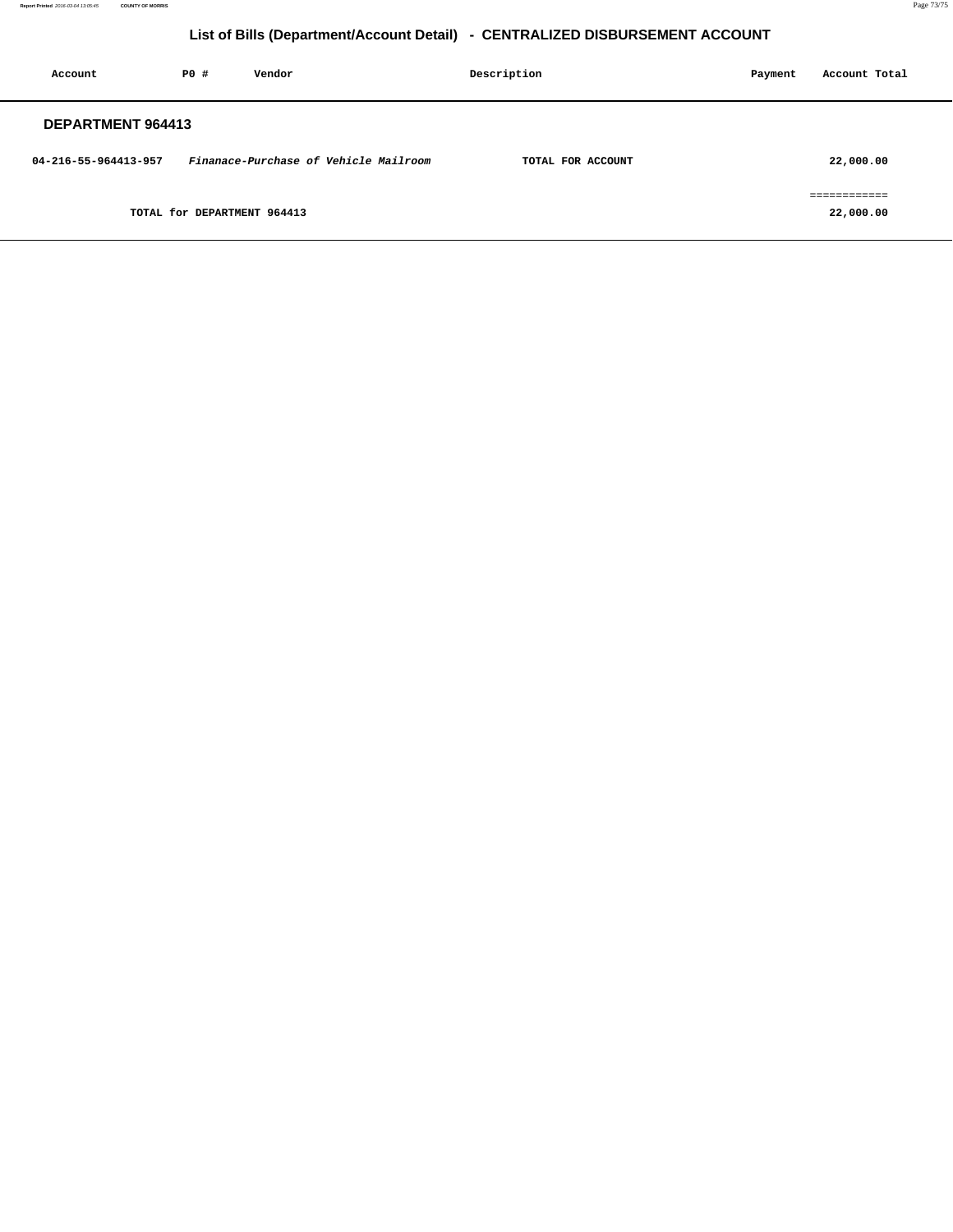**Report Printed** 2016-03-04 13:05:45 **COUNTY OF MORRIS** Page 73/75

## **List of Bills (Department/Account Detail) - CENTRALIZED DISBURSEMENT ACCOUNT**

| Account              | <b>PO #</b>                 | Vendor                                | Description |                   | Payment | Account Total             |
|----------------------|-----------------------------|---------------------------------------|-------------|-------------------|---------|---------------------------|
| DEPARTMENT 964413    |                             |                                       |             |                   |         |                           |
| 04-216-55-964413-957 |                             | Finanace-Purchase of Vehicle Mailroom |             | TOTAL FOR ACCOUNT |         | 22,000.00                 |
|                      | TOTAL for DEPARTMENT 964413 |                                       |             |                   |         | essessessess<br>22,000.00 |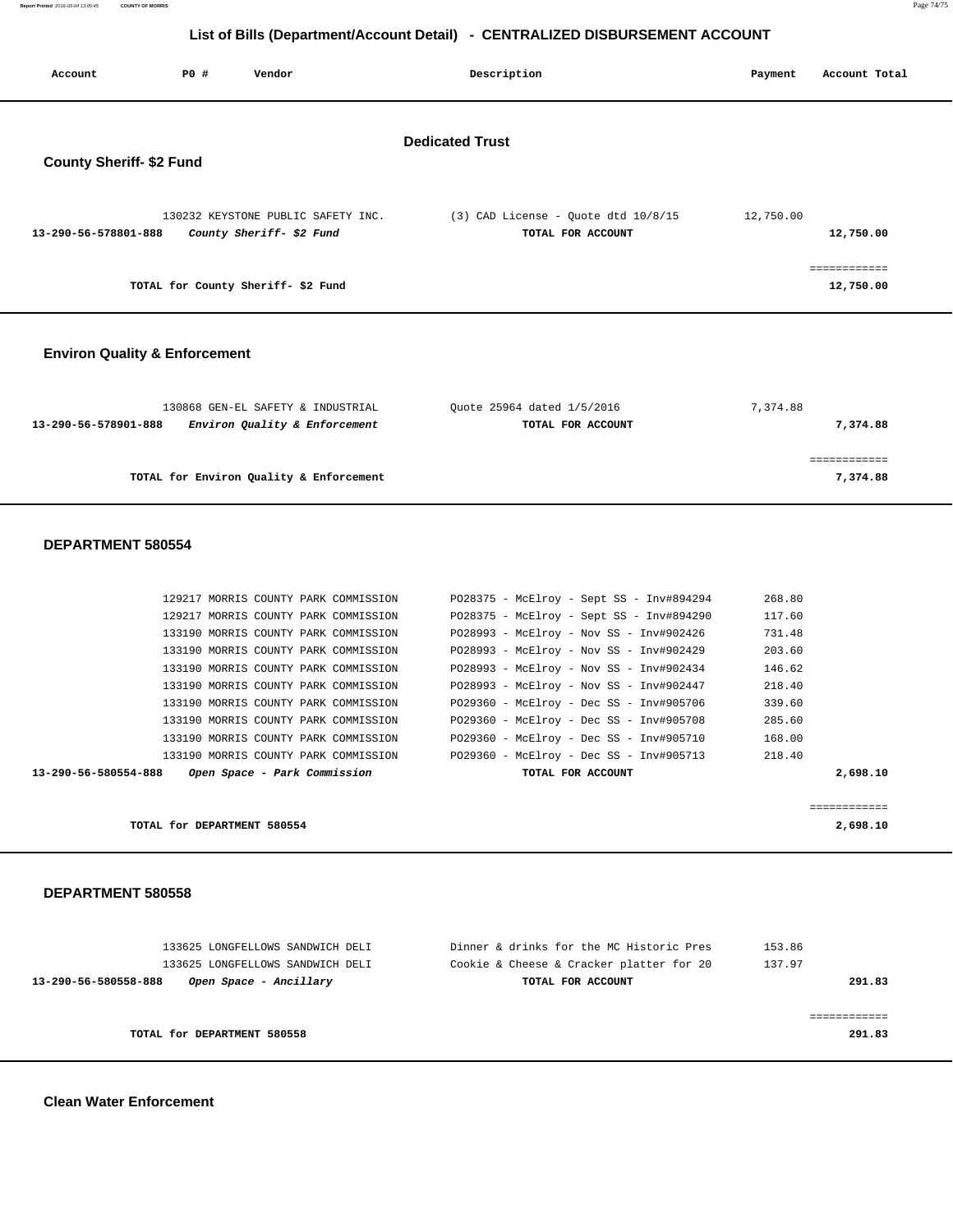| Report Printed 2016-03-04 13:05:45 | <b>COUNTY OF MORRIS</b> | Page 74/75 |
|------------------------------------|-------------------------|------------|
|                                    |                         |            |

## **List of Bills (Department/Account Detail) - CENTRALIZED DISBURSEMENT ACCOUNT**

| Account                                  | <b>PO #</b><br>Vendor                                                        | Description                                                                         | Payment          | Account Total |  |  |  |
|------------------------------------------|------------------------------------------------------------------------------|-------------------------------------------------------------------------------------|------------------|---------------|--|--|--|
| <b>Dedicated Trust</b>                   |                                                                              |                                                                                     |                  |               |  |  |  |
| <b>County Sheriff- \$2 Fund</b>          |                                                                              |                                                                                     |                  |               |  |  |  |
|                                          |                                                                              |                                                                                     |                  |               |  |  |  |
|                                          |                                                                              |                                                                                     |                  |               |  |  |  |
| 13-290-56-578801-888                     | 130232 KEYSTONE PUBLIC SAFETY INC.<br>County Sheriff- \$2 Fund               | $(3)$ CAD License - Quote dtd $10/8/15$<br>TOTAL FOR ACCOUNT                        | 12,750.00        | 12,750.00     |  |  |  |
|                                          |                                                                              |                                                                                     |                  |               |  |  |  |
|                                          |                                                                              |                                                                                     |                  | ============  |  |  |  |
|                                          | TOTAL for County Sheriff- \$2 Fund                                           |                                                                                     |                  | 12,750.00     |  |  |  |
|                                          |                                                                              |                                                                                     |                  |               |  |  |  |
| <b>Environ Quality &amp; Enforcement</b> |                                                                              |                                                                                     |                  |               |  |  |  |
|                                          |                                                                              |                                                                                     |                  |               |  |  |  |
|                                          | 130868 GEN-EL SAFETY & INDUSTRIAL                                            | Quote 25964 dated 1/5/2016                                                          | 7,374.88         |               |  |  |  |
| 13-290-56-578901-888                     | Environ Quality & Enforcement                                                | TOTAL FOR ACCOUNT                                                                   |                  | 7,374.88      |  |  |  |
|                                          |                                                                              |                                                                                     |                  |               |  |  |  |
|                                          |                                                                              |                                                                                     |                  | ============  |  |  |  |
|                                          | TOTAL for Environ Quality & Enforcement                                      |                                                                                     |                  | 7,374.88      |  |  |  |
|                                          |                                                                              |                                                                                     |                  |               |  |  |  |
| DEPARTMENT 580554                        |                                                                              |                                                                                     |                  |               |  |  |  |
|                                          |                                                                              |                                                                                     |                  |               |  |  |  |
|                                          |                                                                              |                                                                                     |                  |               |  |  |  |
|                                          | 129217 MORRIS COUNTY PARK COMMISSION                                         | P028375 - McElroy - Sept SS - Inv#894294                                            | 268.80           |               |  |  |  |
|                                          | 129217 MORRIS COUNTY PARK COMMISSION<br>133190 MORRIS COUNTY PARK COMMISSION | P028375 - McElroy - Sept SS - Inv#894290<br>PO28993 - McElroy - Nov SS - Inv#902426 | 117.60<br>731.48 |               |  |  |  |
|                                          | 133190 MORRIS COUNTY PARK COMMISSION                                         | PO28993 - McElroy - Nov SS - Inv#902429                                             | 203.60           |               |  |  |  |
|                                          | 133190 MORRIS COUNTY PARK COMMISSION                                         | PO28993 - McElroy - Nov SS - Inv#902434                                             | 146.62           |               |  |  |  |
|                                          | 133190 MORRIS COUNTY PARK COMMISSION                                         | PO28993 - McElroy - Nov SS - Inv#902447                                             | 218.40           |               |  |  |  |
|                                          | 133190 MORRIS COUNTY PARK COMMISSION                                         | P029360 - McElroy - Dec SS - Inv#905706                                             | 339.60           |               |  |  |  |
|                                          | 133190 MORRIS COUNTY PARK COMMISSION                                         | P029360 - McElroy - Dec SS - Inv#905708                                             | 285.60           |               |  |  |  |
|                                          | 133190 MORRIS COUNTY PARK COMMISSION                                         | PO29360 - McElroy - Dec SS - Inv#905710                                             | 168.00           |               |  |  |  |
|                                          | 133190 MORRIS COUNTY PARK COMMISSION                                         | P029360 - McElroy - Dec SS - Inv#905713                                             | 218.40           |               |  |  |  |
| 13-290-56-580554-888                     | Open Space - Park Commission                                                 | TOTAL FOR ACCOUNT                                                                   |                  | 2,698.10      |  |  |  |
| ============                             |                                                                              |                                                                                     |                  |               |  |  |  |
|                                          | TOTAL for DEPARTMENT 580554                                                  |                                                                                     |                  | 2,698.10      |  |  |  |
|                                          |                                                                              |                                                                                     |                  |               |  |  |  |
| DEPARTMENT 580558                        |                                                                              |                                                                                     |                  |               |  |  |  |
|                                          |                                                                              |                                                                                     |                  |               |  |  |  |
|                                          |                                                                              | Dinner & drinks for the MC Historic Pres                                            |                  |               |  |  |  |
|                                          | 133625 LONGFELLOWS SANDWICH DELI<br>133625 LONGFELLOWS SANDWICH DELI         | Cookie & Cheese & Cracker platter for 20                                            | 153.86<br>137.97 |               |  |  |  |
| 13-290-56-580558-888                     | Open Space - Ancillary                                                       | TOTAL FOR ACCOUNT                                                                   |                  | 291.83        |  |  |  |
|                                          |                                                                              |                                                                                     |                  |               |  |  |  |
| ============                             |                                                                              |                                                                                     |                  |               |  |  |  |
|                                          | TOTAL for DEPARTMENT 580558                                                  |                                                                                     |                  | 291.83        |  |  |  |
|                                          |                                                                              |                                                                                     |                  |               |  |  |  |

 **Clean Water Enforcement**